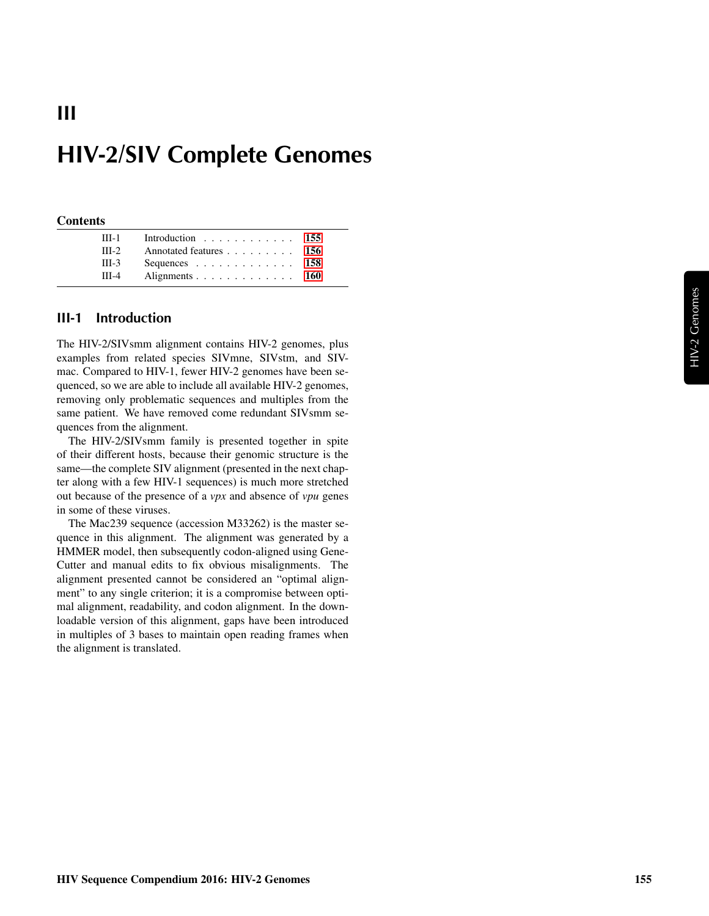# HIV-2/SIV Complete Genomes

#### **Contents**

III

| $III-1$ | Introduction 155       |  |
|---------|------------------------|--|
| $III-2$ | Annotated features 156 |  |
| $III-3$ | Sequences 158          |  |
| $III-4$ | Alignments 160         |  |

### <span id="page-0-0"></span>III-1 Introduction

The HIV-2/SIVsmm alignment contains HIV-2 genomes, plus examples from related species SIVmne, SIVstm, and SIVmac. Compared to HIV-1, fewer HIV-2 genomes have been sequenced, so we are able to include all available HIV-2 genomes, removing only problematic sequences and multiples from the same patient. We have removed come redundant SIVsmm sequences from the alignment.

The HIV-2/SIVsmm family is presented together in spite of their different hosts, because their genomic structure is the same—the complete SIV alignment (presented in the next chapter along with a few HIV-1 sequences) is much more stretched out because of the presence of a *vpx* and absence of *vpu* genes in some of these viruses.

The Mac239 sequence (accession M33262) is the master sequence in this alignment. The alignment was generated by a HMMER model, then subsequently codon-aligned using Gene-Cutter and manual edits to fix obvious misalignments. The alignment presented cannot be considered an "optimal alignment" to any single criterion; it is a compromise between optimal alignment, readability, and codon alignment. In the downloadable version of this alignment, gaps have been introduced in multiples of 3 bases to maintain open reading frames when the alignment is translated.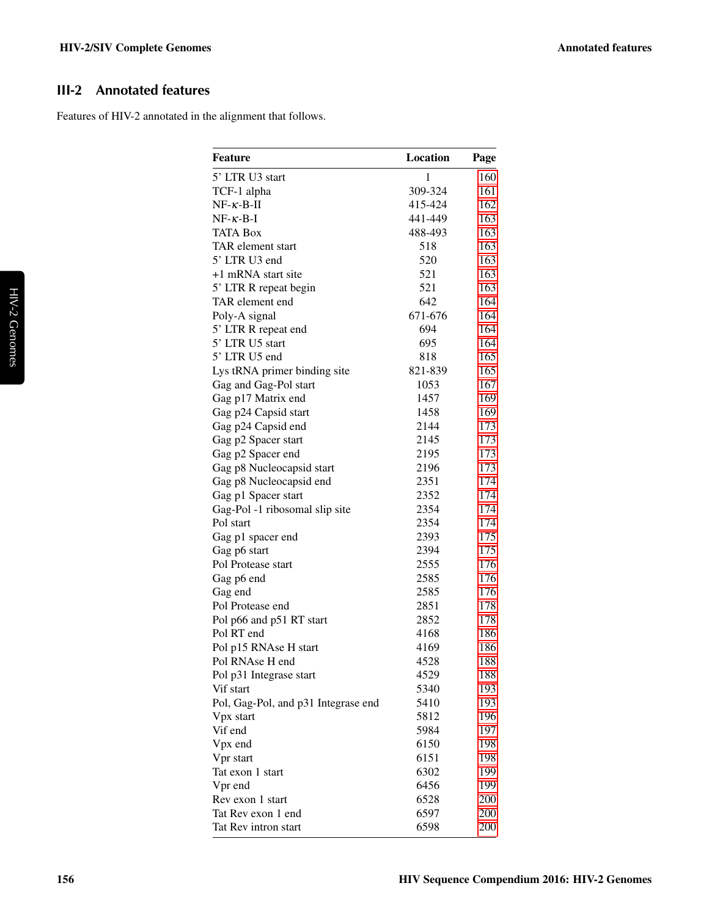## <span id="page-1-0"></span>III-2 Annotated features

Features of HIV-2 annotated in the alignment that follows.

| 5' LTR U3 start<br>$\mathbf{1}$<br>160<br>TCF-1 alpha<br>309-324<br>161<br>$NF-\kappa-B-\Pi$<br>415-424<br>162<br>441-449<br>163<br>$NF - \kappa - B - I$<br><b>TATA Box</b><br>488-493<br>163<br>TAR element start<br>518<br>163<br>5' LTR U3 end<br>520<br>163<br>+1 mRNA start site<br>521<br>163<br>521<br>5' LTR R repeat begin<br>163<br>642<br>TAR element end<br>164<br>Poly-A signal<br>671-676<br>164<br>5' LTR R repeat end<br>694<br>164<br>5' LTR U5 start<br>695<br>164<br>5' LTR U5 end<br>818<br>165<br>Lys tRNA primer binding site<br>821-839<br>165<br>Gag and Gag-Pol start<br>1053<br>167<br>Gag p17 Matrix end<br>1457<br>169<br>Gag p24 Capsid start<br>1458<br>169<br>Gag p24 Capsid end<br>173<br>2144<br>Gag p2 Spacer start<br>173<br>2145<br>Gag p2 Spacer end<br>2195<br>173<br>Gag p8 Nucleocapsid start<br>2196<br>173<br>Gag p8 Nucleocapsid end<br>2351<br>174<br>Gag p1 Spacer start<br>174<br>2352<br>Gag-Pol -1 ribosomal slip site<br>2354<br>174<br>Pol start<br>2354<br>174<br>Gag p1 spacer end<br>2393<br>175<br>Gag p6 start<br>2394<br>175<br>2555<br>176<br>Pol Protease start<br>Gag p6 end<br>2585<br>176<br>Gag end<br>2585<br>176<br>Pol Protease end<br>2851<br>178<br>Pol p66 and p51 RT start<br>2852<br>178<br>Pol RT end<br>4168<br>186<br>Pol p15 RNAse H start<br>4169<br>186<br>4528<br>Pol RNAse H end<br>188<br>4529<br>Pol p31 Integrase start<br>188<br>Vif start<br>5340<br>193<br>Pol, Gag-Pol, and p31 Integrase end<br>5410<br>193<br>5812<br>196<br>Vpx start<br>Vif end<br>5984<br>197<br>Vpx end<br>6150<br>198<br>6151<br>Vpr start<br>198<br>Tat exon 1 start<br>6302<br>199<br>Vpr end<br>6456<br>199<br>Rev exon 1 start<br>6528<br>200<br>6597<br>Tat Rev exon 1 end<br>200<br>6598<br>Tat Rev intron start<br>200 | <b>Feature</b> | <b>Location</b> | Page |
|--------------------------------------------------------------------------------------------------------------------------------------------------------------------------------------------------------------------------------------------------------------------------------------------------------------------------------------------------------------------------------------------------------------------------------------------------------------------------------------------------------------------------------------------------------------------------------------------------------------------------------------------------------------------------------------------------------------------------------------------------------------------------------------------------------------------------------------------------------------------------------------------------------------------------------------------------------------------------------------------------------------------------------------------------------------------------------------------------------------------------------------------------------------------------------------------------------------------------------------------------------------------------------------------------------------------------------------------------------------------------------------------------------------------------------------------------------------------------------------------------------------------------------------------------------------------------------------------------------------------------------------------------------------------------------------------------------------------------------------------------------------------------------------------|----------------|-----------------|------|
|                                                                                                                                                                                                                                                                                                                                                                                                                                                                                                                                                                                                                                                                                                                                                                                                                                                                                                                                                                                                                                                                                                                                                                                                                                                                                                                                                                                                                                                                                                                                                                                                                                                                                                                                                                                            |                |                 |      |
|                                                                                                                                                                                                                                                                                                                                                                                                                                                                                                                                                                                                                                                                                                                                                                                                                                                                                                                                                                                                                                                                                                                                                                                                                                                                                                                                                                                                                                                                                                                                                                                                                                                                                                                                                                                            |                |                 |      |
|                                                                                                                                                                                                                                                                                                                                                                                                                                                                                                                                                                                                                                                                                                                                                                                                                                                                                                                                                                                                                                                                                                                                                                                                                                                                                                                                                                                                                                                                                                                                                                                                                                                                                                                                                                                            |                |                 |      |
|                                                                                                                                                                                                                                                                                                                                                                                                                                                                                                                                                                                                                                                                                                                                                                                                                                                                                                                                                                                                                                                                                                                                                                                                                                                                                                                                                                                                                                                                                                                                                                                                                                                                                                                                                                                            |                |                 |      |
|                                                                                                                                                                                                                                                                                                                                                                                                                                                                                                                                                                                                                                                                                                                                                                                                                                                                                                                                                                                                                                                                                                                                                                                                                                                                                                                                                                                                                                                                                                                                                                                                                                                                                                                                                                                            |                |                 |      |
|                                                                                                                                                                                                                                                                                                                                                                                                                                                                                                                                                                                                                                                                                                                                                                                                                                                                                                                                                                                                                                                                                                                                                                                                                                                                                                                                                                                                                                                                                                                                                                                                                                                                                                                                                                                            |                |                 |      |
|                                                                                                                                                                                                                                                                                                                                                                                                                                                                                                                                                                                                                                                                                                                                                                                                                                                                                                                                                                                                                                                                                                                                                                                                                                                                                                                                                                                                                                                                                                                                                                                                                                                                                                                                                                                            |                |                 |      |
|                                                                                                                                                                                                                                                                                                                                                                                                                                                                                                                                                                                                                                                                                                                                                                                                                                                                                                                                                                                                                                                                                                                                                                                                                                                                                                                                                                                                                                                                                                                                                                                                                                                                                                                                                                                            |                |                 |      |
|                                                                                                                                                                                                                                                                                                                                                                                                                                                                                                                                                                                                                                                                                                                                                                                                                                                                                                                                                                                                                                                                                                                                                                                                                                                                                                                                                                                                                                                                                                                                                                                                                                                                                                                                                                                            |                |                 |      |
|                                                                                                                                                                                                                                                                                                                                                                                                                                                                                                                                                                                                                                                                                                                                                                                                                                                                                                                                                                                                                                                                                                                                                                                                                                                                                                                                                                                                                                                                                                                                                                                                                                                                                                                                                                                            |                |                 |      |
|                                                                                                                                                                                                                                                                                                                                                                                                                                                                                                                                                                                                                                                                                                                                                                                                                                                                                                                                                                                                                                                                                                                                                                                                                                                                                                                                                                                                                                                                                                                                                                                                                                                                                                                                                                                            |                |                 |      |
|                                                                                                                                                                                                                                                                                                                                                                                                                                                                                                                                                                                                                                                                                                                                                                                                                                                                                                                                                                                                                                                                                                                                                                                                                                                                                                                                                                                                                                                                                                                                                                                                                                                                                                                                                                                            |                |                 |      |
|                                                                                                                                                                                                                                                                                                                                                                                                                                                                                                                                                                                                                                                                                                                                                                                                                                                                                                                                                                                                                                                                                                                                                                                                                                                                                                                                                                                                                                                                                                                                                                                                                                                                                                                                                                                            |                |                 |      |
|                                                                                                                                                                                                                                                                                                                                                                                                                                                                                                                                                                                                                                                                                                                                                                                                                                                                                                                                                                                                                                                                                                                                                                                                                                                                                                                                                                                                                                                                                                                                                                                                                                                                                                                                                                                            |                |                 |      |
|                                                                                                                                                                                                                                                                                                                                                                                                                                                                                                                                                                                                                                                                                                                                                                                                                                                                                                                                                                                                                                                                                                                                                                                                                                                                                                                                                                                                                                                                                                                                                                                                                                                                                                                                                                                            |                |                 |      |
|                                                                                                                                                                                                                                                                                                                                                                                                                                                                                                                                                                                                                                                                                                                                                                                                                                                                                                                                                                                                                                                                                                                                                                                                                                                                                                                                                                                                                                                                                                                                                                                                                                                                                                                                                                                            |                |                 |      |
|                                                                                                                                                                                                                                                                                                                                                                                                                                                                                                                                                                                                                                                                                                                                                                                                                                                                                                                                                                                                                                                                                                                                                                                                                                                                                                                                                                                                                                                                                                                                                                                                                                                                                                                                                                                            |                |                 |      |
|                                                                                                                                                                                                                                                                                                                                                                                                                                                                                                                                                                                                                                                                                                                                                                                                                                                                                                                                                                                                                                                                                                                                                                                                                                                                                                                                                                                                                                                                                                                                                                                                                                                                                                                                                                                            |                |                 |      |
|                                                                                                                                                                                                                                                                                                                                                                                                                                                                                                                                                                                                                                                                                                                                                                                                                                                                                                                                                                                                                                                                                                                                                                                                                                                                                                                                                                                                                                                                                                                                                                                                                                                                                                                                                                                            |                |                 |      |
|                                                                                                                                                                                                                                                                                                                                                                                                                                                                                                                                                                                                                                                                                                                                                                                                                                                                                                                                                                                                                                                                                                                                                                                                                                                                                                                                                                                                                                                                                                                                                                                                                                                                                                                                                                                            |                |                 |      |
|                                                                                                                                                                                                                                                                                                                                                                                                                                                                                                                                                                                                                                                                                                                                                                                                                                                                                                                                                                                                                                                                                                                                                                                                                                                                                                                                                                                                                                                                                                                                                                                                                                                                                                                                                                                            |                |                 |      |
|                                                                                                                                                                                                                                                                                                                                                                                                                                                                                                                                                                                                                                                                                                                                                                                                                                                                                                                                                                                                                                                                                                                                                                                                                                                                                                                                                                                                                                                                                                                                                                                                                                                                                                                                                                                            |                |                 |      |
|                                                                                                                                                                                                                                                                                                                                                                                                                                                                                                                                                                                                                                                                                                                                                                                                                                                                                                                                                                                                                                                                                                                                                                                                                                                                                                                                                                                                                                                                                                                                                                                                                                                                                                                                                                                            |                |                 |      |
|                                                                                                                                                                                                                                                                                                                                                                                                                                                                                                                                                                                                                                                                                                                                                                                                                                                                                                                                                                                                                                                                                                                                                                                                                                                                                                                                                                                                                                                                                                                                                                                                                                                                                                                                                                                            |                |                 |      |
|                                                                                                                                                                                                                                                                                                                                                                                                                                                                                                                                                                                                                                                                                                                                                                                                                                                                                                                                                                                                                                                                                                                                                                                                                                                                                                                                                                                                                                                                                                                                                                                                                                                                                                                                                                                            |                |                 |      |
|                                                                                                                                                                                                                                                                                                                                                                                                                                                                                                                                                                                                                                                                                                                                                                                                                                                                                                                                                                                                                                                                                                                                                                                                                                                                                                                                                                                                                                                                                                                                                                                                                                                                                                                                                                                            |                |                 |      |
|                                                                                                                                                                                                                                                                                                                                                                                                                                                                                                                                                                                                                                                                                                                                                                                                                                                                                                                                                                                                                                                                                                                                                                                                                                                                                                                                                                                                                                                                                                                                                                                                                                                                                                                                                                                            |                |                 |      |
|                                                                                                                                                                                                                                                                                                                                                                                                                                                                                                                                                                                                                                                                                                                                                                                                                                                                                                                                                                                                                                                                                                                                                                                                                                                                                                                                                                                                                                                                                                                                                                                                                                                                                                                                                                                            |                |                 |      |
|                                                                                                                                                                                                                                                                                                                                                                                                                                                                                                                                                                                                                                                                                                                                                                                                                                                                                                                                                                                                                                                                                                                                                                                                                                                                                                                                                                                                                                                                                                                                                                                                                                                                                                                                                                                            |                |                 |      |
|                                                                                                                                                                                                                                                                                                                                                                                                                                                                                                                                                                                                                                                                                                                                                                                                                                                                                                                                                                                                                                                                                                                                                                                                                                                                                                                                                                                                                                                                                                                                                                                                                                                                                                                                                                                            |                |                 |      |
|                                                                                                                                                                                                                                                                                                                                                                                                                                                                                                                                                                                                                                                                                                                                                                                                                                                                                                                                                                                                                                                                                                                                                                                                                                                                                                                                                                                                                                                                                                                                                                                                                                                                                                                                                                                            |                |                 |      |
|                                                                                                                                                                                                                                                                                                                                                                                                                                                                                                                                                                                                                                                                                                                                                                                                                                                                                                                                                                                                                                                                                                                                                                                                                                                                                                                                                                                                                                                                                                                                                                                                                                                                                                                                                                                            |                |                 |      |
|                                                                                                                                                                                                                                                                                                                                                                                                                                                                                                                                                                                                                                                                                                                                                                                                                                                                                                                                                                                                                                                                                                                                                                                                                                                                                                                                                                                                                                                                                                                                                                                                                                                                                                                                                                                            |                |                 |      |
|                                                                                                                                                                                                                                                                                                                                                                                                                                                                                                                                                                                                                                                                                                                                                                                                                                                                                                                                                                                                                                                                                                                                                                                                                                                                                                                                                                                                                                                                                                                                                                                                                                                                                                                                                                                            |                |                 |      |
|                                                                                                                                                                                                                                                                                                                                                                                                                                                                                                                                                                                                                                                                                                                                                                                                                                                                                                                                                                                                                                                                                                                                                                                                                                                                                                                                                                                                                                                                                                                                                                                                                                                                                                                                                                                            |                |                 |      |
|                                                                                                                                                                                                                                                                                                                                                                                                                                                                                                                                                                                                                                                                                                                                                                                                                                                                                                                                                                                                                                                                                                                                                                                                                                                                                                                                                                                                                                                                                                                                                                                                                                                                                                                                                                                            |                |                 |      |
|                                                                                                                                                                                                                                                                                                                                                                                                                                                                                                                                                                                                                                                                                                                                                                                                                                                                                                                                                                                                                                                                                                                                                                                                                                                                                                                                                                                                                                                                                                                                                                                                                                                                                                                                                                                            |                |                 |      |
|                                                                                                                                                                                                                                                                                                                                                                                                                                                                                                                                                                                                                                                                                                                                                                                                                                                                                                                                                                                                                                                                                                                                                                                                                                                                                                                                                                                                                                                                                                                                                                                                                                                                                                                                                                                            |                |                 |      |
|                                                                                                                                                                                                                                                                                                                                                                                                                                                                                                                                                                                                                                                                                                                                                                                                                                                                                                                                                                                                                                                                                                                                                                                                                                                                                                                                                                                                                                                                                                                                                                                                                                                                                                                                                                                            |                |                 |      |
|                                                                                                                                                                                                                                                                                                                                                                                                                                                                                                                                                                                                                                                                                                                                                                                                                                                                                                                                                                                                                                                                                                                                                                                                                                                                                                                                                                                                                                                                                                                                                                                                                                                                                                                                                                                            |                |                 |      |
|                                                                                                                                                                                                                                                                                                                                                                                                                                                                                                                                                                                                                                                                                                                                                                                                                                                                                                                                                                                                                                                                                                                                                                                                                                                                                                                                                                                                                                                                                                                                                                                                                                                                                                                                                                                            |                |                 |      |
|                                                                                                                                                                                                                                                                                                                                                                                                                                                                                                                                                                                                                                                                                                                                                                                                                                                                                                                                                                                                                                                                                                                                                                                                                                                                                                                                                                                                                                                                                                                                                                                                                                                                                                                                                                                            |                |                 |      |
|                                                                                                                                                                                                                                                                                                                                                                                                                                                                                                                                                                                                                                                                                                                                                                                                                                                                                                                                                                                                                                                                                                                                                                                                                                                                                                                                                                                                                                                                                                                                                                                                                                                                                                                                                                                            |                |                 |      |
|                                                                                                                                                                                                                                                                                                                                                                                                                                                                                                                                                                                                                                                                                                                                                                                                                                                                                                                                                                                                                                                                                                                                                                                                                                                                                                                                                                                                                                                                                                                                                                                                                                                                                                                                                                                            |                |                 |      |
|                                                                                                                                                                                                                                                                                                                                                                                                                                                                                                                                                                                                                                                                                                                                                                                                                                                                                                                                                                                                                                                                                                                                                                                                                                                                                                                                                                                                                                                                                                                                                                                                                                                                                                                                                                                            |                |                 |      |
|                                                                                                                                                                                                                                                                                                                                                                                                                                                                                                                                                                                                                                                                                                                                                                                                                                                                                                                                                                                                                                                                                                                                                                                                                                                                                                                                                                                                                                                                                                                                                                                                                                                                                                                                                                                            |                |                 |      |
|                                                                                                                                                                                                                                                                                                                                                                                                                                                                                                                                                                                                                                                                                                                                                                                                                                                                                                                                                                                                                                                                                                                                                                                                                                                                                                                                                                                                                                                                                                                                                                                                                                                                                                                                                                                            |                |                 |      |
|                                                                                                                                                                                                                                                                                                                                                                                                                                                                                                                                                                                                                                                                                                                                                                                                                                                                                                                                                                                                                                                                                                                                                                                                                                                                                                                                                                                                                                                                                                                                                                                                                                                                                                                                                                                            |                |                 |      |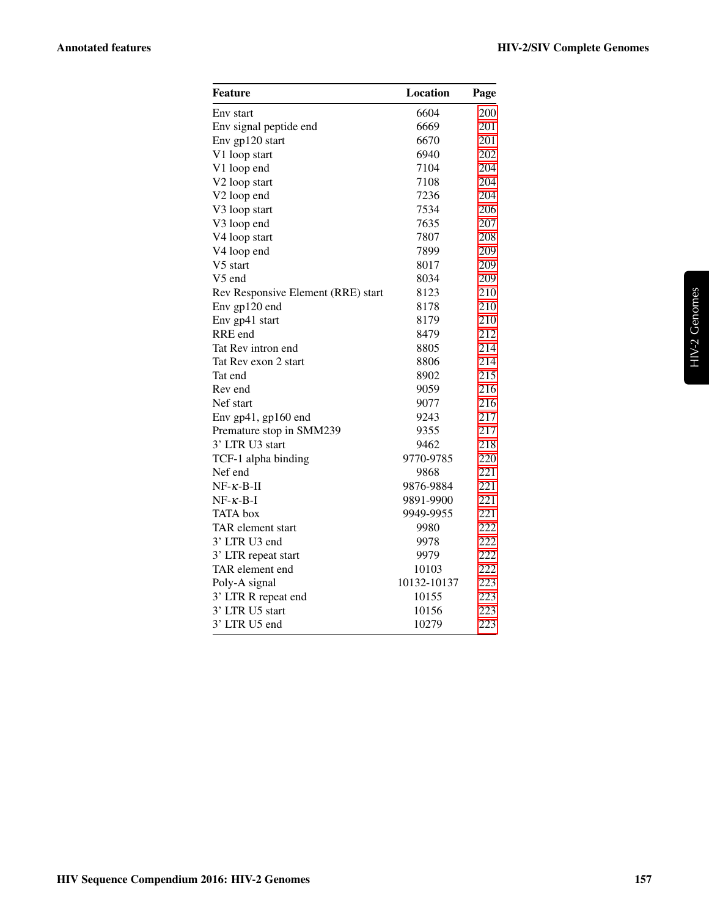| Feature                            | Location    | Page |
|------------------------------------|-------------|------|
| Env start                          | 6604        | 200  |
| Env signal peptide end             | 6669        | 201  |
| Env gp120 start                    | 6670        | 201  |
| V1 loop start                      | 6940        | 202  |
| V1 loop end                        | 7104        | 204  |
| V2 loop start                      | 7108        | 204  |
| V2 loop end                        | 7236        | 204  |
| V3 loop start                      | 7534        | 206  |
| V3 loop end                        | 7635        | 207  |
| V4 loop start                      | 7807        | 208  |
| V <sub>4</sub> loop end            | 7899        | 209  |
| V5 start                           | 8017        | 209  |
| V5 end                             | 8034        | 209  |
| Rev Responsive Element (RRE) start | 8123        | 210  |
| Env gp120 end                      | 8178        | 210  |
| Env gp41 start                     | 8179        | 210  |
| RRE end                            | 8479        | 212  |
| Tat Rev intron end                 | 8805        | 214  |
| Tat Rev exon 2 start               | 8806        | 214  |
| Tat end                            | 8902        | 215  |
| Rev end                            | 9059        | 216  |
| Nef start                          | 9077        | 216  |
| Env $gp41$ , $gp160$ end           | 9243        | 217  |
| Premature stop in SMM239           | 9355        | 217  |
| 3' LTR U3 start                    | 9462        | 218  |
| TCF-1 alpha binding                | 9770-9785   | 220  |
| Nef end                            | 9868        | 221  |
| $NF - \kappa - B - H$              | 9876-9884   | 221  |
| $NF - \kappa - B - I$              | 9891-9900   | 221  |
| <b>TATA</b> box                    | 9949-9955   | 221  |
| TAR element start                  | 9980        | 222  |
| 3' LTR U3 end                      | 9978        | 222  |
| 3' LTR repeat start                | 9979        | 222  |
| TAR element end                    | 10103       | 222  |
| Poly-A signal                      | 10132-10137 | 223  |
| 3' LTR R repeat end                | 10155       | 223  |
| 3' LTR U5 start                    | 10156       | 223  |
| 3' LTR U5 end                      | 10279       | 223  |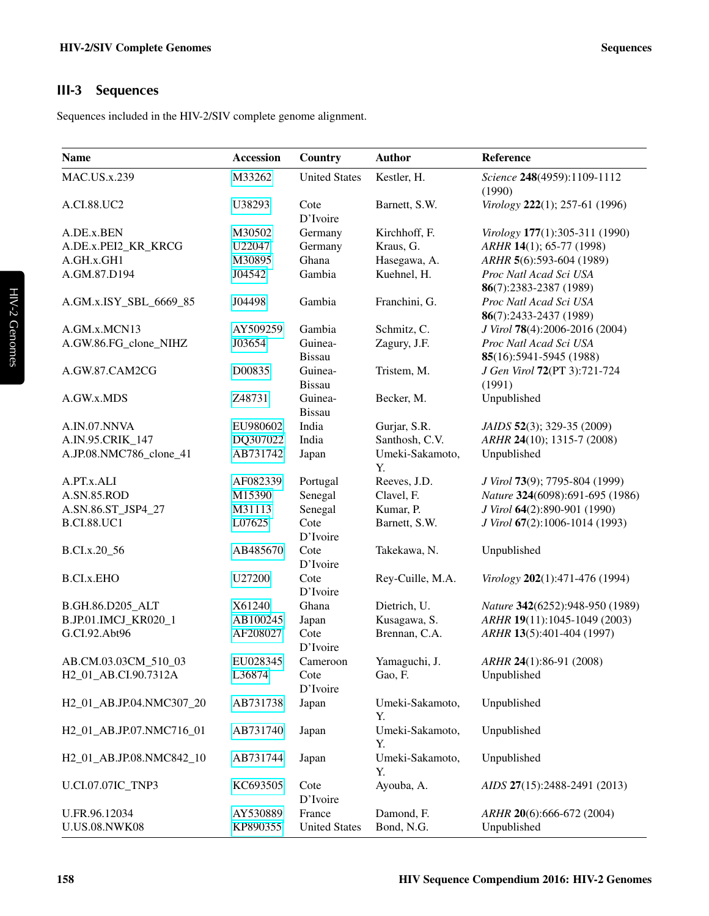## <span id="page-3-0"></span>III-3 Sequences

Sequences included in the HIV-2/SIV complete genome alignment.

| <b>Name</b>                       | <b>Accession</b> | Country                  | <b>Author</b>         | Reference                                         |
|-----------------------------------|------------------|--------------------------|-----------------------|---------------------------------------------------|
| <b>MAC.US.x.239</b>               | M33262           | <b>United States</b>     | Kestler, H.           | Science 248(4959):1109-1112<br>(1990)             |
| A.CI.88.UC2                       | U38293           | Cote<br>D'Ivoire         | Barnett, S.W.         | Virology 222(1); 257-61 (1996)                    |
| A.DE.x.BEN                        | M30502           | Germany                  | Kirchhoff, F.         | Virology 177(1):305-311 (1990)                    |
| A.DE.x.PEI2_KR_KRCG               | U22047           | Germany                  | Kraus, G.             | ARHR 14(1); 65-77 (1998)                          |
| A.GH.x.GH1                        | M30895           | Ghana                    | Hasegawa, A.          | ARHR 5(6):593-604 (1989)                          |
| A.GM.87.D194                      | J04542           | Gambia                   | Kuehnel, H.           | Proc Natl Acad Sci USA<br>86(7):2383-2387 (1989)  |
| A.GM.x.ISY_SBL_6669_85            | J04498           | Gambia                   | Franchini, G.         | Proc Natl Acad Sci USA<br>86(7):2433-2437 (1989)  |
| A.GM.x.MCN13                      | AY509259         | Gambia                   | Schmitz, C.           | J Virol 78(4):2006-2016 (2004)                    |
| A.GW.86.FG_clone_NIHZ             | J03654           | Guinea-<br><b>Bissau</b> | Zagury, J.F.          | Proc Natl Acad Sci USA<br>85(16):5941-5945 (1988) |
| A.GW.87.CAM2CG                    | D00835           | Guinea-<br><b>Bissau</b> | Tristem, M.           | J Gen Virol 72(PT 3):721-724<br>(1991)            |
| A.GW.x.MDS                        | Z48731           | Guinea-<br><b>Bissau</b> | Becker, M.            | Unpublished                                       |
| A.IN.07.NNVA                      | EU980602         | India                    | Gurjar, S.R.          | JAIDS 52(3); 329-35 (2009)                        |
| A.IN.95.CRIK_147                  | DQ307022         | India                    | Santhosh, C.V.        | ARHR 24(10); 1315-7 (2008)                        |
| A.JP.08.NMC786_clone_41           | AB731742         | Japan                    | Umeki-Sakamoto,<br>Y. | Unpublished                                       |
| A.PT.x.ALI                        | AF082339         | Portugal                 | Reeves, J.D.          | J Virol 73(9); 7795-804 (1999)                    |
| A.SN.85.ROD                       | M15390           | Senegal                  | Clavel, F.            | Nature 324(6098):691-695 (1986)                   |
| A.SN.86.ST_JSP4_27                | M31113           | Senegal                  | Kumar, P.             | J Virol 64(2):890-901 (1990)                      |
| <b>B.CI.88.UC1</b>                | L07625           | Cote<br>D'Ivoire         | Barnett, S.W.         | J Virol 67(2):1006-1014 (1993)                    |
| B.CI.x.20_56                      | AB485670         | Cote<br>D'Ivoire         | Takekawa, N.          | Unpublished                                       |
| <b>B.CI.x.EHO</b>                 | U27200           | Cote<br>D'Ivoire         | Rey-Cuille, M.A.      | Virology 202(1):471-476 (1994)                    |
| B.GH.86.D205_ALT                  | X61240           | Ghana                    | Dietrich, U.          | Nature 342(6252):948-950 (1989)                   |
| B.JP.01.IMCJ_KR020_1              | AB100245         | Japan                    | Kusagawa, S.          | ARHR 19(11):1045-1049 (2003)                      |
| G.CI.92.Abt96                     | AF208027         | Cote<br>D'Ivoire         | Brennan, C.A.         | ARHR 13(5):401-404 (1997)                         |
| AB.CM.03.03CM_510_03              | EU028345         | Cameroon                 | Yamaguchi, J.         | ARHR 24(1):86-91 (2008)                           |
| H <sub>2_01_AB</sub> .CI.90.7312A | L36874           | Cote<br>D'Ivoire         | Gao, F.               | Unpublished                                       |
| H2_01_AB.JP.04.NMC307_20          | AB731738         | Japan                    | Umeki-Sakamoto,<br>Y. | Unpublished                                       |
| H2_01_AB.JP.07.NMC716_01          | AB731740         | Japan                    | Umeki-Sakamoto,<br>Y. | Unpublished                                       |
| H2_01_AB.JP.08.NMC842_10          | AB731744         | Japan                    | Umeki-Sakamoto,<br>Y. | Unpublished                                       |
| U.CI.07.07IC_TNP3                 | KC693505         | Cote<br>D'Ivoire         | Ayouba, A.            | AIDS 27(15):2488-2491 (2013)                      |
| U.FR.96.12034                     | AY530889         | France                   | Damond, F.            | ARHR 20(6):666-672 (2004)                         |
| <b>U.US.08.NWK08</b>              | KP890355         | <b>United States</b>     | Bond, N.G.            | Unpublished                                       |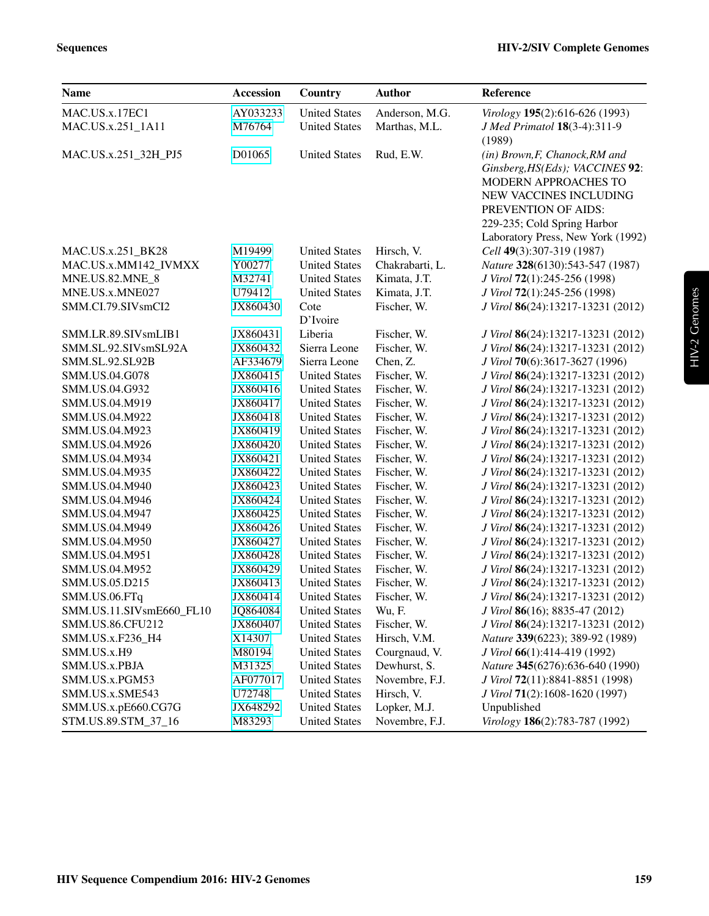| <b>Name</b>                      | <b>Accession</b>     | Country                                      | <b>Author</b>              | Reference                                                              |
|----------------------------------|----------------------|----------------------------------------------|----------------------------|------------------------------------------------------------------------|
| MAC.US.x.17EC1                   | AY033233             | <b>United States</b>                         | Anderson, M.G.             | Virology 195(2):616-626 (1993)                                         |
| MAC.US.x.251_1A11                | M76764               | <b>United States</b>                         | Marthas, M.L.              | J Med Primatol 18(3-4):311-9                                           |
|                                  |                      |                                              |                            | (1989)                                                                 |
| MAC.US.x.251 32H PJ5             | D01065               | <b>United States</b>                         | Rud, E.W.                  | (in) Brown, F, Chanock, RM and                                         |
|                                  |                      |                                              |                            | Ginsberg, HS(Eds); VACCINES 92:                                        |
|                                  |                      |                                              |                            | MODERN APPROACHES TO                                                   |
|                                  |                      |                                              |                            | NEW VACCINES INCLUDING                                                 |
|                                  |                      |                                              |                            | PREVENTION OF AIDS:                                                    |
|                                  |                      |                                              |                            | 229-235; Cold Spring Harbor                                            |
|                                  |                      |                                              |                            | Laboratory Press, New York (1992)                                      |
| MAC.US.x.251_BK28                | M19499               | <b>United States</b>                         | Hirsch, V.                 | Cell 49(3):307-319 (1987)                                              |
| MAC.US.x.MM142_IVMXX             | Y00277               | <b>United States</b>                         | Chakrabarti, L.            | Nature 328(6130):543-547 (1987)                                        |
| MNE.US.82.MNE_8                  | M32741               | <b>United States</b>                         | Kimata, J.T.               | J Virol 72(1):245-256 (1998)                                           |
| MNE.US.x.MNE027                  | U79412               | <b>United States</b>                         | Kimata, J.T.               | J Virol 72(1):245-256 (1998)                                           |
| SMM.CI.79.SIVsmCI2               | JX860430             | Cote                                         | Fischer, W.                | J Virol 86(24):13217-13231 (2012)                                      |
|                                  |                      | D'Ivoire                                     |                            |                                                                        |
| SMM.LR.89.SIVsmLIB1              | JX860431             | Liberia                                      | Fischer, W.                | J Virol 86(24):13217-13231 (2012)                                      |
| SMM.SL.92.SIVsmSL92A             | JX860432             | Sierra Leone                                 | Fischer, W.                | J Virol 86(24):13217-13231 (2012)                                      |
| SMM.SL.92.SL92B                  | AF334679             | Sierra Leone                                 | Chen, Z.                   | J Virol 70(6):3617-3627 (1996)                                         |
| SMM.US.04.G078                   | JX860415             | <b>United States</b>                         | Fischer, W.                | J Virol 86(24):13217-13231 (2012)                                      |
| SMM.US.04.G932                   | JX860416             | <b>United States</b>                         | Fischer, W.                | J Virol 86(24):13217-13231 (2012)                                      |
| SMM.US.04.M919                   | JX860417             | <b>United States</b>                         | Fischer, W.                | J Virol 86(24):13217-13231 (2012)                                      |
| SMM.US.04.M922                   | JX860418             | <b>United States</b>                         | Fischer, W.                | J Virol 86(24):13217-13231 (2012)                                      |
| SMM.US.04.M923                   | JX860419             | <b>United States</b>                         | Fischer, W.                | J Virol 86(24):13217-13231 (2012)                                      |
| SMM.US.04.M926                   | JX860420             | <b>United States</b><br><b>United States</b> | Fischer, W.                | J Virol 86(24):13217-13231 (2012)                                      |
| SMM.US.04.M934                   | JX860421             | <b>United States</b>                         | Fischer, W.<br>Fischer, W. | J Virol 86(24):13217-13231 (2012)<br>J Virol 86(24):13217-13231 (2012) |
| SMM.US.04.M935<br>SMM.US.04.M940 | JX860422<br>JX860423 | <b>United States</b>                         | Fischer, W.                | J Virol 86(24):13217-13231 (2012)                                      |
| SMM.US.04.M946                   | JX860424             | <b>United States</b>                         | Fischer, W.                | J Virol 86(24):13217-13231 (2012)                                      |
| SMM.US.04.M947                   | JX860425             | <b>United States</b>                         | Fischer, W.                | J Virol 86(24):13217-13231 (2012)                                      |
| SMM.US.04.M949                   | JX860426             | <b>United States</b>                         | Fischer, W.                | J Virol 86(24):13217-13231 (2012)                                      |
| SMM.US.04.M950                   | JX860427             | <b>United States</b>                         | Fischer, W.                | J Virol 86(24):13217-13231 (2012)                                      |
| SMM.US.04.M951                   | JX860428             | <b>United States</b>                         | Fischer, W.                | J Virol 86(24):13217-13231 (2012)                                      |
| SMM.US.04.M952                   | JX860429             | <b>United States</b>                         | Fischer, W.                | J Virol 86(24):13217-13231 (2012)                                      |
| SMM.US.05.D215                   | JX860413             | <b>United States</b>                         | Fischer, W.                | J Virol 86(24):13217-13231 (2012)                                      |
| SMM.US.06.FTq                    | JX860414             | <b>United States</b>                         | Fischer, W.                | J Virol 86(24):13217-13231 (2012)                                      |
| SMM.US.11.SIVsmE660_FL10         | JQ864084             | <b>United States</b>                         | Wu, F.                     | J Virol 86(16); 8835-47 (2012)                                         |
| SMM.US.86.CFU212                 | JX860407             | <b>United States</b>                         | Fischer, W.                | J Virol 86(24):13217-13231 (2012)                                      |
| SMM.US.x.F236_H4                 | X14307               | <b>United States</b>                         | Hirsch, V.M.               | Nature 339(6223); 389-92 (1989)                                        |
| SMM.US.x.H9                      | M80194               | <b>United States</b>                         | Courgnaud, V.              | J Virol 66(1):414-419 (1992)                                           |
| SMM.US.x.PBJA                    | M31325               | <b>United States</b>                         | Dewhurst, S.               | Nature 345(6276):636-640 (1990)                                        |
| SMM.US.x.PGM53                   | AF077017             | <b>United States</b>                         | Novembre, F.J.             | J Virol 72(11):8841-8851 (1998)                                        |
| SMM.US.x.SME543                  | U72748               | <b>United States</b>                         | Hirsch, V.                 | J Virol 71(2):1608-1620 (1997)                                         |
| SMM.US.x.pE660.CG7G              | JX648292             | <b>United States</b>                         | Lopker, M.J.               | Unpublished                                                            |
| STM.US.89.STM_37_16              | M83293               | <b>United States</b>                         | Novembre, F.J.             | Virology 186(2):783-787 (1992)                                         |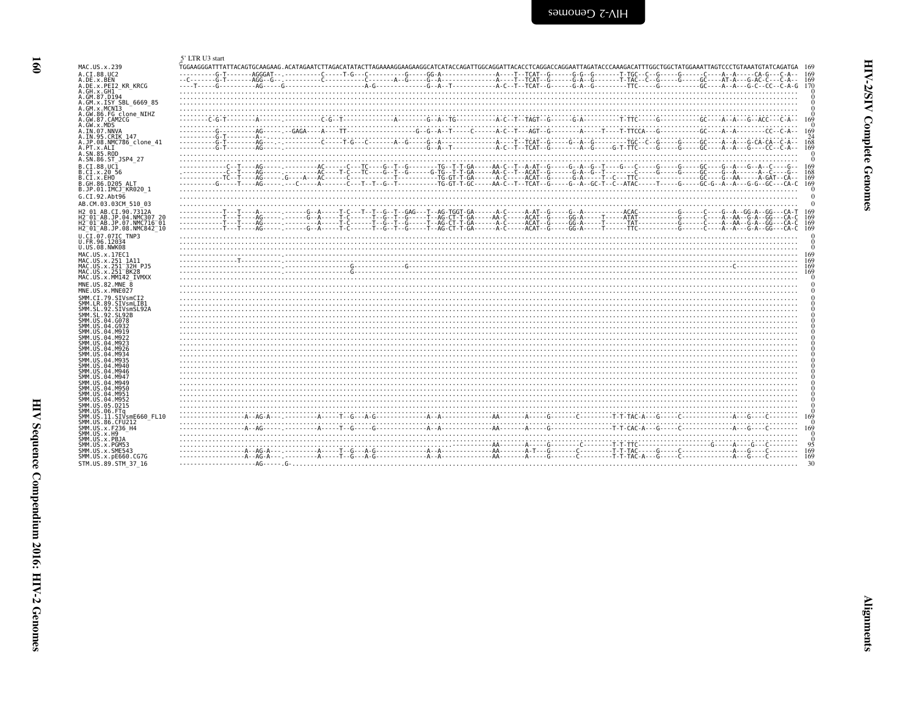<span id="page-5-1"></span>

| ram.             |
|------------------|
| ١<br>ĺ<br>Ξ<br>Ĭ |
| Ē<br>oue<br>₹    |
|                  |

<span id="page-5-0"></span>

| MAC.US.x.239                                                                            |  |
|-----------------------------------------------------------------------------------------|--|
| A.CI.88.UC2<br>A.DE.x.BEN                                                               |  |
| A.DE.x.PEI2 KR KRCG                                                                     |  |
| A.GH.x.GH1<br>A.GM.87.D194                                                              |  |
| A.GM.x.ISY SBL 6669 85                                                                  |  |
| A.GM.x.MCNI3                                                                            |  |
| A.GW.86.FG clone NIHZ<br>A.GW.87.CAM2CG                                                 |  |
| A.GW.x.MDS                                                                              |  |
| A.IN.07.NNVA                                                                            |  |
| A.IN.95.CRIK 147<br>A.JP.08.NMC786 clone 41                                             |  |
| A.PT.x.ALI                                                                              |  |
| A.SN.85.ROD<br>A.SN.86.ST JSP4 27                                                       |  |
| B.CI.88.UC1                                                                             |  |
| B.CI.X.20 56                                                                            |  |
| B.CT.x.EHO                                                                              |  |
| B.GH.86.D205 ALT<br>B.JP.01.IMCJ <sup>-</sup> KR020 1                                   |  |
| G.CI.92.Abt96                                                                           |  |
| AB.CM.03.03CM 510 03                                                                    |  |
| H2 01 AB.CI.90.7312A                                                                    |  |
| H2 <sup>-01-AB.JP.04.NMC307 20</sup>                                                    |  |
| H2 <sup>-01-AB.JP.07.NMC716-01</sup><br>H2 <sup>-01-AB.JP.08.NMC842<sup>-10</sup></sup> |  |
| U.CI.07.07IC TNP3                                                                       |  |
| U.FR.96.12034                                                                           |  |
| U.US.08.NWK08                                                                           |  |
| MAC.US.x.17EC1                                                                          |  |
| MAC.US.x.251 1A11<br>MAC. US. x. 251 32H P.15                                           |  |
| MAC.US.x.251 BK28                                                                       |  |
| MAC.US.x.MM142 IVMXX                                                                    |  |
| MNE.US.82.MNE 8<br>MNE.US.x.MNE027                                                      |  |
| SMM.CI.79.SIVsmCI2                                                                      |  |
| SMM.LR.89.SIVsmLIB1                                                                     |  |
| SMM.SL.92.SIVsmSL92A                                                                    |  |
| SMM.SL.92.SL92B<br>SMM.US.04.G078                                                       |  |
| SMM.US.04.G932                                                                          |  |
| SMM.US.04.M919<br>SMM.US.04.M922                                                        |  |
| SMM.US.04.M923                                                                          |  |
| SMM.US.04.M926                                                                          |  |
| SMM. US. 04. M934<br>SMM.US.04.M935                                                     |  |
| SMM. US. 04. M940                                                                       |  |
| SMM.US.04.M946                                                                          |  |
| SMM.US.04.M947<br>SMM.US.04.M949                                                        |  |
| SMM.US.04.M950                                                                          |  |
| SMM.US.04.M951<br>SMM.US.04.M952                                                        |  |
| SMM.US.05.D215                                                                          |  |
| SMM.US.06.FTq                                                                           |  |
| SMM.US.11.SIVsmE660 FL10<br>SMM.US.86.CFU212                                            |  |
| SMM.US.x.F236 H4                                                                        |  |
| SMM.US.x.H9                                                                             |  |
| SMM.US.x.PBJA<br>SMM.US.x.PGM53                                                         |  |
| SMM.US.x.SME543                                                                         |  |
| SMM.US.x.pE660.CG7G                                                                     |  |
| STM.US.89.STM 37 16                                                                     |  |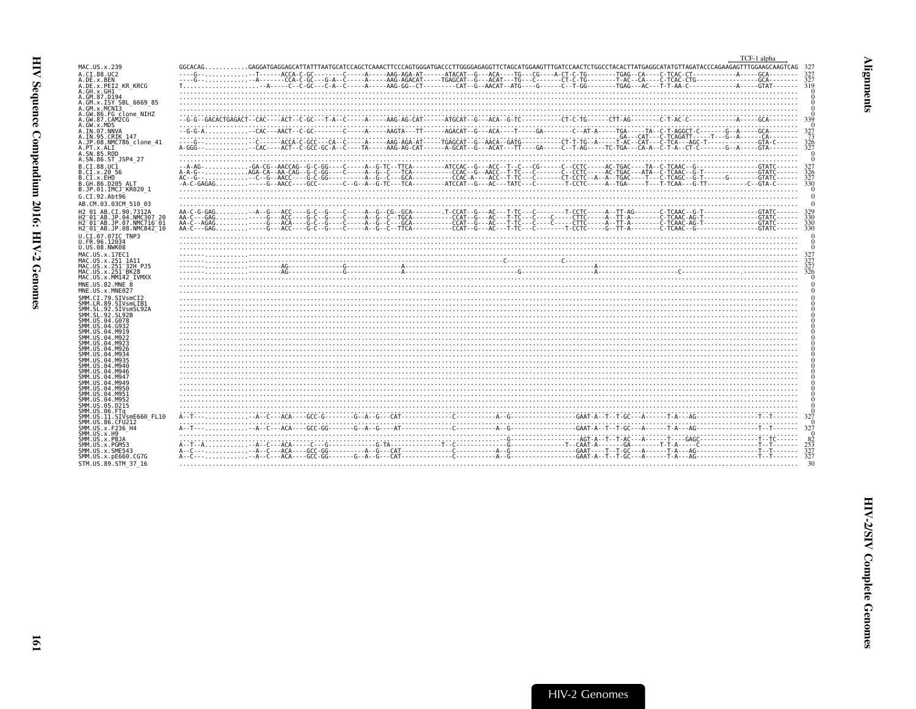<span id="page-6-0"></span>

|                                                                      |                                                                                                                                                                                                                                                                                                                                                  | TCF-1 alpha             |
|----------------------------------------------------------------------|--------------------------------------------------------------------------------------------------------------------------------------------------------------------------------------------------------------------------------------------------------------------------------------------------------------------------------------------------|-------------------------|
| MAC.US.x.239                                                         | $GGCACAG. GAGGATGAGGAGCATTATTTAATGCATCCAGCTCAAACTTCCCAGTGGGGTGAGCCCTTGGGGAGGGTTCTAGCATGGGAGTTTTGATCCAACTTTGGGCCTTATGCTGCCCTACACTTATGAGGCTTAGGATATGTTAGGTAGGGATTTGGAAGTTCGGAAGTCAGTTGGGAGATGTTGGGAGAGTTTGGGGAGGTTTGGGAGGTTTGGGAGGTTTGGGAGGTTTGGGAGGTTTGGGAGGTTTGGGAGGTTTGGGAGGTTTGGGAGGTTTGGGAGGTTTGGGAGGTTTGGGAGGTTTGGGAGGTTTGGGAGGTTTGGGAGGTTT$ |                         |
| A.CI.88.UC2<br>A.DE.x.BEN                                            |                                                                                                                                                                                                                                                                                                                                                  |                         |
| A.DE.X.PEI2 KR KRCG                                                  |                                                                                                                                                                                                                                                                                                                                                  |                         |
| A.GH.x.GH1<br>A.GM.87.D194                                           |                                                                                                                                                                                                                                                                                                                                                  |                         |
| A.GM.x.ISY SBL 6669 85                                               |                                                                                                                                                                                                                                                                                                                                                  |                         |
| A.GM.x.MCN13<br>A.GW.86.FG clone NIHZ                                |                                                                                                                                                                                                                                                                                                                                                  |                         |
| A.GW.87.CAM2CG<br>A.GW.x.MDS                                         |                                                                                                                                                                                                                                                                                                                                                  | -339                    |
| A.IN.07.NNVA                                                         |                                                                                                                                                                                                                                                                                                                                                  | 327                     |
| A.IN.95.CRIK 147<br>A.JP.08.NMC786 clone 41                          |                                                                                                                                                                                                                                                                                                                                                  | $\frac{73}{326}$        |
| A.PT.x.ALI<br>A.SN.85.ROD                                            |                                                                                                                                                                                                                                                                                                                                                  | 327                     |
| A.SN.86.ST JSP4 27                                                   |                                                                                                                                                                                                                                                                                                                                                  |                         |
| B.CI.88.UC1<br>B.CI.x.20 56                                          |                                                                                                                                                                                                                                                                                                                                                  | 326                     |
| B.CI.X.EHO                                                           |                                                                                                                                                                                                                                                                                                                                                  | 327                     |
| B.GH.86.D205 ALT<br>B.JP.01.IMCJ KR020 1                             |                                                                                                                                                                                                                                                                                                                                                  | 330                     |
| G.CI.92.Abt96                                                        |                                                                                                                                                                                                                                                                                                                                                  |                         |
| AB.CM.03.03CM 510 03                                                 |                                                                                                                                                                                                                                                                                                                                                  |                         |
| H2 01 AB.CI.90.7312A<br>H2 <sup>-01-AB.JP.04.NMC307 20</sup>         |                                                                                                                                                                                                                                                                                                                                                  | 330                     |
| H2 <sup>-01-AB.JP.07.NMC716-01</sup>                                 |                                                                                                                                                                                                                                                                                                                                                  | 330<br>330              |
| H2 <sup>-01-AB.JP.08.NMC842<sup>-10</sup></sup><br>U.CI.07.07IC TNP3 |                                                                                                                                                                                                                                                                                                                                                  |                         |
| U.FR.96.12034                                                        |                                                                                                                                                                                                                                                                                                                                                  |                         |
| U.US.08.NWK08<br>MAC.US.x.17EC1                                      |                                                                                                                                                                                                                                                                                                                                                  |                         |
| MAC.US.x.251 1A11                                                    |                                                                                                                                                                                                                                                                                                                                                  |                         |
| MAC.US.x.251 32H PJ5<br>MAC. US. x. 251 BK28                         |                                                                                                                                                                                                                                                                                                                                                  |                         |
| MAC.US.x.MM142 IVMXX<br>MNE.U.S.82.MNE 8                             |                                                                                                                                                                                                                                                                                                                                                  |                         |
| MNE.US.x.MNE027                                                      |                                                                                                                                                                                                                                                                                                                                                  |                         |
| SMM.CI.79.SIVsmCI2                                                   |                                                                                                                                                                                                                                                                                                                                                  |                         |
| SMM.LR.89.SIVsmLIB1<br>SMM.SL.92.SIVsmSL92A                          |                                                                                                                                                                                                                                                                                                                                                  |                         |
| SMM. SL. 92. SL92B<br>SMM.US.04.G078                                 |                                                                                                                                                                                                                                                                                                                                                  |                         |
| SMM.US.04.G932                                                       |                                                                                                                                                                                                                                                                                                                                                  |                         |
| SMM.US.04.M919<br>SMM. U.S. 04. M922                                 |                                                                                                                                                                                                                                                                                                                                                  |                         |
| SMM.US.04.M923<br>SMM.US.04.M926                                     |                                                                                                                                                                                                                                                                                                                                                  |                         |
| SMM.US.04.M934                                                       |                                                                                                                                                                                                                                                                                                                                                  |                         |
| SMM.US.04.M935<br>SMM.US.04.M940                                     |                                                                                                                                                                                                                                                                                                                                                  |                         |
| SMM.US.04.M946<br>SMM.US.04.M947                                     |                                                                                                                                                                                                                                                                                                                                                  |                         |
| SMM US 04 M949                                                       |                                                                                                                                                                                                                                                                                                                                                  |                         |
| SMM.US.04.M950<br>SMM.US.04.M951                                     |                                                                                                                                                                                                                                                                                                                                                  |                         |
| SMM.US.04.M952<br>SMM.US.05.D215                                     |                                                                                                                                                                                                                                                                                                                                                  |                         |
| SMM.US.06.FTa                                                        |                                                                                                                                                                                                                                                                                                                                                  |                         |
| SMM.US.11.SIVsmE660 FL10<br>SMM.US.86.CFU212                         |                                                                                                                                                                                                                                                                                                                                                  | 327                     |
| SMM.US.x.F236 H4<br>SMM.US.x.H9                                      |                                                                                                                                                                                                                                                                                                                                                  | 327                     |
| SMM.US.x.PBJA                                                        |                                                                                                                                                                                                                                                                                                                                                  |                         |
| SMM.US.x.PGM53<br>SMM.US.x.SME543                                    |                                                                                                                                                                                                                                                                                                                                                  | $\frac{82}{253}$<br>327 |
| SMM.US.x.pE660.CG7G                                                  |                                                                                                                                                                                                                                                                                                                                                  |                         |
| STM.US.89.STM 37 16                                                  |                                                                                                                                                                                                                                                                                                                                                  |                         |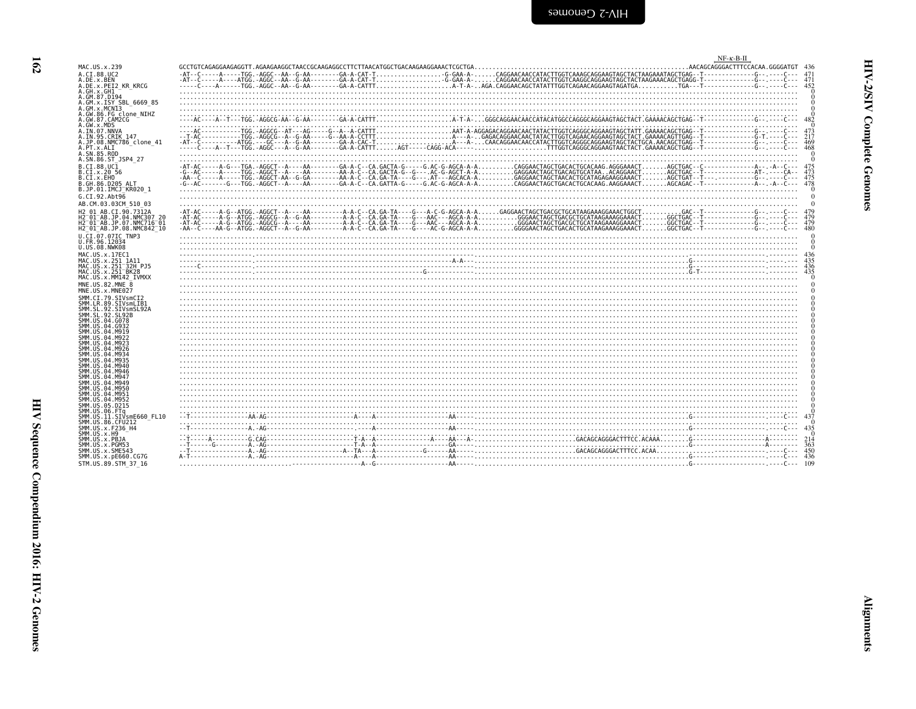<span id="page-7-0"></span>

|                                                                  |                                                                                                                                                                                                                                                                                                                                                                                                                       | $NF - \kappa - B - \Pi$ |          |
|------------------------------------------------------------------|-----------------------------------------------------------------------------------------------------------------------------------------------------------------------------------------------------------------------------------------------------------------------------------------------------------------------------------------------------------------------------------------------------------------------|-------------------------|----------|
| MAC.US.x.239                                                     | $GCTGTCAGAGGGAAGAGGTTT \textbf{.AGAAGAGGGCTAACCGGCAAGAGGGCCTTCTTAACATGGCTGACAAAGAGGAAGCTCGCTGA \textbf{0} \textbf{0} \textbf{0} \textbf{0} \textbf{0} \textbf{1} \textbf{1} \textbf{1} \textbf{1} \textbf{1} \textbf{1} \textbf{1} \textbf{1} \textbf{1} \textbf{1} \textbf{1} \textbf{1} \textbf{1} \textbf{1} \textbf{1} \textbf{1} \textbf{1} \textbf{1} \textbf{1} \textbf{1} \textbf{1} \textbf{1} \textbf{1} \$ |                         |          |
| A.CI.88.UC2                                                      |                                                                                                                                                                                                                                                                                                                                                                                                                       |                         |          |
| A.DE.x.BEN<br>A.DE.x.PEI2 KR KRCG                                |                                                                                                                                                                                                                                                                                                                                                                                                                       |                         |          |
| A.GH.x.GH1                                                       |                                                                                                                                                                                                                                                                                                                                                                                                                       |                         |          |
| A.GM.87.D194<br>A.GM.x.ISY SBL 6669 85                           |                                                                                                                                                                                                                                                                                                                                                                                                                       |                         |          |
| A.GM.x.MCNI3                                                     |                                                                                                                                                                                                                                                                                                                                                                                                                       |                         |          |
| A.GW.86.FG clone NIHZ<br>A.GW.87.CAM2CG                          |                                                                                                                                                                                                                                                                                                                                                                                                                       |                         |          |
| A.GW.x.MDS                                                       |                                                                                                                                                                                                                                                                                                                                                                                                                       |                         | $\Omega$ |
| A.IN.07.NNVA<br>A.IN.95.CRIK 147                                 |                                                                                                                                                                                                                                                                                                                                                                                                                       |                         |          |
| A.JP.08.NMC786 clone 41                                          |                                                                                                                                                                                                                                                                                                                                                                                                                       |                         |          |
| A.PT.x.ALI<br>A.SN.85.ROD                                        |                                                                                                                                                                                                                                                                                                                                                                                                                       |                         |          |
| A.SN.86.ST JSP4 27                                               |                                                                                                                                                                                                                                                                                                                                                                                                                       |                         |          |
| B.CI.88.UC1<br>B.CI.X.20 56                                      |                                                                                                                                                                                                                                                                                                                                                                                                                       |                         |          |
| B.CT.x.EHO                                                       |                                                                                                                                                                                                                                                                                                                                                                                                                       |                         |          |
| B.GH.86.D205 ALT<br>B.JP.01.IMCJ <sup>-</sup> KR020 1            |                                                                                                                                                                                                                                                                                                                                                                                                                       |                         |          |
| G.CI.92.Abt96                                                    |                                                                                                                                                                                                                                                                                                                                                                                                                       |                         |          |
| AB.CM.03.03CM 510 03                                             |                                                                                                                                                                                                                                                                                                                                                                                                                       |                         |          |
| H2 01 AB.CI.90.7312A                                             |                                                                                                                                                                                                                                                                                                                                                                                                                       |                         |          |
| H2 01 AB.JP.04.NMC307 20<br>H2 <sup>-01-AB.JP.07.NMC716-01</sup> |                                                                                                                                                                                                                                                                                                                                                                                                                       |                         |          |
| H2 <sup>-01-AB.JP.08.NMC842<sup>-10</sup></sup>                  |                                                                                                                                                                                                                                                                                                                                                                                                                       |                         |          |
| U.CI.07.07IC TNP3<br>U.FR.96.12034                               |                                                                                                                                                                                                                                                                                                                                                                                                                       |                         |          |
| U.US.08.NWK08                                                    |                                                                                                                                                                                                                                                                                                                                                                                                                       |                         |          |
| MAC.US.x.17EC1<br>MAC.US.x.251 1A11                              |                                                                                                                                                                                                                                                                                                                                                                                                                       |                         |          |
| MAC.US.x.251 32H PJ5                                             |                                                                                                                                                                                                                                                                                                                                                                                                                       |                         |          |
| MAC.US.x.251 <sup>-BK28</sup><br>MAC.US.x.MM142 IVMXX            |                                                                                                                                                                                                                                                                                                                                                                                                                       |                         |          |
| MNE.US.82.MNE 8                                                  |                                                                                                                                                                                                                                                                                                                                                                                                                       |                         |          |
| MNE.US.x.MNE027                                                  |                                                                                                                                                                                                                                                                                                                                                                                                                       |                         |          |
| SMM.CI.79.SIVsmCI2<br>SMM.LR.89.SIVsmLIB1                        |                                                                                                                                                                                                                                                                                                                                                                                                                       |                         |          |
| SMM.SL.92.SIVsmSL92A                                             |                                                                                                                                                                                                                                                                                                                                                                                                                       |                         |          |
| SMM. SL. 92. SL92B                                               |                                                                                                                                                                                                                                                                                                                                                                                                                       |                         |          |
| SMM. US. 04. 6078                                                |                                                                                                                                                                                                                                                                                                                                                                                                                       |                         |          |
| SMM. US.04.M919<br>SMM.US.04.M922                                |                                                                                                                                                                                                                                                                                                                                                                                                                       |                         |          |
| SMM.US.04.M923                                                   |                                                                                                                                                                                                                                                                                                                                                                                                                       |                         |          |
| SMM.US.04.M926<br>SMM.US.04.M934                                 |                                                                                                                                                                                                                                                                                                                                                                                                                       |                         |          |
| SMM.US.04.M935<br>SMM.US.04.M940                                 |                                                                                                                                                                                                                                                                                                                                                                                                                       |                         |          |
| SMM.US.04.M946                                                   |                                                                                                                                                                                                                                                                                                                                                                                                                       |                         |          |
| SMM.US.04.M947<br>SMM.US.04.M949                                 |                                                                                                                                                                                                                                                                                                                                                                                                                       |                         |          |
| SMM.US.04.M950                                                   |                                                                                                                                                                                                                                                                                                                                                                                                                       |                         |          |
| SMM.US.04.M951<br>SMM.US.04.M952                                 |                                                                                                                                                                                                                                                                                                                                                                                                                       |                         |          |
| SMM.US.05.D215                                                   |                                                                                                                                                                                                                                                                                                                                                                                                                       |                         |          |
| SMM.US.06.FTa<br>SMM.US.11.SIVsmE660 FL10                        |                                                                                                                                                                                                                                                                                                                                                                                                                       |                         |          |
| SMM. US.86. CFU212<br>SMM.US.x.F236 H4                           |                                                                                                                                                                                                                                                                                                                                                                                                                       |                         | 435      |
| SMM. US. x.H9                                                    |                                                                                                                                                                                                                                                                                                                                                                                                                       |                         |          |
| SMM.US.x.PBJA<br>SMM.US.x.PGM53                                  |                                                                                                                                                                                                                                                                                                                                                                                                                       |                         |          |
| SMM.US.x.SME543                                                  |                                                                                                                                                                                                                                                                                                                                                                                                                       |                         |          |
| SMM.US.x.pE660.CG7G                                              |                                                                                                                                                                                                                                                                                                                                                                                                                       |                         |          |
| STM.US.89.STM 37 16                                              |                                                                                                                                                                                                                                                                                                                                                                                                                       |                         |          |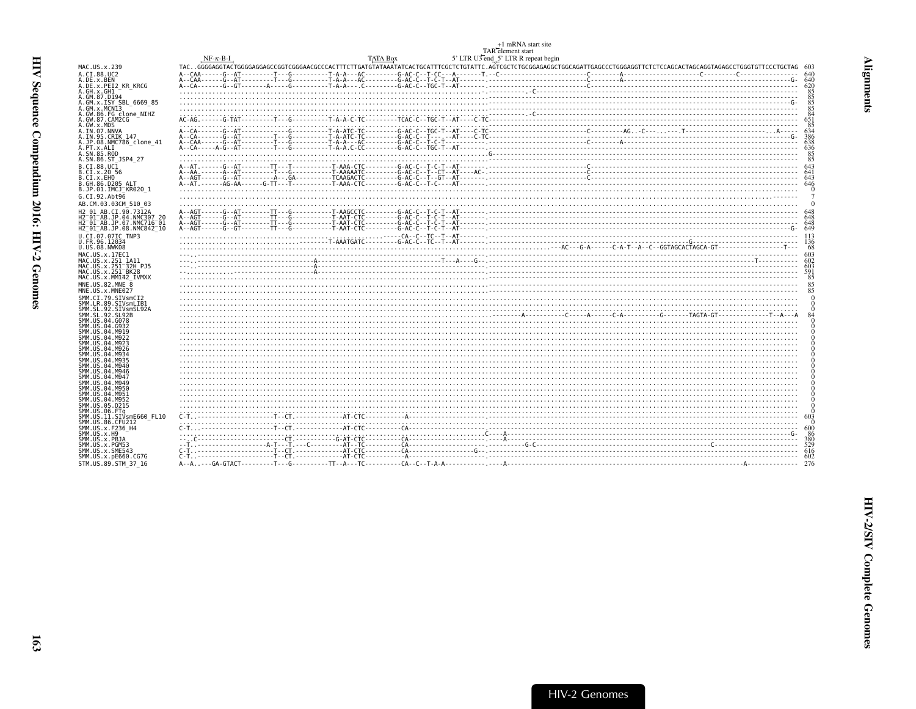<span id="page-8-0"></span>

|                                                                            | $NF-K-B-I$ | <b>TATA Box</b> | +1 mRNA start site<br>TAR <sup>-</sup> element start<br>5' LTR U3 end 5' LTR R repeat begin |                                                                                                                                                                                                                                                                                                                                                                                                                                                                                                                                                                                                                                                        |
|----------------------------------------------------------------------------|------------|-----------------|---------------------------------------------------------------------------------------------|--------------------------------------------------------------------------------------------------------------------------------------------------------------------------------------------------------------------------------------------------------------------------------------------------------------------------------------------------------------------------------------------------------------------------------------------------------------------------------------------------------------------------------------------------------------------------------------------------------------------------------------------------------|
| MAC.US.x.239                                                               |            |                 |                                                                                             | TACGGGGAGGTACTGGGGAGGAGCCGGTCGGGAACGCCCACTTTCTTGATGTATAAATATCACTGCATTTCGCTCTGTATTC.AGTCGCTCTGCGAGAGGCTGGCAGATTGAGCCCTGGGAGGTTCTCTACCAGCACTAGAGCCTGGGTAGTACAGCTGCTGCTCCCTGCTAGCAGCTGTCTCCCTGCTAGCAGCTGTCTCCCTGCTAGCAGCTGTCTCC                                                                                                                                                                                                                                                                                                                                                                                                                           |
| A.CI.88.UC2                                                                |            |                 |                                                                                             |                                                                                                                                                                                                                                                                                                                                                                                                                                                                                                                                                                                                                                                        |
| A.DE.x.BEN                                                                 |            |                 |                                                                                             | $A-CAA$<br>$A-CAA$<br>$A-CAA$<br>$A-CAA$<br>$A-CAA$<br>$A-CAA$<br>$A-CAA$<br>$A-CAA$<br>$A-CAA$<br>$A-CAA$<br>$A-CAA$<br>$A-CAA$<br>$A-CAA$<br>$A-CAA$<br>$A-CAA$<br>$A-CAA$<br>$A-CAA$<br>$A-CAA$<br>$A-CAA$<br>$A-CAA$<br>$A-CAA$<br>$A-CAA$<br>$A-CAA$<br>$A-CAA$<br>$A-CAA$<br>$A-CAC$<br>$A-CAC$<br>$A-CAC$<br>$A-CAC$<br>$A-CAC$<br>$A-CAC$<br>$A-CAC$                                                                                                                                                                                                                                                                                           |
| A.DE.x.PEI2 KR KRCG                                                        |            |                 |                                                                                             |                                                                                                                                                                                                                                                                                                                                                                                                                                                                                                                                                                                                                                                        |
| A.GH.x.GH1<br>A.GM.87.D194                                                 |            |                 |                                                                                             |                                                                                                                                                                                                                                                                                                                                                                                                                                                                                                                                                                                                                                                        |
| A.GM.X.ISY SBL 6669 85                                                     |            |                 |                                                                                             | 85                                                                                                                                                                                                                                                                                                                                                                                                                                                                                                                                                                                                                                                     |
| A.GM.x.MCNI3<br>A.GW.86.FG clone NIHZ                                      |            |                 |                                                                                             | 85<br>84                                                                                                                                                                                                                                                                                                                                                                                                                                                                                                                                                                                                                                               |
| A.GW.87.CAM2CG                                                             |            |                 |                                                                                             | 651                                                                                                                                                                                                                                                                                                                                                                                                                                                                                                                                                                                                                                                    |
| A.GW.x.MDS                                                                 |            |                 |                                                                                             | 85                                                                                                                                                                                                                                                                                                                                                                                                                                                                                                                                                                                                                                                     |
| A.IN.07.NNVA<br>A.IN.95.CRIK 147                                           |            |                 |                                                                                             |                                                                                                                                                                                                                                                                                                                                                                                                                                                                                                                                                                                                                                                        |
| A.JP.08.NMC786 clone 41                                                    |            |                 |                                                                                             |                                                                                                                                                                                                                                                                                                                                                                                                                                                                                                                                                                                                                                                        |
| A.PT.x.ALI<br>A.SN.85.ROD                                                  |            |                 |                                                                                             | 85                                                                                                                                                                                                                                                                                                                                                                                                                                                                                                                                                                                                                                                     |
| A.SN.86.ST JSP4 27                                                         |            |                 |                                                                                             | 85                                                                                                                                                                                                                                                                                                                                                                                                                                                                                                                                                                                                                                                     |
| B.CI.88.UC1                                                                |            |                 |                                                                                             | $A-AG1$<br>$A-A1$<br>$A-A2$<br>$A-A3$<br>$A-A4$<br>$A-A4$<br>$A-A5$<br>$A-A6$<br>$A-A6$<br>$A-A7$<br>$A-A8$<br>$A-A8$<br>$A-A9$<br>$A-A1$<br>$A-A1$<br>$A-A1$<br>$A-A2$<br>$A-A1$<br>$A-A1$<br>$A-A2$<br>$A-A1$<br>$A-A2$<br>$A-A3$<br>$A-A4$<br>$A-A1$<br>$A-A2$<br>$A-A3$<br>$A-A4$<br>$A-A1$<br>$A+A1$<br>$A+A2$<br>$A+A$                                                                                                                                                                                                                                                                                                                           |
| B.CI.X.20 56<br>B.CI.x.EHO                                                 |            |                 |                                                                                             |                                                                                                                                                                                                                                                                                                                                                                                                                                                                                                                                                                                                                                                        |
| B.GH.86.D205 ALT                                                           |            |                 |                                                                                             |                                                                                                                                                                                                                                                                                                                                                                                                                                                                                                                                                                                                                                                        |
| B.JP.01.IMCJ KR020 1                                                       |            |                 |                                                                                             |                                                                                                                                                                                                                                                                                                                                                                                                                                                                                                                                                                                                                                                        |
| G.CI.92.Abt96                                                              |            |                 |                                                                                             |                                                                                                                                                                                                                                                                                                                                                                                                                                                                                                                                                                                                                                                        |
| AB.CM.03.03CM 510 03                                                       |            |                 |                                                                                             |                                                                                                                                                                                                                                                                                                                                                                                                                                                                                                                                                                                                                                                        |
| H2 01 AB.CI.90.7312A<br>H2 <sup>-</sup> 01 <sup>-</sup> AB.JP.04.NMC307 20 |            |                 |                                                                                             |                                                                                                                                                                                                                                                                                                                                                                                                                                                                                                                                                                                                                                                        |
| H2 <sup>-</sup> 01 <sup>-</sup> AB.JP.07.NMC716 <sup>-</sup> 01            |            |                 |                                                                                             |                                                                                                                                                                                                                                                                                                                                                                                                                                                                                                                                                                                                                                                        |
| H2 01 AB.JP.08.NMC842 10                                                   |            |                 |                                                                                             |                                                                                                                                                                                                                                                                                                                                                                                                                                                                                                                                                                                                                                                        |
| U.CI.07.07IC TNP3<br>U.FR.96.12034                                         |            |                 |                                                                                             | $\frac{1}{130}$<br>$\frac{1}{130}$<br>$\frac{1}{130}$ $\frac{1}{130}$ $\frac{1}{130}$ $\frac{1}{130}$ $\frac{1}{130}$ $\frac{1}{130}$ $\frac{1}{130}$ $\frac{1}{130}$ $\frac{1}{130}$ $\frac{1}{130}$ $\frac{1}{130}$ $\frac{1}{130}$ $\frac{1}{130}$ $\frac{1}{130}$ $\frac{1}{130}$ $\frac{1}{130}$ $\frac{1$                                                                                                                                                                                                                                                                                                                                        |
| U.US.08.NWK08                                                              |            |                 |                                                                                             |                                                                                                                                                                                                                                                                                                                                                                                                                                                                                                                                                                                                                                                        |
| MAC.US.x.17EC1                                                             |            |                 |                                                                                             |                                                                                                                                                                                                                                                                                                                                                                                                                                                                                                                                                                                                                                                        |
| MAC.US.x.251 1A11                                                          |            |                 |                                                                                             |                                                                                                                                                                                                                                                                                                                                                                                                                                                                                                                                                                                                                                                        |
| MAC.US.x.251 32H PJ5<br>MAC.US.x.251 BK28                                  |            |                 |                                                                                             |                                                                                                                                                                                                                                                                                                                                                                                                                                                                                                                                                                                                                                                        |
| MAC.US.x.MM142 IVMXX                                                       |            |                 |                                                                                             | 85                                                                                                                                                                                                                                                                                                                                                                                                                                                                                                                                                                                                                                                     |
| MNE.US.82.MNE 8<br>MNE.US.x.MNE027                                         |            |                 |                                                                                             | 85                                                                                                                                                                                                                                                                                                                                                                                                                                                                                                                                                                                                                                                     |
| SMM.CI.79.SIVsmCI2                                                         |            |                 |                                                                                             |                                                                                                                                                                                                                                                                                                                                                                                                                                                                                                                                                                                                                                                        |
| SMM.LR.89.SIVsmLIB1                                                        |            |                 |                                                                                             |                                                                                                                                                                                                                                                                                                                                                                                                                                                                                                                                                                                                                                                        |
| SMM.SL.92.SIVsmSL92A<br>SMM. SL. 92. SL92B                                 |            |                 |                                                                                             |                                                                                                                                                                                                                                                                                                                                                                                                                                                                                                                                                                                                                                                        |
| SMM.US.04.G078                                                             |            |                 |                                                                                             |                                                                                                                                                                                                                                                                                                                                                                                                                                                                                                                                                                                                                                                        |
| SMM.US.04.G932<br>SMM.US.04.M919                                           |            |                 |                                                                                             |                                                                                                                                                                                                                                                                                                                                                                                                                                                                                                                                                                                                                                                        |
| SMM.US.04.M922                                                             |            |                 |                                                                                             |                                                                                                                                                                                                                                                                                                                                                                                                                                                                                                                                                                                                                                                        |
| SMM.US.04.M923<br>SMM.US.04.M926                                           |            |                 |                                                                                             |                                                                                                                                                                                                                                                                                                                                                                                                                                                                                                                                                                                                                                                        |
| SMM.US.04.M934                                                             |            |                 |                                                                                             |                                                                                                                                                                                                                                                                                                                                                                                                                                                                                                                                                                                                                                                        |
| SMM. US. 04. M935                                                          |            |                 |                                                                                             |                                                                                                                                                                                                                                                                                                                                                                                                                                                                                                                                                                                                                                                        |
| SMM.US.04.M940<br>SMM.US.04.M946                                           |            |                 |                                                                                             |                                                                                                                                                                                                                                                                                                                                                                                                                                                                                                                                                                                                                                                        |
| SMM.US.04.M947                                                             |            |                 |                                                                                             |                                                                                                                                                                                                                                                                                                                                                                                                                                                                                                                                                                                                                                                        |
| SMM.US.04.M949<br>SMM.US.04.M950                                           |            |                 |                                                                                             |                                                                                                                                                                                                                                                                                                                                                                                                                                                                                                                                                                                                                                                        |
| SMM.US.04.M951                                                             |            |                 |                                                                                             |                                                                                                                                                                                                                                                                                                                                                                                                                                                                                                                                                                                                                                                        |
| SMM.US.04.M952<br>SMM.US.05.D215                                           |            |                 |                                                                                             |                                                                                                                                                                                                                                                                                                                                                                                                                                                                                                                                                                                                                                                        |
| SMM.US.06.FTq                                                              |            |                 |                                                                                             |                                                                                                                                                                                                                                                                                                                                                                                                                                                                                                                                                                                                                                                        |
| SMM.US.11.SIVsmE660 FL10                                                   |            |                 |                                                                                             | $\color{blue} \bullet \color{red} \bullet \color{red} \bullet \color{red} \bullet \color{red} \bullet \color{red} \bullet \color{red} \bullet \color{red} \bullet \color{red} \bullet \color{red} \bullet \color{red} \bullet \color{red} \bullet \color{red} \bullet \color{red} \bullet \color{red} \bullet \color{red} \bullet \color{red} \bullet \color{red} \bullet \color{red} \bullet \color{red} \bullet \color{red} \bullet \color{red} \bullet \color{red} \bullet \color{red} \bullet \color{red} \bullet \color{red} \bullet \color{red} \bullet \color{red} \bullet \color{red} \bullet \color{red} \bullet \color{red} \bullet \color{$ |
| SMM.US.86.CFU212<br>SMM.US.x.F236 H4                                       |            |                 |                                                                                             |                                                                                                                                                                                                                                                                                                                                                                                                                                                                                                                                                                                                                                                        |
| SMM.US.x.H9                                                                |            |                 |                                                                                             | -86                                                                                                                                                                                                                                                                                                                                                                                                                                                                                                                                                                                                                                                    |
| SMM.US.x.PBJA<br>SMM.US.x.PGM53                                            |            |                 |                                                                                             |                                                                                                                                                                                                                                                                                                                                                                                                                                                                                                                                                                                                                                                        |
| SMM.US.x.SME543                                                            |            |                 |                                                                                             |                                                                                                                                                                                                                                                                                                                                                                                                                                                                                                                                                                                                                                                        |
| SMM. US. x. pE660. CG7G                                                    |            |                 |                                                                                             |                                                                                                                                                                                                                                                                                                                                                                                                                                                                                                                                                                                                                                                        |
| STM.US.89.STM 37 16                                                        |            |                 |                                                                                             |                                                                                                                                                                                                                                                                                                                                                                                                                                                                                                                                                                                                                                                        |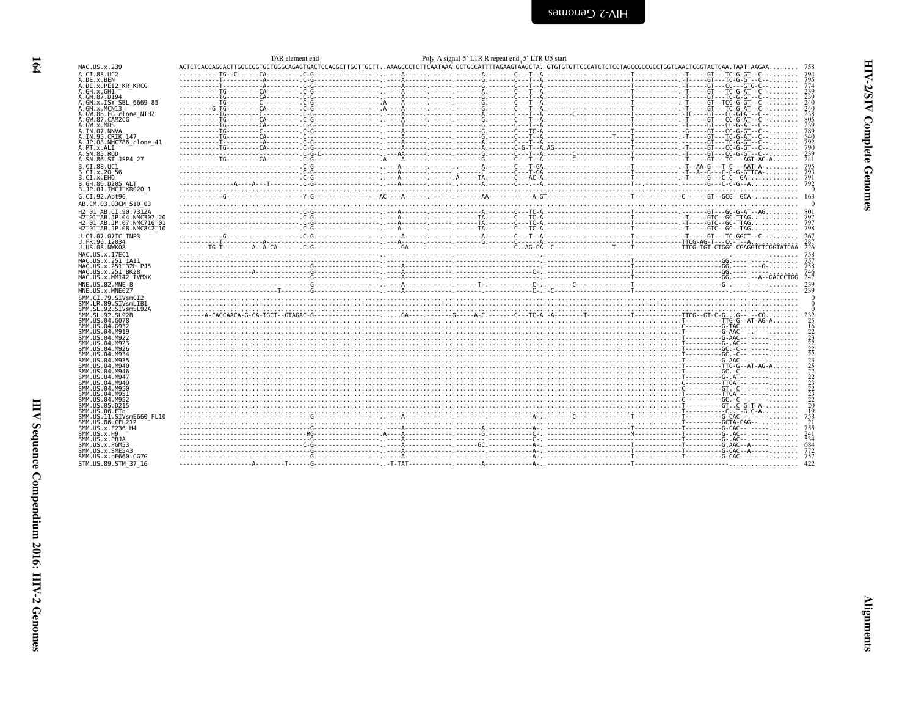<span id="page-9-0"></span>

| ת<br>ק<br>ŗ   |  |
|---------------|--|
| i             |  |
| Ĩ,<br>トーー・ヘーー |  |

|                                                                                         | TAR element end |  | Poly-A signal 5' LTR R repeat end 5' LTR U5 start |                   |
|-----------------------------------------------------------------------------------------|-----------------|--|---------------------------------------------------|-------------------|
| MAC.US.x.239                                                                            |                 |  |                                                   |                   |
| A.CI.88.UC2                                                                             |                 |  |                                                   | 794               |
| A.DE.x.BEN<br>A.DE.X.PEI2 KR KRCG                                                       |                 |  |                                                   | $\frac{795}{774}$ |
| A.GH.x.GH1                                                                              |                 |  |                                                   | 239               |
| A.GM.87.D194                                                                            |                 |  |                                                   | 239               |
| A.GM.x.ISY SBL 6669 85                                                                  |                 |  |                                                   | 240               |
| A.GM.x.MCNI3                                                                            |                 |  |                                                   | 240               |
| A.GW.86.FG clone NIHZ                                                                   |                 |  |                                                   | 238               |
| A.GW.87.CAM2CG<br>A.GW.x.MDS                                                            |                 |  |                                                   | 805<br>239        |
| A.IN.07.NNVA                                                                            |                 |  |                                                   | 789               |
| A.IN.95.CRIK 147                                                                        |                 |  |                                                   | 540               |
| A.JP.08.NMC786 clone 41                                                                 |                 |  |                                                   | 792               |
| A.PT.x.ALI<br>A.SN.85.ROD                                                               |                 |  |                                                   | 790<br>239        |
| A.SN.86.ST JSP4 27                                                                      |                 |  |                                                   | 241               |
| B.CI.88.UC1                                                                             |                 |  |                                                   |                   |
| B.CI.x.20 56                                                                            |                 |  |                                                   | 795<br>793        |
| B.CI.X.EHO                                                                              |                 |  |                                                   | 791               |
| B.GH.86.D205 ALT                                                                        |                 |  |                                                   | 792               |
| B.JP.01.IMCJ KR020 1                                                                    |                 |  |                                                   |                   |
| G.CI.92.Abt96                                                                           |                 |  |                                                   |                   |
| AB.CM.03.03CM 510 03                                                                    |                 |  |                                                   |                   |
| H <sub>2</sub> 01 AB.CI.90.7312A                                                        |                 |  |                                                   |                   |
| H2 01 AB.JP.04.NMC307 20                                                                |                 |  |                                                   | 797               |
| H2 <sup>-01-AB.JP.07.NMC716-01</sup><br>H2 <sup>-01-AB.JP.08.NMC842<sup>-10</sup></sup> |                 |  |                                                   | 798               |
| U.CI.07.07IC TNP3                                                                       |                 |  |                                                   | 267               |
| U.FR.96.12034                                                                           |                 |  |                                                   | 287               |
| U.US.08.NWK08                                                                           |                 |  |                                                   | 226               |
| MAC.US.x.17EC1                                                                          |                 |  |                                                   |                   |
| MAC.US.x.251 1A11                                                                       |                 |  |                                                   | 757               |
| MAC.US.x.251 32H PJ5                                                                    |                 |  |                                                   | 758               |
| MAC.US.x.251 <sup>-</sup> BK28<br>MAC.US.x.MM142 IVMXX                                  |                 |  |                                                   | 746               |
| MNE.US.82.MNE 8                                                                         |                 |  |                                                   |                   |
| MNE.US.x.MNE027                                                                         |                 |  |                                                   |                   |
| SMM.CI.79.SIVsmCI2                                                                      |                 |  |                                                   |                   |
| SMM.LR.89.SIVsmLIB1                                                                     |                 |  |                                                   |                   |
| SMM.SL.92.SIVsmSL92A                                                                    |                 |  |                                                   |                   |
| SMM. SL. 92. SL92B<br>SMM.US.04.G078                                                    |                 |  |                                                   | $\frac{232}{25}$  |
| SMM.US.04.G932                                                                          |                 |  |                                                   |                   |
| SMM.US.04.M919                                                                          |                 |  |                                                   |                   |
| SMM.US.04.M922                                                                          |                 |  |                                                   |                   |
| SMM.US.04.M923                                                                          |                 |  |                                                   |                   |
| SMM.US.04.M926<br>SMM.US.04.M934                                                        |                 |  |                                                   |                   |
| SMM.US.04.M935                                                                          |                 |  |                                                   |                   |
| SMM.US.04.M940                                                                          |                 |  |                                                   |                   |
| SMM.US.04.M946                                                                          |                 |  |                                                   |                   |
| SMM.US.04.M947<br>SMM.US.04.M949                                                        |                 |  |                                                   |                   |
| SMM.US.04.M950                                                                          |                 |  |                                                   |                   |
| SMM.US.04.M951                                                                          |                 |  |                                                   |                   |
| SMM.US.04.M952                                                                          |                 |  |                                                   |                   |
| SMM.US.05.D215                                                                          |                 |  |                                                   |                   |
| SMM.US.06.FTa<br>SMM.US.11.SIVsmE660 FL10                                               | $\cdots$        |  |                                                   | 758               |
| SMM.US.86.CFU212                                                                        |                 |  |                                                   | $\frac{21}{755}$  |
| SMM.US.x.F236 H4                                                                        |                 |  |                                                   |                   |
| SMM.US.x.H9                                                                             |                 |  |                                                   | 241               |
| SMM.US.x.PBJA                                                                           |                 |  |                                                   | 534<br>684        |
| SMM.US.x.PGM53<br>SMM.US.x.SME543                                                       |                 |  |                                                   |                   |
| SMM.US.x.pE660.CG7G                                                                     |                 |  |                                                   | $\frac{772}{757}$ |
| STM.US.89.STM 37 16                                                                     |                 |  |                                                   |                   |
|                                                                                         |                 |  |                                                   |                   |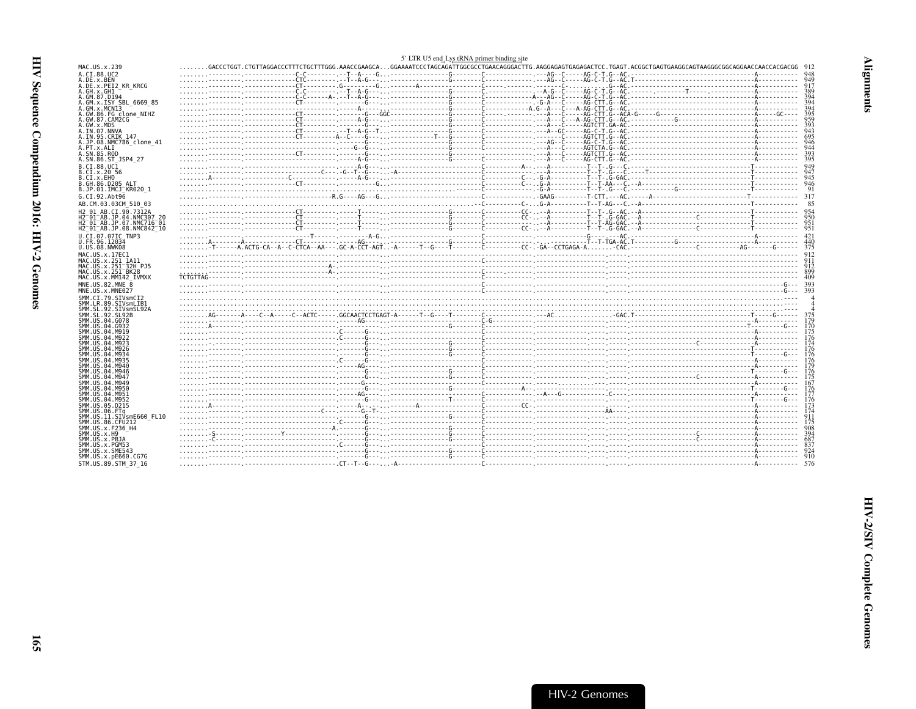<span id="page-10-0"></span>

|                                                                                                                    |          | 5' LTR U5 end Lys tRNA primer binding site |     |
|--------------------------------------------------------------------------------------------------------------------|----------|--------------------------------------------|-----|
| MAC.US.x.239                                                                                                       |          |                                            |     |
| A.CI.88.UC2                                                                                                        | 304      |                                            |     |
| A.DE.x.BEN<br>A.DE.X.PEI2 KR KRCG                                                                                  |          |                                            |     |
| A.GH.x.GH1                                                                                                         |          |                                            |     |
| A.GM.87.D194<br>A.GM.x.ISY SBL 6669 85                                                                             |          |                                            |     |
| A.GM.X.MCNI3                                                                                                       |          |                                            |     |
| A.GW.86.FG clone NIHZ                                                                                              |          |                                            |     |
| A.GW.87.CAM2CG<br>A.GW.x.MDS                                                                                       |          |                                            |     |
| A.IN.07.NNVA                                                                                                       |          |                                            |     |
| A.IN.95.CRIK 147<br>A.JP.08.NMC786 clone 41                                                                        |          |                                            |     |
| A.PT.x.ALT                                                                                                         |          |                                            |     |
| A.SN.85.ROD                                                                                                        |          |                                            |     |
| A.SN.86.ST JSP4 27                                                                                                 | $\ldots$ |                                            |     |
| B.CT.88.UC1<br>B.CI.X.20 56                                                                                        |          |                                            |     |
| B.CI.X.EHO                                                                                                         |          |                                            |     |
| B.GH.86.D205 ALT<br>B.JP.01.IMCJ KR020 1                                                                           |          |                                            |     |
| G.CI.92.Abt96                                                                                                      |          |                                            |     |
| AB.CM.03.03CM 510 03                                                                                               |          |                                            |     |
| H <sub>2</sub> 01 AB.CI.90.7312A                                                                                   |          |                                            |     |
| H2 <sup>-01-AB.JP.04.NMC307 20</sup>                                                                               |          |                                            |     |
| H2 <sup>-</sup> 01 <sup>-</sup> AB.JP.07.NMC716 <sup>-</sup> 01<br>H2 <sup>-01-AB.JP.08.NMC842<sup>-10</sup></sup> |          |                                            | 951 |
| U.CI.07.07IC TNP3                                                                                                  |          |                                            |     |
| U.FR.96.12034                                                                                                      |          |                                            |     |
| U.US.08.NWK08                                                                                                      |          |                                            | 375 |
| MAC.US.x.17EC1<br>MAC.US.x.251 1A11                                                                                |          |                                            |     |
| MAC.US.x.251 <sup>-</sup> 32H PJ5                                                                                  |          |                                            |     |
| MAC.US.x.251 <sup>-</sup> BK28                                                                                     |          |                                            |     |
| MAC.US.x.MM142 IVMXX                                                                                               |          |                                            |     |
| MNE.US.82.MNE<br>MNE.US.x.MNE027                                                                                   |          |                                            |     |
| SMM.CI.79.SIVsmCI2                                                                                                 |          |                                            |     |
| SMM.LR.89.SIVsmLIB1                                                                                                |          |                                            |     |
| SMM.SL.92.SIVsmSL92A<br>SMM.SL.92.SL92B                                                                            |          |                                            |     |
| SMM.US.04.G078                                                                                                     |          |                                            |     |
| SMM.US.04.G932<br>SMM.US.04.M919                                                                                   |          |                                            | 170 |
| SMM.US.04.M922                                                                                                     |          |                                            |     |
| SMM.US.04.M923                                                                                                     |          |                                            |     |
| SMM.US.04.M926<br>SMM.US.04.M934                                                                                   |          |                                            |     |
| SMM.US.04.M935                                                                                                     |          |                                            |     |
| SMM.US.04.M940<br>SMM.US.04.M946                                                                                   |          |                                            | 176 |
| SMM.US.04.M947                                                                                                     |          |                                            |     |
| SMM.US.04.M949                                                                                                     |          |                                            |     |
| SMM.US.04.M950<br>SMM.US.04.M951                                                                                   |          |                                            |     |
| SMM.US.04.M952                                                                                                     |          |                                            |     |
| SMM.US.05.D215<br>SMM.US.06.FTa                                                                                    |          |                                            |     |
| SMM.US.11.SIVsmE660 FL10                                                                                           |          |                                            |     |
| SMM.US.86.CFU212                                                                                                   |          |                                            |     |
| SMM.US.x.F236 H4<br>SMM.US.x.H9                                                                                    |          |                                            |     |
| SMM.US.x.PBJA                                                                                                      |          |                                            |     |
| SMM.US.x.PGM53                                                                                                     |          |                                            |     |
| SMM.US.x.SME543<br>SMM.US.x.pE660.CG7G                                                                             |          |                                            |     |
| STM.US.89.STM 37 16                                                                                                |          |                                            |     |
|                                                                                                                    |          |                                            |     |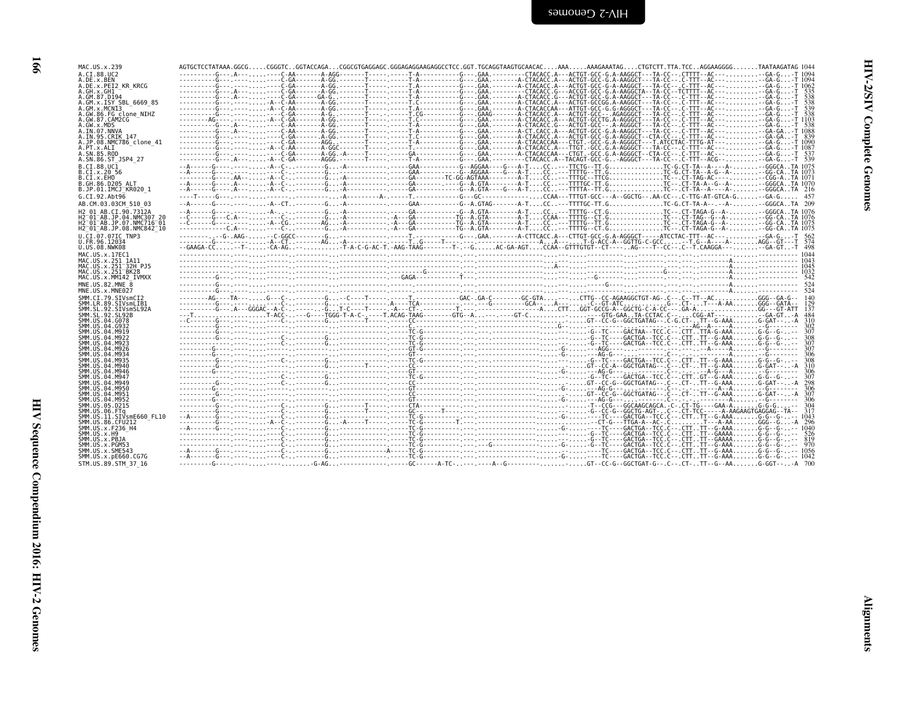| × | I |
|---|---|

| MAC.US.x.239                                                                                         | AGTGCTCCTATAAA.GGCGCGGGTCGGTACCAGACGGCGTGAGGAGC.GGGAGGAGGAGGCCTCC.GGT.TGCAGGTAAGTGCAACACAAAAAAGAAATAGCTGTCTT.TTA.TCCAGGAAGGGGTAATAAGATAG 1044                                                     |  |  |                                                                                                                                  |                 |
|------------------------------------------------------------------------------------------------------|---------------------------------------------------------------------------------------------------------------------------------------------------------------------------------------------------|--|--|----------------------------------------------------------------------------------------------------------------------------------|-----------------|
| A.CI.88.UC2<br>A.DE.x.BEN                                                                            |                                                                                                                                                                                                   |  |  |                                                                                                                                  |                 |
| A.DE.x.PEI2 KR KRCG                                                                                  |                                                                                                                                                                                                   |  |  |                                                                                                                                  |                 |
| A.GH.x.GH1                                                                                           |                                                                                                                                                                                                   |  |  |                                                                                                                                  |                 |
| A.GM.87.D194                                                                                         |                                                                                                                                                                                                   |  |  |                                                                                                                                  |                 |
| A.GM.x.ISY SBL 6669 85                                                                               |                                                                                                                                                                                                   |  |  | -------A-GG.-------T----- -----T.A-----------G--- .GAA.-------A-CTACACCAA---ATTGT-GCC-G.G-AGGGCT---TA-CC--.C-TTT--AC------GA-G-T |                 |
| A.GM.x.MCNI3<br>A.GW.86.FG clone NIHZ                                                                | ----------G---.-----A--C-AA-<br>-----------G----------------C-GA-------A-G. .-------T--------T.CG----------G--- .GAAG------A-GTACACC.A---ACTGT-GCC-- .AGAGGGCT---TA-CC-- .C-TTT--AC--- - GA-G - T |  |  |                                                                                                                                  | 538             |
| A.GW.87.CAM2CG                                                                                       | --------AG----,----,-A--C-GA-------A-GG.-------T-----,-----T.C---------------G-A.-------A-CTACACC.A---ACTGT-GCCTG.A-AGGGCT---TA-CC---.C-TTT--AC----GA-G-T 1103                                    |  |  |                                                                                                                                  |                 |
| A.GW.x.MDS                                                                                           |                                                                                                                                                                                                   |  |  |                                                                                                                                  |                 |
| A.IN.07.NNVA                                                                                         | ----------G---.A------C-AA-------A-GG.-------T----- -----T-A----------G---.GAA.-------A-CT.CACC.A---ACTGT-GCC-G.A-AAGGCT---TA-CC--.C-TTT--AC-----GA-GA.-T                                         |  |  |                                                                                                                                  |                 |
| A.IN.95.CRIK 147<br>A.JP.08.NMC786 clone 41                                                          |                                                                                                                                                                                                   |  |  |                                                                                                                                  | -839            |
| A.PT.x.ALI                                                                                           | ---------G--- A--C-AA-------A-GGC-------T-----.---T,---------G--- GAA,-------A-CTACACC.A---TTGT.-GCC.G.A-AGGGCT---TA-CC--.C-TTT--AC-----GA-G-T                                                    |  |  |                                                                                                                                  |                 |
| A.SN.85.ROD                                                                                          |                                                                                                                                                                                                   |  |  |                                                                                                                                  | 537             |
| A.SN.86.ST JSP4 27                                                                                   |                                                                                                                                                                                                   |  |  |                                                                                                                                  |                 |
| B.CI.88.UC1                                                                                          |                                                                                                                                                                                                   |  |  |                                                                                                                                  |                 |
| B.CI.X.20 56                                                                                         |                                                                                                                                                                                                   |  |  |                                                                                                                                  |                 |
| B.CI.X.EHO                                                                                           |                                                                                                                                                                                                   |  |  |                                                                                                                                  |                 |
| B.GH.86.D205 ALT<br>B.JP.01.IMCJ KR020 1                                                             |                                                                                                                                                                                                   |  |  |                                                                                                                                  |                 |
|                                                                                                      |                                                                                                                                                                                                   |  |  |                                                                                                                                  |                 |
| G.CI.92.Abt96                                                                                        |                                                                                                                                                                                                   |  |  |                                                                                                                                  |                 |
| AB.CM.03.03CM 510 03                                                                                 |                                                                                                                                                                                                   |  |  |                                                                                                                                  |                 |
| H <sub>2</sub> 01 AB.CI.90.7312A                                                                     |                                                                                                                                                                                                   |  |  |                                                                                                                                  |                 |
| H2 <sup>-01-AB.JP.04.NMC307</sup><br>H2 <sup>-</sup> 01 <sup>-</sup> AB.JP.07.NMC716 <sup>-</sup> 01 |                                                                                                                                                                                                   |  |  |                                                                                                                                  |                 |
| H2 01 AB.JP.08.NMC842 10                                                                             |                                                                                                                                                                                                   |  |  |                                                                                                                                  |                 |
| U.CI.07.07IC TNP3                                                                                    |                                                                                                                                                                                                   |  |  |                                                                                                                                  |                 |
| U.FR.96.12034                                                                                        |                                                                                                                                                                                                   |  |  |                                                                                                                                  |                 |
| U.US.08.NWK08                                                                                        |                                                                                                                                                                                                   |  |  |                                                                                                                                  | 498             |
| MAC.US.x.17EC1                                                                                       |                                                                                                                                                                                                   |  |  |                                                                                                                                  |                 |
| MAC.US.x.251 1A11                                                                                    |                                                                                                                                                                                                   |  |  |                                                                                                                                  |                 |
| MAC.US.x.251 32H PJ5                                                                                 |                                                                                                                                                                                                   |  |  |                                                                                                                                  |                 |
|                                                                                                      |                                                                                                                                                                                                   |  |  |                                                                                                                                  |                 |
| MAC.US.x.251 <sup>-</sup> BK28                                                                       |                                                                                                                                                                                                   |  |  |                                                                                                                                  |                 |
| MAC.US.x.MM142 IVMXX                                                                                 |                                                                                                                                                                                                   |  |  |                                                                                                                                  |                 |
| MNE.US.82.MNE 8                                                                                      |                                                                                                                                                                                                   |  |  |                                                                                                                                  |                 |
| MNE.US.x.MNE027                                                                                      |                                                                                                                                                                                                   |  |  |                                                                                                                                  |                 |
| SMM.CI.79.SIVsmCI2<br>SMM.LR.89.SIVsmLIB1                                                            |                                                                                                                                                                                                   |  |  |                                                                                                                                  | 140<br>129      |
| SMM.SL.92.SIVsmSL92A                                                                                 |                                                                                                                                                                                                   |  |  |                                                                                                                                  |                 |
| SMM. SL. 92. SL92B                                                                                   |                                                                                                                                                                                                   |  |  |                                                                                                                                  |                 |
| SMM.US.04.G078                                                                                       |                                                                                                                                                                                                   |  |  |                                                                                                                                  | 310             |
| SMM.US.04.G932                                                                                       |                                                                                                                                                                                                   |  |  |                                                                                                                                  |                 |
| SMM.US.04.M919<br>SMM. US. 04. M922                                                                  |                                                                                                                                                                                                   |  |  |                                                                                                                                  | 307             |
| SMM. US. 04. M923                                                                                    |                                                                                                                                                                                                   |  |  |                                                                                                                                  |                 |
| SMM.US.04.M926                                                                                       |                                                                                                                                                                                                   |  |  |                                                                                                                                  |                 |
| SMM. US. 04. M934                                                                                    |                                                                                                                                                                                                   |  |  |                                                                                                                                  |                 |
| SMM. US. 04. M935                                                                                    |                                                                                                                                                                                                   |  |  |                                                                                                                                  |                 |
| SMM.US.04.M940<br>SMM. US. 04. M946                                                                  |                                                                                                                                                                                                   |  |  |                                                                                                                                  |                 |
| SMM.US.04.M947                                                                                       |                                                                                                                                                                                                   |  |  |                                                                                                                                  |                 |
| SMM.US.04.M949                                                                                       |                                                                                                                                                                                                   |  |  |                                                                                                                                  | 298             |
| SMM. U.S. 04. M950                                                                                   |                                                                                                                                                                                                   |  |  |                                                                                                                                  |                 |
| SMM.US.04.M951<br>SMM.US.04.M952                                                                     |                                                                                                                                                                                                   |  |  |                                                                                                                                  |                 |
| SMM. US. 05. D215                                                                                    |                                                                                                                                                                                                   |  |  |                                                                                                                                  |                 |
| SMM.US.06.FTa                                                                                        |                                                                                                                                                                                                   |  |  |                                                                                                                                  |                 |
| SMM.US.11.SIVsmE660 FL10                                                                             |                                                                                                                                                                                                   |  |  |                                                                                                                                  |                 |
| SMM.US.86.CFU212                                                                                     |                                                                                                                                                                                                   |  |  |                                                                                                                                  |                 |
| SMM. US. x. F236 H4                                                                                  |                                                                                                                                                                                                   |  |  |                                                                                                                                  | 526             |
| SMM. US. x.H9<br>SMM.US.x.PBJA                                                                       |                                                                                                                                                                                                   |  |  |                                                                                                                                  | 819             |
| SMM.US.x.PGM53                                                                                       |                                                                                                                                                                                                   |  |  |                                                                                                                                  | 970             |
| SMM.US.x.SME543                                                                                      |                                                                                                                                                                                                   |  |  |                                                                                                                                  | $\cdots$ - 1056 |
| SMM.US.x.pE660.CG7G<br>STM.US.89.STM 37 16                                                           |                                                                                                                                                                                                   |  |  |                                                                                                                                  | . 1042          |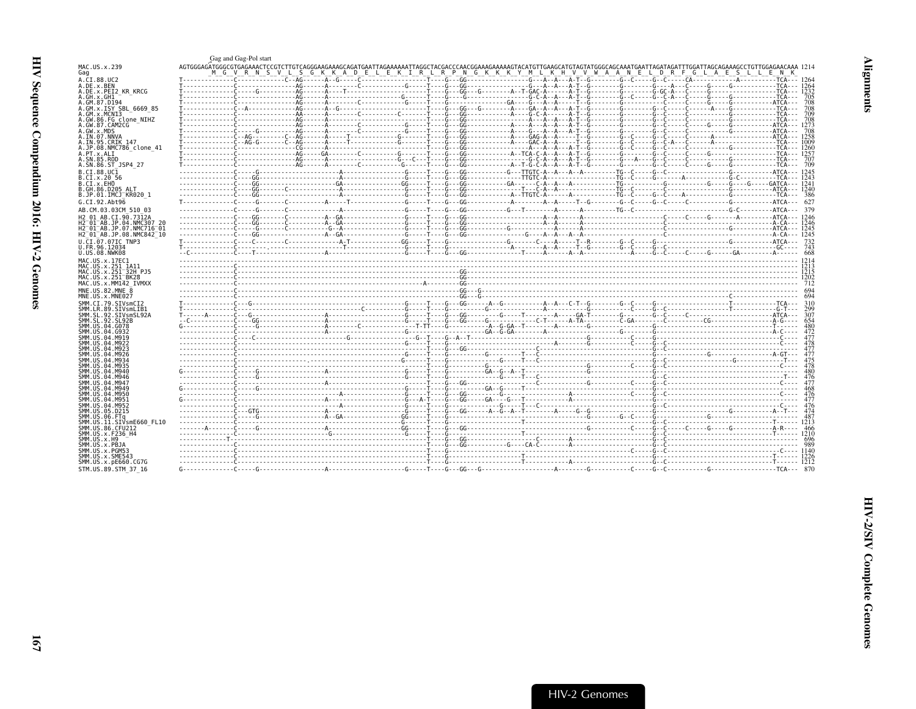<span id="page-12-0"></span>

|                                                                  | Gag and Gag-Pol start |                                                                                                                                                                                                 |  |  |  |  |  |
|------------------------------------------------------------------|-----------------------|-------------------------------------------------------------------------------------------------------------------------------------------------------------------------------------------------|--|--|--|--|--|
| MAC.US.x.239<br>Gag                                              |                       |                                                                                                                                                                                                 |  |  |  |  |  |
| A.CI.88.UC2                                                      |                       |                                                                                                                                                                                                 |  |  |  |  |  |
| A.DE.x.BEN                                                       |                       |                                                                                                                                                                                                 |  |  |  |  |  |
| A.DE.x.PEI2 KR KRCG<br>A.GH.x.GH1                                |                       |                                                                                                                                                                                                 |  |  |  |  |  |
| A.GM.87.D194                                                     |                       |                                                                                                                                                                                                 |  |  |  |  |  |
| A.GM.X.ISY SBL 6669 85                                           |                       |                                                                                                                                                                                                 |  |  |  |  |  |
| A.GM.X.MCNI3                                                     |                       |                                                                                                                                                                                                 |  |  |  |  |  |
| A.GW.86.FG clone NIHZ<br>A.GW.87.CAM2CG                          |                       |                                                                                                                                                                                                 |  |  |  |  |  |
| A.GW.x.MDS                                                       |                       |                                                                                                                                                                                                 |  |  |  |  |  |
| A.IN.07.NNVA                                                     |                       |                                                                                                                                                                                                 |  |  |  |  |  |
| A.IN.95.CRIK 147<br>A.JP.08.NMC786 clone 41                      |                       |                                                                                                                                                                                                 |  |  |  |  |  |
| A.PT.x.ALI                                                       |                       |                                                                                                                                                                                                 |  |  |  |  |  |
| A.SN.85.ROD                                                      |                       |                                                                                                                                                                                                 |  |  |  |  |  |
| A.SN.86.ST JSP4 27                                               |                       |                                                                                                                                                                                                 |  |  |  |  |  |
| B.CT.88.UC1                                                      |                       | $3243\n-100\n-100\n-100\n-100\n-100\n-100\n-100\n-100\n-100\n-100\n-100\n-100\n-100\n-100\n-100\n-100\n-100\n-100\n-100\n-100\n-100\n-100\n-100\n-100\n-100\n-100\n-100\n-100\n-100\n-100\n-10$ |  |  |  |  |  |
| B.CI.X.20 56<br>B.CI.x.EHO                                       |                       |                                                                                                                                                                                                 |  |  |  |  |  |
| B.GH.86.D205 ALT                                                 |                       |                                                                                                                                                                                                 |  |  |  |  |  |
| B.JP.01.IMCJ KR020 1                                             |                       |                                                                                                                                                                                                 |  |  |  |  |  |
| G.CI.92.Abt96                                                    |                       |                                                                                                                                                                                                 |  |  |  |  |  |
| AB.CM.03.03CM 510 03                                             |                       |                                                                                                                                                                                                 |  |  |  |  |  |
| H2 01 AB.CI.90.7312A                                             |                       |                                                                                                                                                                                                 |  |  |  |  |  |
| H2 01 AB.JP.04.NMC307 20<br>H2 <sup>-01-AB.JP.07.NMC716-01</sup> |                       |                                                                                                                                                                                                 |  |  |  |  |  |
| H2 <sup>-01-AB.JP.08.NMC842<sup>-10</sup></sup>                  |                       |                                                                                                                                                                                                 |  |  |  |  |  |
| U.CI.07.07IC TNP3                                                |                       |                                                                                                                                                                                                 |  |  |  |  |  |
| U.FR.96.12034                                                    |                       |                                                                                                                                                                                                 |  |  |  |  |  |
| U.US.08.NWK08                                                    |                       |                                                                                                                                                                                                 |  |  |  |  |  |
| MAC. U.S. x. 17EC1<br>MAC.US.x.251 1A11                          |                       |                                                                                                                                                                                                 |  |  |  |  |  |
| MAC.US.x.251 32H PJ5                                             |                       |                                                                                                                                                                                                 |  |  |  |  |  |
| MAC.US.x.251 BK28                                                |                       |                                                                                                                                                                                                 |  |  |  |  |  |
| MAC.US.x.MM142 IVMXX<br>MNE.US.82.MNE 8                          |                       |                                                                                                                                                                                                 |  |  |  |  |  |
| MNE.US.x.MNE027                                                  |                       |                                                                                                                                                                                                 |  |  |  |  |  |
| SMM.CI.79.SIVsmCI2                                               |                       |                                                                                                                                                                                                 |  |  |  |  |  |
| SMM.LR.89.SIVsmLIB1                                              |                       |                                                                                                                                                                                                 |  |  |  |  |  |
| SMM.SL.92.SIVsmSL92A                                             |                       |                                                                                                                                                                                                 |  |  |  |  |  |
| SMM. SL. 92. SL92B<br>SMM.US.04.G078                             |                       |                                                                                                                                                                                                 |  |  |  |  |  |
| SMM. US. 04. G932                                                |                       |                                                                                                                                                                                                 |  |  |  |  |  |
| SMM. US. 04. M919                                                |                       |                                                                                                                                                                                                 |  |  |  |  |  |
| SMM. US. 04. M922<br>SMM LIS 04 M923                             |                       |                                                                                                                                                                                                 |  |  |  |  |  |
| SMM US 04 M926                                                   |                       |                                                                                                                                                                                                 |  |  |  |  |  |
| SMM US 04 M934<br>SMM IIS A4 MQ35                                |                       |                                                                                                                                                                                                 |  |  |  |  |  |
| SMM. US. 04. M940                                                |                       |                                                                                                                                                                                                 |  |  |  |  |  |
| SMM. US. 04. M946                                                |                       |                                                                                                                                                                                                 |  |  |  |  |  |
| SMM. US. 04. M947                                                |                       |                                                                                                                                                                                                 |  |  |  |  |  |
| SMM. US. 04. M949<br>SMM. US. 04. M950                           |                       |                                                                                                                                                                                                 |  |  |  |  |  |
| SMM.US.04.M951                                                   |                       |                                                                                                                                                                                                 |  |  |  |  |  |
| SMM. U.S. 04. M952                                               |                       |                                                                                                                                                                                                 |  |  |  |  |  |
| SMM.US.05.D215<br>SMM.US.06.FTa                                  |                       |                                                                                                                                                                                                 |  |  |  |  |  |
| SMM.US.11.SIVsmE660 FL10                                         |                       |                                                                                                                                                                                                 |  |  |  |  |  |
| SMM. US.86. CFU212                                               |                       |                                                                                                                                                                                                 |  |  |  |  |  |
| SMM.US.x.F236 H4<br>SMM.US.x.H9                                  |                       |                                                                                                                                                                                                 |  |  |  |  |  |
| SMM.US.x.PBJA                                                    |                       |                                                                                                                                                                                                 |  |  |  |  |  |
| SMM.US.x.PGM53                                                   |                       |                                                                                                                                                                                                 |  |  |  |  |  |
| SMM.US.x.SME543<br>SMM.US.x.pE660.CG7G                           |                       |                                                                                                                                                                                                 |  |  |  |  |  |
| STM.US.89.STM 37 16                                              |                       |                                                                                                                                                                                                 |  |  |  |  |  |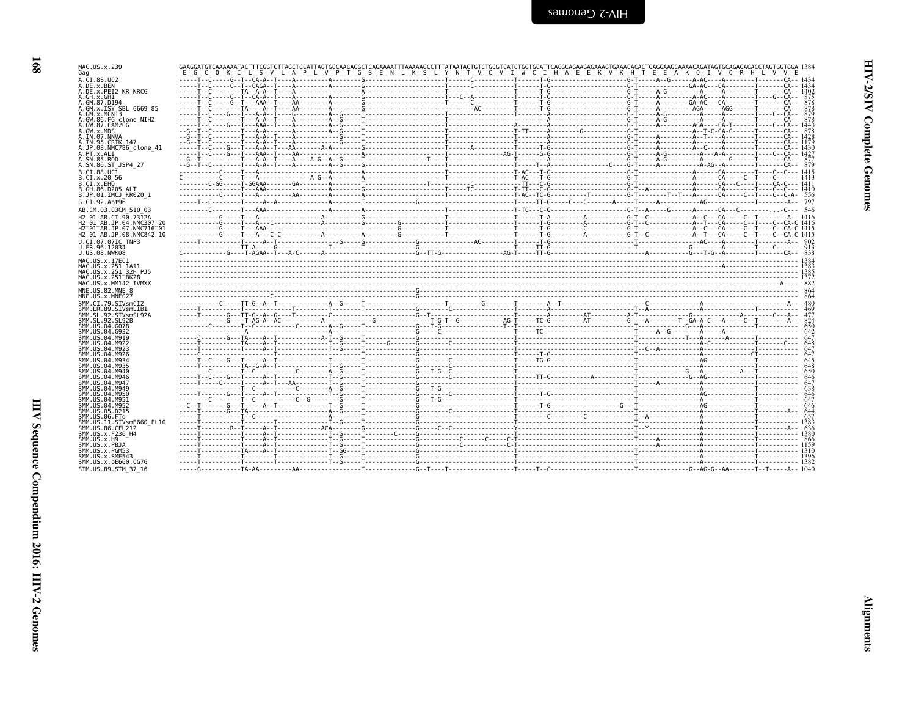| י<br>ג      |  |
|-------------|--|
| í<br>1<br>ŗ |  |
|             |  |

| MAC.US.x.239<br>Gag                                                  | "O"K"I'L'S"V'L'A"P"L'V"P"T"G"S"E"N'L'K"S"L'Y"N'T"V'C'V"I'W'C"I'H'A"E"E"K'V'K'H'T'E"E"A"K'O"I'V'O"R'H'L'V'V'E<br>E G<br>$\epsilon$ |  |  |      |
|----------------------------------------------------------------------|-----------------------------------------------------------------------------------------------------------------------------------|--|--|------|
| A.CI.88.UC2                                                          |                                                                                                                                   |  |  |      |
| A.DE.x.BEN<br>A.DE.X.PEI2 KR KRCG                                    |                                                                                                                                   |  |  |      |
| A.GH.x.GH1                                                           |                                                                                                                                   |  |  |      |
| A.GM.87.D194<br>A.GM.x.ISY SBL 6669 85                               |                                                                                                                                   |  |  |      |
| A.GM.X.MCNI3                                                         |                                                                                                                                   |  |  |      |
| A.GW.86.FG clone NIHZ<br>A.GW.87.CAM2CG                              |                                                                                                                                   |  |  |      |
| A.GW.x.MDS                                                           |                                                                                                                                   |  |  |      |
| A.IN.07.NNVA<br>A.IN.95.CRIK 147                                     |                                                                                                                                   |  |  |      |
| A.JP.08.NMC786 clone 41                                              |                                                                                                                                   |  |  |      |
| A.PT.x.ALT<br>A.SN.85.ROD                                            |                                                                                                                                   |  |  |      |
| A.SN.86.ST JSP4 27                                                   |                                                                                                                                   |  |  |      |
| B.CI.88.UC1                                                          |                                                                                                                                   |  |  |      |
| B.CI.X.20 56<br>B.CI.X.EHO                                           |                                                                                                                                   |  |  |      |
| B.GH.86.D205 ALT                                                     |                                                                                                                                   |  |  |      |
| B.JP.01.IMCJ KR020 1                                                 |                                                                                                                                   |  |  |      |
| G.CI.92.Abt96                                                        | Communicated Contract Communications of the Communication of the Communication of the Communication of                            |  |  |      |
| AB.CM.03.03CM 510 03<br>H <sub>2</sub> 01 AB.CT.90.7312A             |                                                                                                                                   |  |  |      |
| H2 <sup>-01-AB.JP.04.NMC307 20</sup>                                 |                                                                                                                                   |  |  |      |
| H2 <sup>-01-AB.JP.07.NMC716-01</sup>                                 |                                                                                                                                   |  |  |      |
| H2 <sup>-01-AB.JP.08.NMC842<sup>-10</sup></sup><br>U.CI.07.07IC TNP3 |                                                                                                                                   |  |  |      |
| U.FR.96.12034                                                        |                                                                                                                                   |  |  |      |
| U.US.08.NWK08                                                        |                                                                                                                                   |  |  |      |
| MAC.US.x.17EC1<br>MAC.US.x.251 1A11                                  |                                                                                                                                   |  |  |      |
|                                                                      |                                                                                                                                   |  |  |      |
| MAC.US.x.251 32H PJ5                                                 |                                                                                                                                   |  |  |      |
| MAC.US.x.251 BK28                                                    |                                                                                                                                   |  |  |      |
| MAC.US.x.MM142 IVMXX                                                 |                                                                                                                                   |  |  |      |
| MNE.US.82.MNE 8<br>MNE.US.x.MNE027                                   |                                                                                                                                   |  |  |      |
| SMM.CI.79.SIVsmCI2                                                   |                                                                                                                                   |  |  |      |
| SMM.LR.89.SIVsmLIB1                                                  |                                                                                                                                   |  |  |      |
| SMM.SL.92.SIVsmSL92A<br>SMM. SL. 92. SL92B                           |                                                                                                                                   |  |  |      |
| SMM.US.04.G078                                                       |                                                                                                                                   |  |  | -650 |
| SMM.US.04.G932<br>SMM.US.04.M919                                     |                                                                                                                                   |  |  |      |
| SMM. U.S. 04. M922                                                   |                                                                                                                                   |  |  |      |
| SMM. U.S. 04. M923<br>SMM. U.S. 04. M926                             |                                                                                                                                   |  |  |      |
| SMM. U.S. 04. M934                                                   |                                                                                                                                   |  |  |      |
| SMM.US.04.M935<br>SMM.US.04.M940                                     |                                                                                                                                   |  |  |      |
| SMM.US.04.M946                                                       |                                                                                                                                   |  |  |      |
| SMM.US.04.M947<br>SMM. U.S. 04. M949                                 |                                                                                                                                   |  |  |      |
| SMM. U.S. 04. M950                                                   |                                                                                                                                   |  |  |      |
| SMM.US.04.M951<br>SMM. U.S. 04. M952                                 |                                                                                                                                   |  |  |      |
| SMM.US.05.D215                                                       |                                                                                                                                   |  |  |      |
| SMM.US.06.FTq                                                        |                                                                                                                                   |  |  |      |
| SMM.US.11.SIVsmE660 FL10<br>SMM.US.86.CFU212                         |                                                                                                                                   |  |  |      |
| SMM.US.x.F236 H4                                                     |                                                                                                                                   |  |  |      |
| SMM.US.x.H9<br>SMM.US.x.PBJA                                         |                                                                                                                                   |  |  |      |
| SMM.US.x.PGM53                                                       |                                                                                                                                   |  |  |      |
| SMM.US.x.SME543<br>SMM.US.x.pE660.CG7G                               |                                                                                                                                   |  |  |      |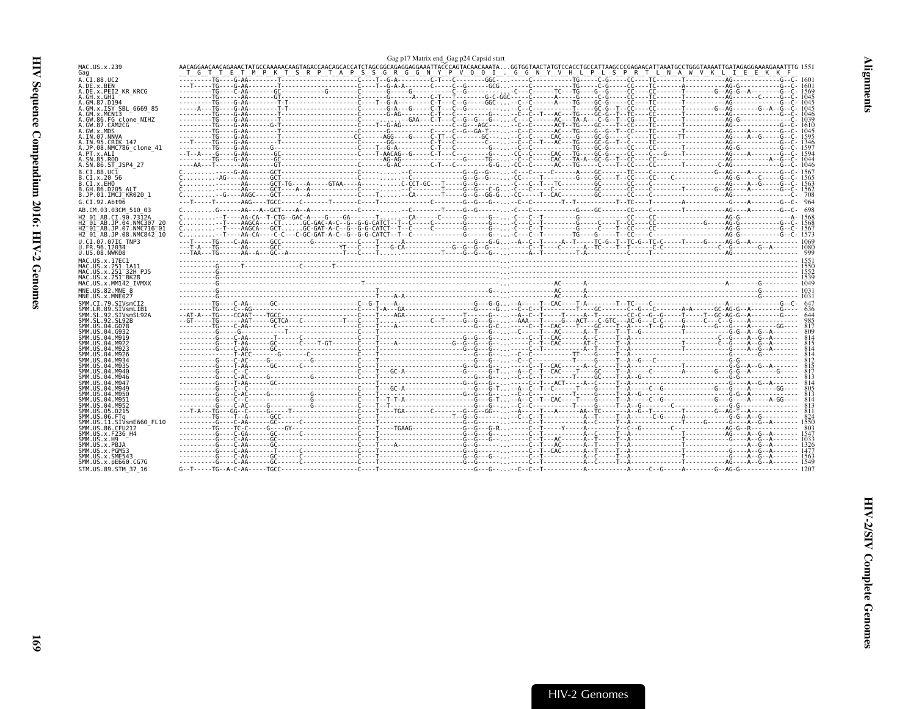<span id="page-14-0"></span>

|                                                                                                                                                                                                                                                                                                                                                                                                                                                                           |       |                                                                                                       | Gag p17 Matrix end Gag p24 Capsid start |  |  |
|---------------------------------------------------------------------------------------------------------------------------------------------------------------------------------------------------------------------------------------------------------------------------------------------------------------------------------------------------------------------------------------------------------------------------------------------------------------------------|-------|-------------------------------------------------------------------------------------------------------|-----------------------------------------|--|--|
| MAC.US.x.239<br>Gag                                                                                                                                                                                                                                                                                                                                                                                                                                                       | T G T | E T M P K T S R P T A P S S G R G G N Y P V O O I . G G N Y V H L P L S P R T L N A W V K L I E E K K |                                         |  |  |
| A.CI.88.UC2                                                                                                                                                                                                                                                                                                                                                                                                                                                               |       |                                                                                                       |                                         |  |  |
| A.DE.x.BEN<br>A.DE.X.PEI2 KR KRCG                                                                                                                                                                                                                                                                                                                                                                                                                                         |       |                                                                                                       |                                         |  |  |
| A.GH.x.GH1                                                                                                                                                                                                                                                                                                                                                                                                                                                                |       |                                                                                                       |                                         |  |  |
| A.GM.87.D194                                                                                                                                                                                                                                                                                                                                                                                                                                                              |       |                                                                                                       |                                         |  |  |
| A.GM.x.ISY SBL 6669 85<br>A.GM.X.MCNI3                                                                                                                                                                                                                                                                                                                                                                                                                                    |       |                                                                                                       |                                         |  |  |
| A.GW.86.FG clone NIHZ                                                                                                                                                                                                                                                                                                                                                                                                                                                     |       |                                                                                                       |                                         |  |  |
| A.GW.87.CAM2CG<br>A.GW.x.MDS                                                                                                                                                                                                                                                                                                                                                                                                                                              |       |                                                                                                       |                                         |  |  |
| A.IN.07.NNVA                                                                                                                                                                                                                                                                                                                                                                                                                                                              |       |                                                                                                       |                                         |  |  |
| A.IN.95.CRIK 147                                                                                                                                                                                                                                                                                                                                                                                                                                                          |       |                                                                                                       |                                         |  |  |
| A.JP.08.NMC786 clone 41<br>A.PT.x.ALI                                                                                                                                                                                                                                                                                                                                                                                                                                     |       |                                                                                                       |                                         |  |  |
| A.SN.85.ROD                                                                                                                                                                                                                                                                                                                                                                                                                                                               |       |                                                                                                       |                                         |  |  |
| A.SN.86.ST JSP4 27                                                                                                                                                                                                                                                                                                                                                                                                                                                        |       |                                                                                                       |                                         |  |  |
| B.CT.88.UC1                                                                                                                                                                                                                                                                                                                                                                                                                                                               |       |                                                                                                       |                                         |  |  |
| B.CI.x.20 56<br>B.CI.X.EHO                                                                                                                                                                                                                                                                                                                                                                                                                                                |       |                                                                                                       |                                         |  |  |
| B.GH.86.D205 ALT                                                                                                                                                                                                                                                                                                                                                                                                                                                          |       |                                                                                                       |                                         |  |  |
| B.JP.01.IMCJ KR020 1                                                                                                                                                                                                                                                                                                                                                                                                                                                      |       |                                                                                                       |                                         |  |  |
| G.CI.92.Abt96                                                                                                                                                                                                                                                                                                                                                                                                                                                             |       |                                                                                                       |                                         |  |  |
| AB.CM.03.03CM 510 03                                                                                                                                                                                                                                                                                                                                                                                                                                                      |       |                                                                                                       |                                         |  |  |
| H2 01 AB.CI.90.7312A<br>H2 <sup>-01-AB.JP.04.NMC307 20</sup>                                                                                                                                                                                                                                                                                                                                                                                                              |       |                                                                                                       |                                         |  |  |
| H2 <sup>-01-AB.JP.07.NMC716-01</sup>                                                                                                                                                                                                                                                                                                                                                                                                                                      |       |                                                                                                       |                                         |  |  |
| H2 <sup>-01-AB.JP.08.NMC842<sup>-10</sup></sup>                                                                                                                                                                                                                                                                                                                                                                                                                           |       |                                                                                                       |                                         |  |  |
| U.CI.07.07IC TNP3                                                                                                                                                                                                                                                                                                                                                                                                                                                         |       |                                                                                                       |                                         |  |  |
| U.FR.96.12034<br>U.US.08.NWK08                                                                                                                                                                                                                                                                                                                                                                                                                                            |       |                                                                                                       |                                         |  |  |
| MAC.US.x.17EC1                                                                                                                                                                                                                                                                                                                                                                                                                                                            |       |                                                                                                       |                                         |  |  |
| MAC.US.x.251 1A11                                                                                                                                                                                                                                                                                                                                                                                                                                                         |       |                                                                                                       |                                         |  |  |
| MAC.US.x.251 <sup>-</sup> 32H PJ5                                                                                                                                                                                                                                                                                                                                                                                                                                         |       |                                                                                                       |                                         |  |  |
| MAC.US.x.251 BK28<br>MAC.US.x.MM142 IVMXX                                                                                                                                                                                                                                                                                                                                                                                                                                 |       |                                                                                                       |                                         |  |  |
| MNE.US.82.MNE 8                                                                                                                                                                                                                                                                                                                                                                                                                                                           |       |                                                                                                       |                                         |  |  |
| MNE.US.x.MNE027                                                                                                                                                                                                                                                                                                                                                                                                                                                           |       |                                                                                                       |                                         |  |  |
| SMM.CI.79.SIVsmCI2                                                                                                                                                                                                                                                                                                                                                                                                                                                        |       |                                                                                                       |                                         |  |  |
| SMM.LR.89.SIVsmLIB1<br>SMM.SL.92.SIVsmSL92A                                                                                                                                                                                                                                                                                                                                                                                                                               |       |                                                                                                       |                                         |  |  |
| SMM. SL. 92. SL92B                                                                                                                                                                                                                                                                                                                                                                                                                                                        |       |                                                                                                       |                                         |  |  |
| SMM.US.04.G078                                                                                                                                                                                                                                                                                                                                                                                                                                                            |       |                                                                                                       |                                         |  |  |
| SMM.US.04.G932<br>SMM.US.04.M919                                                                                                                                                                                                                                                                                                                                                                                                                                          |       |                                                                                                       |                                         |  |  |
|                                                                                                                                                                                                                                                                                                                                                                                                                                                                           |       |                                                                                                       |                                         |  |  |
|                                                                                                                                                                                                                                                                                                                                                                                                                                                                           |       |                                                                                                       |                                         |  |  |
|                                                                                                                                                                                                                                                                                                                                                                                                                                                                           |       |                                                                                                       |                                         |  |  |
|                                                                                                                                                                                                                                                                                                                                                                                                                                                                           |       |                                                                                                       |                                         |  |  |
|                                                                                                                                                                                                                                                                                                                                                                                                                                                                           |       |                                                                                                       |                                         |  |  |
|                                                                                                                                                                                                                                                                                                                                                                                                                                                                           |       |                                                                                                       |                                         |  |  |
|                                                                                                                                                                                                                                                                                                                                                                                                                                                                           |       |                                                                                                       |                                         |  |  |
|                                                                                                                                                                                                                                                                                                                                                                                                                                                                           |       |                                                                                                       |                                         |  |  |
|                                                                                                                                                                                                                                                                                                                                                                                                                                                                           |       |                                                                                                       |                                         |  |  |
|                                                                                                                                                                                                                                                                                                                                                                                                                                                                           |       |                                                                                                       |                                         |  |  |
|                                                                                                                                                                                                                                                                                                                                                                                                                                                                           |       |                                                                                                       |                                         |  |  |
|                                                                                                                                                                                                                                                                                                                                                                                                                                                                           |       |                                                                                                       |                                         |  |  |
|                                                                                                                                                                                                                                                                                                                                                                                                                                                                           |       |                                                                                                       |                                         |  |  |
|                                                                                                                                                                                                                                                                                                                                                                                                                                                                           |       |                                                                                                       |                                         |  |  |
|                                                                                                                                                                                                                                                                                                                                                                                                                                                                           |       |                                                                                                       |                                         |  |  |
|                                                                                                                                                                                                                                                                                                                                                                                                                                                                           |       |                                                                                                       |                                         |  |  |
|                                                                                                                                                                                                                                                                                                                                                                                                                                                                           |       |                                                                                                       |                                         |  |  |
| SMM.US.04.M922<br>SMM. U.S. 04. M923<br>SMM. US. 04. M926<br>SMM.US.04.M934<br>SMM. U.S. 04. M935<br>SMM. US. 04. M940<br>SMM. US. 04. M946<br>SMM. US. 04. M947<br>SMM. US. 04. M949<br>SMM.US.04.M950<br>SMM.US.04.M951<br>SMM.US.04.M952<br>SMM.US.05.D215<br>SMM.US.06.FTa<br>SMM.US.11.SIVsmE660 FL10<br>SMM.US.86.CFU212<br>SMM.US.x.F236 H4<br>SMM.US.x.H9<br>SMM.US.x.PBJA<br>SMM.US.x.PGM53<br>SMM.US.x.SME543<br>SMM. US. x. pE660. CG7G<br>STM.US.89.STM 37 16 |       |                                                                                                       |                                         |  |  |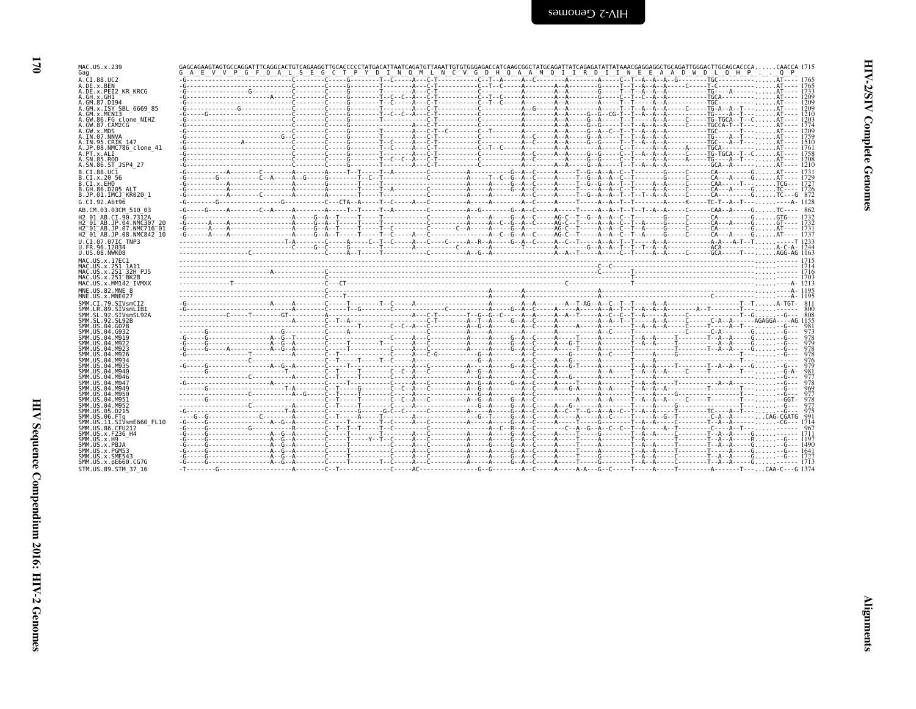| Ľ<br>ç      |
|-------------|
| 9<br>ŗ<br>Ĭ |
| ē<br>Ē      |

| MAC.US.x.239                                                                                |            | GAGCAGAAGTAGTGCCAGGATTTCAGGCACTGTCAGAAGGTTGCACCCCCTATGACATTAATCAGATGTTAAATTGTGTGGGAGACCATCAAGCGGCTATGCAGATTATCAGAGATATTATAAACGAGGAGGCTGCAGATTGGGACTTGCAGCACCCACAACCA 1715<br>G A E V V P G F Q A L S E G C T P Y D I N Q M L N C V G D H Q A A M Q I I R D I I N E E A A D W D L Q H P Q P |  |  |
|---------------------------------------------------------------------------------------------|------------|--------------------------------------------------------------------------------------------------------------------------------------------------------------------------------------------------------------------------------------------------------------------------------------------|--|--|
| Gag<br>A.CI.88.UC2                                                                          |            |                                                                                                                                                                                                                                                                                            |  |  |
| A.DE.x.BEN                                                                                  |            |                                                                                                                                                                                                                                                                                            |  |  |
| A.DE.x.PEI2 KR KRCG                                                                         |            |                                                                                                                                                                                                                                                                                            |  |  |
| A.GH.x.GH1                                                                                  |            |                                                                                                                                                                                                                                                                                            |  |  |
| A.GM.87.D194<br>A.GM.x.ISY SBL 6669 85                                                      |            |                                                                                                                                                                                                                                                                                            |  |  |
| A.GM.x.MCNI3                                                                                |            |                                                                                                                                                                                                                                                                                            |  |  |
| A.GW.86.FG clone NIHZ                                                                       |            |                                                                                                                                                                                                                                                                                            |  |  |
| A.GW.87.CAM2CG<br>A.GW.x.MDS                                                                |            |                                                                                                                                                                                                                                                                                            |  |  |
| A.IN.07.NNVA                                                                                |            |                                                                                                                                                                                                                                                                                            |  |  |
| A.IN.95.CRIK 147                                                                            |            |                                                                                                                                                                                                                                                                                            |  |  |
| A.JP.08.NMC786 clone 41<br>A.PT.x.ALI                                                       |            |                                                                                                                                                                                                                                                                                            |  |  |
| A.SN.85.ROD                                                                                 |            |                                                                                                                                                                                                                                                                                            |  |  |
| A.SN.86.ST JSP4 27                                                                          |            |                                                                                                                                                                                                                                                                                            |  |  |
| B.CT.88.UC1                                                                                 |            |                                                                                                                                                                                                                                                                                            |  |  |
| B.CI.X.20 56<br>B.CT.x.EHO                                                                  |            |                                                                                                                                                                                                                                                                                            |  |  |
| B.GH.86.D205 ALT                                                                            |            |                                                                                                                                                                                                                                                                                            |  |  |
| B.JP.01.IMCJ KR020 1                                                                        |            |                                                                                                                                                                                                                                                                                            |  |  |
| G.CI.92.Abt96                                                                               |            |                                                                                                                                                                                                                                                                                            |  |  |
| AB.CM.03.03CM 510 03                                                                        |            |                                                                                                                                                                                                                                                                                            |  |  |
| H2 01 AB.CI.90.7312A                                                                        | $-6 - - -$ |                                                                                                                                                                                                                                                                                            |  |  |
| H2 <sup>-01-AB.JP.04.NMC307 20</sup>                                                        |            |                                                                                                                                                                                                                                                                                            |  |  |
| H2 <sup>-</sup> 01 <sup>-</sup> AB.JP.07.NMC716 <sup>-</sup> 01<br>H2 01 AB.JP.08.NMC842 10 |            |                                                                                                                                                                                                                                                                                            |  |  |
| U.CI.07.07IC TNP3                                                                           |            |                                                                                                                                                                                                                                                                                            |  |  |
| U.FR.96.12034                                                                               |            |                                                                                                                                                                                                                                                                                            |  |  |
| U.US.08.NWK08                                                                               |            |                                                                                                                                                                                                                                                                                            |  |  |
| MAC. US. x. 17EC1                                                                           |            |                                                                                                                                                                                                                                                                                            |  |  |
| MAC.US.x.251 1A11                                                                           |            |                                                                                                                                                                                                                                                                                            |  |  |
| MAC.US.x.251 <sup>-32H</sup> PJ5<br>MAC.US.x.251 <sup>-</sup> BK28                          |            |                                                                                                                                                                                                                                                                                            |  |  |
| MAC.US.x.MM142 IVMXX                                                                        |            |                                                                                                                                                                                                                                                                                            |  |  |
| MNE.US.82.MNE 8                                                                             |            |                                                                                                                                                                                                                                                                                            |  |  |
| MNE.US.x.MNE027                                                                             |            |                                                                                                                                                                                                                                                                                            |  |  |
| SMM.CI.79.SIVsmCI2                                                                          |            |                                                                                                                                                                                                                                                                                            |  |  |
| SMM.LR.89.SIVsmLIB1<br>SMM.SL.92.SIVsmSL92A                                                 |            |                                                                                                                                                                                                                                                                                            |  |  |
| SMM. SL. 92. SL92B                                                                          |            |                                                                                                                                                                                                                                                                                            |  |  |
| SMM. US. 04. G078                                                                           |            |                                                                                                                                                                                                                                                                                            |  |  |
| SMM. U.S. 04. G932<br>SMM IIS 04 M919                                                       |            |                                                                                                                                                                                                                                                                                            |  |  |
| SMM. U.S. 04. M922                                                                          |            |                                                                                                                                                                                                                                                                                            |  |  |
| SMM. US. 04. M923                                                                           |            |                                                                                                                                                                                                                                                                                            |  |  |
| SMM.US.04.M926<br>SMM.US.04.M934                                                            |            |                                                                                                                                                                                                                                                                                            |  |  |
| SMM.US.04.M935                                                                              |            |                                                                                                                                                                                                                                                                                            |  |  |
| SMM.US.04.M940                                                                              |            |                                                                                                                                                                                                                                                                                            |  |  |
| SMM.US.04.M946<br>SMM. U.S. 04. M947                                                        |            |                                                                                                                                                                                                                                                                                            |  |  |
| SMM. US. 04. M949                                                                           |            |                                                                                                                                                                                                                                                                                            |  |  |
| SMM.US.04.M950                                                                              |            |                                                                                                                                                                                                                                                                                            |  |  |
| SMM.US.04.M951<br>SMM.US.04.M952                                                            |            |                                                                                                                                                                                                                                                                                            |  |  |
| SMM.US.05.D215                                                                              |            |                                                                                                                                                                                                                                                                                            |  |  |
| SMM.US.06.FTa                                                                               |            |                                                                                                                                                                                                                                                                                            |  |  |
| SMM.US.11.SIVsmE660 FL10                                                                    |            |                                                                                                                                                                                                                                                                                            |  |  |
| SMM.US.86.CFU212<br>SMM.US.x.F236 H4                                                        |            |                                                                                                                                                                                                                                                                                            |  |  |
| SMM. US. x.H9                                                                               |            |                                                                                                                                                                                                                                                                                            |  |  |
| SMM.US.x.PBJA                                                                               |            |                                                                                                                                                                                                                                                                                            |  |  |
| SMM.US.x.PGM53<br>SMM.US.x.SME543                                                           |            |                                                                                                                                                                                                                                                                                            |  |  |
|                                                                                             |            |                                                                                                                                                                                                                                                                                            |  |  |
| SMM.US.x.pE660.CG7G                                                                         |            |                                                                                                                                                                                                                                                                                            |  |  |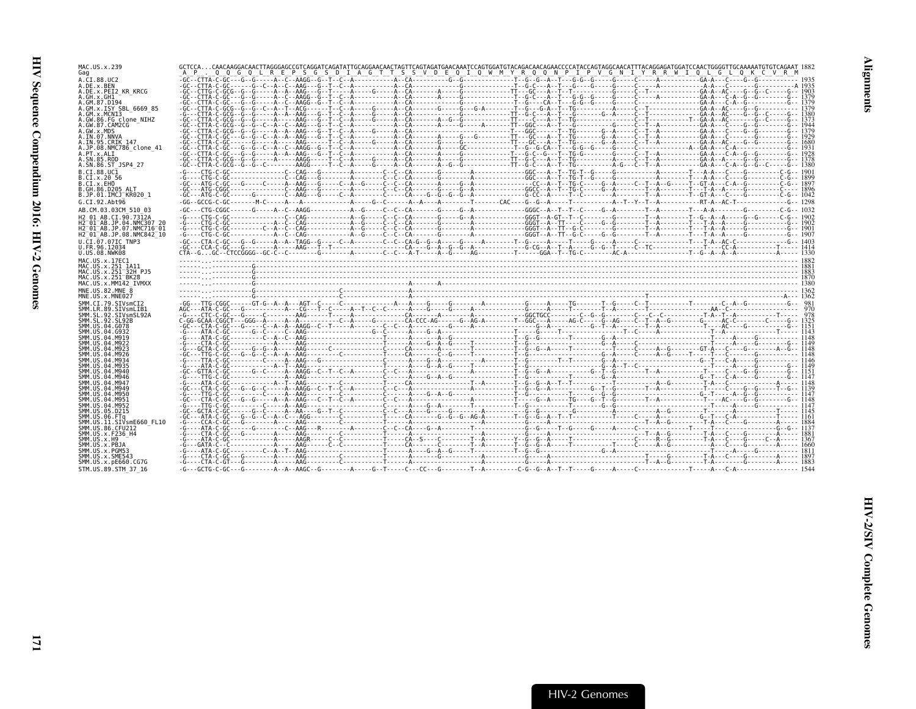| MAC.US.x.239<br>Gag                                                         | GCTCCACAACAAGGACAACTTAGGGAGCCGTCAGGATCAGATATTGCAGGAACAACTAGTTCAGTAGATACAATCCAGTGGAACAACAGAACCAGTAGCAGACTAGCAGATGGAGTGCCAACAGTGCAAAAATGTGTCAGAAT 1882<br>_A _P___Q_Q_G_Q_L_R_E_P_S_G_S_D_I_A_G_T_T_S_S_V_D_E_Q_I_Q_W_M_Y_R_Q_Q_ |  |
|-----------------------------------------------------------------------------|--------------------------------------------------------------------------------------------------------------------------------------------------------------------------------------------------------------------------------|--|
| A.CI.88.UC2                                                                 |                                                                                                                                                                                                                                |  |
| A.DE.x.BEN<br>A.DE.X.PEI2 KR KRCG                                           |                                                                                                                                                                                                                                |  |
| A.GH.x.GH1<br>A.GM.87.D194                                                  |                                                                                                                                                                                                                                |  |
| A.GM.x.ISY SBL 6669 85<br>A.GM.x.MCNI3                                      |                                                                                                                                                                                                                                |  |
| A.GW.86.FG clone NIHZ<br>A.GW.87.CAM2CG                                     |                                                                                                                                                                                                                                |  |
| A.GW.x.MDS                                                                  |                                                                                                                                                                                                                                |  |
| A.IN.07.NNVA<br>A.IN.95.CRIK 147                                            |                                                                                                                                                                                                                                |  |
| A.JP.08.NMC786 clone 41<br>A.PT.x.ALI                                       |                                                                                                                                                                                                                                |  |
| A.SN.85.ROD<br>A.SN.86.ST JSP4 27                                           |                                                                                                                                                                                                                                |  |
| B.CI.88.UC1                                                                 |                                                                                                                                                                                                                                |  |
| B.CI.x.20 56<br>B.CI.x.EHO                                                  |                                                                                                                                                                                                                                |  |
| B.GH.86.D205 ALT<br>B.JP.01.IMCJ KR020 1                                    |                                                                                                                                                                                                                                |  |
| G.CI.92.Abt96                                                               |                                                                                                                                                                                                                                |  |
| AB.CM.03.03CM 510 03<br>H <sub>2</sub> 01 AB.CI.90.7312A                    |                                                                                                                                                                                                                                |  |
| H2 01 AB. JP. 04. NMC307 20                                                 |                                                                                                                                                                                                                                |  |
| H2 01 AB.JP.07.NMC716 01<br>H2 <sup>-01-AB.JP.08.NMC842<sup>-10</sup></sup> |                                                                                                                                                                                                                                |  |
| U.CI.07.07IC TNP3<br>U.FR.96.12034                                          |                                                                                                                                                                                                                                |  |
| U.US.08.NWK08                                                               |                                                                                                                                                                                                                                |  |
| MAC.US.x.17EC1<br>MAC.US.x.251 1A11                                         |                                                                                                                                                                                                                                |  |
| MAC.US.x.251 32H PJ5<br>MAC. US. x. 251 <sup>-</sup> BK28                   |                                                                                                                                                                                                                                |  |
| MAC.US.x.MM142 IVMXX                                                        |                                                                                                                                                                                                                                |  |
| MNE.US.82.MNE 8<br>MNE.US.x.MNE027                                          |                                                                                                                                                                                                                                |  |
| SMM.CI.79.SIVsmCI2<br>SMM.LR.89.SIVsmLIB1                                   |                                                                                                                                                                                                                                |  |
| SMM.SL.92.SIVsmSL92A                                                        |                                                                                                                                                                                                                                |  |
| SMM.SL.92.SL92B<br>SMM.US.04.G078                                           |                                                                                                                                                                                                                                |  |
| SMM.US.04.G932<br>SMM.US.04.M919                                            |                                                                                                                                                                                                                                |  |
| SMM. US. 04. M922<br>SMM.US.04.M923                                         |                                                                                                                                                                                                                                |  |
| SMM. U.S. 04. M926<br>SMM. U.S. 04. M934                                    |                                                                                                                                                                                                                                |  |
| SMM.US.04.M935                                                              |                                                                                                                                                                                                                                |  |
| SMM.US.04.M940<br>SMM.US.04.M946                                            |                                                                                                                                                                                                                                |  |
| SMM.US.04.M947<br>SMM.US.04.M949                                            |                                                                                                                                                                                                                                |  |
| SMM.US.04.M950<br>SMM.US.04.M951                                            |                                                                                                                                                                                                                                |  |
| SMM.US.04.M952<br>SMM. U.S. 05. D215                                        |                                                                                                                                                                                                                                |  |
| SMM.US.06.FTa                                                               |                                                                                                                                                                                                                                |  |
| SMM.US.11.SIVsmE660 FL10<br>SMM. US.86. CFU212                              |                                                                                                                                                                                                                                |  |
| SMM.US.x.F236 H4<br>SMM.US.x.H9                                             |                                                                                                                                                                                                                                |  |
|                                                                             |                                                                                                                                                                                                                                |  |
| SMM.US.x.PBJA                                                               |                                                                                                                                                                                                                                |  |
| SMM.US.x.PGM53<br>SMM.US.x.SME543<br>SMM.US.x.pE660.CG7G                    |                                                                                                                                                                                                                                |  |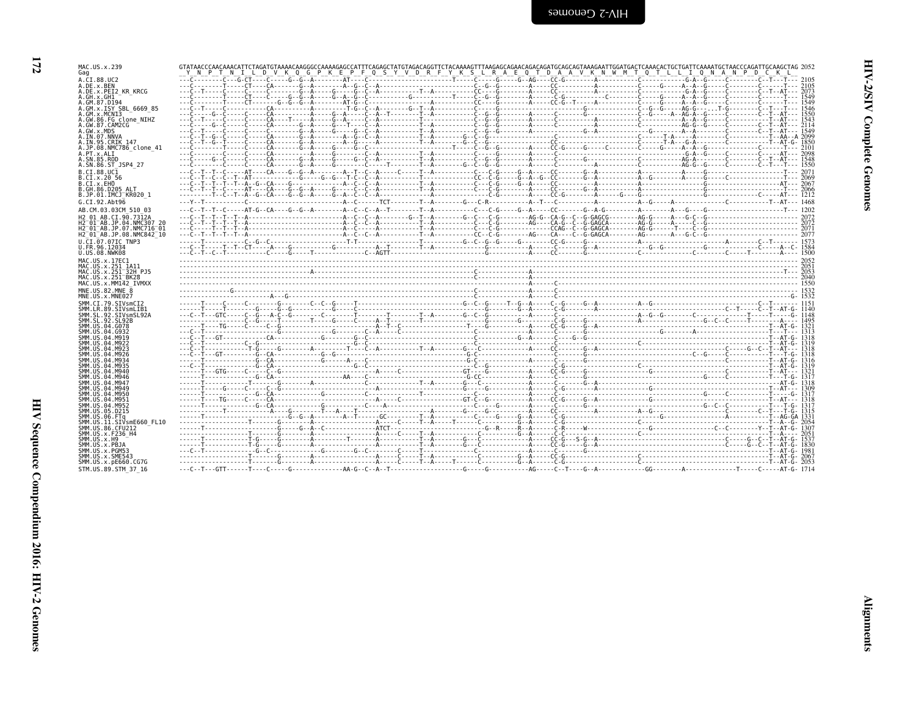| MAC.US.x.239                                                                                |                                                                                                                                                                                                                                  |  |  |
|---------------------------------------------------------------------------------------------|----------------------------------------------------------------------------------------------------------------------------------------------------------------------------------------------------------------------------------|--|--|
| Gag<br>A.CI.88.UC2                                                                          |                                                                                                                                                                                                                                  |  |  |
| A.DE.x.BEN<br>A.DE.X.PEI2 KR KRCG                                                           |                                                                                                                                                                                                                                  |  |  |
| A.GH.X.GH1                                                                                  |                                                                                                                                                                                                                                  |  |  |
| A.GM.87.D194<br>A.GM.x.ISY SBL 6669 85                                                      |                                                                                                                                                                                                                                  |  |  |
| A.GM.x.MCN13                                                                                | ---C-----G--C-----CA----------A-----G--A-----C--A--T--------T--A---------C--G--G-------A----C------C--G--C----C--C--T--AT--- 1550                                                                                                |  |  |
| A.GW.86.FG clone NIHZ<br>A.GW.87.CAM2CG                                                     |                                                                                                                                                                                                                                  |  |  |
| A.GW.x.MDS<br>A.IN.07.NNVA                                                                  |                                                                                                                                                                                                                                  |  |  |
| A.IN.95.CRIK 147                                                                            |                                                                                                                                                                                                                                  |  |  |
| A.JP.08.NMC786 clone 41<br>A.PT.x.ALI                                                       |                                                                                                                                                                                                                                  |  |  |
| A.SN.85.ROD<br>A.SN.86.ST JSP4 27                                                           |                                                                                                                                                                                                                                  |  |  |
| B.CI.88.UC1                                                                                 |                                                                                                                                                                                                                                  |  |  |
| B.CI.X.20 56<br>B.CI.X.EHO                                                                  |                                                                                                                                                                                                                                  |  |  |
| B.GH.86.D205 ALT                                                                            |                                                                                                                                                                                                                                  |  |  |
| B.JP.01.IMCJ <sup>-</sup> KR020 1<br>G.CI.92.Ah <sub>t</sub> 96                             |                                                                                                                                                                                                                                  |  |  |
| AB.CM.03.03CM 510 03                                                                        |                                                                                                                                                                                                                                  |  |  |
| H <sub>2</sub> 01 AB.CI.90.7312A                                                            |                                                                                                                                                                                                                                  |  |  |
| H2 01 AB.JP.04.NMC307 20<br>H2 <sup>-</sup> 01 <sup>-</sup> AB.JP.07.NMC716 <sup>-</sup> 01 |                                                                                                                                                                                                                                  |  |  |
| H2 <sup>-01-AB.JP.08.NMC842<sup>-10</sup></sup>                                             |                                                                                                                                                                                                                                  |  |  |
| U.CI.07.07IC TNP3<br>U.FR.96.12034                                                          |                                                                                                                                                                                                                                  |  |  |
| U.US.08.NWK08                                                                               |                                                                                                                                                                                                                                  |  |  |
| MAC.US.x.17EC1<br>MAC.US.x.251 1A11                                                         |                                                                                                                                                                                                                                  |  |  |
| MAC.US.x.251 <sup>-32H</sup> PJ5                                                            |                                                                                                                                                                                                                                  |  |  |
| MAC.US.x.251 <sup>-</sup> BK28<br>MAC.US.x.MM142 IVMXX                                      |                                                                                                                                                                                                                                  |  |  |
| MNE.US.82.MNE 8<br>MNE.US.x.MNE027                                                          |                                                                                                                                                                                                                                  |  |  |
| SMM.CI.79.SIVsmCI2                                                                          |                                                                                                                                                                                                                                  |  |  |
| SMM.LR.89.SIVsmLIB1<br>SMM.SL.92.SIVsmSL92A                                                 |                                                                                                                                                                                                                                  |  |  |
| SMM. SL. 92. SL92B<br>SMM.US.04.G078                                                        |                                                                                                                                                                                                                                  |  |  |
| SMM. U.S. 04. G932                                                                          |                                                                                                                                                                                                                                  |  |  |
| SMM. US. 04. M919<br>SMM. U.S. 04. M922                                                     |                                                                                                                                                                                                                                  |  |  |
| SMM. US. 04. M923<br>SMM.US.04.M926                                                         |                                                                                                                                                                                                                                  |  |  |
| SMM. U.S. 04. M934                                                                          |                                                                                                                                                                                                                                  |  |  |
| SMM. U.S. 04. M935<br>SMM. U.S. 04. M940                                                    |                                                                                                                                                                                                                                  |  |  |
| SMM. US. 04. M946<br>SMM. U.S. 04. M947                                                     |                                                                                                                                                                                                                                  |  |  |
| SMM.US.04.M949                                                                              |                                                                                                                                                                                                                                  |  |  |
| SMM.US.04.M950<br>SMM.US.04.M951                                                            |                                                                                                                                                                                                                                  |  |  |
| SMM.US.04.M952<br>SMM.US.05.D215                                                            |                                                                                                                                                                                                                                  |  |  |
| SMM.US.06.FTq                                                                               |                                                                                                                                                                                                                                  |  |  |
| SMM.US.11.SIVsmE660 FL10<br>SMM.US.86.CFU212                                                |                                                                                                                                                                                                                                  |  |  |
| SMM.US.x.F236 H4                                                                            |                                                                                                                                                                                                                                  |  |  |
| SMM.US.x.H9<br>SMM.US.x.PBJA                                                                |                                                                                                                                                                                                                                  |  |  |
| SMM.US.x.PGM53<br>SMM.US.x.SME543                                                           | 1.62 - 1.42 - 1.42 - 1.42 - 1.42 - 1.42 - 1.42 - 1.42 - 1.42 - 1.42 - 1.42 - 1.42 - 1.42 - 1.42 - 1.42 - 1.42 - 1.<br>[38] - 1.42 - 1.42 - 1.42 - 1.42 - 1.42 - 1.42 - 1.42 - 1.42 - 1.42 - 1.42 - 1.42 - 1.42 - 1.42 - 1.42 - 1 |  |  |
| SMM.US.x.pE660.CG7G                                                                         |                                                                                                                                                                                                                                  |  |  |
| STM. U.S. 89. STM 37 16                                                                     |                                                                                                                                                                                                                                  |  |  |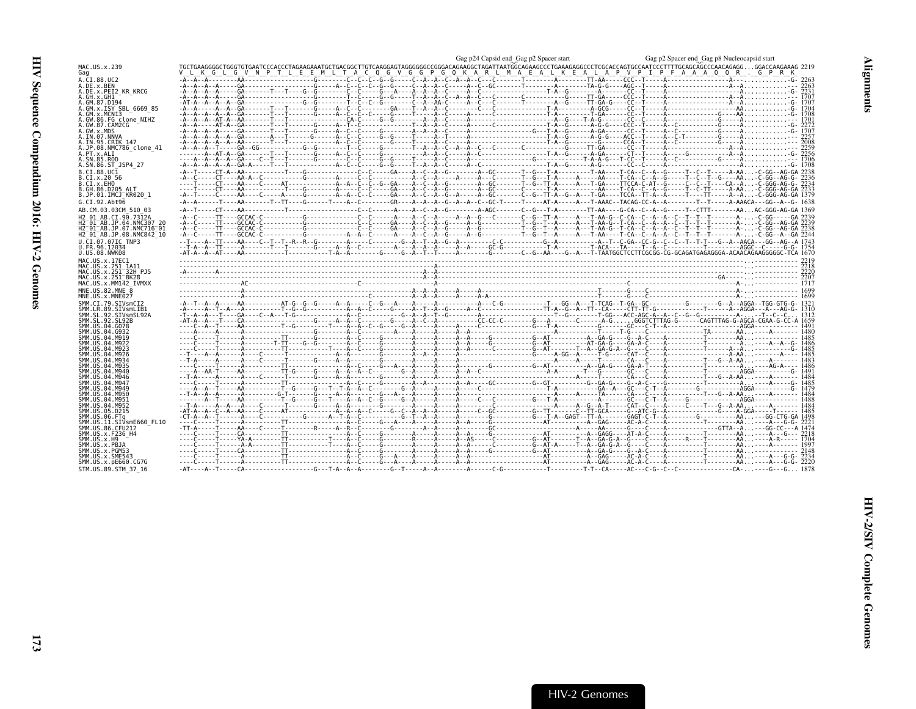<span id="page-18-0"></span>

| MAC.US.x.239<br>Gag                                              | $\begin{array}{c} \text{Gag p2 Space start} \text{Gag p3 Space end } \text{Gag p2 Space end } \text{Gag p3 Space end } \text{Gag p3 Space end } \text{Gag p3 Space end } \text{Gag p3 Space end } \text{Gag p3 Space end } \text{Gag p3 Space end } \text{Gag p3 Space end } \text{Gag p3 Space end } \text{Gag p4 Space end } \text{Gag p4 Space end } \text{Gag p3 Space end } \text{Gag p4 Space end } \text{Gag p4 Space end } \text{Gag p3 Space end } \text{Gag p4 Space end } \text{Gag p4 Space end } \text{Gag p5 219 } \text{Gag p5 210$ |  |
|------------------------------------------------------------------|----------------------------------------------------------------------------------------------------------------------------------------------------------------------------------------------------------------------------------------------------------------------------------------------------------------------------------------------------------------------------------------------------------------------------------------------------------------------------------------------------------------------------------------------------|--|
| A.CI.88.UC2                                                      |                                                                                                                                                                                                                                                                                                                                                                                                                                                                                                                                                    |  |
| A.DE.x.BEN<br>A.DE.X.PEI2 KR KRCG                                |                                                                                                                                                                                                                                                                                                                                                                                                                                                                                                                                                    |  |
| A.GH.x.GH1                                                       |                                                                                                                                                                                                                                                                                                                                                                                                                                                                                                                                                    |  |
| A.GM.87.D194                                                     |                                                                                                                                                                                                                                                                                                                                                                                                                                                                                                                                                    |  |
| A.GM.X.ISY SBL 6669 85<br>A.GM.X.MCNI3                           |                                                                                                                                                                                                                                                                                                                                                                                                                                                                                                                                                    |  |
| A.GW.86.FG clone NIHZ                                            |                                                                                                                                                                                                                                                                                                                                                                                                                                                                                                                                                    |  |
| A.GW.87.CAM2CG<br>A.GW.x.MDS                                     |                                                                                                                                                                                                                                                                                                                                                                                                                                                                                                                                                    |  |
| A.IN.07.NNVA                                                     |                                                                                                                                                                                                                                                                                                                                                                                                                                                                                                                                                    |  |
| A.IN.95.CRIK 147                                                 |                                                                                                                                                                                                                                                                                                                                                                                                                                                                                                                                                    |  |
| A.JP.08.NMC786 clone 41<br>A.PT.x.ALI                            |                                                                                                                                                                                                                                                                                                                                                                                                                                                                                                                                                    |  |
| A.SN.85.ROD                                                      |                                                                                                                                                                                                                                                                                                                                                                                                                                                                                                                                                    |  |
| A.SN.86.ST JSP4 27                                               |                                                                                                                                                                                                                                                                                                                                                                                                                                                                                                                                                    |  |
| B.CI.88.UC1<br>B.CI.X.20 56                                      |                                                                                                                                                                                                                                                                                                                                                                                                                                                                                                                                                    |  |
| B.CI.X.EHO                                                       |                                                                                                                                                                                                                                                                                                                                                                                                                                                                                                                                                    |  |
| B.GH.86.D205 ALT<br>B.JP.01.IMCJ KR020 1                         |                                                                                                                                                                                                                                                                                                                                                                                                                                                                                                                                                    |  |
| G.CI.92.Abt96                                                    | -A--A------T----AA-------T--T----G-----T---A--C--------GR----A--A--G--A--A--C--GC-T-----T----AT-A----A--A--C-T-AAAC--TACAG-CC-A--A---------T--T-----A-AAACA---GG--A--G-1638                                                                                                                                                                                                                                                                                                                                                                        |  |
| AB.CM.03.03CM 510 03                                             |                                                                                                                                                                                                                                                                                                                                                                                                                                                                                                                                                    |  |
| H <sub>2</sub> 01 AB.CI.90.7312A                                 |                                                                                                                                                                                                                                                                                                                                                                                                                                                                                                                                                    |  |
| H2 01 AB.JP.04.NMC307 20                                         |                                                                                                                                                                                                                                                                                                                                                                                                                                                                                                                                                    |  |
| H2 <sup>-01-AB.JP.07.NMC716-01</sup><br>H2 01 AB.JP.08.NMC842 10 |                                                                                                                                                                                                                                                                                                                                                                                                                                                                                                                                                    |  |
| U.CI.07.07IC TNP3                                                |                                                                                                                                                                                                                                                                                                                                                                                                                                                                                                                                                    |  |
| U.FR.96.12034                                                    |                                                                                                                                                                                                                                                                                                                                                                                                                                                                                                                                                    |  |
| U.US.08.NWK08                                                    |                                                                                                                                                                                                                                                                                                                                                                                                                                                                                                                                                    |  |
| MAC.US.x.17EC1<br>MAC.US.x.251 1A11                              |                                                                                                                                                                                                                                                                                                                                                                                                                                                                                                                                                    |  |
| MAC.US.x.251 <sup>-32H</sup> PJ5                                 | $\begin{bmatrix} 2200 \\ 2200 \\ -2000 \\ -3000 \\ -2000 \\ 2000 \\ -3000 \\ -4000 \\ -3000 \\ -4000 \\ -3000 \\ -4000 \\ -4000 \\ -4000 \\ -4000 \\ -4000 \\ -4000 \\ -4000 \\ -4000 \\ -4000 \\ -4000 \\ -4000 \\ -4000 \\ -4000 \\ -4000 \\ -4000 \\ -4000 \\ -4000 \\ -4000 \\ -4000 \\ -4000 \\ -4000 \\ -4000 \\ -4000 \\ -4000 \\ -400$                                                                                                                                                                                                     |  |
| MAC.US.x.251 <sup>-</sup> BK28                                   |                                                                                                                                                                                                                                                                                                                                                                                                                                                                                                                                                    |  |
| MAC.US.x.MM142 IVMXX<br>MNE.US.82.MNE 8                          |                                                                                                                                                                                                                                                                                                                                                                                                                                                                                                                                                    |  |
| MNE.US.x.MNE027                                                  |                                                                                                                                                                                                                                                                                                                                                                                                                                                                                                                                                    |  |
| SMM.CI.79.SIVsmCI2                                               |                                                                                                                                                                                                                                                                                                                                                                                                                                                                                                                                                    |  |
| SMM.LR.89.SIVsmLIB1                                              |                                                                                                                                                                                                                                                                                                                                                                                                                                                                                                                                                    |  |
| SMM.SL.92.SIVsmSL92A<br>SMM.SL.92.SL92B                          |                                                                                                                                                                                                                                                                                                                                                                                                                                                                                                                                                    |  |
| SMM.US.04.G078                                                   |                                                                                                                                                                                                                                                                                                                                                                                                                                                                                                                                                    |  |
| SMM.US.04.G932<br>SMM.US.04.M919                                 |                                                                                                                                                                                                                                                                                                                                                                                                                                                                                                                                                    |  |
| SMM.US.04.M922                                                   |                                                                                                                                                                                                                                                                                                                                                                                                                                                                                                                                                    |  |
| SMM.US.04.M923<br>SMM.US.04.M926                                 |                                                                                                                                                                                                                                                                                                                                                                                                                                                                                                                                                    |  |
| SMM.US.04.M934                                                   |                                                                                                                                                                                                                                                                                                                                                                                                                                                                                                                                                    |  |
| SMM.US.04.M935                                                   |                                                                                                                                                                                                                                                                                                                                                                                                                                                                                                                                                    |  |
| SMM.US.04.M940<br>SMM.US.04.M946                                 |                                                                                                                                                                                                                                                                                                                                                                                                                                                                                                                                                    |  |
| SMM.US.04.M947                                                   |                                                                                                                                                                                                                                                                                                                                                                                                                                                                                                                                                    |  |
| SMM.US.04.M949<br>SMM.US.04.M950                                 |                                                                                                                                                                                                                                                                                                                                                                                                                                                                                                                                                    |  |
| SMM.US.04.M951                                                   |                                                                                                                                                                                                                                                                                                                                                                                                                                                                                                                                                    |  |
| SMM.US.04.M952<br>SMM.US.05.D215                                 |                                                                                                                                                                                                                                                                                                                                                                                                                                                                                                                                                    |  |
| SMM.US.06.FTa                                                    |                                                                                                                                                                                                                                                                                                                                                                                                                                                                                                                                                    |  |
| SMM.US.11.SIVsmE660 FL10                                         |                                                                                                                                                                                                                                                                                                                                                                                                                                                                                                                                                    |  |
| SMM.US.86.CFU212<br>SMM.US.x.F236 H4                             |                                                                                                                                                                                                                                                                                                                                                                                                                                                                                                                                                    |  |
| SMM.US.x.H9                                                      |                                                                                                                                                                                                                                                                                                                                                                                                                                                                                                                                                    |  |
| SMM.US.x.PBJA                                                    |                                                                                                                                                                                                                                                                                                                                                                                                                                                                                                                                                    |  |
| SMM.US.x.PGM53<br>SMM.US.x.SME543                                |                                                                                                                                                                                                                                                                                                                                                                                                                                                                                                                                                    |  |
| SMM.US.x.pE660.CG7G                                              |                                                                                                                                                                                                                                                                                                                                                                                                                                                                                                                                                    |  |
| STM.US.89.STM 37 16                                              |                                                                                                                                                                                                                                                                                                                                                                                                                                                                                                                                                    |  |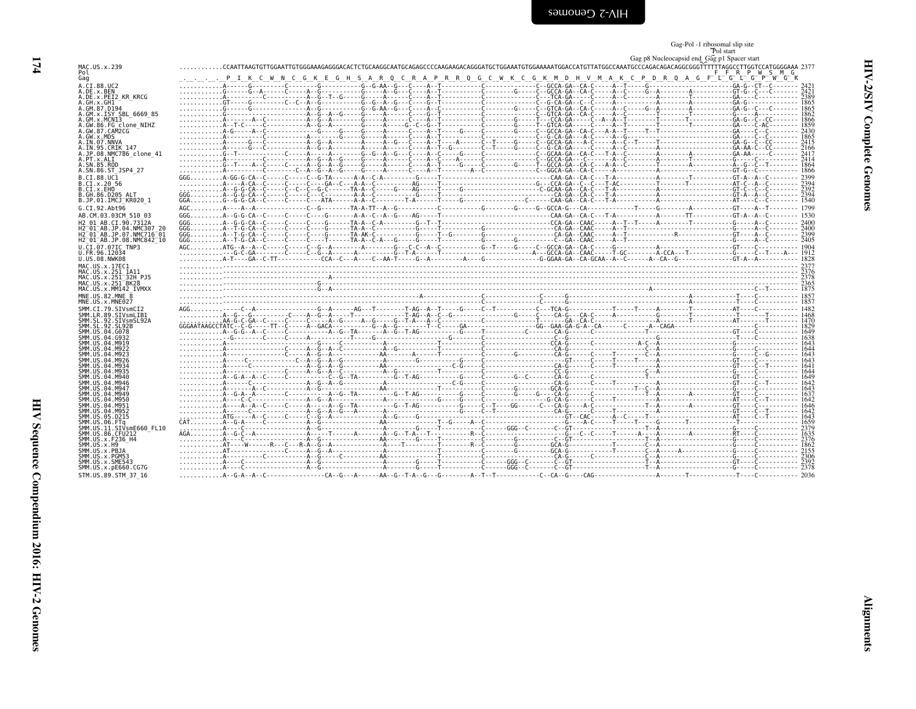<span id="page-19-0"></span>

|                                            | Gag-Pol -1 ribosomal slip site |
|--------------------------------------------|--------------------------------|
|                                            | Pol start                      |
| Gag p& Nucleocapsid and Gag p1 Spacer stat |                                |

|                                                                 | Gag p8 Nucleocapsid end Gag p1 Spacer start                                                                                                                   |  |
|-----------------------------------------------------------------|---------------------------------------------------------------------------------------------------------------------------------------------------------------|--|
| MAC.US.x.239                                                    | CCAATTAAGTGTTGGAATTGTGGGAAAGAGGGAAACTCTGCAAGGCAATGCAAGAGAAAGGGAATGCGGAAAATGTGGAAAAATGGACCATGTTATGGCCAAATGCCAAGACAGGACAGGCGGGTTTTTTAGGCCTTGGTCCATGGGGAAA 2377. |  |
| Pol                                                             | F F R P W S M G                                                                                                                                               |  |
| Gag                                                             | C P D R Q A G F L G L G P W G K<br>Q C R A P R R Q G C W K C G K M D H V M A K<br>G K E G H S A R                                                             |  |
| A.CI.88.UC2                                                     |                                                                                                                                                               |  |
| A.DE.x.BEN                                                      |                                                                                                                                                               |  |
| A.DE.x.PEI2 KR KRCG                                             |                                                                                                                                                               |  |
| A.GH.x.GH1                                                      |                                                                                                                                                               |  |
| A.GM.87.D194                                                    |                                                                                                                                                               |  |
| A.GM.x.ISY SBL 6669 85                                          |                                                                                                                                                               |  |
| A.GM.x.MCNI3                                                    |                                                                                                                                                               |  |
| A.GW.86.FG clone NIHZ                                           |                                                                                                                                                               |  |
| A.GW.87.CAM2CG                                                  |                                                                                                                                                               |  |
| A.GW.x.MDS                                                      |                                                                                                                                                               |  |
| A.IN.07.NNVA<br>A.IN.95.CRIK 147                                |                                                                                                                                                               |  |
| A.JP.08.NMC786 clone 41                                         |                                                                                                                                                               |  |
| A.PT.x.ALI                                                      |                                                                                                                                                               |  |
| A.SN.85.ROD                                                     |                                                                                                                                                               |  |
| A.SN.86.ST JSP4 27                                              |                                                                                                                                                               |  |
|                                                                 |                                                                                                                                                               |  |
| B.CI.88.UC1<br>B.CI.x.20 56                                     |                                                                                                                                                               |  |
| B.CI.X.EHO                                                      |                                                                                                                                                               |  |
| B.GH.86.D205 ALT                                                |                                                                                                                                                               |  |
| B.JP.01.IMCJ <sup>-</sup> KR020 1                               |                                                                                                                                                               |  |
|                                                                 |                                                                                                                                                               |  |
| $G.CI.92.Ah$ +96                                                |                                                                                                                                                               |  |
| AB.CM.03.03CM 510 03                                            |                                                                                                                                                               |  |
| H2 01 AB.CI.90.7312A                                            |                                                                                                                                                               |  |
| H2 <sup>-</sup> 01 <sup>-</sup> AB.JP.04.NMC307 20              |                                                                                                                                                               |  |
| H2 <sup>-</sup> 01 <sup>-</sup> AB.JP.07.NMC716 <sup>-</sup> 01 |                                                                                                                                                               |  |
| H2 <sup>-</sup> 01 <sup>-</sup> AB.JP.08.NMC842 <sup>-</sup> 10 |                                                                                                                                                               |  |
| U.CI.07.07IC TNP3                                               |                                                                                                                                                               |  |
| U.FR.96.12034                                                   |                                                                                                                                                               |  |
| U.US.08.NWK08                                                   |                                                                                                                                                               |  |
| MAC.US.x.17EC1                                                  |                                                                                                                                                               |  |
|                                                                 |                                                                                                                                                               |  |
|                                                                 |                                                                                                                                                               |  |
| MAC.US.x.251 1A11                                               |                                                                                                                                                               |  |
|                                                                 |                                                                                                                                                               |  |
| MAC.US.x.251-32H PJ5<br>MAC.US.x.251-BK28                       |                                                                                                                                                               |  |
| MAC.US.x.MM142 IVMXX                                            |                                                                                                                                                               |  |
| MNE.US.82.MNE 8                                                 |                                                                                                                                                               |  |
| MNE.US.x.MNE027                                                 |                                                                                                                                                               |  |
| SMM.CI.79.SIVsmCI2                                              |                                                                                                                                                               |  |
| SMM.LR.89.SIVsmLIB1                                             |                                                                                                                                                               |  |
| SMM.SL.92.SIVsmSL92A                                            |                                                                                                                                                               |  |
| SMM.SL.92.SL92B                                                 |                                                                                                                                                               |  |
| SMM.US.04.G078                                                  |                                                                                                                                                               |  |
| SMM.US.04.G932                                                  |                                                                                                                                                               |  |
| SMM.US.04.M919<br>SMM.US.04.M922                                |                                                                                                                                                               |  |
| SMM.US.04.M923                                                  |                                                                                                                                                               |  |
| SMM.US.04.M926                                                  |                                                                                                                                                               |  |
| SMM.US.04.M934                                                  |                                                                                                                                                               |  |
| SMM.US.04.M935                                                  |                                                                                                                                                               |  |
| SMM US 04 M940                                                  |                                                                                                                                                               |  |
| SMM.US.04.M946                                                  |                                                                                                                                                               |  |
| SMM.US.04.M947                                                  |                                                                                                                                                               |  |
| SMM.US.04.M949                                                  |                                                                                                                                                               |  |
| SMM.US.04.M950                                                  |                                                                                                                                                               |  |
| SMM.US.04.M951                                                  |                                                                                                                                                               |  |
| SMM.US.04.M952                                                  |                                                                                                                                                               |  |
| SMM.US.05.D215                                                  |                                                                                                                                                               |  |
| SMM.US.06.FTa                                                   |                                                                                                                                                               |  |
| SMM.US.11.SIVsmE660 FL10                                        |                                                                                                                                                               |  |
| SMM. US. 86. CFU212                                             |                                                                                                                                                               |  |
| SMM.US.x.F236 H4                                                |                                                                                                                                                               |  |
| SMM.US.x.H9                                                     |                                                                                                                                                               |  |
| SMM.US.x.PBJA                                                   |                                                                                                                                                               |  |
| SMM.US.x.PGM53                                                  |                                                                                                                                                               |  |
| SMM.US.x.SME543                                                 |                                                                                                                                                               |  |
| SMM.US.x.pE660.CG7G<br>STM.US.89.STM 37 16                      |                                                                                                                                                               |  |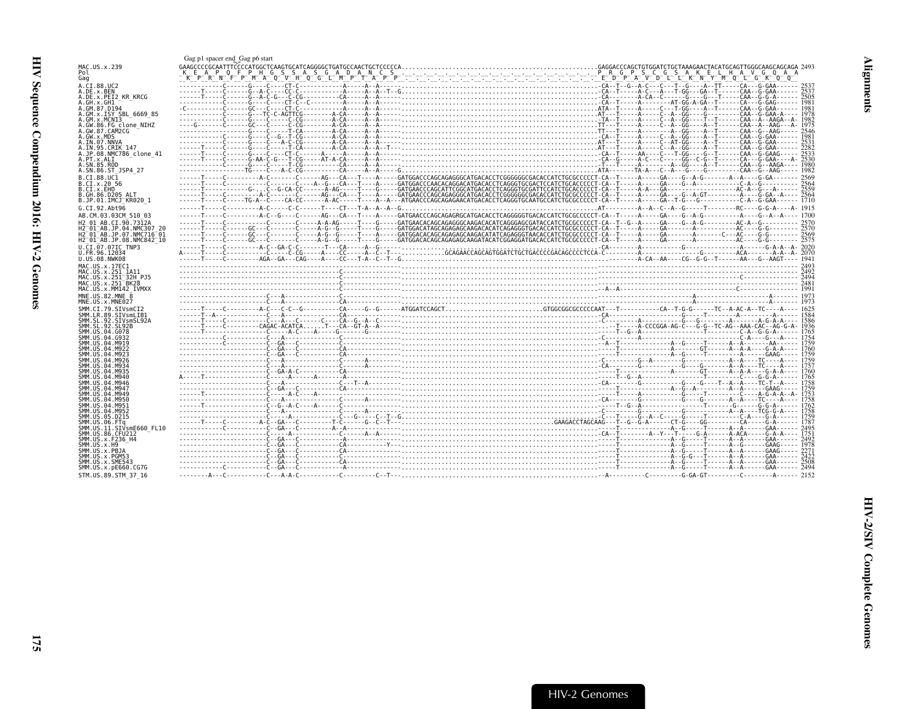<span id="page-20-0"></span>

| MAC.US.x.239                                                         |                     |  |  |  |  |  |
|----------------------------------------------------------------------|---------------------|--|--|--|--|--|
| Pol                                                                  |                     |  |  |  |  |  |
| Gag<br>A.CI.88.UC2                                                   |                     |  |  |  |  |  |
| A.DE.x.BEN                                                           |                     |  |  |  |  |  |
| A.DE.x.PEI2 KR KRCG                                                  |                     |  |  |  |  |  |
| A.GH.x.GH1<br>A.GM.87.D194                                           |                     |  |  |  |  |  |
| A.GM.x.ISY SBL 6669 85                                               |                     |  |  |  |  |  |
| A.GM.X.MCNI3                                                         |                     |  |  |  |  |  |
| A.GW.86.FG clone NIHZ<br>A.GW.87.CAM2CG                              |                     |  |  |  |  |  |
| A.GW.x.MDS                                                           |                     |  |  |  |  |  |
| A.IN.07.NNVA                                                         |                     |  |  |  |  |  |
| A.IN.95.CRIK 147<br>A.JP.08.NMC786 clone 41                          |                     |  |  |  |  |  |
| A.PT.x.ALI                                                           |                     |  |  |  |  |  |
| A.SN.85.ROD                                                          |                     |  |  |  |  |  |
| A.SN.86.ST JSP4 27<br>B.CI.88.UC1                                    |                     |  |  |  |  |  |
| B.CI.x.20 56                                                         |                     |  |  |  |  |  |
| B.CI.x.EHO                                                           |                     |  |  |  |  |  |
| B.GH.86.D205 ALT<br>B.JP.01.IMCJ <sup>-</sup> KR020 1                |                     |  |  |  |  |  |
| G.CI.92.Aht96                                                        |                     |  |  |  |  |  |
| AB.CM.03.03CM 510 03                                                 |                     |  |  |  |  |  |
| H2 01 AB.CI.90.7312A                                                 |                     |  |  |  |  |  |
| H2 01 AB JP 04 NMC307 20                                             |                     |  |  |  |  |  |
| H2 <sup>-</sup> 01 <sup>-</sup> AB.JP.07.NMC716 <sup>-</sup> 01      |                     |  |  |  |  |  |
| H2 <sup>-01-AB.JP.08.NMC842<sup>-10</sup></sup><br>U.CI.07.07IC TNP3 |                     |  |  |  |  |  |
| U.FR.96.12034                                                        |                     |  |  |  |  |  |
| U.US.08.NWK08                                                        |                     |  |  |  |  |  |
| MAC.US.x.17EC1                                                       |                     |  |  |  |  |  |
|                                                                      |                     |  |  |  |  |  |
| MAC.US.x.251 1A11                                                    |                     |  |  |  |  |  |
| MAC.US.x.251 <sup>-</sup> 32H PJ5<br>MAC.US.x.251 <sup>-</sup> BK28  |                     |  |  |  |  |  |
| MAC.US.x.MM142 IVMXX                                                 | $\frac{7481}{1991}$ |  |  |  |  |  |
| MNE.US.82.MNE 8                                                      |                     |  |  |  |  |  |
| MNE.US.x.MNE027                                                      |                     |  |  |  |  |  |
| SMM.CI.79.SIVsmCI2<br>SMM.LR.89.SIVsmLIB1                            |                     |  |  |  |  |  |
| SMM.SL.92.SIVsmSL92A                                                 |                     |  |  |  |  |  |
| SMM. SL. 92. SL92B                                                   |                     |  |  |  |  |  |
| SMM.US.04.G078<br>SMM. US.04. G932                                   |                     |  |  |  |  |  |
| SMM, US.04.M919                                                      |                     |  |  |  |  |  |
| SMM.US.04.M922<br>SMM.US.04.M923                                     |                     |  |  |  |  |  |
| SMM.US.04.M926                                                       |                     |  |  |  |  |  |
| SMM.US.04.M934                                                       |                     |  |  |  |  |  |
| SMM.US.04.M935<br>SMM, US.04.M940                                    |                     |  |  |  |  |  |
| SMM IIS 04 M946                                                      |                     |  |  |  |  |  |
| SMM IIS 04 M947                                                      |                     |  |  |  |  |  |
| SMM. US. 04. M949<br>SMM.US.04.M950                                  |                     |  |  |  |  |  |
| SMM. US. 04. M951                                                    |                     |  |  |  |  |  |
| SMM. US. 04. M952<br>SMM.US.05.D215                                  |                     |  |  |  |  |  |
| SMM.US.06.FTa                                                        |                     |  |  |  |  |  |
| SMM.US.11.SIVsmE660 FL10                                             |                     |  |  |  |  |  |
| SMM.US.86.CFU212<br>SMM. US. x. F236 H4                              |                     |  |  |  |  |  |
| SMM.US.x.H9                                                          |                     |  |  |  |  |  |
| SMM.US.x.PBJA                                                        |                     |  |  |  |  |  |
| SMM.US.x.PGM53<br>SMM.US.x.SME543                                    |                     |  |  |  |  |  |
| SMM.US.x.pE660.CG7G<br>STM.US.89.STM 37 16                           |                     |  |  |  |  |  |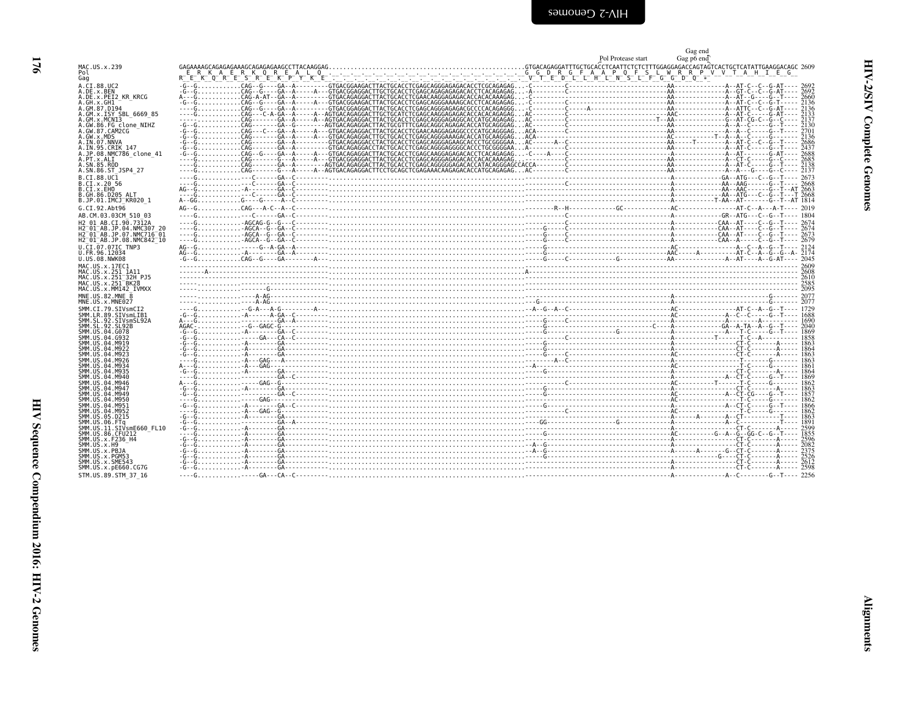| MAC.US.x.239<br>Pol                                                              | GAGAAAAGCAGAGAGAA<br>K A<br>E.<br>R<br>E              |
|----------------------------------------------------------------------------------|-------------------------------------------------------|
| Gag                                                                              | RT<br>E                                               |
| A.CI.88.UC2                                                                      | $-G - G \ldots \ldots$<br>$\ddot{\phantom{0}}$        |
| A.DE.x.BEN                                                                       | - G - - G<br>$\ddot{\phantom{0}}$                     |
| A.DE.x.PEI2 KR KRCG                                                              | A---G.                                                |
| A.GH.x.GH1<br>A.GM.87.D194                                                       | -G--G.                                                |
| A.GM.x.ISY SBL 6669 85                                                           | - - - - G<br>$\ddot{\phantom{0}}$<br>----G.           |
| A.GM.x.MCNI3                                                                     | .                                                     |
| A.GW.86.FG clone NIHZ                                                            | - G - - G<br>$\ddot{\phantom{1}}$                     |
| A.GW.87.CAM2CG<br>A.GW.x.MDS                                                     | - G - - G<br>$\ddot{\phantom{0}}$                     |
| A.IN.07.NNVA                                                                     | - G - - G<br>-G--G.<br>$\ddot{\phantom{0}}$           |
|                                                                                  | -G--G.<br>$\ddotsc$                                   |
| A.IN.95.CRIK 147<br>A.JP.08.NMC786_clone_41                                      | $-G - G \ldots \ldots \ldots$<br>$\ddot{\phantom{0}}$ |
| A.PT.x.ALI                                                                       | ----G.<br>$\ddot{\phantom{0}}$                        |
| A.SN.85.ROD<br>A.SN.86.ST JSP4 27                                                | - - - - G<br>$\ddot{\phantom{0}}$<br>- - - - G        |
| B.CI.88.UC1                                                                      |                                                       |
| B.CI.x.20 56                                                                     | - - - - G<br>- - - - G<br>$\ddot{\phantom{0}}$        |
| B.CI.X.EHO                                                                       | AG--G.                                                |
| B.GH.86.D205 ALT                                                                 | - - - - G<br>$\ddot{\phantom{0}}$                     |
| B.JP.01.IMCJ KR020 1                                                             | A--GG                                                 |
| G.CI.92.Abt96                                                                    | AG--G.                                                |
| AB.CM.03.03CM 510 03                                                             | - - - - G                                             |
| H2 01 AB.CI.90.7312A                                                             | - - - - G                                             |
|                                                                                  | ----G.<br>- - - - G                                   |
| H2 01 AB.JP.04.NMC307 20<br>H2 01 AB.JP.07.NMC716 01<br>H2 01 AB.JP.08.NMC842 10 | - - - - G                                             |
| U.CI.07.07IC TNP3                                                                | AG--G.                                                |
| U.FR.96.12034                                                                    | AG--G.<br>$\ddot{\phantom{0}}$                        |
| U.US.08.NWK08                                                                    | -G--G.                                                |
| MAC.US.x.17EC1                                                                   | .<br>- - - - - - - A - - - - - - -                    |
| MAC.US.x.251 1A11<br>MAC.US.x.251 32H PJ5                                        | . .                                                   |
| MAC.US.x.251-32H<br>MAC.US.x.251-BK28                                            | .                                                     |
| MAC.US.x.MM142 IVMXX                                                             | ------ <b></b>                                        |
| MNE.US.82.MNE 8                                                                  | ---------------<br>$\ddot{\phantom{0}}$               |
| MNE.US.x.MNE027                                                                  | .                                                     |
| SMM.CI.79.SIVsmCI2                                                               | - - - - G                                             |
| SMM.LR.89.SIVsmLIB1<br>SMM.SL.92.SIVsmSL92A                                      | - G - - G<br>$\ddotsc$<br>A---G.                      |
| SMM.SL.92.SL92B                                                                  | $AGAC - \ldots - \ldots$<br>$\ddotsc$                 |
| SMM.US.04.G078                                                                   | - G - - G                                             |
| SMM. US.04.G932                                                                  | -G--G.                                                |
| SMM.US.04.M919<br>SMM.US.04.M922                                                 | $-6 - -6 - \cdots$<br>-G--G.                          |
| SMM.US.04.M923                                                                   | - G - - G<br>$\ddot{\phantom{0}}$                     |
| SMM.US.04.M926                                                                   | - - - - G                                             |
| SMM.US.04.M934                                                                   | A---G.<br>$\ddot{\phantom{0}}$<br>-G--G.              |
| SMM.US.04.M935<br>SMM. US. 04. M940                                              | - - - - G                                             |
| SMM.US.04.M946<br>SMM.US.04.M947                                                 | A---G.                                                |
|                                                                                  | -6--6                                                 |

<span id="page-21-0"></span>

|                                                                                      |                | Pol Protease start | Gag end<br>Gag po end |
|--------------------------------------------------------------------------------------|----------------|--------------------|-----------------------|
| MAC.US.x.239                                                                         |                |                    |                       |
| Pol<br>Gag                                                                           |                |                    |                       |
| A.CI.88.UC2<br>A.DE.x.BEN                                                            |                |                    |                       |
| A.DE.x.PEI2 KR KRCG                                                                  |                |                    |                       |
| A.GH.x.GH1<br>A.GM.87.D194                                                           |                |                    |                       |
| A.GM.x.ISY SBL 6669 85<br>A.GM.x.MCNI3                                               |                |                    |                       |
| A.GW.86.FG clone NIHZ<br>A.GW.87.CAM2CG                                              |                |                    |                       |
| A.GW.x.MDS                                                                           |                |                    |                       |
| A.IN.07.NNVA<br>A.IN.95.CRIK 147                                                     |                |                    |                       |
| A.JP.08.NMC786 clone 41<br>A.PT.x.ALI                                                |                |                    |                       |
| A.SN.85.ROD                                                                          |                |                    |                       |
| A.SN.86.ST JSP4 27<br>B.CI.88.UC1                                                    |                |                    |                       |
| B.CI.x.20 56<br>B.CI.x.EHO                                                           |                |                    |                       |
| B.GH.86.D205 ALT                                                                     |                |                    |                       |
| B.JP.01.IMCJ <sup>-</sup> KR020 1<br>G.CI.92.Abt96                                   |                |                    |                       |
| AB.CM.03.03CM 510 03                                                                 |                |                    |                       |
| H2 01 AB.CI.90.7312A<br>H2 <sup>-</sup> 01 <sup>-</sup> AB.JP.04.NMC307 20           |                |                    |                       |
| H2 <sup>-</sup> 01 <sup>-</sup> AB.JP.07.NMC716 <sup>-</sup> 01                      |                |                    |                       |
| H2 <sup>-</sup> 01 <sup>-</sup> AB.JP.08.NMC842 <sup>-</sup> 10<br>U.CI.07.07IC TNP3 | $rac{1}{2124}$ |                    |                       |
| U.FR.96.12034<br>U.US.08.NWK08                                                       |                |                    |                       |
| MAC.US.x.17EC1                                                                       |                |                    |                       |
| MAC.US.x.251 1A11<br>MAC.US.x.251 <sup>-</sup> 32H PJ5                               |                |                    |                       |
| MAC.US.x.251 <sup>-</sup> BK28<br>MAC.US.x.MM142 IVMXX                               |                |                    |                       |
| MNE.US.82.MNE 8                                                                      |                |                    |                       |
| MNE.US.x.MNE027<br>SMM.CI.79.SIVsmCI2                                                |                |                    |                       |
| SMM.LR.89.SIVsmLIB1                                                                  |                |                    |                       |
| SMM.SL.92.SIVsmSL92A<br>SMM.SL.92.SL92B                                              |                |                    |                       |
| SMM.US.04.G078<br>SMM.US.04.G932                                                     |                |                    |                       |
| SMM.US.04.M919<br>SMM.US.04.M922                                                     |                |                    |                       |
| SMM.US.04.M923                                                                       |                |                    |                       |
| SMM. US. 04. M926<br>SMM.US.04.M934                                                  |                |                    |                       |
| SMM. US.04.M935<br>SMM.US.04.M940                                                    |                |                    |                       |
| SMM. US. 04. M946<br>SMM.US.04.M947                                                  |                |                    |                       |
| SMM.US.04.M949                                                                       |                |                    |                       |
| SMM.US.04.M950<br>SMM.US.04.M951                                                     |                |                    |                       |
| SMM.US.04.M952<br>SMM.US.05.D215                                                     |                |                    |                       |
| SMM.US.06.FTq<br>SMM.US.11.SIVsmE660 FL10                                            |                |                    |                       |
| SMM.US.86.CFU212                                                                     |                |                    |                       |
| SMM.US.x.F236 H4<br>SMM.US.x.H9                                                      |                |                    |                       |
| SMM.US.x.PBJA<br>SMM.US.x.PGM53                                                      |                |                    |                       |
| SMM.US.x.SME543                                                                      |                |                    |                       |
| SMM.US.x.pE660.CG7G<br>STM.US.89.STM 37 16                                           |                |                    |                       |
|                                                                                      |                |                    |                       |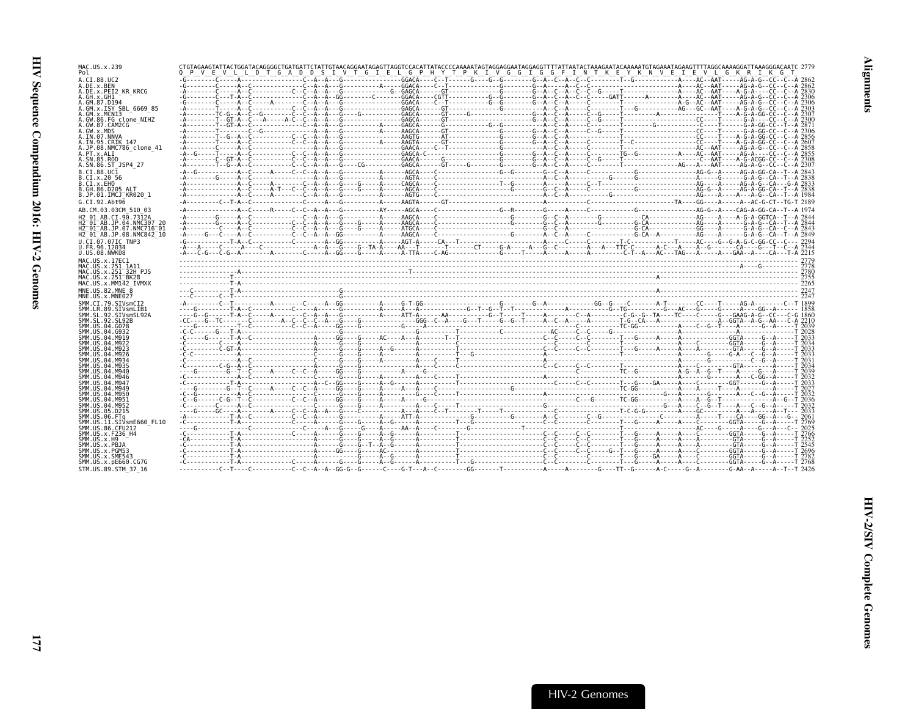| MAC.US.x.239<br>Pol                                                                                                   | CTGTAGAAGTATTACTGGATACAGGGGCTGATGATTCTATTGTAACAGGAATAGAGTTAGGTCCACATTATACCCCAAAAATAGTAGGAGGATATGAGGATTATTAATACTAAAGAATACAAAAATGTAGAAATAGAAGTTTTTAGGCAAAAGGATTAAAGGGCACAATC 2779<br>O P V E V L L D T G A D D S I V T G I E L G P H Y T P K I V G G I G G F I N T K E Y K N V E I E V L G K R I K G T |  |
|-----------------------------------------------------------------------------------------------------------------------|------------------------------------------------------------------------------------------------------------------------------------------------------------------------------------------------------------------------------------------------------------------------------------------------------|--|
| A.CI.88.UC2<br>A.DE.x.BEN                                                                                             |                                                                                                                                                                                                                                                                                                      |  |
| A.DE.x.PEI2 KR KRCG                                                                                                   |                                                                                                                                                                                                                                                                                                      |  |
| A.GH.x.GH1<br>A.GM.87.D194                                                                                            |                                                                                                                                                                                                                                                                                                      |  |
| A.GM.x.ISY SBL 6669 85<br>A.GM.x.MCNI3                                                                                |                                                                                                                                                                                                                                                                                                      |  |
| A.GW.86.FG clone NIHZ                                                                                                 |                                                                                                                                                                                                                                                                                                      |  |
| A.GW.87.CAM2CG<br>A.GW.x.MDS                                                                                          |                                                                                                                                                                                                                                                                                                      |  |
| A.IN.07.NNVA<br>A.IN.95.CRIK 147                                                                                      |                                                                                                                                                                                                                                                                                                      |  |
| A.JP.08.NMC786 clone 41                                                                                               |                                                                                                                                                                                                                                                                                                      |  |
| A.PT.x.ALI<br>A.SN.85.ROD                                                                                             |                                                                                                                                                                                                                                                                                                      |  |
| A.SN.86.ST JSP4 27<br>B.CI.88.UC1                                                                                     |                                                                                                                                                                                                                                                                                                      |  |
| B.CI.x.20 56                                                                                                          |                                                                                                                                                                                                                                                                                                      |  |
| B.CI.x.EHO<br>B.GH.86.D205 ALT                                                                                        |                                                                                                                                                                                                                                                                                                      |  |
| B.JP.01.IMCJ <sup>-</sup> KR020 1                                                                                     |                                                                                                                                                                                                                                                                                                      |  |
| G.CI.92.Abt96                                                                                                         |                                                                                                                                                                                                                                                                                                      |  |
| AB.CM.03.03CM 510 03<br>H2 01 AB.CI.90.7312A                                                                          |                                                                                                                                                                                                                                                                                                      |  |
| H2 <sup>-</sup> 01 <sup>-</sup> AB.JP.04.NMC307 20<br>H2 <sup>-</sup> 01 <sup>-</sup> AB.JP.07.NMC716 <sup>-</sup> 01 |                                                                                                                                                                                                                                                                                                      |  |
| H2 <sup>-</sup> 01 <sup>-</sup> AB.JP.08.NMC842 <sup>-</sup> 10                                                       |                                                                                                                                                                                                                                                                                                      |  |
| U.CI.07.07IC TNP3<br>U.FR.96.12034                                                                                    |                                                                                                                                                                                                                                                                                                      |  |
| U.US.08.NWK08                                                                                                         |                                                                                                                                                                                                                                                                                                      |  |
| MAC.US.x.17EC1                                                                                                        |                                                                                                                                                                                                                                                                                                      |  |
| MAC.US.x.251 1A11<br>MAC.US.x.251 <sup>-</sup> 32H PJ5                                                                |                                                                                                                                                                                                                                                                                                      |  |
| MAC.US.x.251 <sup>-</sup> BK28<br>MAC.US.x.MM142 IVMXX                                                                |                                                                                                                                                                                                                                                                                                      |  |
| MNE.US.82.MNE 8                                                                                                       |                                                                                                                                                                                                                                                                                                      |  |
| MNE.US.x.MNE027<br>SMM.CI.79.SIVsmCI2                                                                                 |                                                                                                                                                                                                                                                                                                      |  |
| SMM.LR.89.SIVsmLIB1                                                                                                   |                                                                                                                                                                                                                                                                                                      |  |
| SMM.SL.92.SIVsmSL92A<br>SMM SL 92 SL92B                                                                               |                                                                                                                                                                                                                                                                                                      |  |
| SMM.US.04.G078<br>SMM.US.04.G932                                                                                      |                                                                                                                                                                                                                                                                                                      |  |
| SMM.US.04.M919                                                                                                        |                                                                                                                                                                                                                                                                                                      |  |
| SMM.US.04.M922<br>SMM.US.04.M923                                                                                      |                                                                                                                                                                                                                                                                                                      |  |
| SMM.US.04.M926<br>SMM US 04 M934                                                                                      |                                                                                                                                                                                                                                                                                                      |  |
| SMM US 04 M935                                                                                                        |                                                                                                                                                                                                                                                                                                      |  |
| SMM.US.04.M940<br>SMM.US.04.M946                                                                                      |                                                                                                                                                                                                                                                                                                      |  |
| SMM US 04 M947<br>SMM.US.04.M949                                                                                      | $c_1c_2c_3c_4c_5c_6c_7c_8c_9c_9c_1c_1c_2c_2c_3c_1c_2c_2c_3c_1c_2c_2c_1c_2c_2c_2c_3c_1c_2c_2c_1c_2c_3c_1c_2c_2c_1c_2c_2c_1c_2c_2c_1c_2c_2c_1c_2c_2c_1c_2c_2c_1c_2c_2c_1c_2c_2c_1c_2c_2c_1c_2c_2c_1c_2c_2c_1c_2c_2c_1c_2c_2c_1c$                                                                       |  |
| SMM.US.04.M950                                                                                                        |                                                                                                                                                                                                                                                                                                      |  |
| SMM.US.04.M951<br>SMM IIS 04 M952                                                                                     |                                                                                                                                                                                                                                                                                                      |  |
| SMM.US.05.D215<br>SMM.US.06.FTq                                                                                       |                                                                                                                                                                                                                                                                                                      |  |
| SMM.US.11.SIVsmE660 FL10                                                                                              |                                                                                                                                                                                                                                                                                                      |  |
| SMM.US.86.CFU212<br>SMM.US.x.F236 H4                                                                                  |                                                                                                                                                                                                                                                                                                      |  |
| SMM.US.x.H9<br>SMM.US.x.PBJA                                                                                          |                                                                                                                                                                                                                                                                                                      |  |
| SMM.US.x.PGM53                                                                                                        |                                                                                                                                                                                                                                                                                                      |  |
| SMM.US.x.SME543<br>SMM.US.x.pE660.CG7G                                                                                |                                                                                                                                                                                                                                                                                                      |  |
| STM.US.89.STM 37 16                                                                                                   |                                                                                                                                                                                                                                                                                                      |  |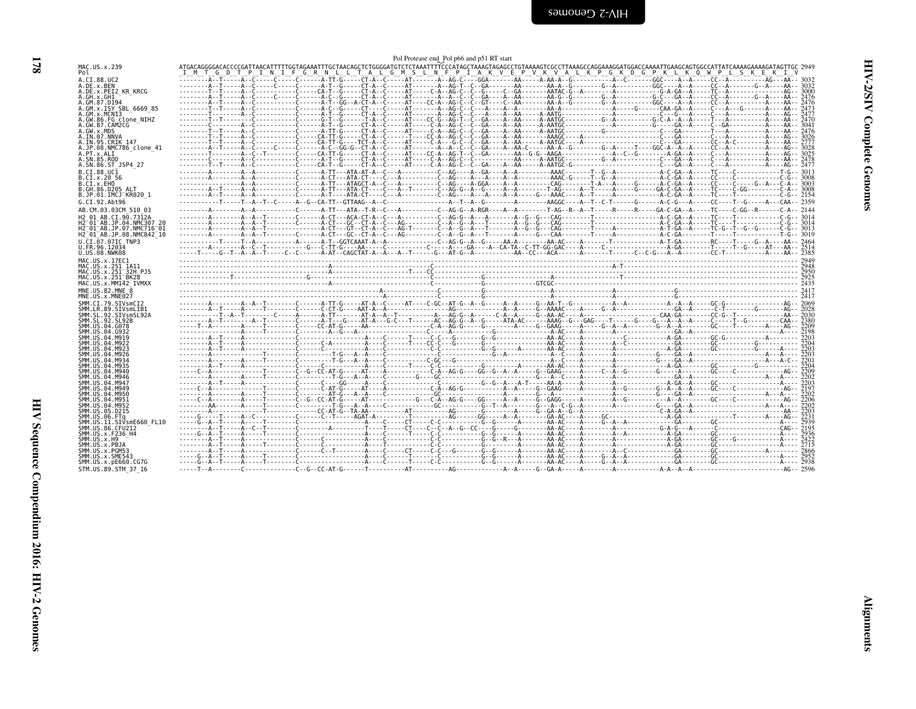<span id="page-23-0"></span>

| MAC.US.x.239                                                                                                                                                                                                                                                                                                                                                                                                                                                                                       | ATGACAGGGGACACCCCGATTAACATTTTTGGTAGAAATTTGCTAACAGCTCTGGGGATGTCTCTAAATTTTCCCATAGCTAAAGTAGAGCCTGTAAAAGTCGCCTTAAAGCCAGGAAAGGATGGACCAAAATTGAAGCAGTGGCCATTATCAAAAGAAAAGATAGTTGC 2949<br>I M T G D T P I N I F G R N L L T A L G M S L N F P I A K V E P V K V A L K P G K D G P K L K Q W P L S K E K I V |  |  |  |  |
|----------------------------------------------------------------------------------------------------------------------------------------------------------------------------------------------------------------------------------------------------------------------------------------------------------------------------------------------------------------------------------------------------------------------------------------------------------------------------------------------------|------------------------------------------------------------------------------------------------------------------------------------------------------------------------------------------------------------------------------------------------------------------------------------------------------|--|--|--|--|
| A.CI.88.UC2                                                                                                                                                                                                                                                                                                                                                                                                                                                                                        |                                                                                                                                                                                                                                                                                                      |  |  |  |  |
| A.DE.x.BEN                                                                                                                                                                                                                                                                                                                                                                                                                                                                                         |                                                                                                                                                                                                                                                                                                      |  |  |  |  |
| A.DE.x.PEI2 KR KRCG                                                                                                                                                                                                                                                                                                                                                                                                                                                                                |                                                                                                                                                                                                                                                                                                      |  |  |  |  |
| A.GH.x.GH1                                                                                                                                                                                                                                                                                                                                                                                                                                                                                         |                                                                                                                                                                                                                                                                                                      |  |  |  |  |
| A.GM.87.D194<br>A.GM.x.ISY SBL 6669 85                                                                                                                                                                                                                                                                                                                                                                                                                                                             |                                                                                                                                                                                                                                                                                                      |  |  |  |  |
| A.GM.x.MCN13                                                                                                                                                                                                                                                                                                                                                                                                                                                                                       |                                                                                                                                                                                                                                                                                                      |  |  |  |  |
| A.GW.86.FG clone NIHZ                                                                                                                                                                                                                                                                                                                                                                                                                                                                              |                                                                                                                                                                                                                                                                                                      |  |  |  |  |
| A.GW.87.CAM2CG                                                                                                                                                                                                                                                                                                                                                                                                                                                                                     |                                                                                                                                                                                                                                                                                                      |  |  |  |  |
| A.GW.x.MDS                                                                                                                                                                                                                                                                                                                                                                                                                                                                                         |                                                                                                                                                                                                                                                                                                      |  |  |  |  |
| A.IN.07.NNVA                                                                                                                                                                                                                                                                                                                                                                                                                                                                                       |                                                                                                                                                                                                                                                                                                      |  |  |  |  |
| A.IN.95.CRIK 147<br>A.JP.08.NMC786 clone 41                                                                                                                                                                                                                                                                                                                                                                                                                                                        |                                                                                                                                                                                                                                                                                                      |  |  |  |  |
| A.PT.x.ALI                                                                                                                                                                                                                                                                                                                                                                                                                                                                                         |                                                                                                                                                                                                                                                                                                      |  |  |  |  |
| A.SN.85.ROD                                                                                                                                                                                                                                                                                                                                                                                                                                                                                        |                                                                                                                                                                                                                                                                                                      |  |  |  |  |
| A.SN.86.ST JSP4 27                                                                                                                                                                                                                                                                                                                                                                                                                                                                                 |                                                                                                                                                                                                                                                                                                      |  |  |  |  |
| B.CI.88.UC1                                                                                                                                                                                                                                                                                                                                                                                                                                                                                        |                                                                                                                                                                                                                                                                                                      |  |  |  |  |
| B.CI.x.20 56                                                                                                                                                                                                                                                                                                                                                                                                                                                                                       |                                                                                                                                                                                                                                                                                                      |  |  |  |  |
| B.CI.x.EHO                                                                                                                                                                                                                                                                                                                                                                                                                                                                                         |                                                                                                                                                                                                                                                                                                      |  |  |  |  |
| B.GH.86.D205 ALT                                                                                                                                                                                                                                                                                                                                                                                                                                                                                   |                                                                                                                                                                                                                                                                                                      |  |  |  |  |
| B.JP.01.IMCJ <sup>-</sup> KR020 1                                                                                                                                                                                                                                                                                                                                                                                                                                                                  |                                                                                                                                                                                                                                                                                                      |  |  |  |  |
| G.CI.92.Abt96                                                                                                                                                                                                                                                                                                                                                                                                                                                                                      |                                                                                                                                                                                                                                                                                                      |  |  |  |  |
| AB.CM.03.03CM 510 03                                                                                                                                                                                                                                                                                                                                                                                                                                                                               | -------A--------A--A----------C-----A-TT---ATA--T-R--C---A---------C--AG-G--A-RGR----A--A-------T-AG--R--A--T-----R------R-----G-GA-C-GA--A-----TC----C-GG--R------C-A-- 2144                                                                                                                        |  |  |  |  |
| H <sub>2</sub> 01 AB.CI.90.7312A                                                                                                                                                                                                                                                                                                                                                                                                                                                                   |                                                                                                                                                                                                                                                                                                      |  |  |  |  |
| H2 01 AB.JP.04.NMC307 20                                                                                                                                                                                                                                                                                                                                                                                                                                                                           |                                                                                                                                                                                                                                                                                                      |  |  |  |  |
| H2 01 AB.JP.07.NMC716 01                                                                                                                                                                                                                                                                                                                                                                                                                                                                           |                                                                                                                                                                                                                                                                                                      |  |  |  |  |
| H2 01 AB.JP.08.NMC842 10                                                                                                                                                                                                                                                                                                                                                                                                                                                                           |                                                                                                                                                                                                                                                                                                      |  |  |  |  |
| U.CI.07.07IC TNP3                                                                                                                                                                                                                                                                                                                                                                                                                                                                                  |                                                                                                                                                                                                                                                                                                      |  |  |  |  |
| U.FR.96.12034<br>U.US.08.NWK08                                                                                                                                                                                                                                                                                                                                                                                                                                                                     |                                                                                                                                                                                                                                                                                                      |  |  |  |  |
| MAC.US.x.17EC1                                                                                                                                                                                                                                                                                                                                                                                                                                                                                     |                                                                                                                                                                                                                                                                                                      |  |  |  |  |
| MAC.US.x.251 1A11                                                                                                                                                                                                                                                                                                                                                                                                                                                                                  |                                                                                                                                                                                                                                                                                                      |  |  |  |  |
| MAC.US.x.251 <sup>-32H</sup> PJ5                                                                                                                                                                                                                                                                                                                                                                                                                                                                   |                                                                                                                                                                                                                                                                                                      |  |  |  |  |
| MAC.US.x.251 <sup>-</sup> BK28                                                                                                                                                                                                                                                                                                                                                                                                                                                                     |                                                                                                                                                                                                                                                                                                      |  |  |  |  |
| MAC.US.x.MM142 IVMXX                                                                                                                                                                                                                                                                                                                                                                                                                                                                               |                                                                                                                                                                                                                                                                                                      |  |  |  |  |
| MNE.US.82.MNE 8                                                                                                                                                                                                                                                                                                                                                                                                                                                                                    |                                                                                                                                                                                                                                                                                                      |  |  |  |  |
| MNE.US.x.MNE027                                                                                                                                                                                                                                                                                                                                                                                                                                                                                    |                                                                                                                                                                                                                                                                                                      |  |  |  |  |
| SMM.CI.79.SIVsmCI2                                                                                                                                                                                                                                                                                                                                                                                                                                                                                 |                                                                                                                                                                                                                                                                                                      |  |  |  |  |
| SMM.LR.89.SIVsmLIB1                                                                                                                                                                                                                                                                                                                                                                                                                                                                                |                                                                                                                                                                                                                                                                                                      |  |  |  |  |
| SMM.SL.92.SIVsmSL92A<br>SMM. SL. 92. SL92B                                                                                                                                                                                                                                                                                                                                                                                                                                                         |                                                                                                                                                                                                                                                                                                      |  |  |  |  |
| SMM. US.04.G078                                                                                                                                                                                                                                                                                                                                                                                                                                                                                    |                                                                                                                                                                                                                                                                                                      |  |  |  |  |
|                                                                                                                                                                                                                                                                                                                                                                                                                                                                                                    |                                                                                                                                                                                                                                                                                                      |  |  |  |  |
|                                                                                                                                                                                                                                                                                                                                                                                                                                                                                                    |                                                                                                                                                                                                                                                                                                      |  |  |  |  |
|                                                                                                                                                                                                                                                                                                                                                                                                                                                                                                    |                                                                                                                                                                                                                                                                                                      |  |  |  |  |
|                                                                                                                                                                                                                                                                                                                                                                                                                                                                                                    |                                                                                                                                                                                                                                                                                                      |  |  |  |  |
|                                                                                                                                                                                                                                                                                                                                                                                                                                                                                                    |                                                                                                                                                                                                                                                                                                      |  |  |  |  |
|                                                                                                                                                                                                                                                                                                                                                                                                                                                                                                    |                                                                                                                                                                                                                                                                                                      |  |  |  |  |
|                                                                                                                                                                                                                                                                                                                                                                                                                                                                                                    |                                                                                                                                                                                                                                                                                                      |  |  |  |  |
|                                                                                                                                                                                                                                                                                                                                                                                                                                                                                                    |                                                                                                                                                                                                                                                                                                      |  |  |  |  |
|                                                                                                                                                                                                                                                                                                                                                                                                                                                                                                    |                                                                                                                                                                                                                                                                                                      |  |  |  |  |
|                                                                                                                                                                                                                                                                                                                                                                                                                                                                                                    |                                                                                                                                                                                                                                                                                                      |  |  |  |  |
|                                                                                                                                                                                                                                                                                                                                                                                                                                                                                                    |                                                                                                                                                                                                                                                                                                      |  |  |  |  |
|                                                                                                                                                                                                                                                                                                                                                                                                                                                                                                    |                                                                                                                                                                                                                                                                                                      |  |  |  |  |
|                                                                                                                                                                                                                                                                                                                                                                                                                                                                                                    |                                                                                                                                                                                                                                                                                                      |  |  |  |  |
|                                                                                                                                                                                                                                                                                                                                                                                                                                                                                                    |                                                                                                                                                                                                                                                                                                      |  |  |  |  |
|                                                                                                                                                                                                                                                                                                                                                                                                                                                                                                    |                                                                                                                                                                                                                                                                                                      |  |  |  |  |
|                                                                                                                                                                                                                                                                                                                                                                                                                                                                                                    |                                                                                                                                                                                                                                                                                                      |  |  |  |  |
|                                                                                                                                                                                                                                                                                                                                                                                                                                                                                                    |                                                                                                                                                                                                                                                                                                      |  |  |  |  |
|                                                                                                                                                                                                                                                                                                                                                                                                                                                                                                    |                                                                                                                                                                                                                                                                                                      |  |  |  |  |
|                                                                                                                                                                                                                                                                                                                                                                                                                                                                                                    |                                                                                                                                                                                                                                                                                                      |  |  |  |  |
|                                                                                                                                                                                                                                                                                                                                                                                                                                                                                                    |                                                                                                                                                                                                                                                                                                      |  |  |  |  |
|                                                                                                                                                                                                                                                                                                                                                                                                                                                                                                    |                                                                                                                                                                                                                                                                                                      |  |  |  |  |
|                                                                                                                                                                                                                                                                                                                                                                                                                                                                                                    |                                                                                                                                                                                                                                                                                                      |  |  |  |  |
| SMM.US.04.G932<br>SMM.US.04.M919<br>SMM. US.04.M922<br>SMM.US.04.M923<br>SMM.US.04.M926<br>SMM. US.04.M934<br>SMM. US. 04. M935<br>SMM. US.04.M940<br>SMM. US. 04. M946<br>SMM.US.04.M947<br>SMM.US.04.M949<br>SMM. US.04.M950<br>SMM.US.04.M951<br>SMM.US.04.M952<br>SMM. US. 05. D215<br>SMM.US.06.FTq<br>SMM.US.11.SIVsmE660 FL10<br>SMM.US.86.CFU212<br>SMM. US. x. F236 H4<br>SMM.US.x.H9<br>SMM.US.x.PBJA<br>SMM.US.x.PGM53<br>SMM.US.x.SME543<br>SMM.US.x.pE660.CG7G<br>STM.US.89.STM 37 16 |                                                                                                                                                                                                                                                                                                      |  |  |  |  |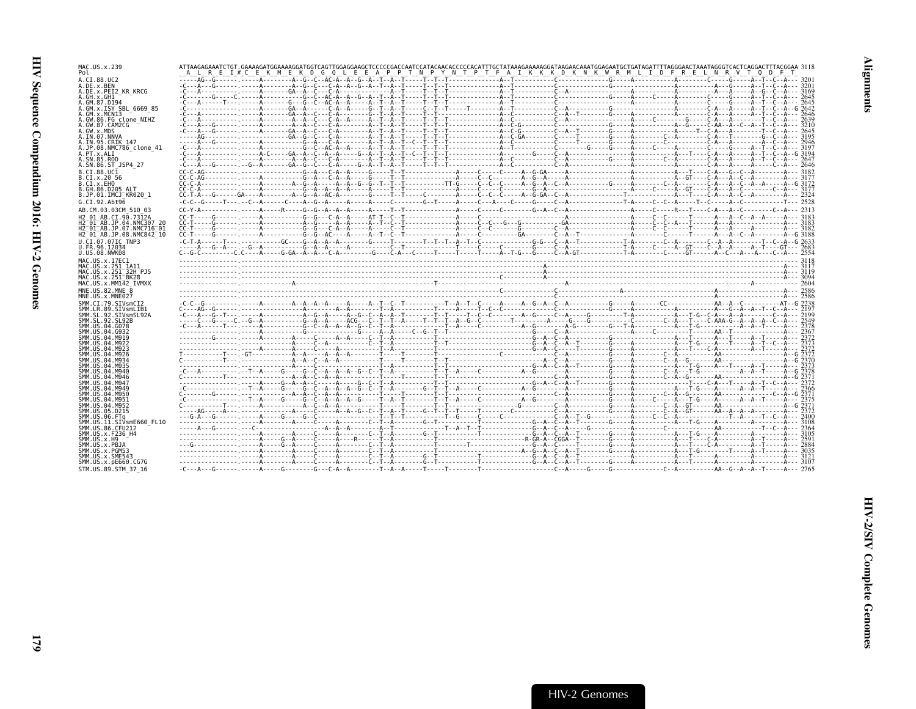| MAC.US.x.239<br>Pol                                                                   | ATTAAGAGAAATCTGT.GAAAAGATGGAAAAGGATGGTCAGTTGGAGGAAGCTCCCCCGACCAATCCATACAACACCCCCACATTTGCTATAAAGAAAAGGATAAGAACAAATGGAGAATGCTGATAGATTTTAGGGAACTAAATAGGGTCACTCAGGACTTTACGGAA 3118                                                                          | A L R E I # C E K M E K D G Q L E E A P P T N P Y N T P T F A I K K K D K N K W R M L I D F R E L N R V T Q D F T |  |  |  |  |  |  |  |  |
|---------------------------------------------------------------------------------------|---------------------------------------------------------------------------------------------------------------------------------------------------------------------------------------------------------------------------------------------------------|-------------------------------------------------------------------------------------------------------------------|--|--|--|--|--|--|--|--|
| A.CI.88.UC2<br>A.DE.x.BEN                                                             |                                                                                                                                                                                                                                                         |                                                                                                                   |  |  |  |  |  |  |  |  |
| A.DE.X.PEI2 KR KRCG<br>A.GH.x.GH1                                                     |                                                                                                                                                                                                                                                         |                                                                                                                   |  |  |  |  |  |  |  |  |
| A.GM.87.D194                                                                          |                                                                                                                                                                                                                                                         |                                                                                                                   |  |  |  |  |  |  |  |  |
| A.GM.x.ISY SBL 6669 85<br>A.GM.X.MCNI3                                                |                                                                                                                                                                                                                                                         |                                                                                                                   |  |  |  |  |  |  |  |  |
| A.GW.86.FG clone NIHZ<br>A.GW.87.CAM2CG                                               |                                                                                                                                                                                                                                                         |                                                                                                                   |  |  |  |  |  |  |  |  |
| A.GW.x.MDS<br>A.IN.07.NNVA                                                            |                                                                                                                                                                                                                                                         |                                                                                                                   |  |  |  |  |  |  |  |  |
| A.IN.95.CRIK 147<br>A.JP.08.NMC786 clone 41                                           |                                                                                                                                                                                                                                                         |                                                                                                                   |  |  |  |  |  |  |  |  |
| A.PT.x.ALI                                                                            |                                                                                                                                                                                                                                                         |                                                                                                                   |  |  |  |  |  |  |  |  |
| A.SN.85.ROD<br>A.SN.86.ST JSP4 27                                                     |                                                                                                                                                                                                                                                         |                                                                                                                   |  |  |  |  |  |  |  |  |
| B.CT.88.UC1<br>B.CI.X.20 56                                                           |                                                                                                                                                                                                                                                         |                                                                                                                   |  |  |  |  |  |  |  |  |
| B.CI.X.EHO                                                                            |                                                                                                                                                                                                                                                         |                                                                                                                   |  |  |  |  |  |  |  |  |
| B.GH.86.D205 ALT<br>B.JP.01.IMCJ KR020 1                                              |                                                                                                                                                                                                                                                         |                                                                                                                   |  |  |  |  |  |  |  |  |
| G.CI.92.Abt96                                                                         |                                                                                                                                                                                                                                                         |                                                                                                                   |  |  |  |  |  |  |  |  |
| AB.CM.03.03CM 510 03<br>H2 01 AB.CI.90.7312A                                          | $c_{1}$ , $c_{2}$ , $c_{3}$ , $c_{4}$ , $c_{5}$ , $c_{6}$ , $c_{7}$ , $c_{8}$ , $c_{9}$ , $c_{1}$ , $c_{1}$ , $c_{2}$ , $c_{3}$ , $c_{4}$ , $c_{5}$ , $c_{6}$ , $c_{7}$ , $c_{8}$ , $c_{9}$ , $c_{1}$ , $c_{1}$ , $c_{2}$ , $c_{3}$ , $c_{4}$ , $c_{5}$ |                                                                                                                   |  |  |  |  |  |  |  |  |
| H2 01 AB.JP.04.NMC307 20                                                              |                                                                                                                                                                                                                                                         |                                                                                                                   |  |  |  |  |  |  |  |  |
| $H2^-01^-AB$ . JP.07.NMC716 $^-01$<br>H2 <sup>-01-AB.JP.08.NMC842<sup>-10</sup></sup> |                                                                                                                                                                                                                                                         |                                                                                                                   |  |  |  |  |  |  |  |  |
| U.CI.07.07IC TNP3<br>U.FR.96.12034                                                    |                                                                                                                                                                                                                                                         |                                                                                                                   |  |  |  |  |  |  |  |  |
| U.US.08.NWK08                                                                         |                                                                                                                                                                                                                                                         |                                                                                                                   |  |  |  |  |  |  |  |  |
| MAC.US.x.17EC1<br>MAC.US.x.251 1A11                                                   |                                                                                                                                                                                                                                                         |                                                                                                                   |  |  |  |  |  |  |  |  |
| MAC.US.x.251 <sup>-32H</sup> PJ5<br>MAC.US.x.251 <sup>-</sup> BK28                    |                                                                                                                                                                                                                                                         |                                                                                                                   |  |  |  |  |  |  |  |  |
| MAC.US.x.MM142 IVMXX                                                                  |                                                                                                                                                                                                                                                         |                                                                                                                   |  |  |  |  |  |  |  |  |
| MNE.US.82.MNE 8<br>MNE.US.x.MNE027                                                    |                                                                                                                                                                                                                                                         |                                                                                                                   |  |  |  |  |  |  |  |  |
| SMM.CI.79.SIVsmCI2                                                                    |                                                                                                                                                                                                                                                         |                                                                                                                   |  |  |  |  |  |  |  |  |
| SMM.LR.89.SIVsmLIB1                                                                   |                                                                                                                                                                                                                                                         |                                                                                                                   |  |  |  |  |  |  |  |  |
| SMM.SL.92.SIVsmSL92A                                                                  |                                                                                                                                                                                                                                                         |                                                                                                                   |  |  |  |  |  |  |  |  |
| SMM.SL.92.SL92B                                                                       |                                                                                                                                                                                                                                                         |                                                                                                                   |  |  |  |  |  |  |  |  |
| SMM.US.04.G078<br>SMM.US.04.G932                                                      |                                                                                                                                                                                                                                                         |                                                                                                                   |  |  |  |  |  |  |  |  |
| SMM.US.04.M919<br>SMM.US.04.M922                                                      |                                                                                                                                                                                                                                                         |                                                                                                                   |  |  |  |  |  |  |  |  |
| SMM.US.04.M923<br>SMM. U.S. 04. M926                                                  |                                                                                                                                                                                                                                                         |                                                                                                                   |  |  |  |  |  |  |  |  |
| SMM. US. 04. M934<br>SMM.US.04.M935                                                   |                                                                                                                                                                                                                                                         |                                                                                                                   |  |  |  |  |  |  |  |  |
| SMM.US.04.M940                                                                        |                                                                                                                                                                                                                                                         |                                                                                                                   |  |  |  |  |  |  |  |  |
| SMM. US. 04. M946<br>SMM. US. 04. M947                                                |                                                                                                                                                                                                                                                         |                                                                                                                   |  |  |  |  |  |  |  |  |
| SMM. US. 04. M949<br>SMM.US.04.M950                                                   |                                                                                                                                                                                                                                                         |                                                                                                                   |  |  |  |  |  |  |  |  |
| SMM.US.04.M951<br>SMM.US.04.M952                                                      |                                                                                                                                                                                                                                                         |                                                                                                                   |  |  |  |  |  |  |  |  |
| SMM.US.05.D215                                                                        |                                                                                                                                                                                                                                                         |                                                                                                                   |  |  |  |  |  |  |  |  |
| SMM.US.06.FTa<br>SMM.US.11.SIVsmE660 FL10                                             |                                                                                                                                                                                                                                                         |                                                                                                                   |  |  |  |  |  |  |  |  |
| SMM. US.86. CFU212<br>SMM. U.S. x. F236 H4                                            |                                                                                                                                                                                                                                                         |                                                                                                                   |  |  |  |  |  |  |  |  |
| SMM.US.x.H9                                                                           |                                                                                                                                                                                                                                                         |                                                                                                                   |  |  |  |  |  |  |  |  |
| SMM.US.x.PBJA<br>SMM.US.x.PGM53                                                       |                                                                                                                                                                                                                                                         |                                                                                                                   |  |  |  |  |  |  |  |  |
| SMM.US.x.SME543<br>SMM. US. x. pE660. CG7G<br>STM.US.89.STM 37 16                     |                                                                                                                                                                                                                                                         |                                                                                                                   |  |  |  |  |  |  |  |  |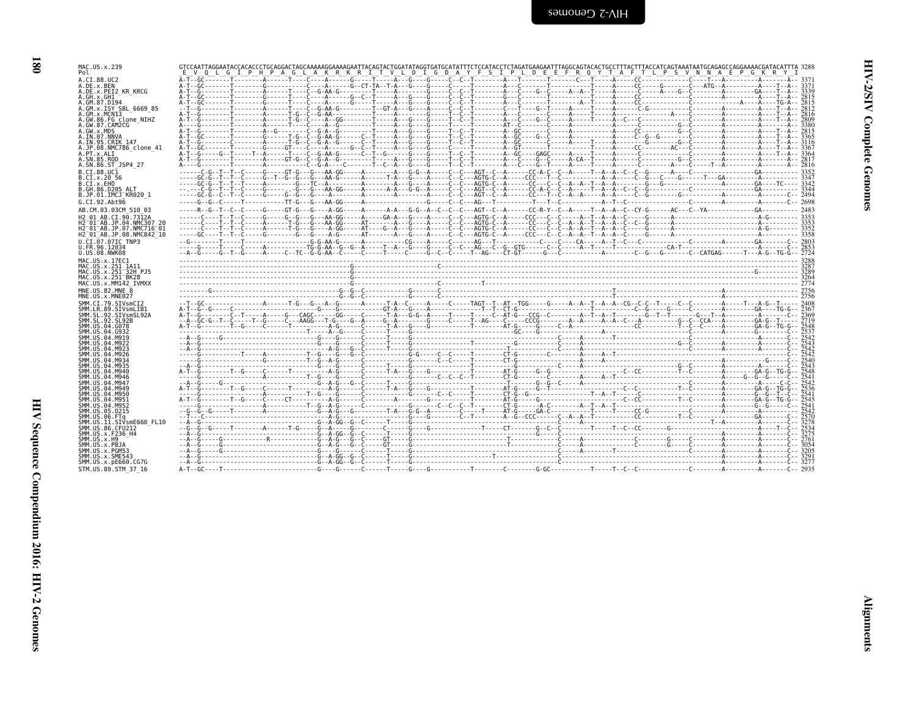| MAC.US.x.239<br>Pol                                           | GTCCAATTAGGAATACCACACCCTGCAGGACTAGCAAAAAGGAAAAGAATTACAGTACTGGATATAGGTGATACTTCCCATACCTCTAGATGAAGAATTTAGGCAGTACACTTCCCTTTACTTTACCATCAGTAAATAATGCAGAGACCAGGAAAACGATACATTTA 3288<br>V L D I G D A Y F S I P L D E E F R O Y T A F T L P S V N N A E P G K R<br>G I P H P A G L A K R K R I T |  |
|---------------------------------------------------------------|------------------------------------------------------------------------------------------------------------------------------------------------------------------------------------------------------------------------------------------------------------------------------------------|--|
| A.CI.88.UC2<br>A.DE.x.BEN                                     |                                                                                                                                                                                                                                                                                          |  |
| A.DE.X.PEI2 KR KRCG                                           |                                                                                                                                                                                                                                                                                          |  |
| A.GH.X.GH1<br>A.GM.87.D194                                    |                                                                                                                                                                                                                                                                                          |  |
| A.GM.x.ISY SBL 6669 85<br>A.GM.x.MCNI3                        |                                                                                                                                                                                                                                                                                          |  |
| A.GW.86.FG clone NIHZ                                         |                                                                                                                                                                                                                                                                                          |  |
| A.GW.87.CAM2CG<br>A.GW.x.MDS                                  |                                                                                                                                                                                                                                                                                          |  |
| A.IN.07.NNVA<br>A.IN.95.CRIK 147                              |                                                                                                                                                                                                                                                                                          |  |
| A.JP.08.NMC786 clone 41                                       |                                                                                                                                                                                                                                                                                          |  |
| A.PT.x.ALI<br>A.SN.85.ROD                                     |                                                                                                                                                                                                                                                                                          |  |
| A.SN.86.ST JSP4 27<br>B.CI.88.UC1                             |                                                                                                                                                                                                                                                                                          |  |
| B.CI.X.20 56                                                  |                                                                                                                                                                                                                                                                                          |  |
| B.CI.X.EHO<br>B.GH.86.D205 ALT                                |                                                                                                                                                                                                                                                                                          |  |
| B.JP.01.IMCJ KR020 1                                          |                                                                                                                                                                                                                                                                                          |  |
| G.CI.92.Abt96<br>AB.CM.03.03CM 510 03                         |                                                                                                                                                                                                                                                                                          |  |
| H2 01 AB.CI.90.7312A                                          |                                                                                                                                                                                                                                                                                          |  |
| H2 01 AB. JP. 04. NMC307 20<br>$H2^-01^-AB$ . JP.07.NMC716-01 |                                                                                                                                                                                                                                                                                          |  |
| $H2^-01^-AB$ . JP. 08. NMC842 $^-10$                          |                                                                                                                                                                                                                                                                                          |  |
| U.CI.07.07IC TNP3<br>U.FR.96.12034                            |                                                                                                                                                                                                                                                                                          |  |
| U.US.08.NWK08                                                 |                                                                                                                                                                                                                                                                                          |  |
| MAC.US.x.17EC1<br>MAC.US.x.251 1A11                           |                                                                                                                                                                                                                                                                                          |  |
| MAC.US.x.251 32H PJ5                                          |                                                                                                                                                                                                                                                                                          |  |
| MAC.US.x.251 BK28<br>MAC.US.x.MM142 IVMXX                     |                                                                                                                                                                                                                                                                                          |  |
| MNE.US.82.MNE 8                                               |                                                                                                                                                                                                                                                                                          |  |
| MNE.US.x.MNE027<br>SMM.CI.79.SIVsmCI2                         |                                                                                                                                                                                                                                                                                          |  |
| SMM.LR.89.SIVsmLIB1<br>SMM.SL.92.SIVsmSL92A                   |                                                                                                                                                                                                                                                                                          |  |
| SMM. SL. 92. SL92B                                            |                                                                                                                                                                                                                                                                                          |  |
| SMM.US.04.G078<br>SMM.US.04.G932                              |                                                                                                                                                                                                                                                                                          |  |
| SMM.US.04.M919<br>SMM.US.04.M922                              |                                                                                                                                                                                                                                                                                          |  |
| SMM. US. 04. M923                                             |                                                                                                                                                                                                                                                                                          |  |
| SMM.US.04.M926<br>SMM.US.04.M934                              |                                                                                                                                                                                                                                                                                          |  |
| SMM.US.04.M935<br>SMM.US.04.M940                              |                                                                                                                                                                                                                                                                                          |  |
| SMM.US.04.M946                                                |                                                                                                                                                                                                                                                                                          |  |
| SMM.US.04.M947<br>SMM.US.04.M949                              |                                                                                                                                                                                                                                                                                          |  |
| SMM.US.04.M950<br>SMM.US.04.M951                              |                                                                                                                                                                                                                                                                                          |  |
| SMM.US.04.M952                                                |                                                                                                                                                                                                                                                                                          |  |
| SMM.US.05.D215<br>SMM.US.06.FTa                               |                                                                                                                                                                                                                                                                                          |  |
| SMM.US.11.SIVsmE660 FL10                                      | <u>. ជុំ- ធំ- ធ្នូ- ក្រុម អាយុក្រុម ស្រុក ព្រះអាយុក្រុម ស្រុក ព្រះអាយុក្រុម ស្រុក ព្រះអាយុក្រុម ស្រុក ព្រះអាយុក្</u>                                                                                                                                                                     |  |
| SMM. US.86. CFU212<br>SMM.US.x.F236 H4                        |                                                                                                                                                                                                                                                                                          |  |
| SMM. US. x.H9<br>SMM.US.x.PBJA                                |                                                                                                                                                                                                                                                                                          |  |
| SMM.US.x.PGM53                                                |                                                                                                                                                                                                                                                                                          |  |
|                                                               |                                                                                                                                                                                                                                                                                          |  |
| SMM.US.x.SME543<br>SMM.US.x.pE660.CG7G                        |                                                                                                                                                                                                                                                                                          |  |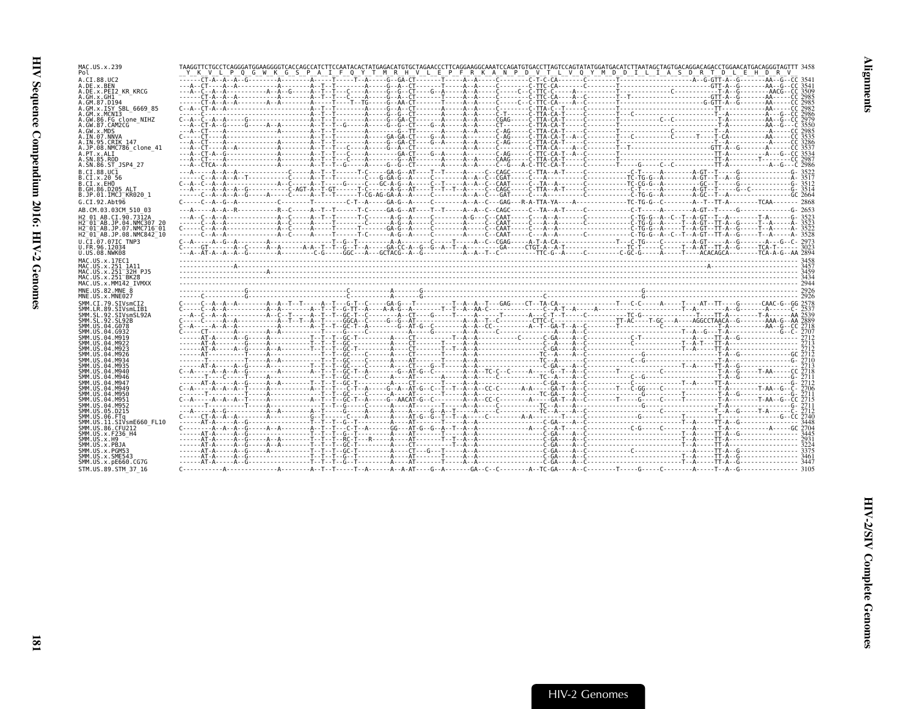| MAC.US.x.239<br>Pol                                                 | TAAGGTTCTGCCTCAGGGATGGAAGGGGTCACCAGCCATCTTCCAATACACTATGAGACATGTGCTAGAACCCTTCAGGAAGGCAAATCCAGATGTGACCTTAGTCCAGTATATGGATGACATGTTAATAGCTAGTGACAGGACAGACCTGGAACATGGACATGGACAGGGTAGTTT 3458<br><u>ykylpocwkcspair oyim rhvlepfrkkanp by ilygymb billias briddelfday</u> |  |
|---------------------------------------------------------------------|--------------------------------------------------------------------------------------------------------------------------------------------------------------------------------------------------------------------------------------------------------------------|--|
| A.CI.88.UC2<br>A.DE.x.BEN                                           |                                                                                                                                                                                                                                                                    |  |
| A.DE.x.PEI2 KR KRCG<br>A.GH.x.GH1                                   |                                                                                                                                                                                                                                                                    |  |
| A.GM.87.D194                                                        |                                                                                                                                                                                                                                                                    |  |
| A.GM.x.ISY SBL 6669 85<br>A.GM.X.MCNI3                              |                                                                                                                                                                                                                                                                    |  |
| A.GW.86.FG clone NIHZ<br>A.GW.87.CAM2CG                             | A.-CT-A--G-----G-----A--A--------A---T--G----A-----G--G--CT----G--A-----A--A------CT-A------CT-TA-CA-T----C                                                                                                                                                        |  |
| A.GW.x.MDS<br>A.IN.07.NNVA                                          |                                                                                                                                                                                                                                                                    |  |
| A.IN.95.CRIK 147<br>A.JP.08.NMC786 clone 41                         |                                                                                                                                                                                                                                                                    |  |
| A.PT.x.ALI                                                          |                                                                                                                                                                                                                                                                    |  |
| A.SN.85.ROD<br>A.SN.86.ST JSP4 27                                   |                                                                                                                                                                                                                                                                    |  |
| B.CT.88.UC1<br>B.CI.x.20 56                                         |                                                                                                                                                                                                                                                                    |  |
| B.CI.X.EHO                                                          |                                                                                                                                                                                                                                                                    |  |
| B.GH.86.D205 ALT<br>B.JP.01.IMCJ KR020 1                            |                                                                                                                                                                                                                                                                    |  |
| G.CI.92.Abt96                                                       | ---A-----A--R-------------R-C-----A-T--T------T-C-----GA-G--AT----T--T----A--A-C--CAGC-----C--TA--A-T-----C---------C-T-----A-GT--T----GT--T----G--2653                                                                                                            |  |
| AB.CM.03.03CM 510 03<br>H2 01 AB.CI.90.7312A                        | ---A--C--A--A-----------------A--C----A--T--T-------T-C------A-G--A-----C-------A-G---C--CAAT-----C--A-A-A------C--C------C-TG-G--A--C--T--A-GT--T--A-G--------T-A-------G-3523                                                                                    |  |
| H2 01 AB. JP. 04. NMC307 20<br>H2 <sup>-01-AB.JP.07.NMC716-01</sup> |                                                                                                                                                                                                                                                                    |  |
| H2 01 AB.JP.08.NMC842 10                                            |                                                                                                                                                                                                                                                                    |  |
| U.CI.07.07IC TNP3<br>U.FR.96.12034                                  |                                                                                                                                                                                                                                                                    |  |
| U.US.08.NWK08<br>MAC.US.x.17EC1                                     |                                                                                                                                                                                                                                                                    |  |
| MAC.US.x.251 1A11                                                   |                                                                                                                                                                                                                                                                    |  |
|                                                                     |                                                                                                                                                                                                                                                                    |  |
| MAC.US.x.251 32H PJ5<br>MAC.US.x.251 BK28                           |                                                                                                                                                                                                                                                                    |  |
| MAC.US.x.MM142 IVMXX                                                |                                                                                                                                                                                                                                                                    |  |
| MNE.US.82.MNE 8<br>MNE.US.x.MNE027                                  |                                                                                                                                                                                                                                                                    |  |
| SMM.CI.79.SIVsmCI2<br>SMM.LR.89.SIVsmLIB1                           |                                                                                                                                                                                                                                                                    |  |
| SMM.SL.92.SIVsmSL92A                                                |                                                                                                                                                                                                                                                                    |  |
| SMM.SL.92.SL92B<br>SMM.US.04.G078                                   |                                                                                                                                                                                                                                                                    |  |
| SMM.US.04.G932<br>SMM.US.04.M919                                    |                                                                                                                                                                                                                                                                    |  |
| SMM.US.04.M922<br>SMM.US.04.M923                                    |                                                                                                                                                                                                                                                                    |  |
| SMM.US.04.M926<br>SMM US 04 M934                                    |                                                                                                                                                                                                                                                                    |  |
| SMM US 04 M935<br>SMM.US.04.M940                                    |                                                                                                                                                                                                                                                                    |  |
| SMM.US.04.M946<br>SMM. US. 04. M947                                 |                                                                                                                                                                                                                                                                    |  |
| SMM.US.04.M949                                                      |                                                                                                                                                                                                                                                                    |  |
| SMM.US.04.M950<br>SMM.US.04.M951                                    |                                                                                                                                                                                                                                                                    |  |
| SMM US 04 M952<br>SMM.US.05.D215                                    |                                                                                                                                                                                                                                                                    |  |
| SMM.US.06.FTa<br>SMM.US.11.SIVsmE660 FL10                           |                                                                                                                                                                                                                                                                    |  |
| SMM.US.86.CFU212<br>SMM.US.x.F236 H4                                |                                                                                                                                                                                                                                                                    |  |
| SMM.US.x.H9                                                         |                                                                                                                                                                                                                                                                    |  |
| SMM.US.x.PBJA<br>SMM.US.x.PGM53                                     |                                                                                                                                                                                                                                                                    |  |
| SMM.US.x.SME543<br>SMM. US. x. pE660. CG7G<br>STM.US.89.STM 37 16   |                                                                                                                                                                                                                                                                    |  |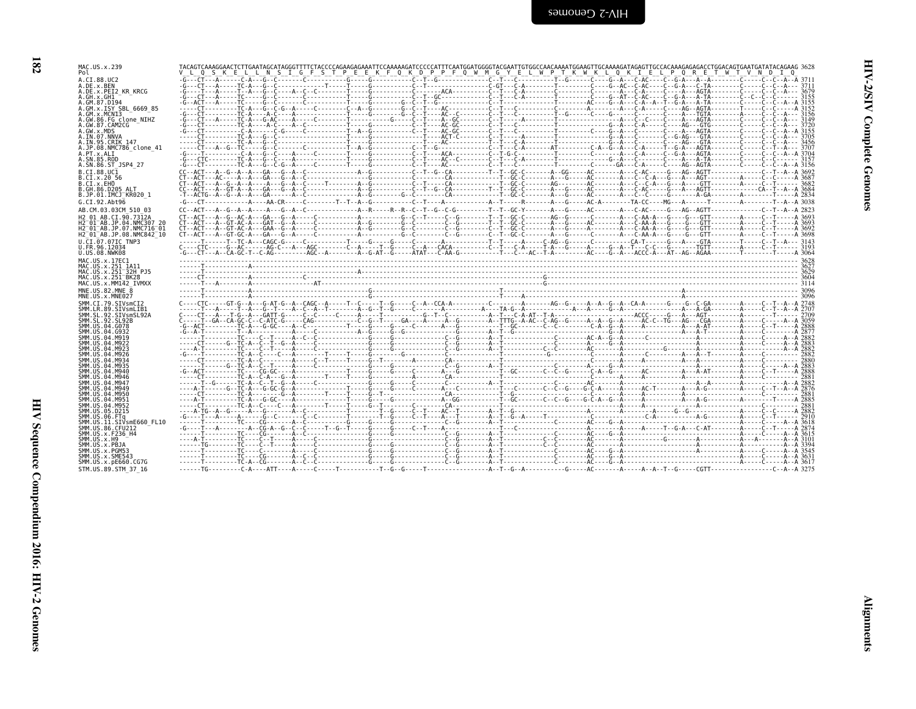| ., | ٧ |
|----|---|

| MAC.US.x.239                                                     |                                                                                                                                                                                                                                                                                               |                                                                                                           |  |  |
|------------------------------------------------------------------|-----------------------------------------------------------------------------------------------------------------------------------------------------------------------------------------------------------------------------------------------------------------------------------------------|-----------------------------------------------------------------------------------------------------------|--|--|
| Pol                                                              | 0 <sub>S</sub>                                                                                                                                                                                                                                                                                | K E L L N S I G F S T P E E K F Q K D P P F Q W M G Y E L W P T K W K L Q K I E L P Q R E T W T V N D I Q |  |  |
| A.CI.88.UC2<br>A.DE.x.BEN                                        |                                                                                                                                                                                                                                                                                               |                                                                                                           |  |  |
| A.DE.X.PEI2 KR KRCG                                              |                                                                                                                                                                                                                                                                                               |                                                                                                           |  |  |
| A.GH.X.GH1<br>A.GM.87.D194                                       |                                                                                                                                                                                                                                                                                               |                                                                                                           |  |  |
| A.GM.x.ISY SBL 6669 85<br>A.GM.x.MCN13                           |                                                                                                                                                                                                                                                                                               |                                                                                                           |  |  |
| A.GW.86.FG clone NIHZ                                            |                                                                                                                                                                                                                                                                                               |                                                                                                           |  |  |
| A.GW.87.CAM2CG<br>A.GW.x.MDS                                     |                                                                                                                                                                                                                                                                                               |                                                                                                           |  |  |
| A.IN.07.NNVA                                                     |                                                                                                                                                                                                                                                                                               |                                                                                                           |  |  |
| A. IN. 95. CRIK 147<br>A.JP.08.NMC786 clone 41                   |                                                                                                                                                                                                                                                                                               |                                                                                                           |  |  |
| A.PT.x.ALT                                                       |                                                                                                                                                                                                                                                                                               |                                                                                                           |  |  |
| A.SN.85.ROD<br>A.SN.86.ST JSP4 27                                |                                                                                                                                                                                                                                                                                               |                                                                                                           |  |  |
| B.CI.88.UC1                                                      |                                                                                                                                                                                                                                                                                               |                                                                                                           |  |  |
| B.CI.X.20 56<br>B.CI.X.EHO                                       |                                                                                                                                                                                                                                                                                               |                                                                                                           |  |  |
| B.GH.86.D205 ALT                                                 |                                                                                                                                                                                                                                                                                               |                                                                                                           |  |  |
| B.JP.01.IMCJ KR020 1<br>G.CI.92.Abt96                            |                                                                                                                                                                                                                                                                                               |                                                                                                           |  |  |
| AB.CM.03.03CM 510 03                                             | $c_{1} - 2c_{2} - 3c_{3} - 4c_{4} - 6c_{5} - 4c_{6} - 6c_{7} - 4c_{8} - 6c_{1} - 4c_{1} - 4c_{1} - 4c_{1} - 4c_{1} - 4c_{2} - 4c_{1} - 4c_{1} - 4c_{1} - 4c_{1} - 4c_{1} - 4c_{1} - 4c_{1} - 4c_{1} - 4c_{1} - 4c_{1} - 4c_{1} - 4c_{1} - 4c_{1} - 4c_{1} - 4c_{1} - 4c_{1} - 4c_{1} - 4c_{1$ |                                                                                                           |  |  |
| H2 01 AB.CI.90.7312A                                             | $C1 - AC1 - 6 - AC1 - 6 - AC1 - 6 - 6 - 6 - 6 - 1$                                                                                                                                                                                                                                            |                                                                                                           |  |  |
| H2 01 AB.JP.04.NMC307 20<br>H2 <sup>-01-AB.JP.07.NMC716-01</sup> |                                                                                                                                                                                                                                                                                               |                                                                                                           |  |  |
| H2 01 AB.JP.08.NMC842 10                                         |                                                                                                                                                                                                                                                                                               |                                                                                                           |  |  |
| U.CI.07.07IC TNP3<br>U.FR.96.12034                               |                                                                                                                                                                                                                                                                                               |                                                                                                           |  |  |
| U.US.08.NWK08                                                    |                                                                                                                                                                                                                                                                                               |                                                                                                           |  |  |
| MAC.US.x.17EC1                                                   |                                                                                                                                                                                                                                                                                               |                                                                                                           |  |  |
| MAC.US.x.251 1A11<br>MAC.US.x.251 <sup>-32H</sup> PJ5            |                                                                                                                                                                                                                                                                                               |                                                                                                           |  |  |
| MAC.US.x.251 <sup>-</sup> BK28<br>MAC.US.x.MM142 IVMXX           |                                                                                                                                                                                                                                                                                               |                                                                                                           |  |  |
| MNE.US.82.MNE 8                                                  |                                                                                                                                                                                                                                                                                               |                                                                                                           |  |  |
| MNE.US.x.MNE027                                                  |                                                                                                                                                                                                                                                                                               |                                                                                                           |  |  |
| SMM.CI.79.SIVsmCI2<br>SMM. LR.89. SIVsmLIB1                      |                                                                                                                                                                                                                                                                                               |                                                                                                           |  |  |
| SMM.SL.92.SIVsmSL92A<br>SMM.SL.92.SL92B                          |                                                                                                                                                                                                                                                                                               |                                                                                                           |  |  |
| SMM.US.04.G078                                                   |                                                                                                                                                                                                                                                                                               |                                                                                                           |  |  |
| SMM.US.04.G932<br>SMM.US.04.M919                                 |                                                                                                                                                                                                                                                                                               |                                                                                                           |  |  |
| SMM. US. 04. M922                                                |                                                                                                                                                                                                                                                                                               |                                                                                                           |  |  |
| SMM. US. 04. M923<br>SMM.US.04.M926                              |                                                                                                                                                                                                                                                                                               |                                                                                                           |  |  |
| SMM.US.04.M934                                                   |                                                                                                                                                                                                                                                                                               |                                                                                                           |  |  |
| SMM.US.04.M935<br>SMM.US.04.M940                                 |                                                                                                                                                                                                                                                                                               |                                                                                                           |  |  |
| SMM.US.04.M946<br>SMM.US.04.M947                                 |                                                                                                                                                                                                                                                                                               |                                                                                                           |  |  |
| SMM.US.04.M949                                                   |                                                                                                                                                                                                                                                                                               |                                                                                                           |  |  |
| SMM.US.04.M950<br>SMM. U.S. 04. M951                             |                                                                                                                                                                                                                                                                                               |                                                                                                           |  |  |
| SMM. US. 04. M952                                                |                                                                                                                                                                                                                                                                                               |                                                                                                           |  |  |
| SMM. US. 05. D215<br>SMM.US.06.FTa                               |                                                                                                                                                                                                                                                                                               |                                                                                                           |  |  |
| SMM.US.11.SIVsmE660 FL10                                         |                                                                                                                                                                                                                                                                                               |                                                                                                           |  |  |
| SMM. US.86. CFU212<br>SMM.US.x.F236 H4                           |                                                                                                                                                                                                                                                                                               |                                                                                                           |  |  |
| SMM. US. x.H9                                                    |                                                                                                                                                                                                                                                                                               |                                                                                                           |  |  |
| SMM.US.x.PBJA<br>SMM.US.x.PGM53                                  |                                                                                                                                                                                                                                                                                               |                                                                                                           |  |  |
| SMM.US.x.SME543<br>SMM. US. x. pE660. CG7G                       |                                                                                                                                                                                                                                                                                               |                                                                                                           |  |  |
|                                                                  |                                                                                                                                                                                                                                                                                               |                                                                                                           |  |  |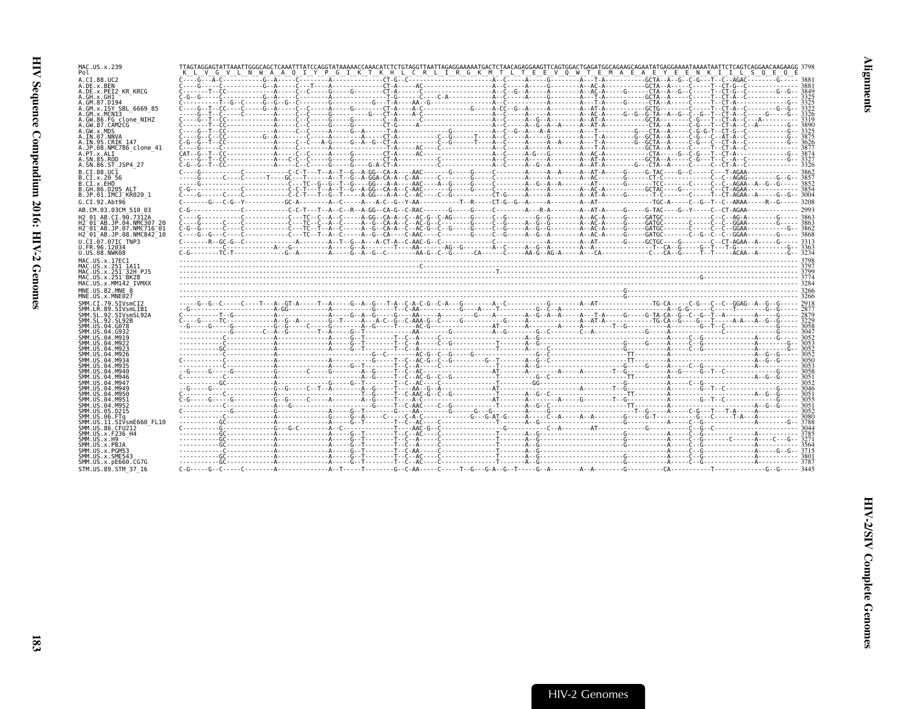| MAC.US.x.239<br>Pol                                                                         | G V L N W A A O I Y P G I K T K H L C R L I R G K M T L T E E V O W T E M A E A E Y E E N K I I L S O E O                                                                                                                            |
|---------------------------------------------------------------------------------------------|--------------------------------------------------------------------------------------------------------------------------------------------------------------------------------------------------------------------------------------|
| A.CI.88.UC2                                                                                 |                                                                                                                                                                                                                                      |
| A.DE.x.BEN                                                                                  |                                                                                                                                                                                                                                      |
| A.DE.x.PEI2 KR KRCG<br>A.GH.x.GH1                                                           |                                                                                                                                                                                                                                      |
| A.GM.87.D194                                                                                |                                                                                                                                                                                                                                      |
| A.GM.x.ISY SBL 6669 85<br>A.GM.x.MCNI3                                                      |                                                                                                                                                                                                                                      |
| A.GW.86.FG clone NIHZ<br>A.GW.87.CAM2CG                                                     |                                                                                                                                                                                                                                      |
| A.GW.x.MDS                                                                                  |                                                                                                                                                                                                                                      |
| A.IN.07.NNVA<br>A.IN.95.CRIK 147                                                            |                                                                                                                                                                                                                                      |
| A.JP.08.NMC786 clone 41                                                                     | 3877                                                                                                                                                                                                                                 |
| A.PT.x.ALI<br>A.SN.85.ROD                                                                   |                                                                                                                                                                                                                                      |
| A.SN.86.ST_JSP4 27                                                                          |                                                                                                                                                                                                                                      |
| B.CI.88.UC1                                                                                 |                                                                                                                                                                                                                                      |
| B.CI.X.20 56<br>B.CI.x.EHO                                                                  |                                                                                                                                                                                                                                      |
| B.GH.86.D205 ALT<br>B.JP.01.IMCJ KR020 1                                                    |                                                                                                                                                                                                                                      |
| G.CI.92.Abt96                                                                               |                                                                                                                                                                                                                                      |
| AB.CM.03.03CM 510 03                                                                        |                                                                                                                                                                                                                                      |
| H2 01 AB.CI.90.7312A                                                                        |                                                                                                                                                                                                                                      |
| H2 01 AB JP 04 NMC307 20<br>H2 <sup>-</sup> 01 <sup>-</sup> AB.JP.07.NMC716 <sup>-</sup> 01 |                                                                                                                                                                                                                                      |
| H2 <sup>-</sup> 01 <sup>-</sup> AB.JP.08.NMC842 <sup>-</sup> 10                             |                                                                                                                                                                                                                                      |
| U.CI.07.07IC TNP3                                                                           |                                                                                                                                                                                                                                      |
| U.FR.96.12034<br>U.US.08.NWK08                                                              |                                                                                                                                                                                                                                      |
| MAC.US.x.17EC1                                                                              |                                                                                                                                                                                                                                      |
| MAC.US.x.251 1A11<br>MAC.US.x.251 <sup>-</sup> 32H PJ5                                      |                                                                                                                                                                                                                                      |
| MAC.US.x.251 <sup>-</sup> BK28                                                              |                                                                                                                                                                                                                                      |
| MAC.US.x.MM142 IVMXX<br>MNE.US.82.MNE 8                                                     |                                                                                                                                                                                                                                      |
| MNE.US.x.MNE027                                                                             |                                                                                                                                                                                                                                      |
| SMM.CI.79.SIVsmCI2                                                                          |                                                                                                                                                                                                                                      |
| SMM.LR.89.SIVsmLIB1<br>SMM.SL.92.SIVsmSL92A                                                 |                                                                                                                                                                                                                                      |
| SMM.SL.92.SL92B                                                                             | <u> 2008 - 2008 - 2008 - 2008 - 2008 - 2008 - 2008 - 2008 - 2008 - 2008 - 2008 - 2008 - 2008 - 2008 - 2008 - 2008 - 2008 - 2008 - 2008 - 2008 - 2008 - 2008 - 2008 - 2008 - 2008 - 2008 - 2008 - 2008 - 2008 - 2008 - 2008 - 200</u> |
| SMM.US.04.G078<br>SMM.US.04.G932                                                            |                                                                                                                                                                                                                                      |
| SMM.US.04.M919<br>SMM.US.04.M922                                                            |                                                                                                                                                                                                                                      |
| SMM.US.04.M923                                                                              |                                                                                                                                                                                                                                      |
| SMM.US.04.M926<br>SMM.US.04.M934                                                            |                                                                                                                                                                                                                                      |
| SMM.US.04.M935                                                                              |                                                                                                                                                                                                                                      |
| SMM.US.04.M940<br>SMM.US.04.M946                                                            |                                                                                                                                                                                                                                      |
|                                                                                             |                                                                                                                                                                                                                                      |
| SMM.US.04.M947                                                                              |                                                                                                                                                                                                                                      |
| SMM.US.04.M949                                                                              | 3046                                                                                                                                                                                                                                 |
| SMM.US.04.M950<br>SMM.US.04.M951                                                            |                                                                                                                                                                                                                                      |
| SMM.US.04.M952                                                                              |                                                                                                                                                                                                                                      |
| SMM.US.05.D215<br>SMM.US.06.FTa                                                             | 3080                                                                                                                                                                                                                                 |
| SMM.US.11.SIVsmE660 FL10                                                                    |                                                                                                                                                                                                                                      |
| SMM.US.86.CFU212<br>SMM.US.x.F236 H4                                                        |                                                                                                                                                                                                                                      |
| SMM.US.x.H9                                                                                 |                                                                                                                                                                                                                                      |
| SMM.US.x.PBJA<br>SMM.US.x.PGM53                                                             |                                                                                                                                                                                                                                      |
| SMM.US.x.SME543<br>SMM.US.x.pE660.CG7G                                                      |                                                                                                                                                                                                                                      |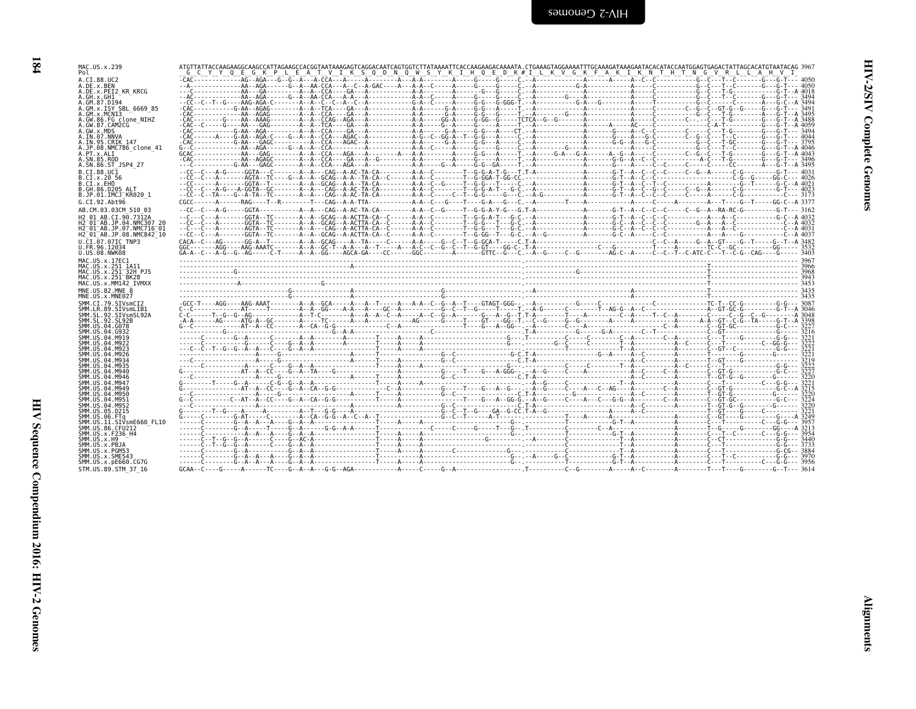| ۰, |  |
|----|--|
|    |  |
|    |  |

| MAC.US.x.239<br>Pol                                                                     | ATGTTATTACCAAGAAGGCAAGCCATTAGAAGCCACGGTAATAAAGAGTCAGGACAATCAGTGGTCTTATAAAATTCACCAAGAAGACAAAATA. CTGAAAGTAGGAAAATTTGCAAAGAATACACATACCAATGCAATGGAGTCAGACTATTAGCACATTAGCACATTAGCACATTAGCACATTAGCACATTAGCACATTAGCACATTAGCACATTAGCA<br>C Y Y O E G K P L E A T V I K S O D N O W S Y K I H O E D K#I L K V G K F A K I K N T H T N G V R L L A H V I                                                                                                              |  |
|-----------------------------------------------------------------------------------------|--------------------------------------------------------------------------------------------------------------------------------------------------------------------------------------------------------------------------------------------------------------------------------------------------------------------------------------------------------------------------------------------------------------------------------------------------------------|--|
| A.CI.88.UC2                                                                             |                                                                                                                                                                                                                                                                                                                                                                                                                                                              |  |
| A.DE.x.BEN<br>A.DE.x.PEI2 KR KRCG                                                       |                                                                                                                                                                                                                                                                                                                                                                                                                                                              |  |
| A.GH.x.GH1                                                                              |                                                                                                                                                                                                                                                                                                                                                                                                                                                              |  |
| A.GM.87.D194                                                                            |                                                                                                                                                                                                                                                                                                                                                                                                                                                              |  |
| A.GM.x.ISY SBL 6669 85<br>A.GM.x.MCNI3                                                  |                                                                                                                                                                                                                                                                                                                                                                                                                                                              |  |
| A.GW.86.FG clone NIHZ                                                                   |                                                                                                                                                                                                                                                                                                                                                                                                                                                              |  |
| A.GW.87.CAM2CG<br>A.GW.x.MDS                                                            |                                                                                                                                                                                                                                                                                                                                                                                                                                                              |  |
| A.IN.07.NNVA                                                                            |                                                                                                                                                                                                                                                                                                                                                                                                                                                              |  |
| A.IN.95.CRIK 147<br>A.JP.08.NMC786 clone 41                                             |                                                                                                                                                                                                                                                                                                                                                                                                                                                              |  |
| A.PT.x.ALT                                                                              |                                                                                                                                                                                                                                                                                                                                                                                                                                                              |  |
| A.SN.85.ROD<br>A.SN.86.ST JSP4 27                                                       |                                                                                                                                                                                                                                                                                                                                                                                                                                                              |  |
| B.CT.88.UC1                                                                             |                                                                                                                                                                                                                                                                                                                                                                                                                                                              |  |
| B.CI.X.20 56<br>B.CI.X.EHO                                                              |                                                                                                                                                                                                                                                                                                                                                                                                                                                              |  |
| B.GH.86.D205 ALT                                                                        |                                                                                                                                                                                                                                                                                                                                                                                                                                                              |  |
| B.JP.01.IMCJ KR020 1                                                                    |                                                                                                                                                                                                                                                                                                                                                                                                                                                              |  |
| G.CI.92.Abt96<br>AB.CM.03.03CM 510 03                                                   |                                                                                                                                                                                                                                                                                                                                                                                                                                                              |  |
| H2 01 AB.CI.90.7312A                                                                    |                                                                                                                                                                                                                                                                                                                                                                                                                                                              |  |
| H2 01 AB.JP.04.NMC307 20                                                                |                                                                                                                                                                                                                                                                                                                                                                                                                                                              |  |
| H2 <sup>-01-AB.JP.07.NMC716-01</sup><br>H2 <sup>-01-AB.JP.08.NMC842<sup>-10</sup></sup> |                                                                                                                                                                                                                                                                                                                                                                                                                                                              |  |
| U.CI.07.07IC TNP3                                                                       |                                                                                                                                                                                                                                                                                                                                                                                                                                                              |  |
| U.FR.96.12034                                                                           |                                                                                                                                                                                                                                                                                                                                                                                                                                                              |  |
| U.US.08.NWK08<br>MAC.US.x.17EC1                                                         |                                                                                                                                                                                                                                                                                                                                                                                                                                                              |  |
| MAC.US.x.251 1A11                                                                       |                                                                                                                                                                                                                                                                                                                                                                                                                                                              |  |
| MAC.US.x.251 <sup>-32H</sup> PJ5<br>MAC.US.x.251 <sup>-</sup> BK28                      |                                                                                                                                                                                                                                                                                                                                                                                                                                                              |  |
| MAC.US.x.MM142 IVMXX                                                                    |                                                                                                                                                                                                                                                                                                                                                                                                                                                              |  |
| MNE.U.S.82.MNE 8<br>MNE.US.x.MNE027                                                     |                                                                                                                                                                                                                                                                                                                                                                                                                                                              |  |
|                                                                                         |                                                                                                                                                                                                                                                                                                                                                                                                                                                              |  |
| SMM.CI.79.SIVsmCI2                                                                      |                                                                                                                                                                                                                                                                                                                                                                                                                                                              |  |
| SMM.LR.89.SIVsmLIB1                                                                     |                                                                                                                                                                                                                                                                                                                                                                                                                                                              |  |
| SMM.SL.92.SIVsmSL92A<br>SMM. SL. 92. SL92B                                              |                                                                                                                                                                                                                                                                                                                                                                                                                                                              |  |
| SMM.US.04.G078                                                                          |                                                                                                                                                                                                                                                                                                                                                                                                                                                              |  |
| SMM.US.04.G932<br>SMM.US.04.M919                                                        |                                                                                                                                                                                                                                                                                                                                                                                                                                                              |  |
| SMM. U.S. 04. M922                                                                      |                                                                                                                                                                                                                                                                                                                                                                                                                                                              |  |
| SMM. U.S. 04. M923<br>SMM. US. 04. M926                                                 |                                                                                                                                                                                                                                                                                                                                                                                                                                                              |  |
| SMM.US.04.M934                                                                          |                                                                                                                                                                                                                                                                                                                                                                                                                                                              |  |
| SMM.US.04.M935<br>SMM.US.04.M940                                                        |                                                                                                                                                                                                                                                                                                                                                                                                                                                              |  |
| SMM.US.04.M946                                                                          |                                                                                                                                                                                                                                                                                                                                                                                                                                                              |  |
| SMM.US.04.M947<br>SMM. U.S. 04. M949                                                    | $\begin{minipage}{0.5cm} \begin{minipage}{0.5cm} \begin{minipage}{0.5cm} \begin{minipage}{0.5cm} \begin{minipage}{0.5cm} \begin{minipage}{0.5cm} \begin{minipage}{0.5cm} \begin{minipage}{0.5cm} \begin{minipage}{0.5cm} \begin{minipage}{0.5cm} \begin{minipage}{0.5cm} \begin{minipage}{0.5cm} \begin{minipage}{0.5cm} \begin{minipage}{0.5cm} \begin{minipage}{0.5cm} \begin{minipage}{0.5cm} \begin{minipage}{0.5cm} \begin{minipage}{0.5cm} \begin{min$ |  |
| SMM.US.04.M950                                                                          |                                                                                                                                                                                                                                                                                                                                                                                                                                                              |  |
| SMM.US.04.M951<br>SMM.US.04.M952                                                        |                                                                                                                                                                                                                                                                                                                                                                                                                                                              |  |
| SMM.US.05.D215                                                                          |                                                                                                                                                                                                                                                                                                                                                                                                                                                              |  |
| SMM.US.06.FTq<br>SMM.US.11.SIVsmE660 FL10                                               |                                                                                                                                                                                                                                                                                                                                                                                                                                                              |  |
| SMM. US.86. CFU212                                                                      |                                                                                                                                                                                                                                                                                                                                                                                                                                                              |  |
| SMM. U.S. x. F236 H4                                                                    |                                                                                                                                                                                                                                                                                                                                                                                                                                                              |  |
| SMM.US.x.H9<br>SMM.US.x.PBJA                                                            |                                                                                                                                                                                                                                                                                                                                                                                                                                                              |  |
| SMM.US.x.PGM53                                                                          |                                                                                                                                                                                                                                                                                                                                                                                                                                                              |  |
| SMM.US.x.SME543<br>SMM. US. x. pE660. CG7G<br>STM.US.89.STM 37 16                       |                                                                                                                                                                                                                                                                                                                                                                                                                                                              |  |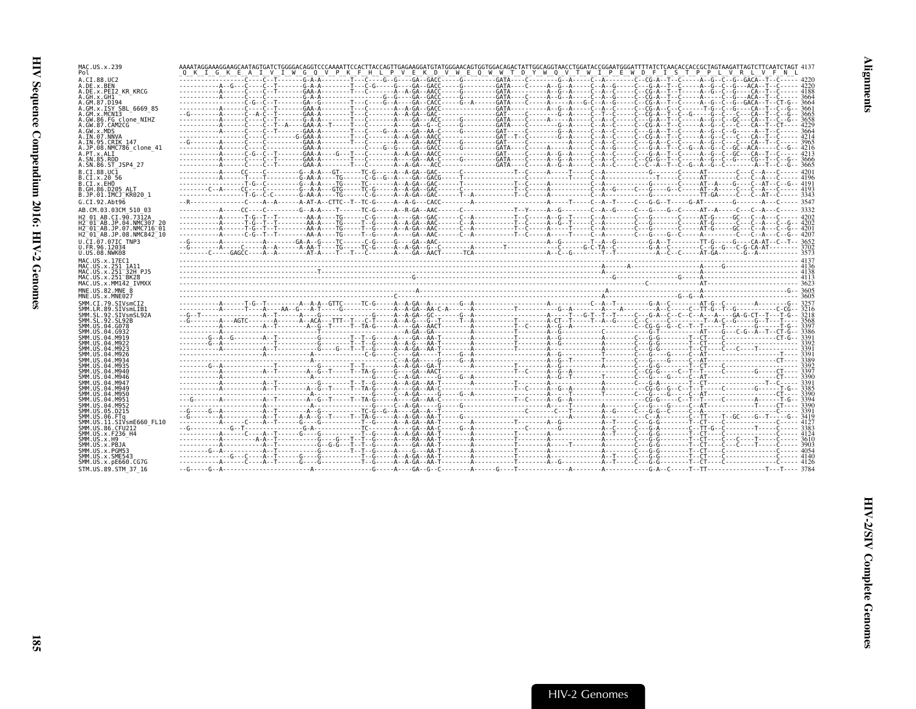| MAC.US.x.239                                                             | AAAATAGGAAAGGAAGCAATAGTGATCTGGGGACAGGTCCCAAAATTCCACTTACCAGTTGAGAAGGATGTATGGGAACAGTGGTGGACAGACTATTGGCAGGTAACCTGGATACCGGAATGGGATTTTATCTCAACACCACCGCTAAGATTAGTCTTCAATCTTCAATCTTCAATCTTCAATCTTCAATCTAGTATCATCTTCAATCTAGT 4137 |  |  |
|--------------------------------------------------------------------------|---------------------------------------------------------------------------------------------------------------------------------------------------------------------------------------------------------------------------|--|--|
| Pol                                                                      | Q K I G K E A I V I W G Q V P K F H L P V E K D V W E Q W W T D Y W Q V T W I P E W D F I S T P P L V R L V F N L                                                                                                         |  |  |
| A.CI.88.UC2<br>A.DE.x.BEN                                                | -----------------C--T------G-A-A-------T--C---G--G--G--GACC----G-------GATA----C-------G-A----C--A------C--CG-A--T--C----A--G--G-C--G--GACA--T--C------ 4220                                                              |  |  |
| A.DE.x.PEI2 KR KRCG<br>A.GH.x.GH1                                        |                                                                                                                                                                                                                           |  |  |
| A.GM.87.D194                                                             |                                                                                                                                                                                                                           |  |  |
| A.GM.X.ISY SBL 6669 85<br>A.GM.x.MCNI3                                   |                                                                                                                                                                                                                           |  |  |
| A.GW.86.FG clone NIHZ                                                    |                                                                                                                                                                                                                           |  |  |
| A.GW.87.CAM2CG<br>A.GW.x.MDS                                             |                                                                                                                                                                                                                           |  |  |
| A.IN.07.NNVA<br>A.IN.95.CRIK 147                                         |                                                                                                                                                                                                                           |  |  |
| A.JP.08.NMC786 clone 41                                                  |                                                                                                                                                                                                                           |  |  |
| A.PT.x.ALI<br>A.SN.85.ROD                                                |                                                                                                                                                                                                                           |  |  |
| A.SN.86.ST JSP4 27                                                       |                                                                                                                                                                                                                           |  |  |
| B.CI.88.UC1<br>B.CI.X.20 56                                              |                                                                                                                                                                                                                           |  |  |
| B.CI.X.EHO                                                               |                                                                                                                                                                                                                           |  |  |
| B.GH.86.D205 ALT<br>B.JP.01.IMCJ KR020 1                                 |                                                                                                                                                                                                                           |  |  |
| G.CI.92.Abt96                                                            |                                                                                                                                                                                                                           |  |  |
| AB.CM.03.03CM 510 03                                                     |                                                                                                                                                                                                                           |  |  |
| H <sub>2</sub> 01 AB.CT.90.7312A<br>H2 <sup>-01-AB.JP.04.NMC307 20</sup> |                                                                                                                                                                                                                           |  |  |
| H2 <sup>-01-AB.JP.07.NMC716-01</sup>                                     |                                                                                                                                                                                                                           |  |  |
| H2 01 AB.JP.08.NMC842 10                                                 | -----------A------C-G--T--T--------AA-A----TG-----T--G-----A----GA--AAC------C--A---------T--C---A----T----C--A------C--A-----A-----A-------C--A---C--A---C--G--A---C--G--A---C--G--A---C-                                |  |  |
| U.CI.07.07IC TNP3<br>U.FR.96.12034                                       |                                                                                                                                                                                                                           |  |  |
| U.US.08.NWK08                                                            |                                                                                                                                                                                                                           |  |  |
| MAC.US.x.17EC1<br>MAC.US.x.251 1A11                                      |                                                                                                                                                                                                                           |  |  |
| MAC.US.x.251 32H PJ5<br>MAC. US. x. 251 <sup>-</sup> BK28                |                                                                                                                                                                                                                           |  |  |
| MAC.US.x.MM142 IVMXX                                                     |                                                                                                                                                                                                                           |  |  |
| MNE.US.82.MNE 8<br>MNE.US.x.MNE027                                       |                                                                                                                                                                                                                           |  |  |
|                                                                          |                                                                                                                                                                                                                           |  |  |
|                                                                          |                                                                                                                                                                                                                           |  |  |
| SMM.CI.79.SIVsmCI2<br>SMM.LR.89.SIVsmLIB1                                |                                                                                                                                                                                                                           |  |  |
| SMM.SL.92.SIVsmSL92A<br>SMM. SL. 92. SL92B                               |                                                                                                                                                                                                                           |  |  |
| SMM.US.04.G078                                                           |                                                                                                                                                                                                                           |  |  |
| SMM.US.04.G932<br>SMM. US. 04. M919                                      |                                                                                                                                                                                                                           |  |  |
| SMM. US. 04. M922                                                        |                                                                                                                                                                                                                           |  |  |
| SMM.US.04.M923<br>SMM.US.04.M926                                         |                                                                                                                                                                                                                           |  |  |
| SMM. US. 04. M934<br>SMM.US.04.M935                                      |                                                                                                                                                                                                                           |  |  |
| SMM.US.04.M940                                                           |                                                                                                                                                                                                                           |  |  |
| SMM.US.04.M946<br>SMM. US. 04. M947                                      |                                                                                                                                                                                                                           |  |  |
| SMM US 04 M949                                                           |                                                                                                                                                                                                                           |  |  |
| SMM. U.S. 04. M950<br>SMM.US.04.M951                                     |                                                                                                                                                                                                                           |  |  |
| SMM.US.04.M952<br>SMM.US.05.D215                                         |                                                                                                                                                                                                                           |  |  |
| SMM.US.06.FTq                                                            |                                                                                                                                                                                                                           |  |  |
| SMM.US.11.SIVsmE660 FL10<br>SMM. US.86. CFU212                           |                                                                                                                                                                                                                           |  |  |
| SMM. US. x. F236 H4                                                      |                                                                                                                                                                                                                           |  |  |
| SMM.US.x.H9<br>SMM.US.x.PBJA                                             |                                                                                                                                                                                                                           |  |  |
| SMM.US.x.PGM53                                                           |                                                                                                                                                                                                                           |  |  |
| SMM.US.x.SME543<br>SMM.US.x.pE660.CG7G<br>STM.US.89.STM 37 16            |                                                                                                                                                                                                                           |  |  |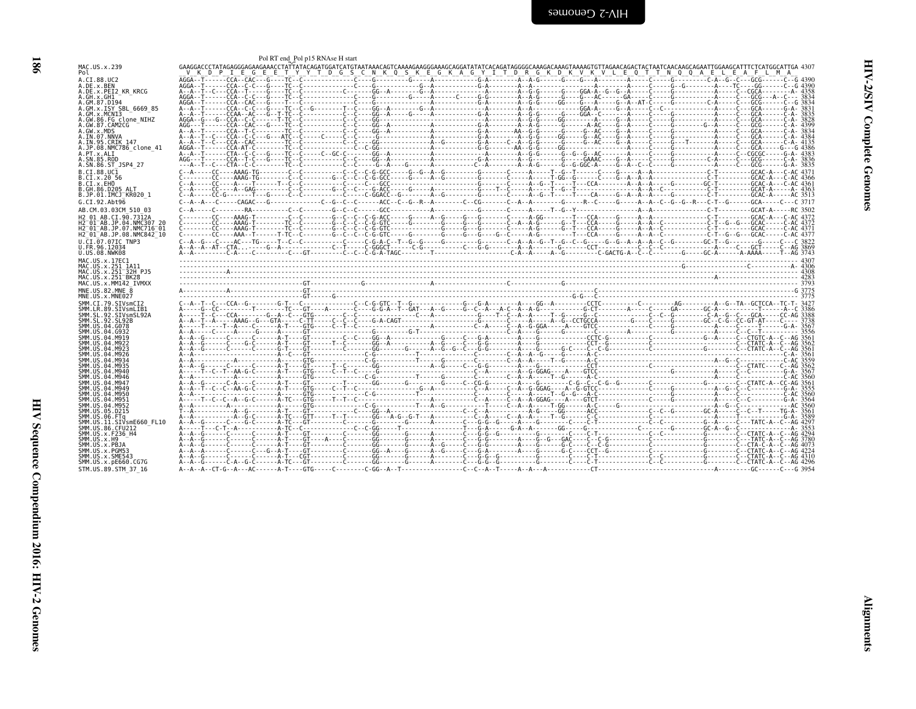<span id="page-31-0"></span>

| į      |
|--------|
| ì<br>i |
| ì<br>ì |

|                                                                | Pol RT end Pol p15 RNAse H start                                                                                                                                                                                                                                                           |  |
|----------------------------------------------------------------|--------------------------------------------------------------------------------------------------------------------------------------------------------------------------------------------------------------------------------------------------------------------------------------------|--|
| MAC.US.x.239<br>Pol                                            | GAAGGACCCTATAGAGGGAGAAACCTATTATACAGATGGATCATGTAATAAACAGTCAAAAGGAGAGGGAAAGCAGATATATCACAGGTAAGGGCAAAGTAAAAGTGTTAGAACAGACTACTAATCAACAAGCAGAATTGGAAGCATTTCTCATGGCATTAGA 307<br>V K D P I E G E E T Y Y T D G S C N K O S K E G K A G Y I T D R G K D K V K V L E O T T N O O A E L E A F L M A |  |
| A.CI.88.UC2<br>A.DE.x.BEN                                      |                                                                                                                                                                                                                                                                                            |  |
| A.DE.x.PEI2 KR KRCG<br>A.GH.x.GH1                              |                                                                                                                                                                                                                                                                                            |  |
| A.GM.87.D194<br>A.GM.x.ISY SBL 6669 85                         |                                                                                                                                                                                                                                                                                            |  |
| A.GM.X.MCNI3                                                   |                                                                                                                                                                                                                                                                                            |  |
| A.GW.86.FG clone NIHZ<br>A.GW.87.CAM2CG                        |                                                                                                                                                                                                                                                                                            |  |
| A.GW.x.MDS<br>A.IN.07.NNVA                                     |                                                                                                                                                                                                                                                                                            |  |
| A.IN.95.CRIK 147<br>A.JP.08.NMC786 clone 41                    |                                                                                                                                                                                                                                                                                            |  |
| A.PT.x.ALI<br>A.SN.85.ROD                                      |                                                                                                                                                                                                                                                                                            |  |
| A.SN.86.ST JSP4 27<br>B.CT.88.UC1                              |                                                                                                                                                                                                                                                                                            |  |
| B.CI.X.20 56<br>B.CI.X.EHO                                     |                                                                                                                                                                                                                                                                                            |  |
| B.GH.86.D205 ALT<br>B.JP.01.IMCJ KR020 1                       |                                                                                                                                                                                                                                                                                            |  |
| G.CI.92.Aht96                                                  |                                                                                                                                                                                                                                                                                            |  |
| AB.CM.03.03CM 510 03<br>H2 01 AB.CI.90.7312A                   |                                                                                                                                                                                                                                                                                            |  |
| H2 01 AB.JP.04.NMC307 20<br>H2-01-AB.JP.07.NMC716-01           | C--------CC----AAAG-T--------TC--C-------G--C--C--C-G-GTC-----G-------G-----G-----G----C--A--A-G----G----G----G----G-----C-T--G--G--GCAC-----C-AC 4372                                                                                                                                     |  |
| H2 <sup>-</sup> 01 <sup>-</sup> AB.JP.08.NMC842 <sup>-10</sup> | C--------CC----AAA--T-------T-TC--C-------G--C--C--C-G-GTC-----G-------G----G----G----G-----A-G-----T---CCA----G----C-A-A-C---------C-T--G--GCAC-----C-AC 437                                                                                                                              |  |
| U.CI.07.07IC TNP3<br>U.FR.96.12034                             |                                                                                                                                                                                                                                                                                            |  |
| U.US.08.NWK08<br>MAC.US.x.17EC1                                |                                                                                                                                                                                                                                                                                            |  |
|                                                                |                                                                                                                                                                                                                                                                                            |  |
| MAC.US.x.251 1A11<br>MAC.US.x.251 32H PJ5                      |                                                                                                                                                                                                                                                                                            |  |
| MAC.US.x.251 BK28<br>MAC.US.x.MM142 IVMXX                      |                                                                                                                                                                                                                                                                                            |  |
| MNE.US.82.MNE 8                                                |                                                                                                                                                                                                                                                                                            |  |
| MNE.US.x.MNE027<br>SMM.CI.79.SIVsmCI2                          |                                                                                                                                                                                                                                                                                            |  |
| SMM.LR.89.SIVsmLIB1<br>SMM.SL.92.SIVsmSL92A                    |                                                                                                                                                                                                                                                                                            |  |
| SMM. SL. 92. SL92B<br>SMM.US.04.G078                           |                                                                                                                                                                                                                                                                                            |  |
| SMM.US.04.G932<br>SMM.US.04.M919                               |                                                                                                                                                                                                                                                                                            |  |
| SMM.US.04.M922<br>SMM.US.04.M923                               |                                                                                                                                                                                                                                                                                            |  |
| SMM.US.04.M926<br>SMM.US.04.M934                               |                                                                                                                                                                                                                                                                                            |  |
| SMM.US.04.M935<br>SMM. US. 04. M940                            |                                                                                                                                                                                                                                                                                            |  |
| SMM. US. 04. M946<br>SMM. US. 04. M947                         |                                                                                                                                                                                                                                                                                            |  |
| SMM. US. 04. M949<br>SMM.US.04.M950                            |                                                                                                                                                                                                                                                                                            |  |
| SMM.US.04.M951<br>SMM. US. 04. M952                            |                                                                                                                                                                                                                                                                                            |  |
| SMM.US.05.D215<br>SMM.US.06.FTa                                |                                                                                                                                                                                                                                                                                            |  |
| SMM.US.11.SIVsmE660 FL10<br>SMM. US.86. CFU212                 |                                                                                                                                                                                                                                                                                            |  |
| SMM.US.x.F236 H4<br>SMM.US.x.H9                                |                                                                                                                                                                                                                                                                                            |  |
| SMM.US.x.PBJA<br>SMM.US.x.PGM53                                |                                                                                                                                                                                                                                                                                            |  |
| SMM.US.x.SME543<br>SMM.US.x.pE660.CG7G                         |                                                                                                                                                                                                                                                                                            |  |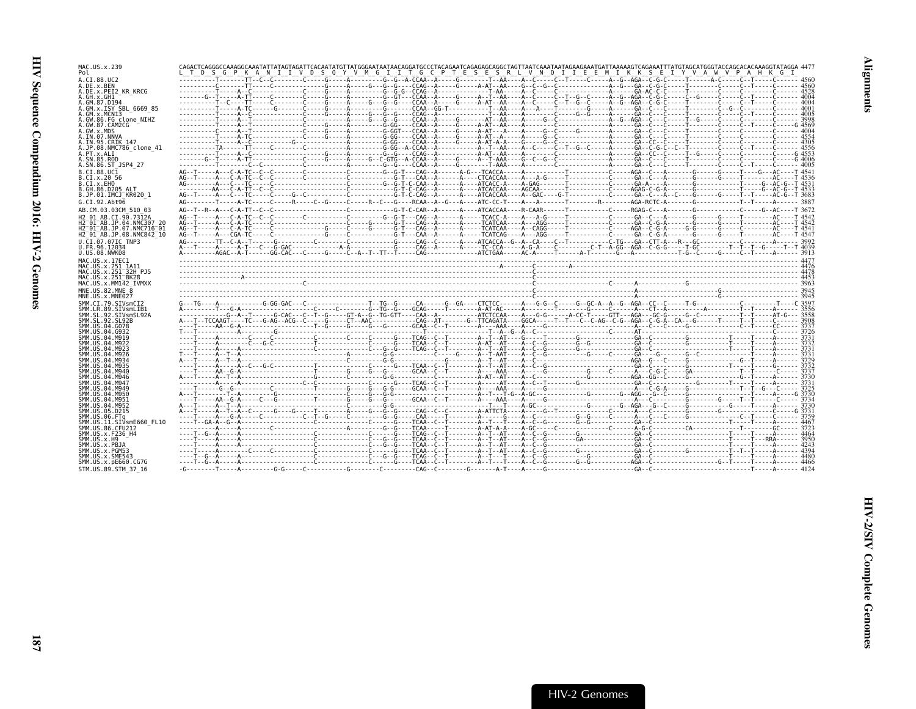| MAC.US.x.239<br>Pol                                              | CAGACTCAGGGCCAAAGGCAAATATTATAGTAGATTCACAATATGTTATGGGAATAATAACAGGATGCCCTACAGAATCAGAGGCCTAGTTAATCAAATAATAGAAGAAATGATTAAAAAGTCAGAAATTTATGTAGCATGGGTACCAGCACACAAAGGTATAGGA 447<br>TDS<br>GPKA |  | N I I V D S O Y V M G I I T G C P T E S E S R L V N O I I E E M I K K S E I Y V A W V P A H K | G. |
|------------------------------------------------------------------|-------------------------------------------------------------------------------------------------------------------------------------------------------------------------------------------|--|-----------------------------------------------------------------------------------------------|----|
| A.CI.88.UC2                                                      |                                                                                                                                                                                           |  |                                                                                               |    |
| A.DE.x.BEN<br>A.DE.x.PEI2 KR KRCG                                |                                                                                                                                                                                           |  |                                                                                               |    |
| A.GH.x.GH1                                                       |                                                                                                                                                                                           |  |                                                                                               |    |
| A.GM.87.D194                                                     |                                                                                                                                                                                           |  |                                                                                               |    |
| A.GM.x.ISY SBL 6669 85<br>A.GM.X.MCNI3                           |                                                                                                                                                                                           |  |                                                                                               |    |
| A.GW.86.FG clone NIHZ                                            |                                                                                                                                                                                           |  |                                                                                               |    |
| A.GW.87.CAM2CG                                                   |                                                                                                                                                                                           |  |                                                                                               |    |
| A.GW.x.MDS<br>A.IN.07.NNVA                                       |                                                                                                                                                                                           |  |                                                                                               |    |
| A.IN.95.CRIK 147                                                 |                                                                                                                                                                                           |  |                                                                                               |    |
| A.JP.08.NMC786 clone 41<br>A.PT.x.ALI                            |                                                                                                                                                                                           |  |                                                                                               |    |
| A. SN. 85. ROD                                                   |                                                                                                                                                                                           |  |                                                                                               |    |
| A.SN.86.ST JSP4 27                                               |                                                                                                                                                                                           |  |                                                                                               |    |
| B.CT.88.UC1<br>B.CI.X.20 56                                      |                                                                                                                                                                                           |  |                                                                                               |    |
| B.CI.X.EHO                                                       |                                                                                                                                                                                           |  |                                                                                               |    |
| B.GH.86.D205 ALT<br>B.JP.01.IMCJ KR020 1                         |                                                                                                                                                                                           |  |                                                                                               |    |
| G.CI.92.Abt96                                                    |                                                                                                                                                                                           |  |                                                                                               |    |
| AB.CM.03.03CM 510 03                                             |                                                                                                                                                                                           |  |                                                                                               |    |
| H2 01 AB.CI.90.7312A                                             |                                                                                                                                                                                           |  |                                                                                               |    |
| H2 01 AB.JP.04.NMC307 20                                         |                                                                                                                                                                                           |  |                                                                                               |    |
| H2 <sup>-01-AB.JP.07.NMC716-01</sup><br>H2 01 AB.JP.08.NMC842 10 |                                                                                                                                                                                           |  |                                                                                               |    |
| U.CI.07.07IC TNP3                                                |                                                                                                                                                                                           |  |                                                                                               |    |
| U.FR.96.12034                                                    |                                                                                                                                                                                           |  |                                                                                               |    |
| U.US.08.NWK08                                                    | $\frac{1}{417}$ . The contract of the contract of the contract of the contract of the contract of the contract of $\frac{1}{417}$                                                         |  |                                                                                               |    |
| MAC.US.x.17EC1<br>MAC.US.x.251 1A11                              |                                                                                                                                                                                           |  |                                                                                               |    |
| MAC.US.x.251 32H PJ5                                             |                                                                                                                                                                                           |  |                                                                                               |    |
| MAC.US.x.251 <sup>-BK28</sup>                                    |                                                                                                                                                                                           |  |                                                                                               |    |
| MAC.US.x.MM142 IVMXX<br>MNE.US.82.MNE 8                          |                                                                                                                                                                                           |  |                                                                                               |    |
| MNE.US.x.MNE027                                                  |                                                                                                                                                                                           |  |                                                                                               |    |
| SMM.CI.79.SIVsmCI2                                               |                                                                                                                                                                                           |  |                                                                                               |    |
| SMM.LR.89.SIVsmLIB1<br>SMM.SL.92.SIVsmSL92A                      |                                                                                                                                                                                           |  |                                                                                               |    |
| SMM. SL. 92. SL92B                                               |                                                                                                                                                                                           |  |                                                                                               |    |
| SMM.US.04.G078<br>SMM.US.04.G932                                 |                                                                                                                                                                                           |  |                                                                                               |    |
| SMM.US.04.M919                                                   |                                                                                                                                                                                           |  |                                                                                               |    |
| SMM. U.S. 04. M922                                               |                                                                                                                                                                                           |  |                                                                                               |    |
| SMM. U.S. 04. M923<br>SMM.US.04.M926                             |                                                                                                                                                                                           |  |                                                                                               |    |
| SMM.US.04.M934                                                   |                                                                                                                                                                                           |  |                                                                                               |    |
| SMM.US.04.M935<br>SMM. U.S. 04. M940                             |                                                                                                                                                                                           |  |                                                                                               |    |
| SMM.US.04.M946                                                   |                                                                                                                                                                                           |  |                                                                                               |    |
| SMM.US.04.M947                                                   |                                                                                                                                                                                           |  |                                                                                               |    |
| SMM.US.04.M949<br>SMM.US.04.M950                                 |                                                                                                                                                                                           |  |                                                                                               |    |
| SMM.US.04.M951                                                   |                                                                                                                                                                                           |  |                                                                                               |    |
| SMM.US.04.M952<br>SMM.US.05.D215                                 |                                                                                                                                                                                           |  |                                                                                               |    |
| SMM.US.06.FTa                                                    |                                                                                                                                                                                           |  |                                                                                               |    |
| SMM.US.11.SIVsmE660 FL10<br>SMM. US.86. CFU212                   |                                                                                                                                                                                           |  |                                                                                               |    |
| SMM. U.S. x. F236 H4                                             |                                                                                                                                                                                           |  |                                                                                               |    |
| SMM.US.x.H9                                                      |                                                                                                                                                                                           |  |                                                                                               |    |
| SMM.US.x.PBJA<br>SMM.US.x.PGM53                                  |                                                                                                                                                                                           |  |                                                                                               |    |
|                                                                  |                                                                                                                                                                                           |  |                                                                                               |    |
| SMM.US.x.SME543                                                  |                                                                                                                                                                                           |  |                                                                                               |    |
| SMM.US.x.pE660.CG7G<br>STM.US.89.STM 37 16                       |                                                                                                                                                                                           |  |                                                                                               |    |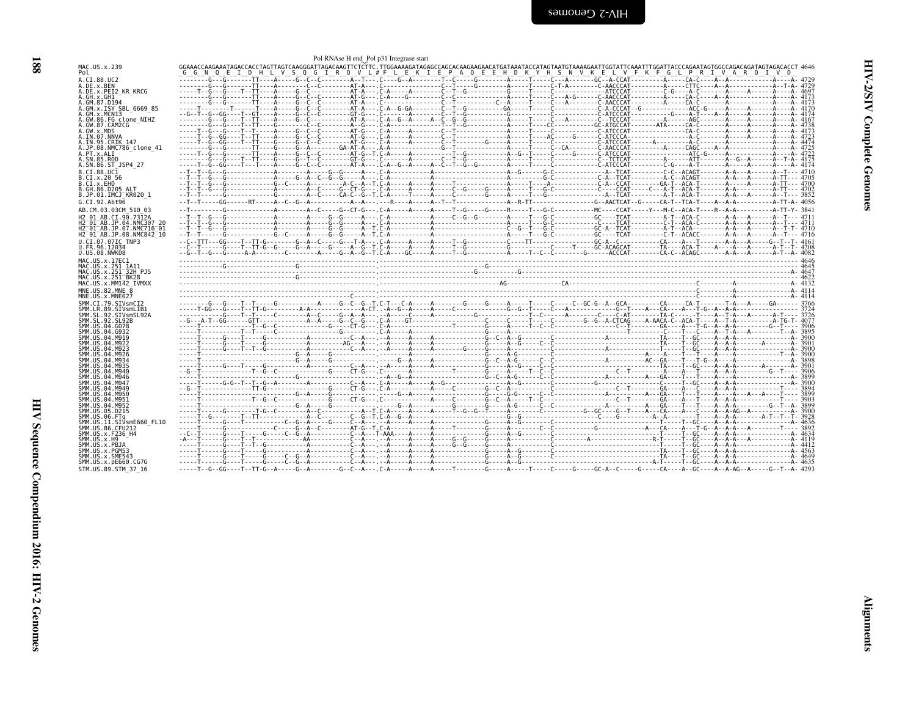<span id="page-33-0"></span>

|                                                                                         |      | Pol RNAse H end Pol p31 Integrase start |  |                                                                                                         |  |  |  |
|-----------------------------------------------------------------------------------------|------|-----------------------------------------|--|---------------------------------------------------------------------------------------------------------|--|--|--|
| MAC.US.x.239<br>Pol                                                                     | GN 0 |                                         |  | E I D H L V S Q G I R Q V L#F L E K I E P A Q E E H D K Y H S N V K E L V F K F G L P R I V A R Q I V D |  |  |  |
| A.CI.88.UC2<br>A.DE.x.BEN                                                               |      |                                         |  |                                                                                                         |  |  |  |
| A.DE.x.PEI2 KR KRCG                                                                     |      |                                         |  |                                                                                                         |  |  |  |
| A.GH.x.GH1<br>A.GM.87.D194                                                              |      |                                         |  |                                                                                                         |  |  |  |
| A.GM.x.ISY SBL 6669 85                                                                  |      |                                         |  |                                                                                                         |  |  |  |
| A.GM.x.MCNI3<br>A.GW.86.FG clone NIHZ                                                   |      |                                         |  |                                                                                                         |  |  |  |
| A.GW.87.CAM2CG                                                                          |      |                                         |  |                                                                                                         |  |  |  |
| A.GW.x.MDS<br>A.IN.07.NNVA                                                              |      |                                         |  |                                                                                                         |  |  |  |
| A.IN.95.CRIK 147                                                                        |      |                                         |  |                                                                                                         |  |  |  |
| A.JP.08.NMC786 clone 41<br>A.PT.x.ALI                                                   |      |                                         |  |                                                                                                         |  |  |  |
| A.SN.85.ROD<br>A.SN.86.ST JSP4 27                                                       |      |                                         |  |                                                                                                         |  |  |  |
| B.CT.88.UC1                                                                             |      |                                         |  |                                                                                                         |  |  |  |
| B.CI.X.20 56                                                                            |      |                                         |  |                                                                                                         |  |  |  |
| B.CI.X.EHO<br>B.GH.86.D205 ALT                                                          |      |                                         |  |                                                                                                         |  |  |  |
| B.JP.01.IMCJ KR020 1                                                                    |      |                                         |  |                                                                                                         |  |  |  |
| G.CI.92.Aht96                                                                           |      |                                         |  |                                                                                                         |  |  |  |
| AB.CM.03.03CM 510 03<br>H2 01 AB.CI.90.7312A                                            |      |                                         |  |                                                                                                         |  |  |  |
| H2 <sup>-01-AB.JP.04.NMC307 20</sup>                                                    |      |                                         |  |                                                                                                         |  |  |  |
| H2 <sup>-01-AB.JP.07.NMC716-01</sup><br>H2 <sup>-01-AB.JP.08.NMC842<sup>-10</sup></sup> |      |                                         |  |                                                                                                         |  |  |  |
| U.CI.07.07IC TNP3                                                                       |      |                                         |  |                                                                                                         |  |  |  |
| U.FR.96.12034<br>U.US.08.NWK08                                                          |      |                                         |  |                                                                                                         |  |  |  |
| MAC.US.x.17EC1                                                                          |      |                                         |  |                                                                                                         |  |  |  |
|                                                                                         |      |                                         |  |                                                                                                         |  |  |  |
| MAC.US.x.251 1A11                                                                       |      |                                         |  |                                                                                                         |  |  |  |
| MAC. US. x. 251 32H PJ5<br>MAC.US.x.251 <sup>-</sup> BK28                               |      |                                         |  |                                                                                                         |  |  |  |
| MAC.US.x.MM142 IVMXX                                                                    |      |                                         |  |                                                                                                         |  |  |  |
| MNE.US.82.MNE 8<br>MNE.US.x.MNE027                                                      |      |                                         |  |                                                                                                         |  |  |  |
| SMM.CI.79.SIVsmCI2                                                                      |      |                                         |  |                                                                                                         |  |  |  |
| SMM.LR.89.SIVsmLIB1<br>SMM.SL.92.SIVsmSL92A                                             |      |                                         |  |                                                                                                         |  |  |  |
| SMM.SL.92.SL92B                                                                         |      |                                         |  |                                                                                                         |  |  |  |
| SMM.US.04.G078<br>SMM.US.04.G932                                                        |      |                                         |  |                                                                                                         |  |  |  |
| SMM.US.04.M919                                                                          |      |                                         |  |                                                                                                         |  |  |  |
| SMM.US.04.M922<br>SMM.US.04.M923                                                        |      |                                         |  |                                                                                                         |  |  |  |
| SMM.US.04.M926<br>SMM.US.04.M934                                                        |      |                                         |  |                                                                                                         |  |  |  |
| SMM.US.04.M935                                                                          |      |                                         |  |                                                                                                         |  |  |  |
| SMM.US.04.M940<br>SMM.US.04.M946                                                        |      |                                         |  |                                                                                                         |  |  |  |
| SMM.US.04.M947                                                                          |      |                                         |  |                                                                                                         |  |  |  |
| SMM.US.04.M949<br>SMM.US.04.M950                                                        |      |                                         |  |                                                                                                         |  |  |  |
| SMM.US.04.M951                                                                          |      |                                         |  |                                                                                                         |  |  |  |
| SMM.US.04.M952<br>SMM.US.05.D215                                                        |      |                                         |  |                                                                                                         |  |  |  |
| SMM.US.06.FTa<br>SMM.US.11.SIVsmE660 FL10                                               |      |                                         |  |                                                                                                         |  |  |  |
| SMM.US.86.CFU212                                                                        |      |                                         |  |                                                                                                         |  |  |  |
| SMM.US.x.F236 H4<br>SMM. US. x.H9                                                       |      |                                         |  |                                                                                                         |  |  |  |
| SMM.US.x.PBJA                                                                           |      |                                         |  |                                                                                                         |  |  |  |
| SMM.US.x.PGM53<br>SMM.US.x.SME543                                                       |      |                                         |  |                                                                                                         |  |  |  |
| SMM. US. x. pE660. CG7G<br>STM.US.89.STM 37 16                                          |      |                                         |  |                                                                                                         |  |  |  |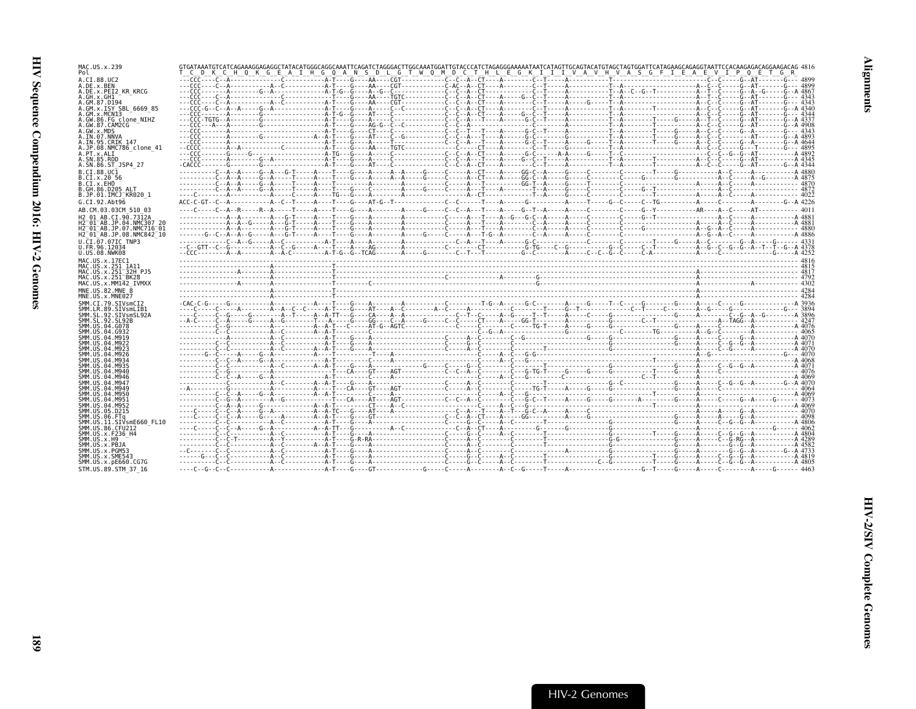| MAC.US.x.239<br>Pol                                                            |  | T'C'D'K'C'H'Q'K'G'EATHGQANSD'LGTWQMDCTHLEGKIIIVAVHVASGFIEAEVIPQETGR |  |
|--------------------------------------------------------------------------------|--|---------------------------------------------------------------------|--|
| A.CI.88.UC2<br>A.DE.x.BEN                                                      |  |                                                                     |  |
| A.DE.x.PEI2 KR KRCG<br>A.GH.x.GH1                                              |  |                                                                     |  |
| A.GM.87.D194<br>A.GM.x.ISY SBL 6669 85                                         |  |                                                                     |  |
| A.GM.x.MCNI3<br>A.GW.86.FG clone NIHZ                                          |  |                                                                     |  |
| A.GW.87.CAM2CG<br>A.GW.x.MDS                                                   |  |                                                                     |  |
| A.IN.07.NNVA                                                                   |  |                                                                     |  |
| A.IN.95.CRIK 147<br>A.JP.08.NMC786 clone 41                                    |  |                                                                     |  |
| A.PT.x.ALI<br>A.SN.85.ROD                                                      |  |                                                                     |  |
| A.SN.86.ST JSP4 27<br>B.CI.88.UC1                                              |  |                                                                     |  |
| B.CI.X.20 56<br>B.CI.X.EHO                                                     |  |                                                                     |  |
| B.GH.86.D205 ALT                                                               |  |                                                                     |  |
| B.JP.01.IMCJ KR020 1<br>G.CI.92.Abt96                                          |  |                                                                     |  |
| AB.CM.03.03CM 510 03                                                           |  |                                                                     |  |
| H2 01 AB.CI.90.7312A<br>H2 <sup>-01-AB.JP.04.NMC307 20</sup>                   |  |                                                                     |  |
| H2 01 AB. JP. 07. NMC716 01<br>H2 <sup>-01-AB.JP.08.NMC842<sup>-10</sup></sup> |  |                                                                     |  |
| U.CI.07.07IC TNP3<br>U.FR.96.12034                                             |  |                                                                     |  |
| U.US.08.NWK08                                                                  |  |                                                                     |  |
| MAC.US.x.17EC1<br>MAC. US. x. 251 1A11                                         |  |                                                                     |  |
| MAC.US.x.251 32H PJ5<br>MAC.US.x.251 <sup>-</sup> BK28                         |  |                                                                     |  |
| MAC.US.x.MM142 IVMXX<br>MNE.US.82.MNE 8                                        |  |                                                                     |  |
| MNE.US.x.MNE027                                                                |  |                                                                     |  |
| SMM.CI.79.SIVsmCI2<br>SMM.LR.89.SIVsmLIB1                                      |  |                                                                     |  |
| SMM.SL.92.SIVsmSL92A<br>SMM SL 92 SL92B                                        |  |                                                                     |  |
| SMM. U.S. 04. G078<br>SMM. U.S. 04. G932                                       |  |                                                                     |  |
| SMM IIS 04 M919<br>SMM. US. 04. M922                                           |  |                                                                     |  |
| SMM. US. 04. M923<br>SMM. US. 04. M926                                         |  |                                                                     |  |
| SMM. U.S. 04. M934                                                             |  |                                                                     |  |
| SMM. U.S. 04. M935<br>SMM. U.S. 04. M940                                       |  |                                                                     |  |
| SMM. U.S. 04. M946<br>SMM.US.04.M947                                           |  |                                                                     |  |
| SMM.US.04.M949<br>SMM.US.04.M950                                               |  |                                                                     |  |
| SMM.US.04.M951<br>SMM.US.04.M952                                               |  |                                                                     |  |
| SMM.US.05.D215<br>SMM.US.06.FTa                                                |  |                                                                     |  |
| SMM.US.11.SIVsmE660 FL10<br>SMM.US.86.CFU212                                   |  |                                                                     |  |
| SMM. U.S. x. F236 H4<br>SMM. US. x.H9                                          |  |                                                                     |  |
| SMM.US.x.PBJA                                                                  |  |                                                                     |  |
| SMM.US.x.PGM53<br>SMM.US.x.SME543                                              |  |                                                                     |  |
| SMM. US. x. pE660. CG7G<br>STM.US.89.STM 37 16                                 |  |                                                                     |  |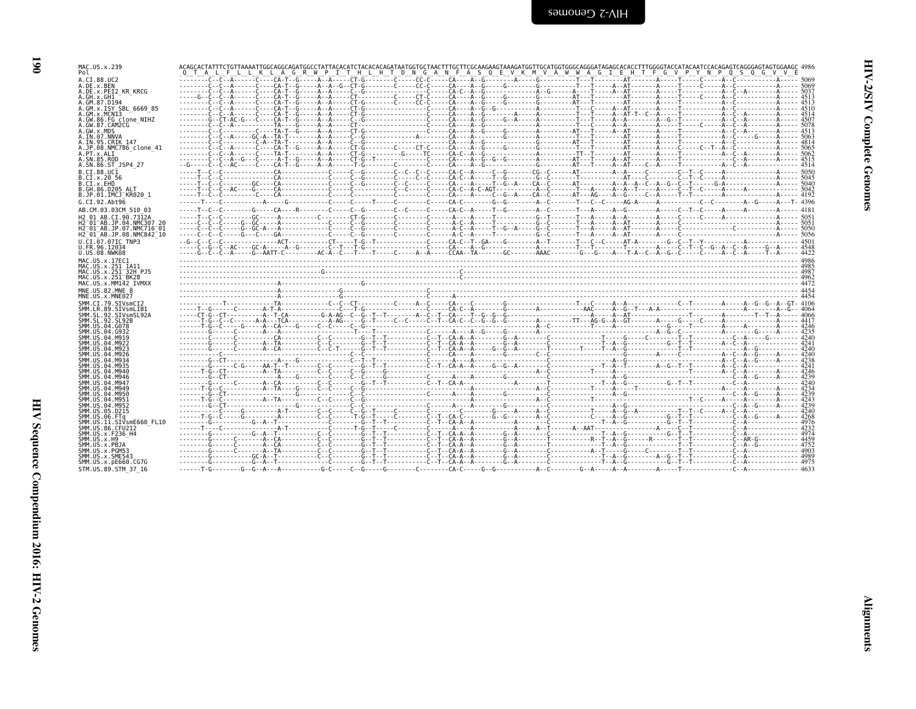| × | I<br>۰.<br>v |
|---|--------------|

| MAC.US.x.239                                                                                            | ACAGCACTATTTCTGTTAAAATTGGCAGATGGCCTATTACACATCTACACAGATAATGGTGCTAACTTTGCTTCGCAAGAAGTAAAGATGGTTGCATGGGCAGGGATAGAGCACACCCTTTGGGTACCATACAATCCACAGAGTCAGGGATACAATCCACAGGGATACAATCCACAGGGATAGTGGAGAGCCCTTTGGGGTAACAATCCACAGAGTCAGGGA |  |  |                                                                                                 |  |
|---------------------------------------------------------------------------------------------------------|--------------------------------------------------------------------------------------------------------------------------------------------------------------------------------------------------------------------------------|--|--|-------------------------------------------------------------------------------------------------|--|
| Pol<br>A.CI.88.UC2                                                                                      |                                                                                                                                                                                                                                |  |  | A G R W P I T H L H T D N G A N F A S O E V K M V A W W A G I E H T F G V P Y N P O S O G V V E |  |
| A.DE.x.BEN                                                                                              |                                                                                                                                                                                                                                |  |  |                                                                                                 |  |
| A.DE.x.PEI2 KR KRCG                                                                                     |                                                                                                                                                                                                                                |  |  |                                                                                                 |  |
| A.GH.x.GH1<br>A.GM.87.D194                                                                              |                                                                                                                                                                                                                                |  |  |                                                                                                 |  |
| A.GM.x.ISY SBL 6669 85                                                                                  |                                                                                                                                                                                                                                |  |  |                                                                                                 |  |
| A.GM.x.MCN13<br>A.GW.86.FG clone NIHZ                                                                   |                                                                                                                                                                                                                                |  |  |                                                                                                 |  |
| A.GW.87.CAM2CG                                                                                          |                                                                                                                                                                                                                                |  |  |                                                                                                 |  |
| A.GW.x.MDS<br>A.IN.07.NNVA                                                                              |                                                                                                                                                                                                                                |  |  |                                                                                                 |  |
| A.IN.95.CRIK 147                                                                                        |                                                                                                                                                                                                                                |  |  |                                                                                                 |  |
| A.JP.08.NMC786 clone 41<br>A.PT.x.ALI                                                                   |                                                                                                                                                                                                                                |  |  |                                                                                                 |  |
| A.SN.85.ROD                                                                                             |                                                                                                                                                                                                                                |  |  |                                                                                                 |  |
| A.SN.86.ST JSP4 27<br>B.CI.88.UC1                                                                       |                                                                                                                                                                                                                                |  |  |                                                                                                 |  |
| B.CI.X.20 56                                                                                            |                                                                                                                                                                                                                                |  |  |                                                                                                 |  |
| B.CI.X.EHO                                                                                              |                                                                                                                                                                                                                                |  |  |                                                                                                 |  |
| B.GH.86.D205 ALT<br>B.JP.01.IMCJ KR020 1                                                                |                                                                                                                                                                                                                                |  |  |                                                                                                 |  |
| G.CI.92.Abt96                                                                                           |                                                                                                                                                                                                                                |  |  |                                                                                                 |  |
| AB.CM.03.03CM 510 03                                                                                    |                                                                                                                                                                                                                                |  |  |                                                                                                 |  |
| H <sub>2</sub> 01 AB.CI.90.7312A                                                                        |                                                                                                                                                                                                                                |  |  |                                                                                                 |  |
| H2 <sup>-01-AB.JP.04.NMC307 20</sup><br>H2 <sup>-</sup> 01 <sup>-</sup> AB.JP.07.NMC716 <sup>-</sup> 01 |                                                                                                                                                                                                                                |  |  |                                                                                                 |  |
| H2 01 AB.JP.08.NMC842 10                                                                                |                                                                                                                                                                                                                                |  |  |                                                                                                 |  |
| U.CI.07.07IC TNP3                                                                                       |                                                                                                                                                                                                                                |  |  |                                                                                                 |  |
| U.FR.96.12034<br>U.US.08.NWK08                                                                          |                                                                                                                                                                                                                                |  |  |                                                                                                 |  |
| MAC.US.x.17EC1                                                                                          |                                                                                                                                                                                                                                |  |  |                                                                                                 |  |
| MAC.US.x.251 1A11                                                                                       |                                                                                                                                                                                                                                |  |  |                                                                                                 |  |
| MAC.US.x.251 <sup>-32H</sup> PJ5<br>MAC.US.x.251 BK28                                                   |                                                                                                                                                                                                                                |  |  |                                                                                                 |  |
| MAC.US.x.MM142 IVMXX                                                                                    |                                                                                                                                                                                                                                |  |  |                                                                                                 |  |
| MNE.U.S.82.MNE 8<br>MNE.US.x.MNE027                                                                     |                                                                                                                                                                                                                                |  |  |                                                                                                 |  |
| SMM.CI.79.SIVsmCI2                                                                                      |                                                                                                                                                                                                                                |  |  |                                                                                                 |  |
| SMM.LR.89.SIVsmLIB1                                                                                     |                                                                                                                                                                                                                                |  |  |                                                                                                 |  |
| SMM.SL.92.SIVsmSL92A<br>SMM.SL.92.SL92B                                                                 |                                                                                                                                                                                                                                |  |  |                                                                                                 |  |
| SMM.US.04.G078                                                                                          |                                                                                                                                                                                                                                |  |  |                                                                                                 |  |
| SMM.US.04.G932<br>SMM.US.04.M919                                                                        |                                                                                                                                                                                                                                |  |  |                                                                                                 |  |
|                                                                                                         |                                                                                                                                                                                                                                |  |  |                                                                                                 |  |
| SMM. US. 04. M922                                                                                       |                                                                                                                                                                                                                                |  |  |                                                                                                 |  |
| SMM. US. 04. M923                                                                                       |                                                                                                                                                                                                                                |  |  |                                                                                                 |  |
| SMM.US.04.M926<br>SMM. US. 04. M934                                                                     |                                                                                                                                                                                                                                |  |  |                                                                                                 |  |
| SMM. US. 04. M935                                                                                       |                                                                                                                                                                                                                                |  |  |                                                                                                 |  |
| SMM. US. 04. M940<br>SMM. US. 04. M946                                                                  |                                                                                                                                                                                                                                |  |  |                                                                                                 |  |
| SMM.US.04.M947                                                                                          |                                                                                                                                                                                                                                |  |  |                                                                                                 |  |
| SMM. US. 04. M949<br>SMM.US.04.M950                                                                     |                                                                                                                                                                                                                                |  |  |                                                                                                 |  |
| SMM.US.04.M951                                                                                          |                                                                                                                                                                                                                                |  |  |                                                                                                 |  |
| SMM.US.04.M952                                                                                          |                                                                                                                                                                                                                                |  |  |                                                                                                 |  |
| SMM. US. 05. D215<br>SMM.US.06.FTa                                                                      |                                                                                                                                                                                                                                |  |  |                                                                                                 |  |
| SMM.US.11.SIVsmE660 FL10                                                                                |                                                                                                                                                                                                                                |  |  |                                                                                                 |  |
| SMM.US.86.CFU212<br>SMM. US. x. F236 H4                                                                 |                                                                                                                                                                                                                                |  |  |                                                                                                 |  |
| SMM.US.x.H9                                                                                             |                                                                                                                                                                                                                                |  |  |                                                                                                 |  |
| SMM.US.x.PBJA<br>SMM.US.x.PGM53                                                                         |                                                                                                                                                                                                                                |  |  |                                                                                                 |  |
| SMM.US.x.SME543                                                                                         |                                                                                                                                                                                                                                |  |  |                                                                                                 |  |
| SMM.US.x.pE660.CG7G<br>STM.US.89.STM 37 16                                                              |                                                                                                                                                                                                                                |  |  |                                                                                                 |  |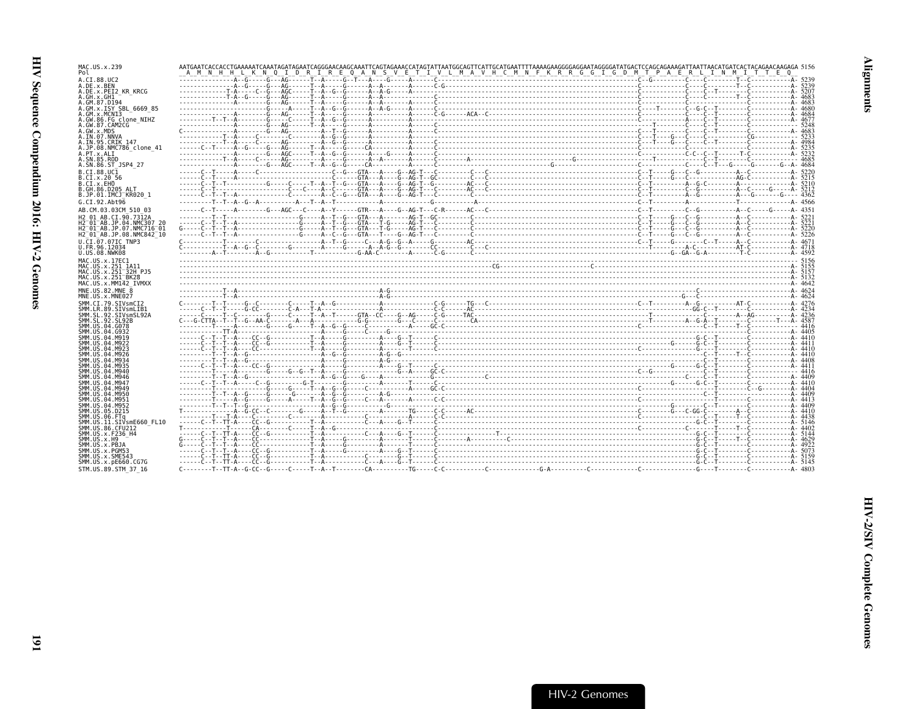| MAC.US.x.239<br>Pol                                              | A M N H H L K N Q I D R I R E Q A N S V E T I V L M A V H C M N F K R R G G I G D M T P A E R L I N M I T T E Q |  |
|------------------------------------------------------------------|-----------------------------------------------------------------------------------------------------------------|--|
| A.CI.88.UC2                                                      |                                                                                                                 |  |
| A.DE.x.BEN<br>A.DE.x.PEI2 KR KRCG                                |                                                                                                                 |  |
| A.GH.x.GH1                                                       |                                                                                                                 |  |
| A.GM.87.D194<br>A.GM.x.ISY SBL 6669 85                           |                                                                                                                 |  |
| A.GM.x.MCN13                                                     |                                                                                                                 |  |
| A.GW.86.FG clone NIHZ                                            |                                                                                                                 |  |
| A.GW.87.CAM2CG<br>A.GW.x.MDS                                     |                                                                                                                 |  |
| A.IN.07.NNVA                                                     |                                                                                                                 |  |
| A.IN.95.CRIK 147<br>A.JP.08.NMC786 clone 41                      |                                                                                                                 |  |
| A.PT.x.ALI                                                       |                                                                                                                 |  |
| A.SN.85.ROD                                                      |                                                                                                                 |  |
| A.SN.86.ST JSP4 27<br>B.CI.88.UC1                                |                                                                                                                 |  |
| B.CI.X.20 56                                                     |                                                                                                                 |  |
| B.CI.X.EHO<br>B.GH.86.D205 ALT                                   |                                                                                                                 |  |
| B.JP.01.IMCJ KR020 1                                             |                                                                                                                 |  |
| G.CI.92.Abt96                                                    |                                                                                                                 |  |
| AB.CM.03.03CM 510 03                                             |                                                                                                                 |  |
| H2 01 AB.CI.90.7312A                                             |                                                                                                                 |  |
| H2 01 AB JP 04 NMC307 20<br>H2 <sup>-01-AB.JP.07.NMC716-01</sup> |                                                                                                                 |  |
| H2 01 AB.JP.08.NMC842 10                                         |                                                                                                                 |  |
| U.CI.07.07IC TNP3                                                |                                                                                                                 |  |
| U.FR.96.12034<br>U.US.08.NWK08                                   |                                                                                                                 |  |
| MAC.US.x.17EC1                                                   |                                                                                                                 |  |
| MAC.US.x.251 1A11                                                |                                                                                                                 |  |
|                                                                  |                                                                                                                 |  |
| MAC.US.x.251 32H PJ5                                             |                                                                                                                 |  |
| MAC.US.x.251 <sup>-</sup> BK28<br>MAC.US.x.MM142 IVMXX           |                                                                                                                 |  |
| MNE.US.82.MNE 8                                                  |                                                                                                                 |  |
| MNE.US.x.MNE027                                                  |                                                                                                                 |  |
| SMM.CI.79.SIVsmCI2                                               |                                                                                                                 |  |
| SMM.LR.89.SIVsmLIB1<br>SMM.SL.92.SIVsmSL92A                      |                                                                                                                 |  |
| SMM.SL.92.SL92B                                                  |                                                                                                                 |  |
| SMM.US.04.G078<br>SMM.US.04.G932                                 |                                                                                                                 |  |
| SMM.US.04.M919                                                   |                                                                                                                 |  |
| SMM.US.04.M922<br>SMM.US.04.M923                                 |                                                                                                                 |  |
| SMM.US.04.M926                                                   |                                                                                                                 |  |
| SMM.US.04.M934<br>SMM.US.04.M935                                 |                                                                                                                 |  |
| SMM. U.S. 04. M940                                               |                                                                                                                 |  |
| SMM.US.04.M946                                                   |                                                                                                                 |  |
| SMM.US.04.M947<br>SMM.US.04.M949                                 |                                                                                                                 |  |
| SMM.US.04.M950                                                   |                                                                                                                 |  |
| SMM.US.04.M951<br>SMM.US.04.M952                                 |                                                                                                                 |  |
| SMM.US.05.D215                                                   |                                                                                                                 |  |
| SMM.US.06.FTa<br>SMM.US.11.SIVsmE660 FL10                        |                                                                                                                 |  |
| SMM. US.86. CFU212                                               |                                                                                                                 |  |
| SMM. US. x. F236 H4                                              |                                                                                                                 |  |
| SMM.US.x.H9<br>SMM.US.x.PBJA                                     |                                                                                                                 |  |
| SMM.US.x.PGM53                                                   |                                                                                                                 |  |
| SMM.US.x.SME543<br>SMM. US. x. pE660. CG7G                       |                                                                                                                 |  |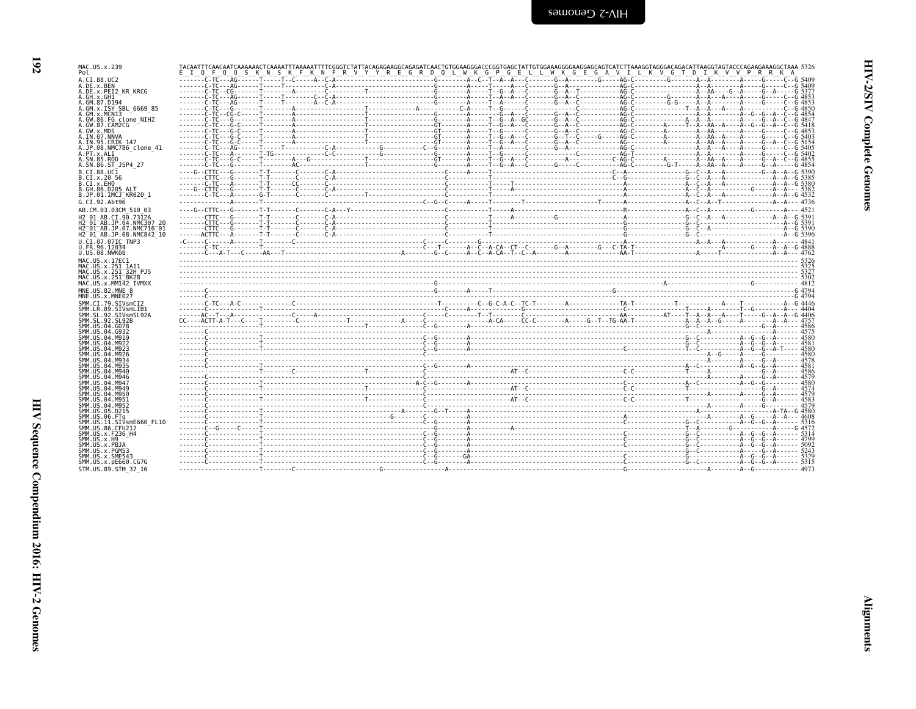| ×                        |
|--------------------------|
| ۰.<br>۰.<br>×<br>٠<br>., |

| MAC.US.x.239<br>Pol                                 | Q Q S K N S K F K N F R V Y Y R E G R D Q L W K G P G E L L W K G E G A V I L K V G T D I K V V P R R K A<br>$I$ 0 F |  |  |
|-----------------------------------------------------|----------------------------------------------------------------------------------------------------------------------|--|--|
| A.CI.88.UC2                                         |                                                                                                                      |  |  |
| A.DE.x.BEN<br>A.DE.x.PEI2 KR KRCG                   |                                                                                                                      |  |  |
| A.GH.x.GH1                                          |                                                                                                                      |  |  |
| A.GM.87.D194<br>A.GM.x.ISY SBL 6669 85              |                                                                                                                      |  |  |
| A.GM.x.MCN13                                        |                                                                                                                      |  |  |
| A.GW.86.FG clone NIHZ<br>A.GW.87.CAM2CG             |                                                                                                                      |  |  |
| A.GW.x.MDS                                          |                                                                                                                      |  |  |
| A.IN.07.NNVA<br>A.IN.95.CRIK 147                    |                                                                                                                      |  |  |
| A.JP.08.NMC786 clone 41                             |                                                                                                                      |  |  |
| A.PT.x.ALI<br>A.SN.85.ROD                           |                                                                                                                      |  |  |
| A.SN.86.ST JSP4 27                                  |                                                                                                                      |  |  |
| B.CI.88.UC1<br>B.CI.x.20 56                         |                                                                                                                      |  |  |
| B.CI.X.EHO                                          |                                                                                                                      |  |  |
| B.GH.86.D205 ALT<br>B.JP.01.IMCJ KR020 1            |                                                                                                                      |  |  |
| G.CI.92.Abt96                                       |                                                                                                                      |  |  |
| AB.CM.03.03CM 510 03                                |                                                                                                                      |  |  |
| H2 01 AB.CI.90.7312A<br>H2 01 AB. JP. 04. NMC307 20 |                                                                                                                      |  |  |
| H2-01-AB.JP.07.NMC716-01                            |                                                                                                                      |  |  |
| H2 <sup>-01-AB.JP.08.NMC842<sup>-10</sup></sup>     |                                                                                                                      |  |  |
| U.CI.07.07IC TNP3<br>U.FR.96.12034                  |                                                                                                                      |  |  |
| U.US.08.NWK08                                       |                                                                                                                      |  |  |
| MAC.US.x.17EC1<br>MAC.US.x.251 1A11                 |                                                                                                                      |  |  |
| MAC.US.x.251 <sup>-32H</sup> PJ5                    |                                                                                                                      |  |  |
| MAC.US.x.251 BK28<br>MAC.US.x.MM142 IVMXX           |                                                                                                                      |  |  |
| MNE.US.82.MNE 8                                     |                                                                                                                      |  |  |
| MNE.US.x.MNE027                                     |                                                                                                                      |  |  |
| SMM.CI.79.SIVsmCI2<br>SMM.LR.89.SIVsmLIB1           |                                                                                                                      |  |  |
| SMM.SL.92.SIVsmSL92A                                |                                                                                                                      |  |  |
| SMM. SL. 92. SL92B<br>SMM.US.04.G078                |                                                                                                                      |  |  |
| SMM. US.04. G932                                    |                                                                                                                      |  |  |
| SMM. U.S. 04. M919<br>SMM.US.04.M922                |                                                                                                                      |  |  |
| SMM.US.04.M923<br>SMM. U.S. 04. M926                |                                                                                                                      |  |  |
| SMM. U.S. 04. M934                                  |                                                                                                                      |  |  |
| SMM.US.04.M935<br>SMM.US.04.M940                    |                                                                                                                      |  |  |
| SMM. U.S. 04. M946                                  |                                                                                                                      |  |  |
| SMM.US.04.M947<br>SMM.US.04.M949                    |                                                                                                                      |  |  |
| SMM.US.04.M950                                      |                                                                                                                      |  |  |
| SMM.US.04.M951<br>SMM. U.S. 04. M952                |                                                                                                                      |  |  |
| SMM.US.05.D215                                      |                                                                                                                      |  |  |
| SMM.US.06.FTq<br>SMM.US.11.SIVsmE660 FL10           |                                                                                                                      |  |  |
| SMM.US.86.CFU212                                    |                                                                                                                      |  |  |
| SMM.US.x.F236 H4<br>SMM.US.x.H9                     |                                                                                                                      |  |  |
| SMM.US.x.PBJA                                       |                                                                                                                      |  |  |
| SMM.US.x.PGM53<br>SMM.US.x.SME543                   |                                                                                                                      |  |  |
| SMM. US. x. pE660. CG7G                             |                                                                                                                      |  |  |
| STM.US.89.STM 37 16                                 |                                                                                                                      |  |  |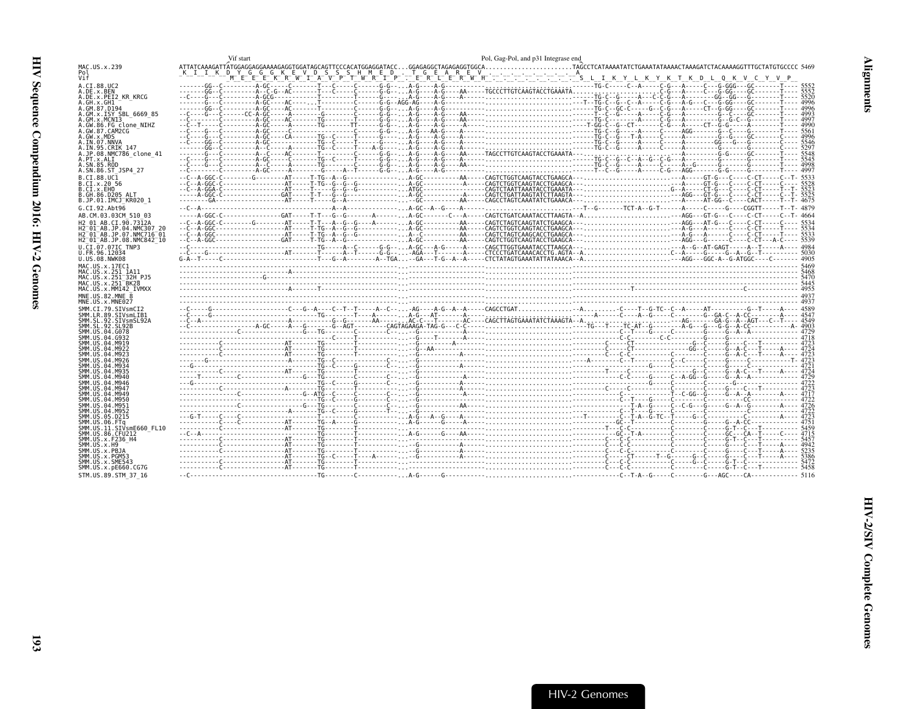<span id="page-38-0"></span>

|                                                                                                                                                      | Vif start | Pol, Gag-Pol, and p31 Integrase end |
|------------------------------------------------------------------------------------------------------------------------------------------------------|-----------|-------------------------------------|
| MAC.US.x.239<br>Pol<br>Vif                                                                                                                           |           |                                     |
| A.CI.88.UC2<br>A.DE.x.BEN<br>A.DE.x.PEI2 KR KRCG<br>A.GH.x.GH1                                                                                       |           |                                     |
| A.GM.87.D194<br>A.GM.x.ISY SBL 6669 85<br>A.GM.x.MCN13<br>A.GW.86.FG clone NIHZ<br>A.GW.87.CAM2CG                                                    |           |                                     |
| A.GW.x.MDS<br>A.IN.07.NNVA<br>A. IN. 95. CRIK 147<br>A.JP.08.NMC786 clone 41<br>A.PT.x.ALI                                                           |           |                                     |
| A.SN.85.ROD<br>A.SN.86.ST JSP4 27<br>B.CI.88.UC1<br>B.CI.x.20_56                                                                                     |           |                                     |
| B.CI.x.EHO<br>B.GH.86.D205 ALT<br>B.JP.01.IMCJ KR020 1                                                                                               |           |                                     |
| G.CI.92.Abt96<br>AB.CM.03.03CM 510 03<br>H2 01 AB.CI.90.7312A                                                                                        |           |                                     |
| H2 <sup>-01-AB.JP.04.NMC307 20</sup><br>H2 <sup>-01-AB.JP.07.NMC716-01</sup><br>H2 <sup>-01-AB.JP.08.NMC842<sup>-10</sup></sup><br>U.CI.07.07IC TNP3 |           |                                     |
| U.FR.96.12034<br>U.US.08.NWK08<br>MAC.US.x.17EC1                                                                                                     |           |                                     |
| MAC.US.x.251 1A11<br>MAC.US.x.251 32H PJ5<br>MAC.US.x.251 <sup>-</sup> BK28<br>MAC.US.x.MM142 IVMXX                                                  |           |                                     |
| MNE.US.82.MNE 8<br>MNE.US.x.MNE027<br>SMM.CI.79.SIVsmCI2<br>SMM.LR.89.SIVsmLIB1                                                                      |           |                                     |
| SMM.SL.92.SIVsmSL92A<br>SMM.SL.92.SL92B<br>SMM.US.04.G078<br>SMM.US.04.G932                                                                          |           |                                     |
| SMM.US.04.M919<br>SMM.US.04.M922<br>SMM.US.04.M923<br>SMM US 04 M926                                                                                 |           |                                     |
| SMM US 04 M934<br>SMM.US.04.M935<br>SMM. US. 04. M940<br>SMM. US. 04. M946                                                                           |           |                                     |
| SMM. U.S. 04. M947<br>SMM. US. 04. M949<br>SMM. U.S. 04. M950<br>SMM.US.04.M951                                                                      |           |                                     |
| SMM.US.04.M952<br>SMM.US.05.D215<br>SMM.US.06.FTa<br>SMM.US.11.SIVsmE660 FL10                                                                        |           |                                     |
| SMM. U.S., 86. CFU212<br>SMM.US.x.F236 H4<br>SMM.US.x.H9<br>SMM.US.x.PBJA                                                                            |           |                                     |
| SMM.US.x.PGM53<br>SMM.US.x.SME543<br>SMM.US.x.pE660.CG7G<br>STM.US.89.STM 37 16                                                                      |           |                                     |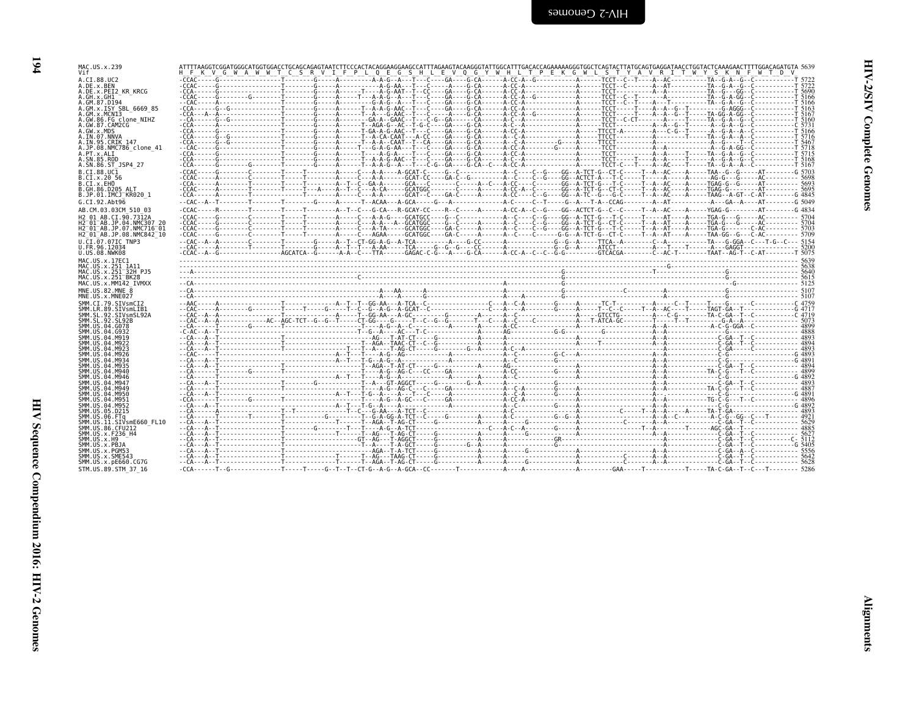| A.CI.88.UC2                                                     |  |                                                                                                                                                                                                                               |  |  |  |
|-----------------------------------------------------------------|--|-------------------------------------------------------------------------------------------------------------------------------------------------------------------------------------------------------------------------------|--|--|--|
| A.DE.x.BEN<br>A.DE.x.PEI2 KR KRCG                               |  |                                                                                                                                                                                                                               |  |  |  |
| A.GH.x.GH1                                                      |  |                                                                                                                                                                                                                               |  |  |  |
| A.GM.87.D194                                                    |  |                                                                                                                                                                                                                               |  |  |  |
| A.GM.x.ISY SBL 6669 85<br>A.GM.x.MCNI3                          |  |                                                                                                                                                                                                                               |  |  |  |
| A.GW.86.FG clone NIHZ                                           |  |                                                                                                                                                                                                                               |  |  |  |
| A.GW.87.CAM2CG                                                  |  |                                                                                                                                                                                                                               |  |  |  |
| A.GW.x.MDS<br>A.IN.07.NNVA                                      |  |                                                                                                                                                                                                                               |  |  |  |
| A.IN.95.CRIK 147                                                |  |                                                                                                                                                                                                                               |  |  |  |
| A.JP.08.NMC786 clone 41                                         |  |                                                                                                                                                                                                                               |  |  |  |
| A.PT.x.ALI                                                      |  |                                                                                                                                                                                                                               |  |  |  |
| A.SN.85.ROD<br>A.SN.86.ST JSP4 27                               |  |                                                                                                                                                                                                                               |  |  |  |
| B.CT.88.UC1                                                     |  |                                                                                                                                                                                                                               |  |  |  |
| B.CI.x.20 56                                                    |  |                                                                                                                                                                                                                               |  |  |  |
| B.CI.x.EHO                                                      |  |                                                                                                                                                                                                                               |  |  |  |
| B.GH.86.D205 ALT<br>B.JP.01.IMCJ <sup>-</sup> KR020 1           |  |                                                                                                                                                                                                                               |  |  |  |
|                                                                 |  |                                                                                                                                                                                                                               |  |  |  |
| G.CI.92.Abt96                                                   |  |                                                                                                                                                                                                                               |  |  |  |
| AB.CM.03.03CM 510 03                                            |  |                                                                                                                                                                                                                               |  |  |  |
| H2 01 AB.CI.90.7312A                                            |  |                                                                                                                                                                                                                               |  |  |  |
| H2 <sup>-</sup> 01 <sup>-</sup> AB.JP.07.NMC716 <sup>-</sup> 01 |  |                                                                                                                                                                                                                               |  |  |  |
| H2 <sup>-</sup> 01 <sup>-</sup> AB.JP.08.NMC842 <sup>-</sup> 10 |  |                                                                                                                                                                                                                               |  |  |  |
| U.CI.07.07IC TNP3                                               |  |                                                                                                                                                                                                                               |  |  |  |
| U.FR.96.12034                                                   |  |                                                                                                                                                                                                                               |  |  |  |
| U.US.08.NWK08                                                   |  |                                                                                                                                                                                                                               |  |  |  |
| MAC.US.x.17EC1<br>MAC.US.x.251 1A11                             |  |                                                                                                                                                                                                                               |  |  |  |
| MAC.US.x.251 <sup>-</sup> 32H PJ5                               |  |                                                                                                                                                                                                                               |  |  |  |
| MAC.US.x.251 <sup>-</sup> BK28                                  |  |                                                                                                                                                                                                                               |  |  |  |
| MAC.US.x.MM142 IVMXX                                            |  |                                                                                                                                                                                                                               |  |  |  |
| MNE.US.82.MNE 8                                                 |  |                                                                                                                                                                                                                               |  |  |  |
| MNE.US.x.MNE027                                                 |  |                                                                                                                                                                                                                               |  |  |  |
| SMM.CI.79.SIVsmCI2<br>SMM.LR.89.SIVsmLIB1                       |  |                                                                                                                                                                                                                               |  |  |  |
|                                                                 |  |                                                                                                                                                                                                                               |  |  |  |
|                                                                 |  |                                                                                                                                                                                                                               |  |  |  |
|                                                                 |  | ت بوجود المستقل المستقل المستقل المستقل المستقل المستقل المستقل المستقل المستقل المستقل المستقل المستقل المستقل المستقل المستقل المستقل المستقل المستقل المستقل المستقل المستقل المستقل المستقل المستقل المستقل المستقل المست |  |  |  |
|                                                                 |  |                                                                                                                                                                                                                               |  |  |  |
|                                                                 |  |                                                                                                                                                                                                                               |  |  |  |
|                                                                 |  |                                                                                                                                                                                                                               |  |  |  |
| SMM IIS 04 M926<br>SMM IIS 04 M934                              |  |                                                                                                                                                                                                                               |  |  |  |
| SMM.US.04.M935                                                  |  |                                                                                                                                                                                                                               |  |  |  |
| SMM.US.04.M940                                                  |  |                                                                                                                                                                                                                               |  |  |  |
| SMM.US.04.M946                                                  |  |                                                                                                                                                                                                                               |  |  |  |
| SMM.US.04.M947<br>SMM.US.04.M949                                |  |                                                                                                                                                                                                                               |  |  |  |
| SMM.US.04.M950                                                  |  |                                                                                                                                                                                                                               |  |  |  |
| SMM.US.04.M951                                                  |  |                                                                                                                                                                                                                               |  |  |  |
| SMM.US.04.M952                                                  |  |                                                                                                                                                                                                                               |  |  |  |
| SMM.US.05.D215<br>SMM.US.06.FTa                                 |  |                                                                                                                                                                                                                               |  |  |  |
| SMM.US.11.SIVsmE660 FL10                                        |  |                                                                                                                                                                                                                               |  |  |  |
| SMM.US.86.CFU212                                                |  |                                                                                                                                                                                                                               |  |  |  |
| SMM.US.x.F236 H4                                                |  |                                                                                                                                                                                                                               |  |  |  |
| SMM.US.x.H9<br>SMM.US.x.PBJA                                    |  | -- قائدا - المستحدة - قائدا - المستحدة - مستحدة - مستحدة - مستحدة - مستحدة - مستحدة - مستحدة - مستحدة - مستحدة                                                                                                                |  |  |  |
| SMM.US.x.PGM53                                                  |  |                                                                                                                                                                                                                               |  |  |  |
| SMM.US.x.SME543                                                 |  |                                                                                                                                                                                                                               |  |  |  |
|                                                                 |  |                                                                                                                                                                                                                               |  |  |  |
| SMM.US.x.pE660.CG7G<br>STM.US.89.STM 37 16                      |  |                                                                                                                                                                                                                               |  |  |  |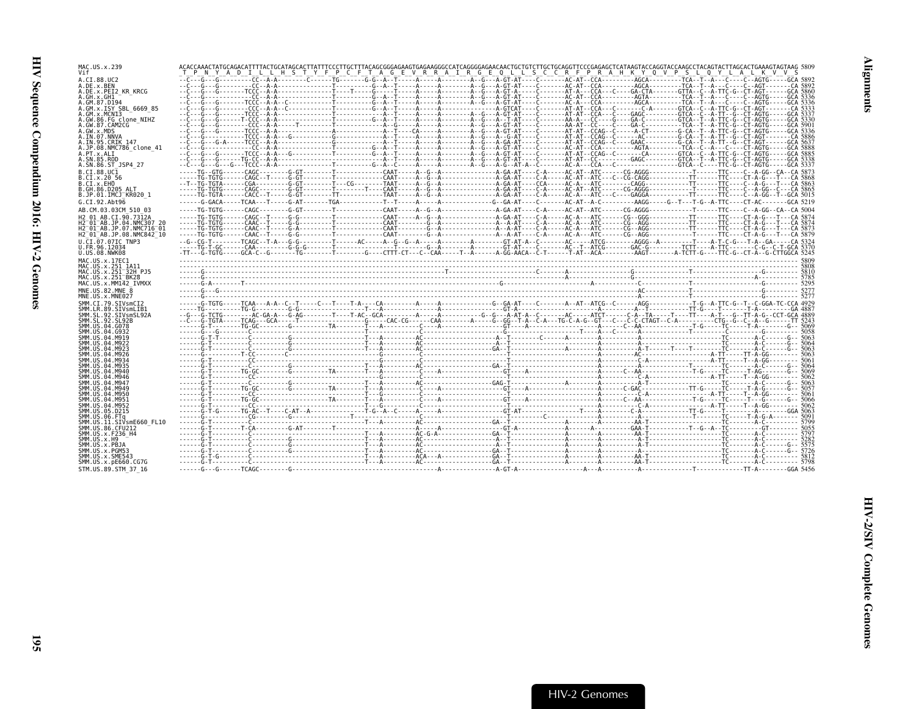| MAC.US.x.239<br>Vif                              | ACACCAAACTATCOCAAACTATTTTACTGCATAGCACTTATTTCCCTTGCTTTACAGCGGGAGAAGTGAGAAGGGCCATCAGGAACAACTGCTGTCTTGCTGCAGGGTTCCCGAGAGCTCATAAGTACCAGGTACCAAGCCTACAGTACTTAGCACTGAAAGTAGTAGCAGGTACTACAGTACTTACAGAGTACTGAAAGTAGTAGCAGGTACTACAGTACTA<br>T P N Y A D I L L H S T Y F P C F T A G E V R R A I R G E O L L S C C R F P R A H K Y O V P S L O Y L A L K V V S |  |  |  |
|--------------------------------------------------|------------------------------------------------------------------------------------------------------------------------------------------------------------------------------------------------------------------------------------------------------------------------------------------------------------------------------------------------------|--|--|--|
| A.CI.88.UC2<br>A.DE.x.BEN                        |                                                                                                                                                                                                                                                                                                                                                      |  |  |  |
| A.DE.x.PEI2 KR KRCG                              |                                                                                                                                                                                                                                                                                                                                                      |  |  |  |
| A.GH.x.GH1<br>A.GM.87.D194                       |                                                                                                                                                                                                                                                                                                                                                      |  |  |  |
| A.GM.x.ISY SBL 6669 85<br>A.GM.x.MCN13           |                                                                                                                                                                                                                                                                                                                                                      |  |  |  |
| A.GW.86.FG clone NIHZ<br>A.GW.87.CAM2CG          |                                                                                                                                                                                                                                                                                                                                                      |  |  |  |
| A.GW.x.MDS                                       |                                                                                                                                                                                                                                                                                                                                                      |  |  |  |
| A.IN.07.NNVA<br>A.IN.95.CRIK 147                 |                                                                                                                                                                                                                                                                                                                                                      |  |  |  |
| A.JP.08.NMC786 clone 41<br>A.PT.x.ALI            |                                                                                                                                                                                                                                                                                                                                                      |  |  |  |
| A.SN.85.ROD                                      |                                                                                                                                                                                                                                                                                                                                                      |  |  |  |
| A.SN.86.ST JSP4 27<br>B.CT.88.UC1                |                                                                                                                                                                                                                                                                                                                                                      |  |  |  |
| B.CI.X.20 56<br>B.CI.X.EHO                       |                                                                                                                                                                                                                                                                                                                                                      |  |  |  |
| B.GH.86.D205 ALT                                 |                                                                                                                                                                                                                                                                                                                                                      |  |  |  |
| B.JP.01.IMCJ KR020 1<br>G.CI.92.Abt96            |                                                                                                                                                                                                                                                                                                                                                      |  |  |  |
| AB.CM.03.03CM 510 03                             |                                                                                                                                                                                                                                                                                                                                                      |  |  |  |
| H2 01 AB.CI.90.7312A<br>H2 01 AB.JP.04.NMC307 20 |                                                                                                                                                                                                                                                                                                                                                      |  |  |  |
| H2 <sup>-01-AB.JP.07.NMC716-01</sup>             |                                                                                                                                                                                                                                                                                                                                                      |  |  |  |
| H2 01 AB.JP.08.NMC842 10<br>U.CI.07.07IC TNP3    |                                                                                                                                                                                                                                                                                                                                                      |  |  |  |
| U.FR.96.12034                                    |                                                                                                                                                                                                                                                                                                                                                      |  |  |  |
| U.US.08.NWK08<br>MAC.US.x.17EC1                  |                                                                                                                                                                                                                                                                                                                                                      |  |  |  |
| MAC.US.x.251 1A11<br>MAC.US.x.251 32H PJ5        |                                                                                                                                                                                                                                                                                                                                                      |  |  |  |
| MAC.US.x.251 BK28                                |                                                                                                                                                                                                                                                                                                                                                      |  |  |  |
| MAC.US.x.MM142 IVMXX<br>MNE.US.82.MNE 8          |                                                                                                                                                                                                                                                                                                                                                      |  |  |  |
|                                                  |                                                                                                                                                                                                                                                                                                                                                      |  |  |  |
| MNE.US.x.MNE027                                  |                                                                                                                                                                                                                                                                                                                                                      |  |  |  |
| SMM.CI.79.SIVsmCI2<br>SMM.LR.89.SIVsmLIB1        |                                                                                                                                                                                                                                                                                                                                                      |  |  |  |
| SMM. SL. 92. SIVsmSL92A                          |                                                                                                                                                                                                                                                                                                                                                      |  |  |  |
| SMM.SL.92.SL92B<br>SMM. US. 04. G078             |                                                                                                                                                                                                                                                                                                                                                      |  |  |  |
| SMM. U.S. 04. G932<br>SMM. U.S. 04. M919         |                                                                                                                                                                                                                                                                                                                                                      |  |  |  |
| SMM IIS 04 M922<br>SMM.US.04.M923                |                                                                                                                                                                                                                                                                                                                                                      |  |  |  |
| SMM.US.04.M926                                   |                                                                                                                                                                                                                                                                                                                                                      |  |  |  |
| SMM.US.04.M934<br>SMM.US.04.M935                 |                                                                                                                                                                                                                                                                                                                                                      |  |  |  |
| SMM.US.04.M940<br>SMM. U.S. 04. M946             |                                                                                                                                                                                                                                                                                                                                                      |  |  |  |
| SMM.US.04.M947                                   |                                                                                                                                                                                                                                                                                                                                                      |  |  |  |
| SMM.US.04.M949<br>SMM.US.04.M950                 |                                                                                                                                                                                                                                                                                                                                                      |  |  |  |
| SMM.US.04.M951<br>SMM. U.S. 04. M952             |                                                                                                                                                                                                                                                                                                                                                      |  |  |  |
| SMM. US. 05. D215                                |                                                                                                                                                                                                                                                                                                                                                      |  |  |  |
| SMM.US.06.FTa<br>SMM.US.11.SIVsmE660 FL10        |                                                                                                                                                                                                                                                                                                                                                      |  |  |  |
| SMM. US.86. CFU212<br>SMM.US.x.F236 H4           |                                                                                                                                                                                                                                                                                                                                                      |  |  |  |
| SMM. US. x.H9                                    |                                                                                                                                                                                                                                                                                                                                                      |  |  |  |
| SMM.US.x.PBJA<br>SMM.US.x.PGM53                  |                                                                                                                                                                                                                                                                                                                                                      |  |  |  |
| SMM.US.x.SME543<br>SMM.US.x.pE660.CG7G           |                                                                                                                                                                                                                                                                                                                                                      |  |  |  |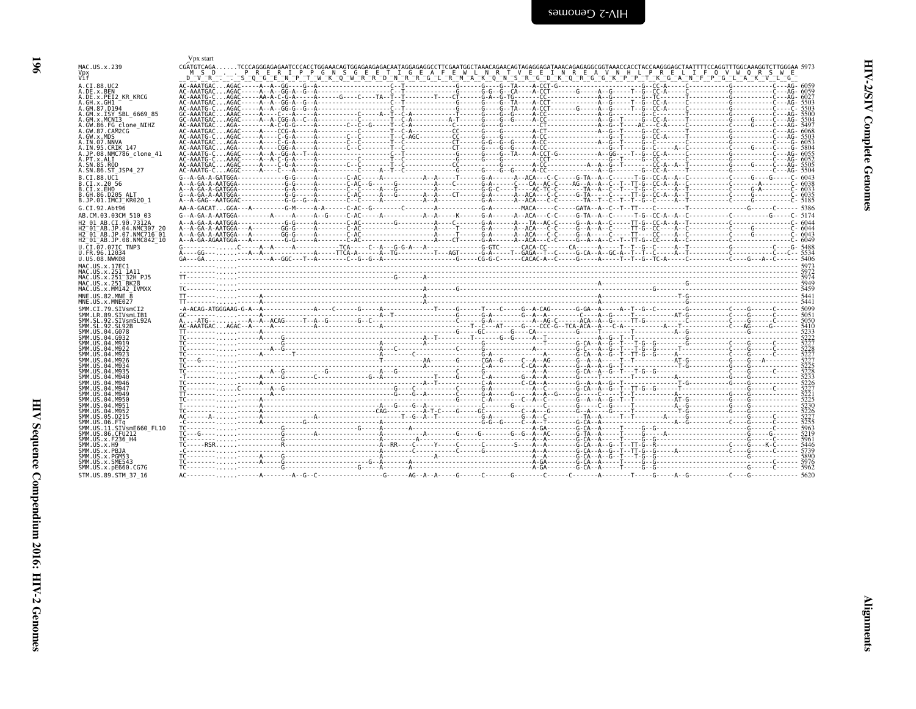<span id="page-41-0"></span>

| ミくし                   |  |
|-----------------------|--|
| ١<br>ì<br>ì<br>î<br>Š |  |
|                       |  |

|                                                                                                                                                                                                                                                                                                                                                                                                      | Vpx start                                |                                                                                                                 |  |  |  |  |  |
|------------------------------------------------------------------------------------------------------------------------------------------------------------------------------------------------------------------------------------------------------------------------------------------------------------------------------------------------------------------------------------------------------|------------------------------------------|-----------------------------------------------------------------------------------------------------------------|--|--|--|--|--|
| MAC.US.x.239<br>Vif                                                                                                                                                                                                                                                                                                                                                                                  | M S D<br>$D$ $\neg$ $\neg$ $\neg$ $\neg$ | PRERIPPGNSGEETIGEAFEWLNRTVEEINREAVNHLPRELIFQVWQRSWE<br>SOGENPTWKOWRRDNRRDNRRGLRMAKONSRGDKORGPKPPTKGANFPGLAKVLLG |  |  |  |  |  |
| A.CI.88.UC2<br>A.DE.x.BEN                                                                                                                                                                                                                                                                                                                                                                            |                                          |                                                                                                                 |  |  |  |  |  |
| A.DE.x.PEI2 KR KRCG<br>A.GH.x.GH1<br>A.GM.87.D194                                                                                                                                                                                                                                                                                                                                                    |                                          |                                                                                                                 |  |  |  |  |  |
| A.GM.x.ISY SBL 6669 85<br>A.GM.x.MCNI3<br>A.GW.86.FG clone NIHZ                                                                                                                                                                                                                                                                                                                                      |                                          |                                                                                                                 |  |  |  |  |  |
| A.GW.87.CAM2CG<br>A.GW.x.MDS                                                                                                                                                                                                                                                                                                                                                                         |                                          |                                                                                                                 |  |  |  |  |  |
| A.IN.07.NNVA<br>A.IN.95.CRIK 147<br>A.JP.08.NMC786 clone 41                                                                                                                                                                                                                                                                                                                                          |                                          |                                                                                                                 |  |  |  |  |  |
| A.PT.x.ALI<br>A.SN.85.ROD<br>A.SN.86.ST JSP4 27                                                                                                                                                                                                                                                                                                                                                      |                                          |                                                                                                                 |  |  |  |  |  |
| B.CT.88.UC1<br>B.CI.x.20 56                                                                                                                                                                                                                                                                                                                                                                          |                                          |                                                                                                                 |  |  |  |  |  |
| B.CI.x.EHO<br>B.GH.86.D205 ALT<br>B.JP.01.IMCJ <sup>-</sup> KR020 1                                                                                                                                                                                                                                                                                                                                  |                                          |                                                                                                                 |  |  |  |  |  |
| G.CI.92.Abt96<br>AB.CM.03.03CM 510 03                                                                                                                                                                                                                                                                                                                                                                |                                          |                                                                                                                 |  |  |  |  |  |
| H2 01 AB.CI.90.7312A<br>H2 <sup>-</sup> 01 <sup>-</sup> AB.JP.04.NMC307 20<br>H2 <sup>-</sup> 01 <sup>-</sup> AB.JP.07.NMC716 <sup>-</sup> 01                                                                                                                                                                                                                                                        |                                          |                                                                                                                 |  |  |  |  |  |
| H2 <sup>-</sup> 01 <sup>-</sup> AB.JP.08.NMC842 <sup>-</sup> 10<br>U.CI.07.07IC TNP3                                                                                                                                                                                                                                                                                                                 |                                          |                                                                                                                 |  |  |  |  |  |
| U.FR.96.12034<br>U.US.08.NWK08<br>MAC.US.x.17EC1                                                                                                                                                                                                                                                                                                                                                     |                                          |                                                                                                                 |  |  |  |  |  |
|                                                                                                                                                                                                                                                                                                                                                                                                      |                                          |                                                                                                                 |  |  |  |  |  |
| MAC.US.x.251 1A11<br>MAC.US.x.251 <sup>-</sup> 32H PJ5                                                                                                                                                                                                                                                                                                                                               |                                          |                                                                                                                 |  |  |  |  |  |
|                                                                                                                                                                                                                                                                                                                                                                                                      |                                          |                                                                                                                 |  |  |  |  |  |
|                                                                                                                                                                                                                                                                                                                                                                                                      |                                          |                                                                                                                 |  |  |  |  |  |
|                                                                                                                                                                                                                                                                                                                                                                                                      |                                          |                                                                                                                 |  |  |  |  |  |
|                                                                                                                                                                                                                                                                                                                                                                                                      |                                          |                                                                                                                 |  |  |  |  |  |
|                                                                                                                                                                                                                                                                                                                                                                                                      |                                          |                                                                                                                 |  |  |  |  |  |
|                                                                                                                                                                                                                                                                                                                                                                                                      |                                          |                                                                                                                 |  |  |  |  |  |
|                                                                                                                                                                                                                                                                                                                                                                                                      | $\frac{1}{1}$                            |                                                                                                                 |  |  |  |  |  |
|                                                                                                                                                                                                                                                                                                                                                                                                      |                                          |                                                                                                                 |  |  |  |  |  |
|                                                                                                                                                                                                                                                                                                                                                                                                      |                                          |                                                                                                                 |  |  |  |  |  |
|                                                                                                                                                                                                                                                                                                                                                                                                      |                                          |                                                                                                                 |  |  |  |  |  |
| MAC.US.x.251 <sup>-</sup> BK28<br>MAC.US.x.MM142 IVMXX<br>MNE.US.82.MNE<br>MNE.US.x.MNE027<br>SMM.CI.79.SIVsmCI2<br>SMM.LR.89.SIVsmLIB1<br>SMM.SL.92.SIVsmSL92A<br>SMM.US.04.G078<br>SMM US 04 M949<br>SMM.US.04.M950<br>SMM.US.04.M951<br>SMM.US.04.M952<br>SMM.US.05.D215<br>SMM.US.06.FTa<br>SMM.US.11.SIVsmE660 FL10<br>SMM. U.S. 86. CFU212<br>SMM.US.x.F236 H4<br>SMM.US.x.H9<br>SMM.US.x.PBJA |                                          |                                                                                                                 |  |  |  |  |  |
| SMM.US.x.PGM53<br>SMM.US.x.SME543<br>SMM.US.x.pE660.CG7G                                                                                                                                                                                                                                                                                                                                             |                                          |                                                                                                                 |  |  |  |  |  |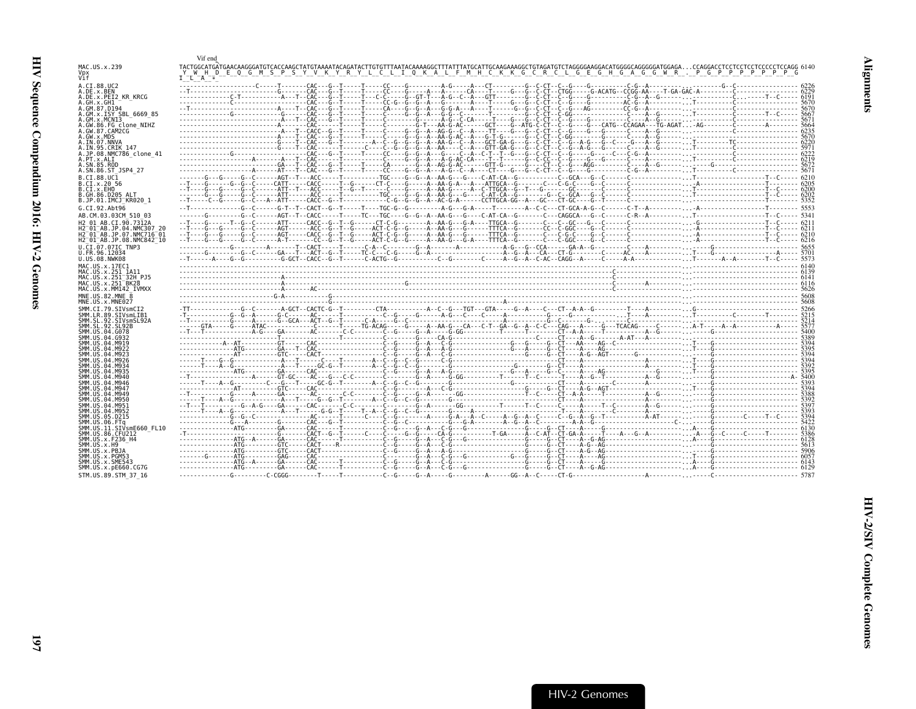<span id="page-42-0"></span>

|                                                                  | Vif end                                                                                                                                                                                                                           |  |
|------------------------------------------------------------------|-----------------------------------------------------------------------------------------------------------------------------------------------------------------------------------------------------------------------------------|--|
| MAC.US.x.239                                                     |                                                                                                                                                                                                                                   |  |
| vi f                                                             | WHD E O G M S P S Y V K Y R Y L C L I O K A L F M H C K K G C R C L G E G H G A G G W R . P G P P P P P P P G<br>$I - L - A -$                                                                                                    |  |
| A.CI.88.UC2                                                      |                                                                                                                                                                                                                                   |  |
| A.DE.x.BEN<br>A.DE.X.PEI2 KR KRCG                                |                                                                                                                                                                                                                                   |  |
| A.GH.x.GH1                                                       |                                                                                                                                                                                                                                   |  |
| A.GM.87.D194<br>A.GM.x.ISY SBL 6669 85                           |                                                                                                                                                                                                                                   |  |
| A.GM.x.MCNI3<br>A.GW.86.FG clone NIHZ                            |                                                                                                                                                                                                                                   |  |
| A.GW.87.CAM2CG                                                   |                                                                                                                                                                                                                                   |  |
| A.GW.x.MDS<br>A.IN.07.NNVA                                       |                                                                                                                                                                                                                                   |  |
| A.IN.95.CRIK 147                                                 |                                                                                                                                                                                                                                   |  |
| A.JP.08.NMC786 clone 41<br>A.PT.x.ALI                            |                                                                                                                                                                                                                                   |  |
| A.SN.85.ROD                                                      |                                                                                                                                                                                                                                   |  |
| A.SN.86.ST JSP4 27<br>B.CI.88.UC1                                |                                                                                                                                                                                                                                   |  |
| B.CI.X.20 56                                                     |                                                                                                                                                                                                                                   |  |
| B.CI.X.EHO<br>B.GH.86.D205 ALT                                   |                                                                                                                                                                                                                                   |  |
| B.JP.01.IMCJ KR020 1                                             |                                                                                                                                                                                                                                   |  |
| G.CI.92.Abt96<br>AB.CM.03.03CM 510 03                            |                                                                                                                                                                                                                                   |  |
| H <sub>2</sub> 01 AB.CI.90.7312A                                 |                                                                                                                                                                                                                                   |  |
| H2 01 AB. JP.04. NMC307 26                                       |                                                                                                                                                                                                                                   |  |
| H2 <sup>-01-AB.JP.07.NMC716-01</sup><br>H2 01 AB.JP.08.NMC842 10 |                                                                                                                                                                                                                                   |  |
| U.CI.07.07IC TNP3                                                |                                                                                                                                                                                                                                   |  |
| U.FR.96.12034<br>U.US.08.NWK08                                   |                                                                                                                                                                                                                                   |  |
| MAC.US.x.17EC1                                                   |                                                                                                                                                                                                                                   |  |
| MAC.US.x.251 1A11<br>MAC.US.x.251 32H PJ5                        |                                                                                                                                                                                                                                   |  |
| MAC.US.x.251 <sup>-</sup> BK28                                   | $\frac{1}{2}$ . The contract of the contract of the contract of the contract of the contract of the contract of the contract of the contract of the contract of the contract of the contract of the contract of the contract of t |  |
| MAC.US.x.MM142 IVMXX<br>MNE.US.82.MNE 8                          |                                                                                                                                                                                                                                   |  |
| MNE.US.x.MNE027                                                  |                                                                                                                                                                                                                                   |  |
| SMM.CI.79.SIVsmCI2<br>SMM.LR.89.SIVsmLIB1                        |                                                                                                                                                                                                                                   |  |
| SMM.SL.92.SIVsmSL92A                                             |                                                                                                                                                                                                                                   |  |
| SMM.SL.92.SL92B<br>SMM.US.04.G078                                |                                                                                                                                                                                                                                   |  |
| SMM.US.04.G933<br>SMM.US.04.M919                                 |                                                                                                                                                                                                                                   |  |
| SMM.US.04.M922                                                   |                                                                                                                                                                                                                                   |  |
| SMM.US.04.M923<br>SMM.US.04.M926                                 |                                                                                                                                                                                                                                   |  |
| SMM. U.S. 04. M934                                               |                                                                                                                                                                                                                                   |  |
| SMM. U.S. 04. M935<br>SMM. U.S. 04. M940                         |                                                                                                                                                                                                                                   |  |
| SMM. US. 04. M946<br>SMM. U.S. 04. M947                          |                                                                                                                                                                                                                                   |  |
| SMM.US.04.M949                                                   |                                                                                                                                                                                                                                   |  |
| SMM.US.04.M950<br>SMM. U.S. 04. M951                             |                                                                                                                                                                                                                                   |  |
| SMM. U.S. 04. M952                                               |                                                                                                                                                                                                                                   |  |
| SMM.US.05.D215<br>SMM.US.06.FTq                                  |                                                                                                                                                                                                                                   |  |
| SMM.US.11.SIVsmE660 FL10<br>SMM. US.86. CFU212                   |                                                                                                                                                                                                                                   |  |
| SMM.US.x.F236 H4                                                 |                                                                                                                                                                                                                                   |  |
| SMM.US.x.H9<br>SMM.US.x.PBJA                                     |                                                                                                                                                                                                                                   |  |
| SMM.US.x.PGM53                                                   |                                                                                                                                                                                                                                   |  |
| SMM.US.x.SME543<br>SMM.US.x.pE660.CG7G                           |                                                                                                                                                                                                                                   |  |
| STM.US.89.STM 37 16                                              |                                                                                                                                                                                                                                   |  |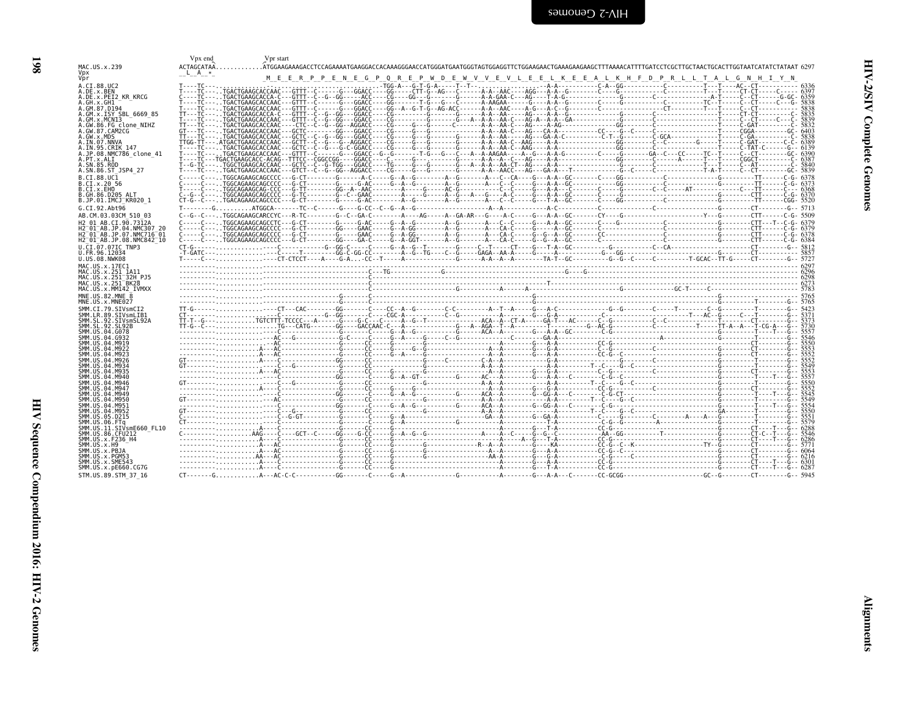<span id="page-43-0"></span>

| MAC.US.x.239                                                                | Vpx end            | Vpr start |  |                                                                                                                                                                                                           |  |
|-----------------------------------------------------------------------------|--------------------|-----------|--|-----------------------------------------------------------------------------------------------------------------------------------------------------------------------------------------------------------|--|
|                                                                             | ACTAGCATAA.        |           |  | .ATGGAAGAAAGACCTCCAGAAAATGAAGGACCACAAAGGGAACCATGGGATGAATGGGTAGTGGAAGGTTCTGGAAGAAGAAGAAGAAGAACATTTTGATCCTCGCTTGCTAACTGCACTTGGTAATCATATCTATAT 6297                                                          |  |
| Vpx<br>Vpr                                                                  | L A                |           |  | M E E R P P E N E G P Q R E P W D E W V V E V L E E L K E E A L K H F D P R L L T A L G N H I Y N                                                                                                         |  |
| A.CI.88.UC2                                                                 | $T - - - TC - - -$ |           |  |                                                                                                                                                                                                           |  |
| A.DE.x.BEN                                                                  |                    |           |  |                                                                                                                                                                                                           |  |
| A.DE.x.PEI2 KR KRCG<br>A.GH.x.GH1                                           |                    |           |  |                                                                                                                                                                                                           |  |
| A.GM.87.D194                                                                |                    |           |  |                                                                                                                                                                                                           |  |
| A.GM.x.ISY SBL 6669 85                                                      |                    |           |  |                                                                                                                                                                                                           |  |
| A.GM.x.MCNI3<br>A.GW.86.FG clone NIHZ                                       |                    |           |  |                                                                                                                                                                                                           |  |
| A.GW.87.CAM2CG                                                              |                    |           |  |                                                                                                                                                                                                           |  |
| A.GW.x.MDS<br>A.IN.07.NNVA                                                  |                    |           |  |                                                                                                                                                                                                           |  |
| A.IN.95.CRIK 147                                                            |                    |           |  |                                                                                                                                                                                                           |  |
| A.JP.08.NMC786 clone 41<br>A.PT.x.ALI                                       |                    |           |  |                                                                                                                                                                                                           |  |
| A.SN.85.ROD                                                                 |                    |           |  |                                                                                                                                                                                                           |  |
| A.SN.86.ST JSP4 27                                                          |                    |           |  |                                                                                                                                                                                                           |  |
| B.CI.88.UC1<br>B.CI.x.20 56                                                 |                    |           |  |                                                                                                                                                                                                           |  |
| B.CI.x.EHO                                                                  |                    |           |  |                                                                                                                                                                                                           |  |
| B.GH.86.D205 ALT                                                            |                    |           |  |                                                                                                                                                                                                           |  |
| B.JP.01.IMCJ KR020 1<br>G.CI.92.Ah <sub>t</sub> 96                          |                    |           |  | T - - - - - - - G ATGGCA - - - - - - TC - C - - - - - G - - C - - C - - C - - C - - C - - C - - C - - C - - C - - C - - C - - C - - C - - C - - C - - C - - C - - C - - C - - C - - C - - C - - C - - C - |  |
| AB.CM.03.03CM 510 03                                                        |                    |           |  |                                                                                                                                                                                                           |  |
| H2 01 AB.CI.90.7312A                                                        |                    |           |  |                                                                                                                                                                                                           |  |
| H2 <sup>-01-AB.JP.04.NMC307 20</sup>                                        |                    |           |  |                                                                                                                                                                                                           |  |
| H2 01 AB.JP.07.NMC716 01<br>H2 <sup>-01-AB.JP.08.NMC842<sup>-10</sup></sup> |                    |           |  |                                                                                                                                                                                                           |  |
| U.CI.07.07IC TNP3                                                           |                    |           |  |                                                                                                                                                                                                           |  |
| U.FR.96.12034                                                               |                    |           |  |                                                                                                                                                                                                           |  |
| U.US.08.NWK08                                                               |                    |           |  |                                                                                                                                                                                                           |  |
| MAC.US.x.17EC1<br>MAC.US.x.251 1A11                                         |                    |           |  |                                                                                                                                                                                                           |  |
|                                                                             |                    |           |  |                                                                                                                                                                                                           |  |
| MAC.US.x.251 32H PJ5                                                        |                    |           |  |                                                                                                                                                                                                           |  |
| MAC.US.x.251 <sup>-</sup> BK28                                              |                    |           |  |                                                                                                                                                                                                           |  |
| MAC.US.x.MM142 IVMXX                                                        |                    |           |  |                                                                                                                                                                                                           |  |
| MNE.U.S.82.MNE 8<br>MNE.US.x.MNE027                                         |                    |           |  |                                                                                                                                                                                                           |  |
| SMM.CI.79.SIVsmCI2                                                          |                    |           |  |                                                                                                                                                                                                           |  |
| SMM.LR.89.SIVsmLIB1                                                         |                    |           |  |                                                                                                                                                                                                           |  |
| SMM.SL.92.SIVsmSL92A<br>SMM.SL.92.SL92B                                     |                    |           |  |                                                                                                                                                                                                           |  |
| SMM.US.04.G078                                                              |                    |           |  |                                                                                                                                                                                                           |  |
| SMM.US.04.G932<br>SMM.US.04.M919                                            |                    |           |  |                                                                                                                                                                                                           |  |
| SMM.US.04.M922                                                              |                    |           |  |                                                                                                                                                                                                           |  |
| SMM. US. 04. M923<br>SMM.US.04.M926                                         |                    |           |  |                                                                                                                                                                                                           |  |
| SMM. US. 04. M934                                                           |                    |           |  |                                                                                                                                                                                                           |  |
| SMM. US. 04. M935<br>SMM. U.S. 04. M940                                     |                    |           |  |                                                                                                                                                                                                           |  |
| SMM. US. 04. M946                                                           |                    |           |  |                                                                                                                                                                                                           |  |
| SMM. U.S. 04. M947                                                          |                    |           |  |                                                                                                                                                                                                           |  |
| SMM. US. 04. M949<br>SMM.US.04.M950                                         |                    |           |  |                                                                                                                                                                                                           |  |
| SMM.US.04.M951                                                              |                    |           |  |                                                                                                                                                                                                           |  |
| SMM.US.04.M952<br>SMM.US.05.D215                                            |                    |           |  |                                                                                                                                                                                                           |  |
| SMM.US.06.FTa                                                               |                    |           |  |                                                                                                                                                                                                           |  |
| SMM.US.11.SIVsmE660 FL10                                                    |                    |           |  |                                                                                                                                                                                                           |  |
| SMM. US.86. CFU212<br>SMM.US.x.F236 H4                                      |                    |           |  |                                                                                                                                                                                                           |  |
| SMM.US.x.H9                                                                 |                    |           |  |                                                                                                                                                                                                           |  |
| SMM.US.x.PBJA<br>SMM.US.x.PGM53                                             |                    |           |  |                                                                                                                                                                                                           |  |
| SMM.US.x.SME543<br>SMM.US.x.pE660.CG7G                                      |                    |           |  |                                                                                                                                                                                                           |  |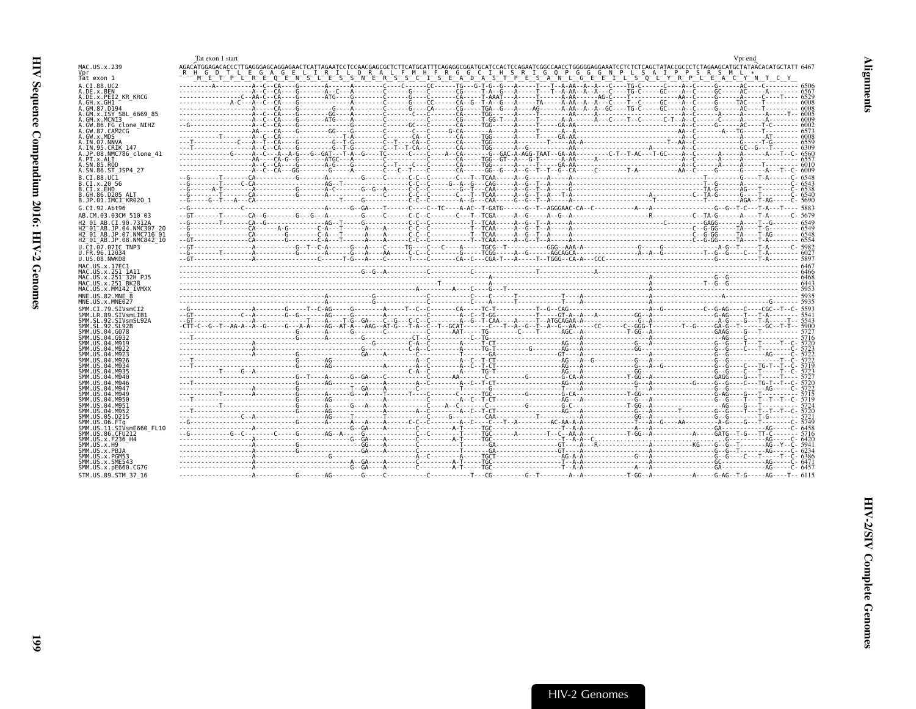<span id="page-44-0"></span>

|                                                                                         | Tat exon 1 start<br>Vpr end                                                                                                                                                                 |  |
|-----------------------------------------------------------------------------------------|---------------------------------------------------------------------------------------------------------------------------------------------------------------------------------------------|--|
| MAC.US.x.239                                                                            |                                                                                                                                                                                             |  |
| Vpr<br>Tat exon 1                                                                       | A G E L I R I L O R A L F M H F R G G C I H S R I G O P G G G N P L S A I P P S R S M L *<br>METPLE E QENSLES SINERS CIERS TO DE A DAS TPESANIC SELLES QUE PRICE DE LA CIERTE DE LA CIANTIC |  |
| A.CI.88.UC2<br>A.DE.X.BEN                                                               |                                                                                                                                                                                             |  |
| A.DE.x.PEI2 KR KRCG                                                                     |                                                                                                                                                                                             |  |
| A.GH.x.GH1<br>A.GM.87.D194                                                              |                                                                                                                                                                                             |  |
| A.GM.x.ISY SBL 6669 85<br>A.GM.x.MCNI3                                                  |                                                                                                                                                                                             |  |
| A.GW.86.FG clone NIHZ                                                                   |                                                                                                                                                                                             |  |
| A.GW.87.CAM2CG<br>A.GW.x.MDS                                                            |                                                                                                                                                                                             |  |
| A.IN.07.NNVA                                                                            |                                                                                                                                                                                             |  |
| A.IN.95.CRIK 147<br>A.JP.08.NMC786 clone 41                                             | -------------G----A-C---A--G---G--GAT---T-A--G----TC-----C---C----A--CA------G--GAC-A-AGG-TAAT--GA-AA---------C-T--T-AC---T-GC----A--C-----A--C-----A---T--C- 6560                          |  |
| A.PT.x.ALI<br>A.SN.85.ROD                                                               |                                                                                                                                                                                             |  |
| A.SN.86.ST JSP4 27                                                                      |                                                                                                                                                                                             |  |
| B.CI.88.UC1<br>B.CI.X.20 56                                                             |                                                                                                                                                                                             |  |
| B.CI.X.EHO                                                                              |                                                                                                                                                                                             |  |
| B.GH.86.D205 ALT<br>B.JP.01.IMCJ KR020 1                                                |                                                                                                                                                                                             |  |
| G.CI.92.Aht96                                                                           |                                                                                                                                                                                             |  |
| AB.CM.03.03CM 510 03                                                                    |                                                                                                                                                                                             |  |
| H2 01 AB.CI.90.7312A<br>H2 01 AB.JP.04.NMC307 20                                        |                                                                                                                                                                                             |  |
| H2 <sup>-01-AB.JP.07.NMC716-01</sup><br>H2 <sup>-01-AB.JP.08.NMC842<sup>-10</sup></sup> |                                                                                                                                                                                             |  |
| U.CI.07.07IC TNP3                                                                       |                                                                                                                                                                                             |  |
| U.FR.96.12034<br>U.US.08.NWK08                                                          |                                                                                                                                                                                             |  |
| MAC.US.x.17EC1                                                                          |                                                                                                                                                                                             |  |
| MAC.US.x.251 1A11<br>MAC.US.x.251 <sup>-</sup> 32H PJ5                                  |                                                                                                                                                                                             |  |
| MAC.US.x.251 BK28                                                                       |                                                                                                                                                                                             |  |
| MAC.US.x.MM142 IVMXX<br>MNE.US.82.MNE 8                                                 |                                                                                                                                                                                             |  |
| MNE.US.x.MNE027                                                                         |                                                                                                                                                                                             |  |
| SMM.CI.79.SIVsmCI2<br>SMM.LR.89.SIVsmLIB1                                               |                                                                                                                                                                                             |  |
| SMM. SL. 92. SIVsmSL92A                                                                 |                                                                                                                                                                                             |  |
| SMM.SL.92.SL92B<br>SMM.US.04.G078                                                       |                                                                                                                                                                                             |  |
| SMM.US.04.G932<br>SMM.US.04.M919                                                        |                                                                                                                                                                                             |  |
| SMM.US.04.M922                                                                          |                                                                                                                                                                                             |  |
| SMM. U.S. 04. M923<br>SMM. U.S. 04. M926                                                |                                                                                                                                                                                             |  |
| SMM. US. 04. M934<br>SMM. US.04.M935                                                    |                                                                                                                                                                                             |  |
| SMM.US.04.M940                                                                          |                                                                                                                                                                                             |  |
| SMM.US.04.M946<br>SMM.US.04.M947                                                        |                                                                                                                                                                                             |  |
| SMM.US.04.M949                                                                          |                                                                                                                                                                                             |  |
| SMM.US.04.M950<br>SMM.US.04.M951                                                        |                                                                                                                                                                                             |  |
| SMM.US.04.M952<br>SMM.US.05.D215                                                        |                                                                                                                                                                                             |  |
| SMM.US.06.FTq                                                                           |                                                                                                                                                                                             |  |
| SMM.US.11.SIVsmE660 FL10<br>SMM.US.86.CFU212                                            |                                                                                                                                                                                             |  |
| SMM. US. x. F236 H4<br>SMM.US.x.H9                                                      |                                                                                                                                                                                             |  |
| SMM.US.x.PBJA                                                                           |                                                                                                                                                                                             |  |
| SMM.US.x.PGM53<br>SMM.US.x.SME543                                                       |                                                                                                                                                                                             |  |
| SMM.US.x.pE660.CG7G                                                                     |                                                                                                                                                                                             |  |
| STM.US.89.STM 37 16                                                                     |                                                                                                                                                                                             |  |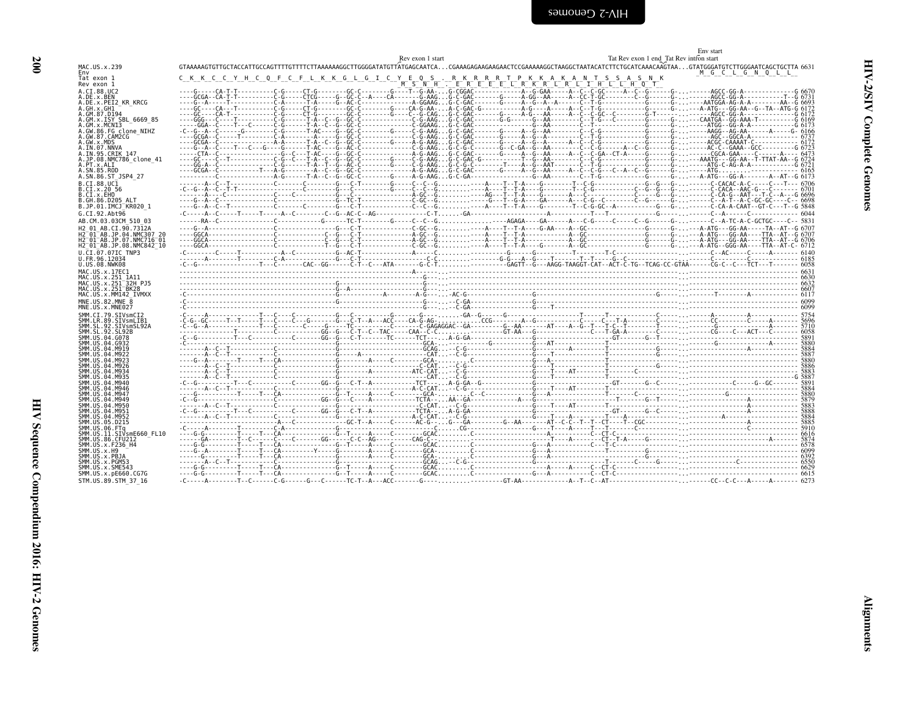<span id="page-45-0"></span>

|                                                                                                                                                                                                | Rev exon 1 start                                                                                                                                                                                                                                                   | Env start<br>Tat Rev exon 1 end Tat Rev intron start |
|------------------------------------------------------------------------------------------------------------------------------------------------------------------------------------------------|--------------------------------------------------------------------------------------------------------------------------------------------------------------------------------------------------------------------------------------------------------------------|------------------------------------------------------|
| MAC.US.x.239<br>Env                                                                                                                                                                            | GTAAAAAGTGTTGCTACCATTGCCAGTTTTGTTTTCTTAAAAAAGGCTTGGGGATATGTTATGAGCAATCACGAAAGAGAAGAAGAACTCCGAAAAAGGCTAAGGCTAATACATCTTCTGCATCAAACAAGTAAGTATGGGATGTCTTGGGAATCAGCTCCTTA                                                                                               | M G C L G N Q L L                                    |
| Tat exon 1<br>Rev exon 1                                                                                                                                                                       | $S^-N^ H^ --$                                                                                                                                                                                                                                                      | S A S N K                                            |
| A.CI.88.UC2<br>A.DE.x.BEN<br>A.DE.x.PEI2 KR KRCG<br>A.GH.x.GH1<br>A.GM.87.D194<br>A.GM.x.ISY SBL 6669 85                                                                                       |                                                                                                                                                                                                                                                                    |                                                      |
| A.GM.x.MCNT3<br>A.GW.86.FG clone NIHZ<br>A.GW.87.CAM2CG<br>A.GW.x.MDS<br>A.IN.07.NNVA                                                                                                          |                                                                                                                                                                                                                                                                    |                                                      |
| A.IN.95.CRIK 147<br>A.JP.08.NMC786 clone 41<br>A.PT.x.ALI<br>A.SN.85.ROD<br>A.SN.86.ST JSP4 27                                                                                                 |                                                                                                                                                                                                                                                                    |                                                      |
| B.CI.88.UC1<br>B.CI.x.20 56<br>B.CI.X.EHO<br>B.GH.86.D205 ALT<br>B.JP.01.IMCJ KR020 1                                                                                                          |                                                                                                                                                                                                                                                                    |                                                      |
| G.CI.92.Abt96<br>AB.CM.03.03CM 510 03                                                                                                                                                          |                                                                                                                                                                                                                                                                    |                                                      |
| H <sub>2</sub> 01 AB.CT.90.7312A<br>H2 <sup>-01-AB.JP.04.NMC307 20</sup><br>H2 <sup>-</sup> 01 <sup>-</sup> AB.JP.07.NMC716 <sup>-</sup> 01<br>H2 <sup>-01-AB.JP.08.NMC842<sup>-10</sup></sup> |                                                                                                                                                                                                                                                                    |                                                      |
| U.CI.07.07IC TNP3<br>U.FR.96.12034<br>U.US.08.NWK08                                                                                                                                            |                                                                                                                                                                                                                                                                    |                                                      |
| MAC.US.x.17EC1<br>MAC.US.x.251 1A11<br>MAC.US.x.251 32H PJ5<br>MAC. US. x. 251 <sup>-BK28</sup><br>MAC.US.x.MM142 IVMXX                                                                        | $\begin{bmatrix} 6607 & 10000 & 60000 & 600000 & 600000 & 600000 & 600000 & 600000 & 600000 & 600000 & 600000 & 600000 & 600000 & 600000 & 600000 & 600000 & 600000 & 600000 & 600000 & 600000 & 600000 & 600000 & 600000 & 600000 & 600000 & 600000 & 600000 & 6$ |                                                      |
| MNE.US.82.MNE 8<br>MNE.US.x.MNE027                                                                                                                                                             |                                                                                                                                                                                                                                                                    |                                                      |
| SMM.CI.79.SIVsmCI2<br>SMM.LR.89.SIVsmLIB1<br>SMM.SL.92.SIVsmSL92A<br>SMM. SL. 92. SL92B<br>SMM.US.04.G078<br>SMM. US. 04. G932                                                                 |                                                                                                                                                                                                                                                                    |                                                      |
| SMM. US. 04. M919<br>SMM.US.04.M922<br>SMM. US. 04. M923<br>SMM.US.04.M926<br>SMM.US.04.M934                                                                                                   |                                                                                                                                                                                                                                                                    |                                                      |
| SMM.US.04.M935<br>SMM.US.04.M940<br>SMM.US.04.M946<br>SMM. U.S. 04. M947                                                                                                                       |                                                                                                                                                                                                                                                                    |                                                      |
| SMM. U.S. 04. M949<br>SMM. U.S. 04. M950<br>SMM.US.04.M951<br>SMM. U.S. 04. M952<br>SMM.US.05.D215                                                                                             |                                                                                                                                                                                                                                                                    |                                                      |
| SMM.US.06.FTa<br>SMM.US.11.SIVsmE660 FL10<br>SMM.US.86.CFU212<br>SMM. US. x. F236_H4                                                                                                           |                                                                                                                                                                                                                                                                    |                                                      |
| SMM.US.x.H9<br>SMM.US.x.PBJA<br>SMM. U.S. x. PGM53<br>SMM.US.x.SME543<br>SMM.US.x.pE660.CG7G                                                                                                   |                                                                                                                                                                                                                                                                    |                                                      |
| STM.US.89.STM 37 16                                                                                                                                                                            |                                                                                                                                                                                                                                                                    |                                                      |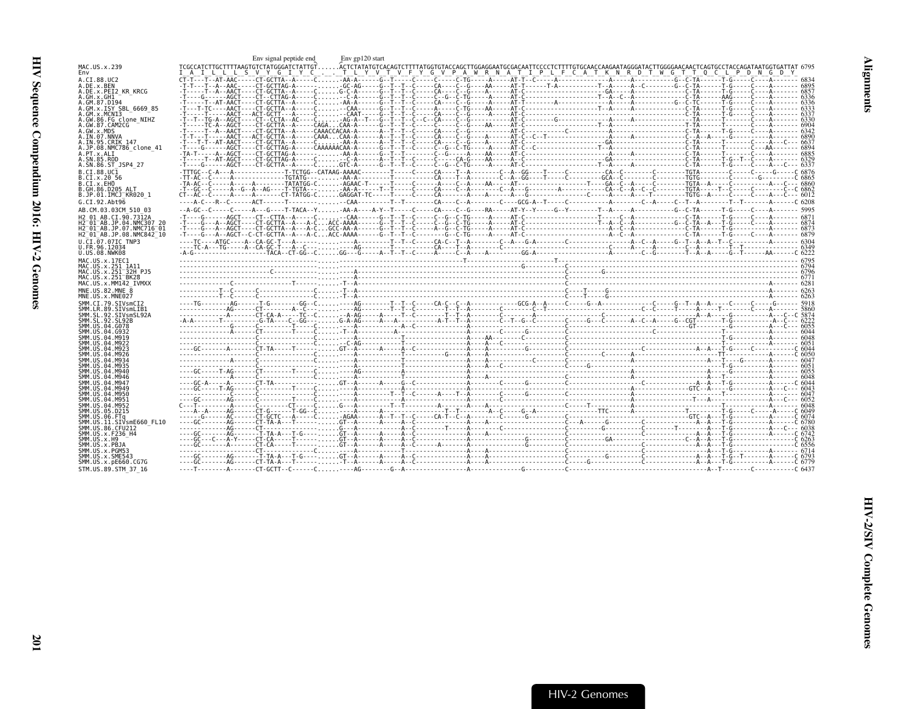<span id="page-46-0"></span>

|                                                                              | Env signal peptide end                                                                                                                                                                                                                                                                                                                                                                                                                                  | Env gp120 start |  |  |
|------------------------------------------------------------------------------|---------------------------------------------------------------------------------------------------------------------------------------------------------------------------------------------------------------------------------------------------------------------------------------------------------------------------------------------------------------------------------------------------------------------------------------------------------|-----------------|--|--|
| MAC.US.x.239<br>Env                                                          | TCGCCATCTTGCTTTTAAGTGTCTATGGGATCTATTGTACTCTATATGTCACAGTCTTTTATGGTGTACCAGCTTGGAGGAATGCGACAATTCCCCTCTTTTGTGCAACCAAGAATAGGGATACTTGGGGAACAACTCAGTGCCTACCAGATAATGGTGATTAT 6795<br><u>iai lille siviy gitiy cillitiliy vitivifiy giv piaiwir with pilpilificiaitik wir ditiw giti olch podimental g</u>                                                                                                                                                       |                 |  |  |
| A.CI.88.UC2                                                                  | $\overline{\text{c}}$ $\overline{\text{c}}$ $\overline{\text{c}}$ $\overline{\text{c}}$ $\overline{\text{c}}$ $\overline{\text{c}}$ $\overline{\text{c}}$ $\overline{\text{c}}$ $\overline{\text{c}}$ $\overline{\text{c}}$ $\overline{\text{c}}$ $\overline{\text{c}}$ $\overline{\text{c}}$ $\overline{\text{c}}$ $\overline{\text{c}}$ $\overline{\text{c}}$ $\overline{\text{c}}$ $\overline{\text{c}}$ $\overline{\text{c}}$ $\overline{\text{c}}$ |                 |  |  |
| A.DE.x.BEN<br>A.DE.X.PEI2 KR KRCG                                            |                                                                                                                                                                                                                                                                                                                                                                                                                                                         |                 |  |  |
| A.GH.x.GH1                                                                   |                                                                                                                                                                                                                                                                                                                                                                                                                                                         |                 |  |  |
| A.GM.87.D194                                                                 |                                                                                                                                                                                                                                                                                                                                                                                                                                                         |                 |  |  |
| A.GM.x.ISY SBL 6669 85                                                       |                                                                                                                                                                                                                                                                                                                                                                                                                                                         |                 |  |  |
| A.GM.x.MCNI3<br>A.GW.86.FG clone NIHZ                                        |                                                                                                                                                                                                                                                                                                                                                                                                                                                         |                 |  |  |
| A.GW.87.CAM2CG                                                               |                                                                                                                                                                                                                                                                                                                                                                                                                                                         |                 |  |  |
| A.GW.x.MDS                                                                   |                                                                                                                                                                                                                                                                                                                                                                                                                                                         |                 |  |  |
| A.IN.07.NNVA<br>A.IN.95.CRIK 147                                             |                                                                                                                                                                                                                                                                                                                                                                                                                                                         |                 |  |  |
| A.JP.08.NMC786 clone 41                                                      |                                                                                                                                                                                                                                                                                                                                                                                                                                                         |                 |  |  |
| A.PT.x.ALI                                                                   |                                                                                                                                                                                                                                                                                                                                                                                                                                                         |                 |  |  |
| A.SN.85.ROD                                                                  |                                                                                                                                                                                                                                                                                                                                                                                                                                                         |                 |  |  |
| A.SN.86.ST JSP4 27                                                           |                                                                                                                                                                                                                                                                                                                                                                                                                                                         |                 |  |  |
| B.CT.88.UC1<br>B.CI.x.20 56                                                  |                                                                                                                                                                                                                                                                                                                                                                                                                                                         |                 |  |  |
| B.CI.X.EHO                                                                   |                                                                                                                                                                                                                                                                                                                                                                                                                                                         |                 |  |  |
| B.GH.86.D205 ALT                                                             |                                                                                                                                                                                                                                                                                                                                                                                                                                                         |                 |  |  |
| B.JP.01.IMCJ KR020 1                                                         |                                                                                                                                                                                                                                                                                                                                                                                                                                                         |                 |  |  |
| G.CI.92.Abt96                                                                |                                                                                                                                                                                                                                                                                                                                                                                                                                                         |                 |  |  |
| AB.CM.03.03CM 510 03                                                         |                                                                                                                                                                                                                                                                                                                                                                                                                                                         |                 |  |  |
| H2 01 AB.CI.90.7312A                                                         |                                                                                                                                                                                                                                                                                                                                                                                                                                                         |                 |  |  |
| H2 <sup>-01-AB.JP.04.NMC307 20</sup><br>H2 <sup>-01-AB.JP.07.NMC716-01</sup> |                                                                                                                                                                                                                                                                                                                                                                                                                                                         |                 |  |  |
| H2 <sup>-01-AB.JP.08.NMC842<sup>-10</sup></sup>                              |                                                                                                                                                                                                                                                                                                                                                                                                                                                         |                 |  |  |
| U.CI.07.07IC TNP3                                                            |                                                                                                                                                                                                                                                                                                                                                                                                                                                         |                 |  |  |
| U.FR.96.12034                                                                |                                                                                                                                                                                                                                                                                                                                                                                                                                                         |                 |  |  |
| U.US.08.NWK08                                                                |                                                                                                                                                                                                                                                                                                                                                                                                                                                         |                 |  |  |
| MAC.US.x.17EC1<br>MAC.US.x.251 1A11                                          |                                                                                                                                                                                                                                                                                                                                                                                                                                                         |                 |  |  |
| MAC.US.x.251 <sup>-32H</sup> PJ5                                             |                                                                                                                                                                                                                                                                                                                                                                                                                                                         |                 |  |  |
| MAC.US.x.251 <sup>-</sup> BK28                                               |                                                                                                                                                                                                                                                                                                                                                                                                                                                         |                 |  |  |
| MAC.US.x.MM142 IVMXX                                                         |                                                                                                                                                                                                                                                                                                                                                                                                                                                         |                 |  |  |
|                                                                              |                                                                                                                                                                                                                                                                                                                                                                                                                                                         |                 |  |  |
| MNE.US.82.MNE 8                                                              |                                                                                                                                                                                                                                                                                                                                                                                                                                                         |                 |  |  |
| MNE.US.x.MNE027<br>SMM CT 79 STVsmCT2                                        |                                                                                                                                                                                                                                                                                                                                                                                                                                                         |                 |  |  |
| SMM.LR.89.SIVsmLIB1                                                          |                                                                                                                                                                                                                                                                                                                                                                                                                                                         |                 |  |  |
| SMM.SL.92.SIVsmSL92A                                                         |                                                                                                                                                                                                                                                                                                                                                                                                                                                         |                 |  |  |
| SMM.SL.92.SL92B                                                              |                                                                                                                                                                                                                                                                                                                                                                                                                                                         |                 |  |  |
| SMM.US.04.G078<br>SMM.US.04.G932                                             |                                                                                                                                                                                                                                                                                                                                                                                                                                                         |                 |  |  |
| SMM.US.04.M919                                                               |                                                                                                                                                                                                                                                                                                                                                                                                                                                         |                 |  |  |
| SMM.US.04.M922                                                               | $\frac{6048}{6051}$                                                                                                                                                                                                                                                                                                                                                                                                                                     |                 |  |  |
| SMM.US.04.M923<br>SMM.US.04.M926                                             |                                                                                                                                                                                                                                                                                                                                                                                                                                                         |                 |  |  |
| SMM, US.04.M934                                                              |                                                                                                                                                                                                                                                                                                                                                                                                                                                         |                 |  |  |
| SMM.US.04.M935                                                               |                                                                                                                                                                                                                                                                                                                                                                                                                                                         |                 |  |  |
| SMM.US.04.M940<br>SMM.US.04.M946                                             |                                                                                                                                                                                                                                                                                                                                                                                                                                                         |                 |  |  |
| SMM.US.04.M947                                                               |                                                                                                                                                                                                                                                                                                                                                                                                                                                         |                 |  |  |
| SMM.US.04.M949                                                               |                                                                                                                                                                                                                                                                                                                                                                                                                                                         |                 |  |  |
| SMM.US.04.M950<br>SMM.US.04.M951                                             |                                                                                                                                                                                                                                                                                                                                                                                                                                                         |                 |  |  |
| SMM.US.04.M952                                                               |                                                                                                                                                                                                                                                                                                                                                                                                                                                         |                 |  |  |
| SMM.US.05.D215                                                               |                                                                                                                                                                                                                                                                                                                                                                                                                                                         |                 |  |  |
| SMM.US.06.FTa                                                                |                                                                                                                                                                                                                                                                                                                                                                                                                                                         |                 |  |  |
| SMM.US.11.SIVsmE660 FL10<br>SMM.US.86.CFU212                                 |                                                                                                                                                                                                                                                                                                                                                                                                                                                         |                 |  |  |
| SMM.US.x.F236 H4                                                             |                                                                                                                                                                                                                                                                                                                                                                                                                                                         |                 |  |  |
| SMM.US.x.H9                                                                  |                                                                                                                                                                                                                                                                                                                                                                                                                                                         |                 |  |  |
| SMM.US.x.PBJA                                                                |                                                                                                                                                                                                                                                                                                                                                                                                                                                         |                 |  |  |
| SMM.US.x.PGM53<br>SMM.US.x.SME543                                            |                                                                                                                                                                                                                                                                                                                                                                                                                                                         |                 |  |  |
| SMM.US.x.pE660.CG7G<br>STM.US.89.STM 37 16                                   |                                                                                                                                                                                                                                                                                                                                                                                                                                                         |                 |  |  |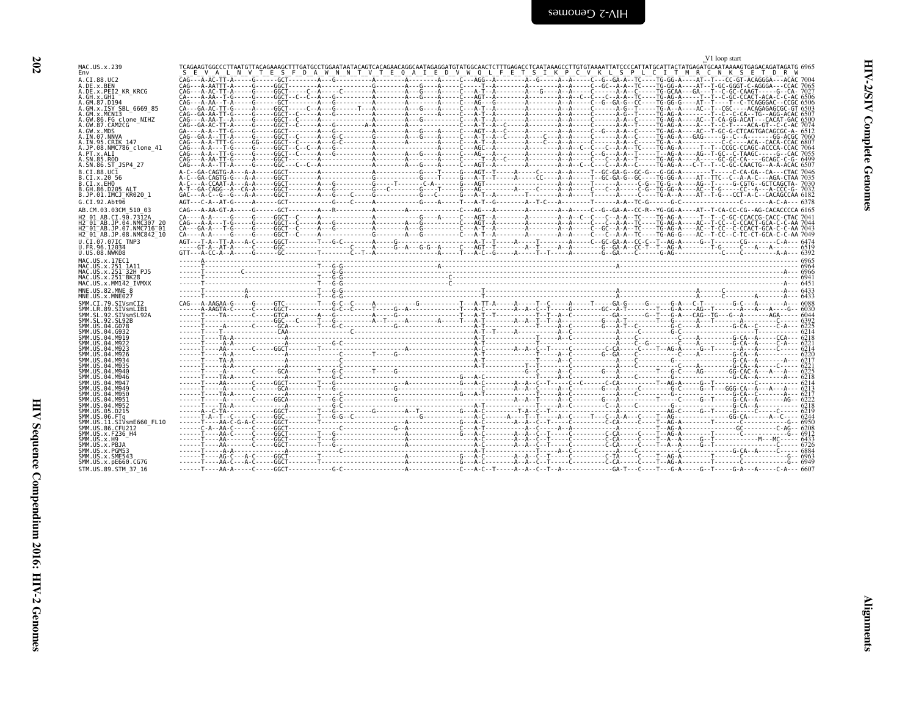| MAC.US.x.239                                                                                                                                                                                                                                                    | TÇ/                        |
|-----------------------------------------------------------------------------------------------------------------------------------------------------------------------------------------------------------------------------------------------------------------|----------------------------|
| Env                                                                                                                                                                                                                                                             | s                          |
|                                                                                                                                                                                                                                                                 |                            |
| A.CI.88.UC2<br>A.DE.x.BEN<br>A.DEBET                                                                                                                                                                                                                            | ÇAŌ                        |
|                                                                                                                                                                                                                                                                 | ÇΑ(                        |
|                                                                                                                                                                                                                                                                 | ÇAÖ                        |
| A.DE.x.PEI2_KR_KRCG<br>A.GH.x.GH1                                                                                                                                                                                                                               | ÇA-                        |
|                                                                                                                                                                                                                                                                 | CAC                        |
|                                                                                                                                                                                                                                                                 |                            |
|                                                                                                                                                                                                                                                                 | CA-                        |
| A.GM.87.D194<br>A.GM.87.D194<br>A.GM.x.ISY SBL_6669_85<br>A.GM.x.MYNISI<br>A.GM.86.FG clone_NIHZ<br>A.GW.87.CAM2CG<br>A.IN.97.NNNA<br>A.IN.95.CRIK 147<br>A.IN.95.CRIK 147<br>A.P.N.88.NMC786_clone_41<br>A.PT.x.ALI                                            | CAO                        |
|                                                                                                                                                                                                                                                                 | :AO<br>٢                   |
|                                                                                                                                                                                                                                                                 | č<br>:AO                   |
|                                                                                                                                                                                                                                                                 | GA<br>CAC                  |
|                                                                                                                                                                                                                                                                 |                            |
|                                                                                                                                                                                                                                                                 |                            |
|                                                                                                                                                                                                                                                                 | ČA(                        |
|                                                                                                                                                                                                                                                                 | CA <sub>C</sub>            |
| A.PT.x.ALI                                                                                                                                                                                                                                                      | <b>CAO</b>                 |
| A. SN. 85. ROD                                                                                                                                                                                                                                                  | CAO                        |
| JSP4 27<br>A.SN.86.ST                                                                                                                                                                                                                                           | CAO                        |
|                                                                                                                                                                                                                                                                 | A - (                      |
|                                                                                                                                                                                                                                                                 |                            |
| 56                                                                                                                                                                                                                                                              | A - (                      |
| B.CI.88.UCI<br>B.CI.x.20 5<br>B.CI.x.EHO                                                                                                                                                                                                                        | A-0                        |
|                                                                                                                                                                                                                                                                 | A-1                        |
| B.GH.86.D205 ALT<br>B.JP.01.IMCJ_KR020_1                                                                                                                                                                                                                        | GA <sub>C</sub>            |
|                                                                                                                                                                                                                                                                 |                            |
| G.CI.92.Abt96                                                                                                                                                                                                                                                   | AG1                        |
| AB.CM.03.03CM 510 03                                                                                                                                                                                                                                            | CA <sub>C</sub>            |
|                                                                                                                                                                                                                                                                 |                            |
| H2                                                                                                                                                                                                                                                              | CA-                        |
| H <sub>2</sub>                                                                                                                                                                                                                                                  | ÇΑ(                        |
| 01_AB.CI.90.7312A<br>01_AB.JP.04.NMC307_20<br>01_AB.JP.07.NMC716_01<br>01_AB.JP.08.NMC842_10<br>H2                                                                                                                                                              | CA-                        |
| H2                                                                                                                                                                                                                                                              | CA-                        |
| TNP3                                                                                                                                                                                                                                                            | AG1                        |
| U.CI.07.07IC<br>U.FR.96.12034<br>U.US.08.NWK08                                                                                                                                                                                                                  |                            |
|                                                                                                                                                                                                                                                                 | GT <sub>1</sub>            |
|                                                                                                                                                                                                                                                                 |                            |
| MAC.US.x.17EC1                                                                                                                                                                                                                                                  | .                          |
|                                                                                                                                                                                                                                                                 | $\overline{\phantom{a}}$ . |
|                                                                                                                                                                                                                                                                 | .                          |
|                                                                                                                                                                                                                                                                 | .                          |
|                                                                                                                                                                                                                                                                 | .,                         |
|                                                                                                                                                                                                                                                                 |                            |
| MNE.US.82.MNE<br>8                                                                                                                                                                                                                                              | $\ddot{\phantom{0}}$       |
| MNE.US.x.MNE027                                                                                                                                                                                                                                                 | .                          |
|                                                                                                                                                                                                                                                                 | CA0                        |
|                                                                                                                                                                                                                                                                 | .                          |
|                                                                                                                                                                                                                                                                 | .                          |
| SMM.CI.79.SIVsmCI2<br>SMM.LR.89.SIVsmLIB1<br>SMM.SL.92.SIVsmSL92A<br>SMM.SL.92.SL92B<br>SMM.US.04.G078                                                                                                                                                          | .                          |
| SMM.US.04.G078                                                                                                                                                                                                                                                  | $\ddot{\phantom{0}}$       |
|                                                                                                                                                                                                                                                                 |                            |
| SMM. US. 04. G932                                                                                                                                                                                                                                               | $\ddotsc$                  |
| SMM.US.04.M919                                                                                                                                                                                                                                                  | $\ddotsc$                  |
|                                                                                                                                                                                                                                                                 | .                          |
|                                                                                                                                                                                                                                                                 | ÷,                         |
|                                                                                                                                                                                                                                                                 | $\ddot{\phantom{0}}$       |
|                                                                                                                                                                                                                                                                 | ÷,                         |
|                                                                                                                                                                                                                                                                 | $\ddot{\phantom{1}}$       |
|                                                                                                                                                                                                                                                                 | $\overline{\phantom{a}}$ . |
|                                                                                                                                                                                                                                                                 | $\overline{\phantom{a}}$   |
|                                                                                                                                                                                                                                                                 | $\ddot{\phantom{0}}$       |
|                                                                                                                                                                                                                                                                 | .                          |
| SMM . US. 04. M919<br>SMM . US. 04. M912<br>SMM . US. 04. M922<br>SMM . US. 04. M923<br>SMM . US. 04. M934<br>SMM . US. 04. M935<br>SMM . US. 04. M946<br>SMM . US. 04. M946<br>SMM . US. 04. M946<br>SMM . US. 04. M946<br>SMM . US. 04. M949<br>SMM . US. 04. | .                          |
|                                                                                                                                                                                                                                                                 |                            |
|                                                                                                                                                                                                                                                                 | .                          |
|                                                                                                                                                                                                                                                                 | $\ddot{z}$                 |
|                                                                                                                                                                                                                                                                 |                            |
|                                                                                                                                                                                                                                                                 | ٠.,                        |
|                                                                                                                                                                                                                                                                 | - - -                      |
| SMM.US.04.M951<br>SMM.US.04.M952<br>SMM.US.04.M952<br>SMM.US.06.PTq<br>SMM.US.11.STVsmE660_FL10<br>SMM.US.11.STVsmE660_FL10<br>SMM.US.36.CFU212                                                                                                                 | - - -                      |
| SMM.US.x.F236_H4                                                                                                                                                                                                                                                | .                          |
| SMM. US. x. H9                                                                                                                                                                                                                                                  | .                          |
| SMM.US.X.PBJA                                                                                                                                                                                                                                                   | .                          |
| SMM.US.X.LB363<br>SMM.US.X.PGM53<br>SMM.US.X.SME543                                                                                                                                                                                                             |                            |
|                                                                                                                                                                                                                                                                 | $\mathbb{R}$               |
| CCZC                                                                                                                                                                                                                                                            |                            |

<span id="page-47-0"></span>

|                                                                                         | V1 loop start |  |
|-----------------------------------------------------------------------------------------|---------------|--|
| MAC.US.x.239<br>Env                                                                     |               |  |
| A.CI.88.UC2                                                                             |               |  |
| A.DE.x.BEN<br>A.DE.X.PEI2 KR KRCG                                                       |               |  |
| A.GH.x.GH1<br>A.GM.87.D194                                                              |               |  |
| A.GM.x.ISY SBL 6669 85<br>A.GM.x.MCNI3                                                  |               |  |
| A.GW.86.FG clone NIHZ<br>A.GW.87.CAM2CG                                                 |               |  |
| A.GW.x.MDS                                                                              |               |  |
| A.IN.07.NNVA<br>A.IN.95.CRIK 147                                                        |               |  |
| A.JP.08.NMC786 clone 41<br>A.PT.x.ALI                                                   |               |  |
| A.SN.85.ROD<br>A.SN.86.ST JSP4 27                                                       |               |  |
| B.CI.88.UC1                                                                             |               |  |
| B.CI.x.20 56<br>B.CI.X.EHO                                                              |               |  |
| B.GH.86.D205 ALT<br>B.JP.01.IMCJ <sup>-</sup> KR020 1                                   |               |  |
| G.CI.92.Abt96                                                                           |               |  |
| AB.CM.03.03CM 510 03<br>H <sub>2</sub> 01 AB.CI.90.7312A                                |               |  |
| H2 01 AB. JP.04. NMC307 20                                                              |               |  |
| H2 <sup>-01-AB.JP.07.NMC716-01</sup><br>H2 <sup>-01-AB.JP.08.NMC842<sup>-10</sup></sup> |               |  |
| U.CI.07.07IC TNP3<br>U.FR.96.12034                                                      |               |  |
| U.US.08.NWK08                                                                           |               |  |
| MAC.US.x.17EC1<br>MAC. US. x. 251 1A11                                                  |               |  |
| MAC.US.x.251 <sup>-32H</sup> PJ5<br>MAC.US.x.251 <sup>-</sup> BK28                      |               |  |
| MAC.US.x.MM142 IVMXX                                                                    |               |  |
| MNE.US.82.MNE 8<br>MNE.US.x.MNE027                                                      |               |  |
| SMM.CI.79.SIVsmCI2<br>SMM.LR.89.SIVsmLIB1                                               |               |  |
| SMM.SL.92.SIVsmSL92A                                                                    |               |  |
| SMM.SL.92.SL92B<br>SMM. US. 04. G078                                                    |               |  |
| SMM.US.04.G932<br>SMM.US.04.M919                                                        |               |  |
| SMM.US.04.M922<br>SMM.US.04.M923                                                        |               |  |
| SMM.US.04.M926<br>SMM.US.04.M934                                                        |               |  |
| SMM. U.S. 04. M935                                                                      |               |  |
| SMM. U.S. 04. M940<br>SMM. U.S. 04. M946                                                |               |  |
| SMM.US.04.M947<br>SMM.US.04.M949                                                        |               |  |
| SMM.US.04.M950<br>SMM.US.04.M951                                                        |               |  |
| SMM.US.04.M952<br>SMM.US.05.D215                                                        |               |  |
| SMM.US.06.FTq                                                                           |               |  |
| SMM.US.11.SIVsmE660 FL10<br>SMM.US.86.CFU212                                            |               |  |
| SMM.US.x.F236 H4<br>$SMM.$ US. $x.$ H9                                                  |               |  |
| SMM.US.x.PBJA<br>SMM.US.x.PGM53                                                         |               |  |
| SMM.US.x.SME543                                                                         |               |  |
| SMM.US.x.pE660.CG7G<br>STM.US.89.STM 37 16                                              |               |  |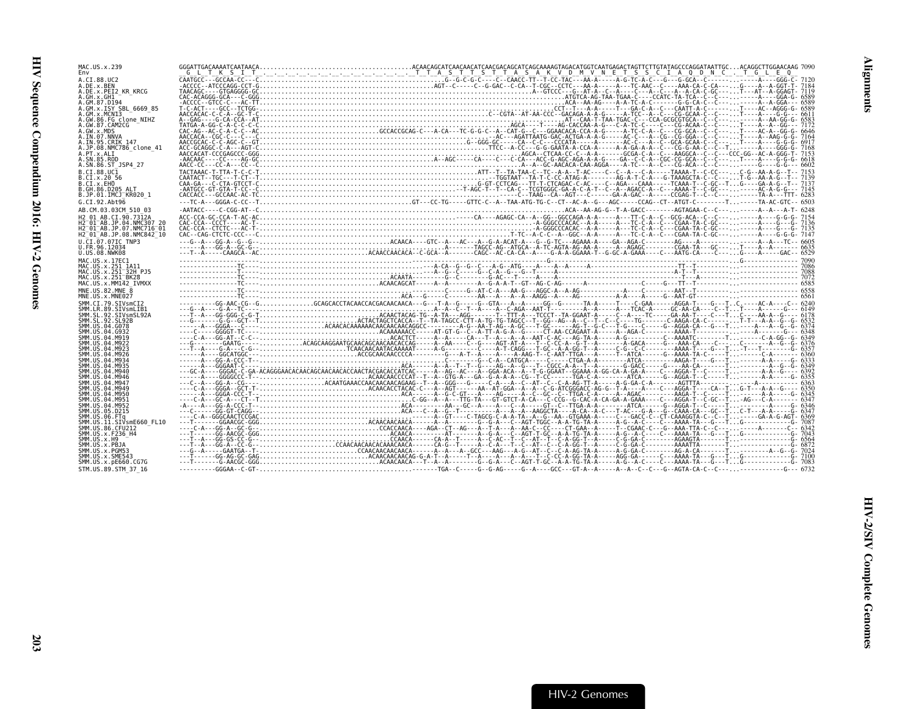| MAC.US.x.239<br>Env                                                                                                   |                                                                                                                                                                                                                                                                                                                                                              |  |  |  |
|-----------------------------------------------------------------------------------------------------------------------|--------------------------------------------------------------------------------------------------------------------------------------------------------------------------------------------------------------------------------------------------------------------------------------------------------------------------------------------------------------|--|--|--|
| A.CI.88.UC2<br>A.DE.x.BEN                                                                                             |                                                                                                                                                                                                                                                                                                                                                              |  |  |  |
| A.DE.x.PEI2 KR KRCG<br>A.GH.x.GH1<br>A.GM.87.D194                                                                     |                                                                                                                                                                                                                                                                                                                                                              |  |  |  |
| A.GM.x.ISY SBL 6669 85<br>A.GM.x.MCNI3                                                                                |                                                                                                                                                                                                                                                                                                                                                              |  |  |  |
| A.GW.86.FG clone NIHZ<br>A.GW.87.CAM2CG<br>A.GW.x.MDS                                                                 |                                                                                                                                                                                                                                                                                                                                                              |  |  |  |
| A.IN.07.NNVA<br>A.IN.95.CRIK 147                                                                                      |                                                                                                                                                                                                                                                                                                                                                              |  |  |  |
| A.JP.08.NMC786 clone 41<br>A.PT.x.ALI<br>A.SN.85.ROD                                                                  |                                                                                                                                                                                                                                                                                                                                                              |  |  |  |
| A.SN.86.ST JSP4 27<br>B.CT.88.UCT                                                                                     |                                                                                                                                                                                                                                                                                                                                                              |  |  |  |
| B.CI.X.20 56<br>B.CI.X.EHO                                                                                            |                                                                                                                                                                                                                                                                                                                                                              |  |  |  |
| B.GH.86.D205 ALT<br>B.JP.01.IMCJ KR020 1<br>G.CI.92.Abt96                                                             |                                                                                                                                                                                                                                                                                                                                                              |  |  |  |
| AB.CM.03.03CM 510 03<br>H2 01 AB.CI.90.7312A                                                                          |                                                                                                                                                                                                                                                                                                                                                              |  |  |  |
| H2 <sup>-</sup> 01 <sup>-</sup> AB.JP.04.NMC307 20<br>H2 <sup>-</sup> 01 <sup>-</sup> AB.JP.07.NMC716 <sup>-</sup> 01 |                                                                                                                                                                                                                                                                                                                                                              |  |  |  |
| H2 <sup>-01-AB.JP.08.NMC842<sup>-10</sup></sup><br>U.CI.07.07IC TNP3                                                  |                                                                                                                                                                                                                                                                                                                                                              |  |  |  |
| U.FR.96.12034<br>U.US.08.NWK08<br>MAC.US.x.17EC1                                                                      |                                                                                                                                                                                                                                                                                                                                                              |  |  |  |
| MAC.US.x.251 1A11<br>MAC.US.x.251 32H PJ5                                                                             |                                                                                                                                                                                                                                                                                                                                                              |  |  |  |
| MAC.US.x.251 <sup>-</sup> BK28<br>MAC.US.x.MM142 IVMXX                                                                |                                                                                                                                                                                                                                                                                                                                                              |  |  |  |
| MNE.US.82.MNE 8<br>MNE.US.x.MNE027<br>SMM.CT.79.SIVsmCT2                                                              |                                                                                                                                                                                                                                                                                                                                                              |  |  |  |
| SMM.LR.89.SIVsmLIB1<br>SMM.SL.92.SIVsmSL92A                                                                           |                                                                                                                                                                                                                                                                                                                                                              |  |  |  |
| SMM.SL.92.SL92B<br>SMM.US.04.G078<br>SMM.US.04.G932                                                                   |                                                                                                                                                                                                                                                                                                                                                              |  |  |  |
| SMM.US.04.M919<br>SMM.US.04.M922                                                                                      |                                                                                                                                                                                                                                                                                                                                                              |  |  |  |
| SMM. US. 04. M923<br>SMM.US.04.M926<br>SMM.US.04.M934                                                                 |                                                                                                                                                                                                                                                                                                                                                              |  |  |  |
| SMM. US. 04. M935<br>SMM. US. 04. M940<br>SMM. US.04.M946                                                             |                                                                                                                                                                                                                                                                                                                                                              |  |  |  |
| SMM. US. 04. M947<br>SMM.US.04.M949                                                                                   |                                                                                                                                                                                                                                                                                                                                                              |  |  |  |
| SMM.US.04.M950<br>SMM. US.04.M951<br>SMM.US.04.M952                                                                   |                                                                                                                                                                                                                                                                                                                                                              |  |  |  |
| SMM. US. 05. D215<br>SMM. US. 06. FTq                                                                                 |                                                                                                                                                                                                                                                                                                                                                              |  |  |  |
| SMM.US.11.SIVsmE660 FL10<br>SMM. US.86.CFU212<br>SMM.US.x.F236 H4                                                     |                                                                                                                                                                                                                                                                                                                                                              |  |  |  |
| SMM.US.x.H9<br>SMM.US.x.PBJA                                                                                          |                                                                                                                                                                                                                                                                                                                                                              |  |  |  |
| SMM.US.x.PGM53<br>SMM.US.x.SME543<br>SMM.US.x.pE660.CG7G                                                              | $\begin{tabular}{cccccccccccccccc} G_{11} & G_{22} & G_{33} & G_{34} & G_{35} & G_{36} & G_{37} & G_{38} & G_{39} & G_{30} & G_{30} & G_{30} & G_{30} & G_{30} & G_{30} & G_{30} & G_{30} & G_{30} & G_{30} & G_{30} & G_{30} & G_{30} & G_{30} & G_{30} & G_{30} & G_{30} & G_{30} & G_{30} & G_{30} & G_{30} & G_{30} & G_{30} & G_{30} & G_{30} & G_{30}$ |  |  |  |
| STM.US.89.STM 37 16                                                                                                   |                                                                                                                                                                                                                                                                                                                                                              |  |  |  |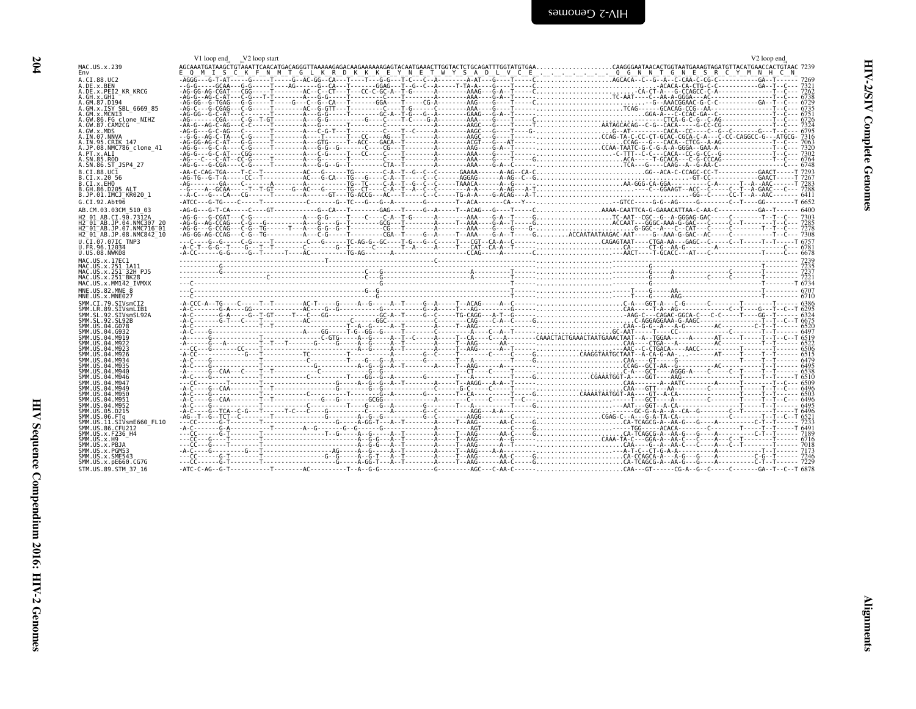<span id="page-49-0"></span>

|                                                                          | V1 loop end V2 loop start | V <sub>2</sub> loop end                                                                           |  |
|--------------------------------------------------------------------------|---------------------------|---------------------------------------------------------------------------------------------------|--|
| MAC.US.x.239<br>Fny                                                      |                           | Q M I S C K F N M T G L K R D K K K E Y N E T W Y S A D L V C E Q G N N T G N E S R C Y M N H C N |  |
| A.CI.88.UC2<br>A.DE.X.BEN                                                |                           |                                                                                                   |  |
| A.DE.x.PEI2 KR KRCG<br>A.GH.x.GH1                                        |                           |                                                                                                   |  |
| A.GM.87.D194<br>A.GM.x.ISY SBL 6669 85                                   |                           |                                                                                                   |  |
| A.GM.x.MCNI3                                                             |                           |                                                                                                   |  |
| A.GW.86.FG clone NIHZ<br>A.GW.87.CAM2CG                                  |                           |                                                                                                   |  |
| A.GW.x.MDS<br>A.IN.07.NNVA                                               |                           |                                                                                                   |  |
| A. IN. 95. CRIK 147<br>A.JP.08.NMC786 clone 41                           |                           |                                                                                                   |  |
| A.PT.x.ALI<br>A.SN.85.ROD                                                |                           |                                                                                                   |  |
| A.SN.86.ST JSP4 27                                                       |                           |                                                                                                   |  |
| B.CI.88.UC1<br>B.CI.X.20 56                                              |                           |                                                                                                   |  |
| B.CI.X.EHO<br>B.GH.86.D205 ALT                                           |                           |                                                                                                   |  |
| B.JP.01.IMCJ KR020 1<br>G.CI.92.Abt96                                    |                           |                                                                                                   |  |
| AB.CM.03.03CM 510 03                                                     |                           |                                                                                                   |  |
| H <sub>2</sub> 01 AB.CT.90.7312A<br>H2 <sup>-01-AB.JP.04.NMC307 20</sup> |                           |                                                                                                   |  |
| H2 <sup>-01-AB.JP.07.NMC716-01</sup>                                     |                           |                                                                                                   |  |
| H2 <sup>-01-AB.JP.08.NMC842<sup>-10</sup></sup><br>U.CI.07.07IC TNP3     |                           |                                                                                                   |  |
| U.FR.96.12034<br>U.US.08.NWK08                                           |                           |                                                                                                   |  |
| MAC.US.x.17EC1                                                           |                           |                                                                                                   |  |
| MAC.US.x.251 1A11<br>MAC.US.x.251 32H PJ5                                |                           |                                                                                                   |  |
| MAC.US.x.251 <sup>-BK28</sup><br>MAC.US.x.MM142 IVMXX                    |                           |                                                                                                   |  |
| MNE.US.82.MNE 8                                                          |                           |                                                                                                   |  |
| MNE.US.x.MNE027<br>SMM.CI.79.SIVsmCI2                                    |                           |                                                                                                   |  |
| SMM.LR.89.SIVsmLIB1<br>SMM. SL. 92. STVsmSL92A                           |                           |                                                                                                   |  |
| SMM. SL. 92. SL92B<br>SMM. US. 04. G078                                  |                           |                                                                                                   |  |
| SMM. U.S. 04. G932<br>SMM. U.S. 04. M919                                 |                           |                                                                                                   |  |
| SMM. U.S. 04. M922                                                       |                           |                                                                                                   |  |
| SMM. U.S. 04. M923<br>SMM. US. 04. M926                                  |                           |                                                                                                   |  |
| SMM. U.S. 04. M934<br>SMM. U.S. 04. M935                                 |                           |                                                                                                   |  |
| SMM.US.04.M940<br>SMM.US.04.M946                                         |                           |                                                                                                   |  |
| SMM.US.04.M947<br>SMM.US.04.M949                                         |                           |                                                                                                   |  |
| SMM.US.04.M950<br>SMM.US.04.M951                                         |                           |                                                                                                   |  |
| SMM. US. 04. M952                                                        |                           |                                                                                                   |  |
| SMM.US.05.D215<br>SMM.US.06.FTa                                          |                           |                                                                                                   |  |
| SMM.US.11.SIVsmE660 FL10<br>SMM.US.86.CFU212                             |                           |                                                                                                   |  |
| SMM. US. x. F236 H4<br>SMM. US. x.H9                                     |                           |                                                                                                   |  |
| SMM.US.x.PBJA<br>SMM.US.x.PGM53                                          |                           |                                                                                                   |  |
| SMM. US. x. SME543                                                       |                           |                                                                                                   |  |
| SMM.US.x.pE660.CG7G<br>STM.US.89.STM 37 16                               |                           |                                                                                                   |  |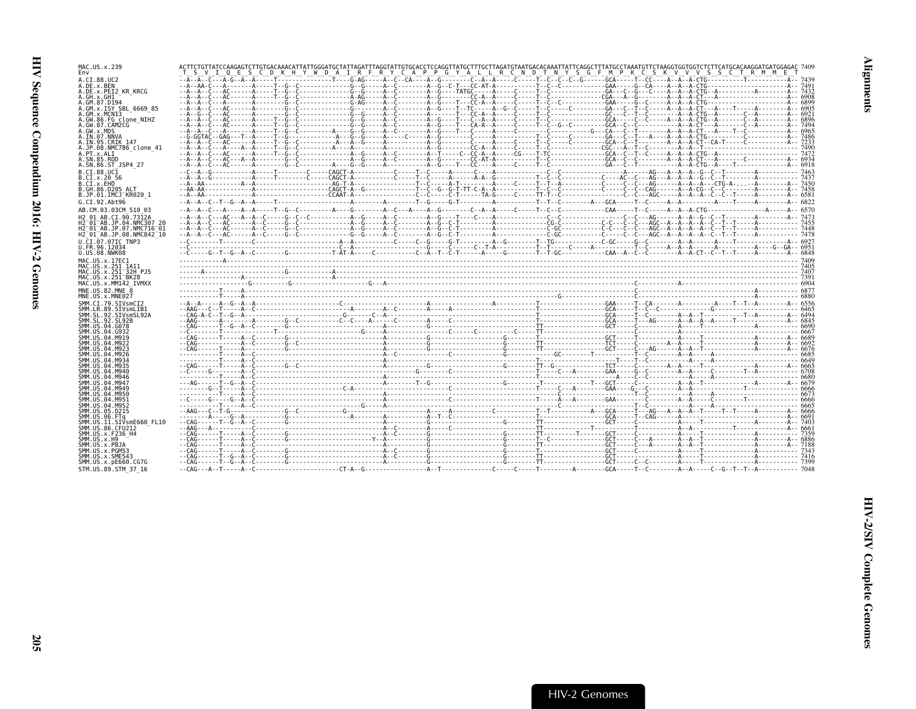| MAC.US.x.239                                                                                |  | ACTTCTGTTATCCAAGAGTCTTGTGACAAACATTATTGGGATGCTATTAGATTTAGGTATTGTGCACCTCCAGGTTATGCTTTGCTTAGATGTAATGACACAAATTATTCAGGCTTTATGCCTAAATGTTCTAAGGTGGTGTCTTCTATGCACAAGGATGATGGAGAC 7409 |  |  |  |  |
|---------------------------------------------------------------------------------------------|--|-------------------------------------------------------------------------------------------------------------------------------------------------------------------------------|--|--|--|--|
| Env                                                                                         |  | T S V I Q E S C D K H Y W D A I R F R Y C A P P G Y A L L R C N D T N Y S G F M P K C S K V V V S S C T R M M E                                                               |  |  |  |  |
| A.CI.88.UC2<br>A.DE.x.BEN                                                                   |  |                                                                                                                                                                               |  |  |  |  |
| A.DE.x.PEI2 KR KRCG                                                                         |  |                                                                                                                                                                               |  |  |  |  |
| A.GH.X.GH1<br>A.GM.87.D194                                                                  |  |                                                                                                                                                                               |  |  |  |  |
| A.GM.x.ISY SBL 6669 85                                                                      |  |                                                                                                                                                                               |  |  |  |  |
| A.GM.x.MCN13<br>A.GW.86.FG clone NIHZ                                                       |  | <u>ិនិទី ប្រទេស គ្រោះ និង គឺ ព្រះសាទារ និង គឺ ព្រះសាទារ និង គឺ ព្រះសាទារ និង គឺ ព្រះសាទារ និង គឺ ព្រះសាទារ និង គ</u>                                                          |  |  |  |  |
| A.GW.87.CAM2CG                                                                              |  |                                                                                                                                                                               |  |  |  |  |
| A.GW.x.MDS<br>A.IN.07.NNVA                                                                  |  |                                                                                                                                                                               |  |  |  |  |
| A.IN.95.CRIK 147<br>A.JP.08.NMC786 clone 41                                                 |  |                                                                                                                                                                               |  |  |  |  |
| A.PT.x.ALI                                                                                  |  |                                                                                                                                                                               |  |  |  |  |
| A.SN.85.ROD<br>A.SN.86.ST JSP4 27                                                           |  |                                                                                                                                                                               |  |  |  |  |
| B.CI.88.UC1                                                                                 |  |                                                                                                                                                                               |  |  |  |  |
| B.CI.X.20 56                                                                                |  |                                                                                                                                                                               |  |  |  |  |
| B.CI.x.EHO<br>B.GH.86.D205 ALT                                                              |  |                                                                                                                                                                               |  |  |  |  |
| B.JP.01.IMCJ KR020 1                                                                        |  |                                                                                                                                                                               |  |  |  |  |
| G.CI.92.Abt96                                                                               |  |                                                                                                                                                                               |  |  |  |  |
| AB.CM.03.03CM 510 03<br>H2 01 AB.CI.90.7312A                                                |  |                                                                                                                                                                               |  |  |  |  |
| H2 <sup>-</sup> 01 <sup>-</sup> AB.JP.04.NMC307 20                                          |  |                                                                                                                                                                               |  |  |  |  |
| H2 <sup>-</sup> 01 <sup>-</sup> AB.JP.07.NMC716 <sup>-</sup> 01<br>H2 01 AB.JP.08.NMC842 10 |  |                                                                                                                                                                               |  |  |  |  |
| U.CI.07.07IC TNP3                                                                           |  |                                                                                                                                                                               |  |  |  |  |
| U.FR.96.12034<br>U.US.08.NWK08                                                              |  |                                                                                                                                                                               |  |  |  |  |
| MAC.US.x.17EC1                                                                              |  |                                                                                                                                                                               |  |  |  |  |
| MAC.US.x.251 1A11                                                                           |  |                                                                                                                                                                               |  |  |  |  |
|                                                                                             |  |                                                                                                                                                                               |  |  |  |  |
| MAC.US.x.251 32H PJ5                                                                        |  |                                                                                                                                                                               |  |  |  |  |
| MAC.US.x.251 BK28<br>MAC.US.x.MM142 IVMXX                                                   |  |                                                                                                                                                                               |  |  |  |  |
| MNE.US.82.MNE 8                                                                             |  |                                                                                                                                                                               |  |  |  |  |
| MNE.US.x.MNE027<br>SMM.CI.79.SIVsmCI2                                                       |  |                                                                                                                                                                               |  |  |  |  |
| SMM.LR.89.SIVsmLIB1                                                                         |  |                                                                                                                                                                               |  |  |  |  |
| SMM.SL.92.SIVsmSL92A<br>SMM.SL.92.SL92B                                                     |  |                                                                                                                                                                               |  |  |  |  |
| SMM.US.04.G078                                                                              |  |                                                                                                                                                                               |  |  |  |  |
| SMM. U.S. 04. G932<br>SMM. US. 04. M919                                                     |  |                                                                                                                                                                               |  |  |  |  |
| SMM.US.04.M922                                                                              |  |                                                                                                                                                                               |  |  |  |  |
| SMM. U.S. 04. M923<br>SMM.US.04.M926                                                        |  |                                                                                                                                                                               |  |  |  |  |
| SMM.US.04.M934                                                                              |  |                                                                                                                                                                               |  |  |  |  |
| SMM.US.04.M935<br>SMM.US.04.M940                                                            |  |                                                                                                                                                                               |  |  |  |  |
| SMM. U.S. 04. M946<br>SMM.US.04.M947                                                        |  |                                                                                                                                                                               |  |  |  |  |
| SMM.US.04.M949                                                                              |  |                                                                                                                                                                               |  |  |  |  |
| SMM.US.04.M950<br>SMM.US.04.M951                                                            |  |                                                                                                                                                                               |  |  |  |  |
| SMM.US.04.M952                                                                              |  |                                                                                                                                                                               |  |  |  |  |
| SMM.US.05.D215<br>SMM.US.06.FTq                                                             |  |                                                                                                                                                                               |  |  |  |  |
| SMM.US.11.SIVsmE660 FL10                                                                    |  |                                                                                                                                                                               |  |  |  |  |
| SMM.US.86.CFU212<br>SMM.US.x.F236 H4                                                        |  |                                                                                                                                                                               |  |  |  |  |
| SMM.US.x.H9                                                                                 |  |                                                                                                                                                                               |  |  |  |  |
| SMM.US.x.PBJA<br>SMM.US.x.PGM53                                                             |  |                                                                                                                                                                               |  |  |  |  |
| SMM.US.x.SME543<br>SMM. US. x. pE660. CG7G                                                  |  |                                                                                                                                                                               |  |  |  |  |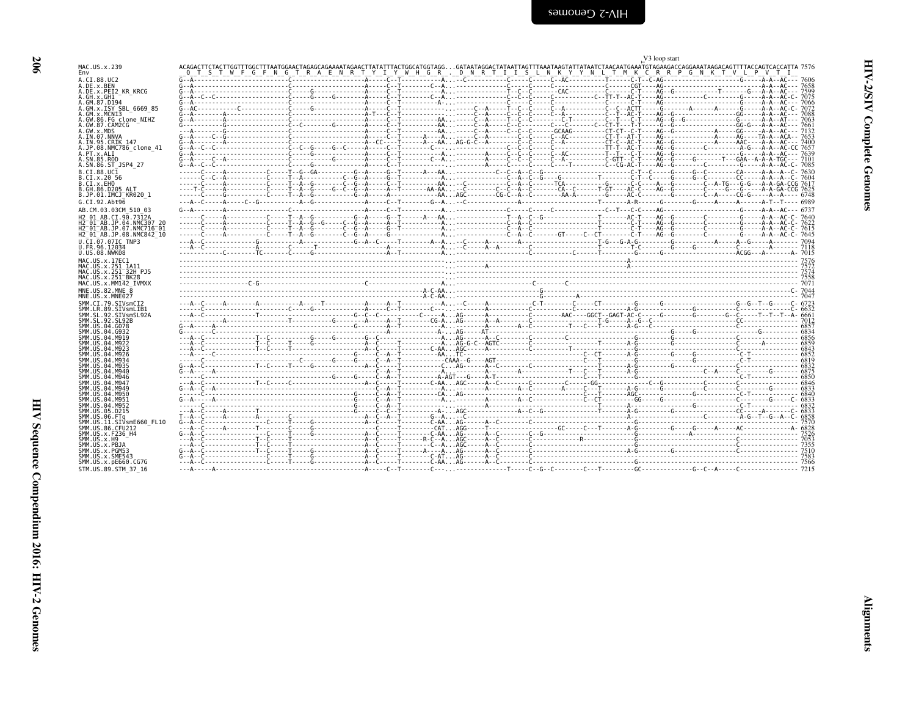<span id="page-51-0"></span>

|                                                                          |  |  |  | V <sub>3</sub> loop start |                                                                                                                                                                                                                                                                                            |
|--------------------------------------------------------------------------|--|--|--|---------------------------|--------------------------------------------------------------------------------------------------------------------------------------------------------------------------------------------------------------------------------------------------------------------------------------------|
| MAC.US.x.239<br>Env                                                      |  |  |  |                           | ACAGACTTCTACTTGGTTTGGCTTTAATGGAACTAGAGCAGAAAATAGAACTTATATTTACTGGCATGGTAGGGATAATAGGACTATAATTAGTTAGAATAATTATAATCTAACAATGAAATGTAGAAGACCAGGAAATAAGACAGTTTTACCAGTCACCATTA 7576<br>O T S T W F G F N G T R A E N R T Y Y W H G R . D N R T I I S L N K Y Y N L T M K C R R P G N K T V L P V T I |
| A.CT.88.UC2                                                              |  |  |  |                           |                                                                                                                                                                                                                                                                                            |
| A.DE.x.BEN<br>A.DE.X.PEI2 KR KRCG                                        |  |  |  |                           |                                                                                                                                                                                                                                                                                            |
| A.GH.x.GH1<br>A.GM.87.D194                                               |  |  |  |                           |                                                                                                                                                                                                                                                                                            |
| A.GM.x.ISY SBL 6669 85<br>A.GM.X.MCNI3                                   |  |  |  |                           |                                                                                                                                                                                                                                                                                            |
| A.GW.86.FG clone NIHZ                                                    |  |  |  |                           |                                                                                                                                                                                                                                                                                            |
| A.GW.87.CAM2CG<br>A.GW.x.MDS                                             |  |  |  |                           |                                                                                                                                                                                                                                                                                            |
| A.IN.07.NNVA<br>A.IN.95.CRIK 147                                         |  |  |  |                           |                                                                                                                                                                                                                                                                                            |
| A.JP.08.NMC786 clone 41<br>A.PT.x.ALI                                    |  |  |  |                           |                                                                                                                                                                                                                                                                                            |
| A.SN.85.ROD                                                              |  |  |  |                           |                                                                                                                                                                                                                                                                                            |
| A.SN.86.ST JSP4 27<br>B.CT.88.UC1                                        |  |  |  |                           |                                                                                                                                                                                                                                                                                            |
| B.CI.X.20 56<br>B.CI.X.EHO                                               |  |  |  |                           |                                                                                                                                                                                                                                                                                            |
| B.GH.86.D205 ALT                                                         |  |  |  |                           |                                                                                                                                                                                                                                                                                            |
| B.JP.01.IMCJ KR020 1<br>G.CI.92.Abt96                                    |  |  |  |                           |                                                                                                                                                                                                                                                                                            |
| AB.CM.03.03CM 510 03                                                     |  |  |  |                           |                                                                                                                                                                                                                                                                                            |
| H <sub>2</sub> 01 AB.CI.90.7312A<br>H2 <sup>-01-AB.JP.04.NMC307 20</sup> |  |  |  |                           |                                                                                                                                                                                                                                                                                            |
| H2 <sup>-01-AB.JP.07.NMC716-01</sup>                                     |  |  |  |                           |                                                                                                                                                                                                                                                                                            |
| H2 <sup>-01-AB.JP.08.NMC842<sup>-10</sup></sup><br>U.CI.07.07IC TNP3     |  |  |  |                           |                                                                                                                                                                                                                                                                                            |
| U.FR.96.12034                                                            |  |  |  |                           |                                                                                                                                                                                                                                                                                            |
| U.US.08.NWK08<br>MAC.US.x.17EC1                                          |  |  |  |                           |                                                                                                                                                                                                                                                                                            |
| MAC. U.S. x. 251 1A11<br>MAC.US.x.251 32H P.15                           |  |  |  |                           |                                                                                                                                                                                                                                                                                            |
| MAC.US.x.251 BK28                                                        |  |  |  |                           | $\frac{7558}{001}$                                                                                                                                                                                                                                                                         |
| MAC.US.x.MM142 IVMXX<br>MNE.US.82.MNE 8                                  |  |  |  |                           |                                                                                                                                                                                                                                                                                            |
| MNE.US.x.MNE027                                                          |  |  |  |                           |                                                                                                                                                                                                                                                                                            |
| SMM.CI.79.SIVsmCI2<br>SMM.LR.89.SIVsmLIB1                                |  |  |  |                           |                                                                                                                                                                                                                                                                                            |
| SMM.SL.92.SIVsmSL92A<br>SMM.SL.92.SL92B                                  |  |  |  |                           |                                                                                                                                                                                                                                                                                            |
| SMM.US.04.G078                                                           |  |  |  |                           |                                                                                                                                                                                                                                                                                            |
| SMM.US.04.G932<br>SMM.US.04.M919                                         |  |  |  |                           |                                                                                                                                                                                                                                                                                            |
| SMM. U.S. 04. M922<br>SMM. U.S. 04. M923                                 |  |  |  |                           |                                                                                                                                                                                                                                                                                            |
| SMM. US. 04. M926<br>SMM. U.S. 04. M934                                  |  |  |  |                           |                                                                                                                                                                                                                                                                                            |
| SMM. US. 04. M935<br>SMM.US.04.M940                                      |  |  |  |                           |                                                                                                                                                                                                                                                                                            |
| SMM.US.04.M946                                                           |  |  |  |                           |                                                                                                                                                                                                                                                                                            |
| SMM.US.04.M947<br>SMM.US.04.M949                                         |  |  |  |                           |                                                                                                                                                                                                                                                                                            |
| SMM.US.04.M950                                                           |  |  |  |                           |                                                                                                                                                                                                                                                                                            |
|                                                                          |  |  |  |                           |                                                                                                                                                                                                                                                                                            |
| SMM.US.04.M951<br>SMM. U.S. 04. M952                                     |  |  |  |                           |                                                                                                                                                                                                                                                                                            |
| SMM. U.S. 05. D215<br>SMM.US.06.FTa                                      |  |  |  |                           |                                                                                                                                                                                                                                                                                            |
| SMM.US.11.SIVsmE660 FL10<br>SMM.US.86.CFU212                             |  |  |  |                           |                                                                                                                                                                                                                                                                                            |
| SMM. U.S. x. F236 H4                                                     |  |  |  |                           |                                                                                                                                                                                                                                                                                            |
| SMM.US.x.H9<br>SMM.US.x.PBJA                                             |  |  |  |                           |                                                                                                                                                                                                                                                                                            |
| SMM.US.x.PGM53<br>SMM.US.x.SME543                                        |  |  |  |                           |                                                                                                                                                                                                                                                                                            |
| SMM.US.x.pE660.CG7G<br>STM.US.89.STM 37 16                               |  |  |  |                           |                                                                                                                                                                                                                                                                                            |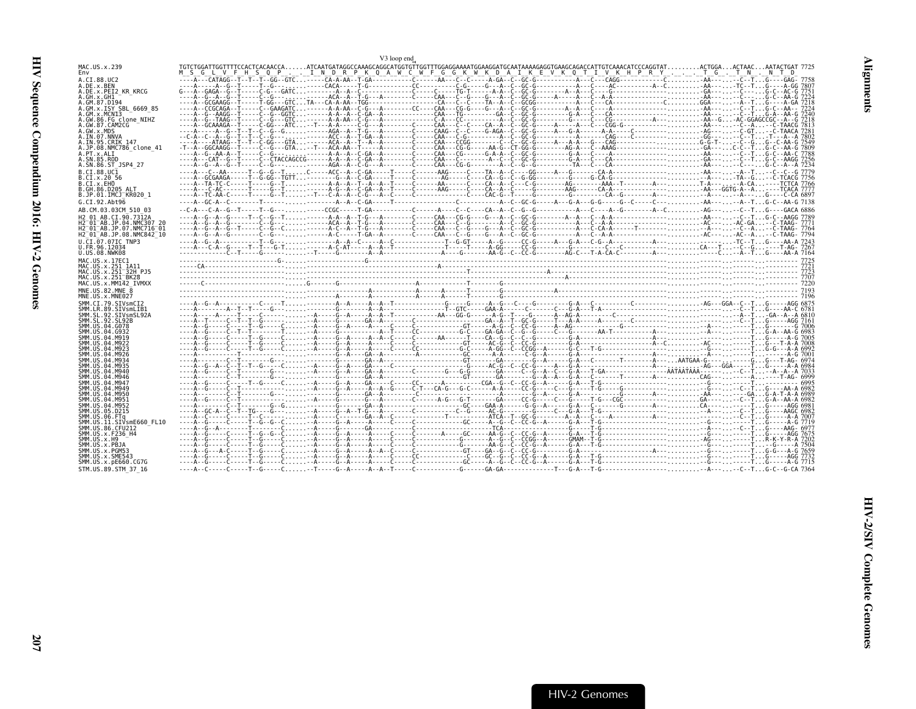<span id="page-52-0"></span>

|                                                                                             | V3 loop end                                                                                                                                            |            |
|---------------------------------------------------------------------------------------------|--------------------------------------------------------------------------------------------------------------------------------------------------------|------------|
| MAC.US.x.239<br>Env                                                                         | TGTCTGGATTGGTTTTCCACTCACAACCAATCAATGATAGGCCAAAGCAGGCATGGTTGGTTTGGAGGAAAATGGAAGGATGAAAAAAGAGGTGAAGCAGACCATTGTCAAACATCCCAGGTATACTGGAACTAACAATACTGAT 7725 |            |
| A.CI.88.UC2<br>A.DE.x.BEN                                                                   |                                                                                                                                                        |            |
| A.DE.x.PEI2 KR KRCG                                                                         |                                                                                                                                                        |            |
| A.GH.X.GH1<br>A.GM.87.D194                                                                  |                                                                                                                                                        |            |
| A.GM.x.ISY SBL 6669 85<br>A.GM.X.MCNI3                                                      |                                                                                                                                                        |            |
| A.GW.86.FG clone NIHZ<br>A.GW.87.CAM2CG                                                     |                                                                                                                                                        |            |
| A.GW.x.MDS<br>A.IN.07.NNVA                                                                  |                                                                                                                                                        |            |
| A.IN.95.CRIK 147<br>A.JP.08.NMC786 clone 41                                                 |                                                                                                                                                        |            |
| A.PT.x.ALI<br>A.SN.85.ROD                                                                   |                                                                                                                                                        |            |
| A.SN.86.ST JSP4 27<br>B.CI.88.UC1                                                           |                                                                                                                                                        |            |
| B.CI.x.20 56<br>B.CI.x.EHO                                                                  |                                                                                                                                                        |            |
| B.GH.86.D205 ALT<br>B.JP.01.IMCJ KR020 1                                                    |                                                                                                                                                        |            |
| G.CI.92.Abt96                                                                               |                                                                                                                                                        |            |
| AB.CM.03.03CM 510 03<br>H <sub>2</sub> 01 AB.CT.90.7312A                                    | AGT.C.CTCCTA.A.-A.-T-GACCAACG-GACGG-GA.ACA                                                                                                             |            |
| H2 01 AB.JP.04.NMC307 20<br>H2 <sup>-</sup> 01 <sup>-</sup> AB.JP.07.NMC716 <sup>-</sup> 01 |                                                                                                                                                        |            |
| H2 <sup>-01-AB.JP.08.NMC842<sup>-10</sup></sup>                                             |                                                                                                                                                        |            |
| U.CI.07.07IC TNP3<br>U.FR.96.12034                                                          |                                                                                                                                                        |            |
| U.US.08.NWK08<br>MAC.US.x.17EC1                                                             |                                                                                                                                                        |            |
| MAC.US.x.251 1A11<br>MAC.US.x.251 32H PJ5                                                   |                                                                                                                                                        |            |
| MAC.US.x.251 <sup>-</sup> BK28<br>MAC.US.x.MM142 IVMXX                                      |                                                                                                                                                        |            |
| MNE.US.82.MNE 8                                                                             |                                                                                                                                                        |            |
| MNE.US.x.MNE027<br>SMM.CI.79.SIVsmCI2                                                       |                                                                                                                                                        |            |
| SMM.LR.89.SIVsmLIB1<br>SMM.SL.92.SIVsmSL92A                                                 |                                                                                                                                                        |            |
| SMM. SL. 92. SL92B<br>SMM.US.04.G078                                                        |                                                                                                                                                        |            |
| SMM. US. 04. G932<br>SMM.US.04.M919                                                         |                                                                                                                                                        |            |
| SMM.US.04.M922<br>SMM.US.04.M923                                                            |                                                                                                                                                        |            |
| SMM.US.04.M926<br>SMM. US. 04. M934                                                         |                                                                                                                                                        | $-A-G7001$ |
| SMM. US. 04. M935<br>SMM. US. 04. M940                                                      |                                                                                                                                                        |            |
| SMM. US. 04. M946<br>SMM. US. 04. M947                                                      |                                                                                                                                                        |            |
| SMM. US. 04. M949<br>SMM.US.04.M950                                                         |                                                                                                                                                        |            |
| SMM.US.04.M951<br>SMM. US. 04. M952                                                         |                                                                                                                                                        |            |
| SMM.US.05.D215<br>SMM.US.06.FTa                                                             |                                                                                                                                                        |            |
| SMM.US.11.SIVsmE660 FL10<br>SMM.US.86.CFU212                                                |                                                                                                                                                        | -A-G 7719  |
| SMM. US. x. F236 H4                                                                         |                                                                                                                                                        |            |
| SMM. US. x. H9<br>SMM.US.x.PBJA                                                             |                                                                                                                                                        |            |
| SMM.US.x.PGM53<br>SMM.US.x.SME543                                                           |                                                                                                                                                        |            |
| SMM.US.x.pE660.CG7G<br>STM.US.89.STM 37 16                                                  |                                                                                                                                                        |            |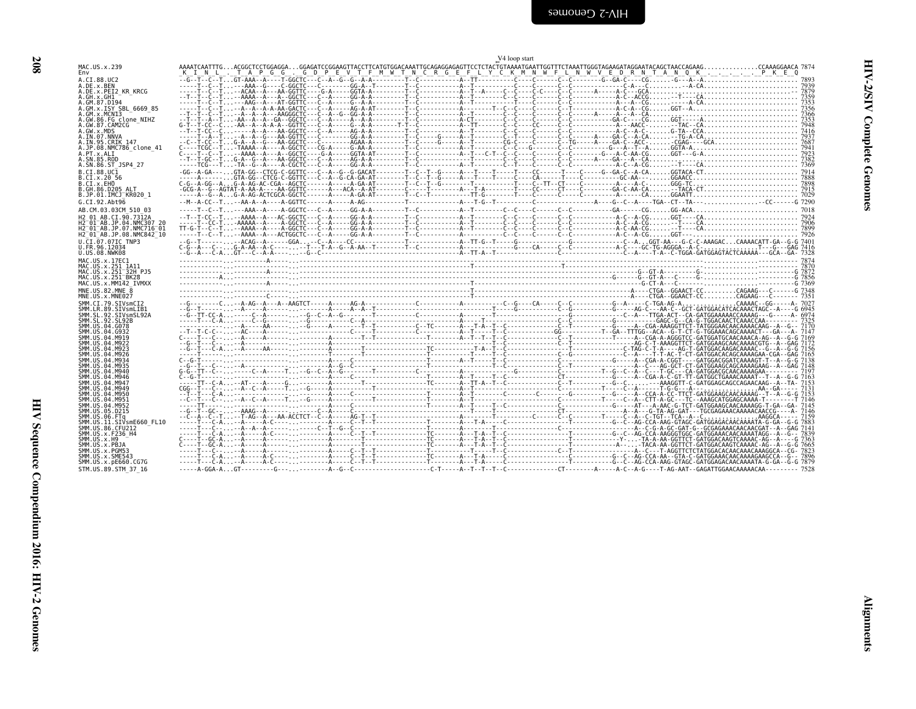<span id="page-53-0"></span>

| MAC.US.x.239                                                                                                            |  |  |  | V <sub>4</sub> loop start |  |  |  |  |
|-------------------------------------------------------------------------------------------------------------------------|--|--|--|---------------------------|--|--|--|--|
| A.DE.x.PEI2 KR KRCG                                                                                                     |  |  |  |                           |  |  |  |  |
|                                                                                                                         |  |  |  |                           |  |  |  |  |
| A.GM.87.D194<br>A.GM.x.ISY SBL_6669_85<br>A.GM.x.MCN13                                                                  |  |  |  |                           |  |  |  |  |
| GW.86.FG_clone_NIHZ<br>GW.87.CAM2CG                                                                                     |  |  |  |                           |  |  |  |  |
| A.IN.07.NNVA<br>A.IN.07.NNVA<br>A.IN.95.CRIK 147<br>A.PT.x.ALI<br>A.PT.x.ALI                                            |  |  |  |                           |  |  |  |  |
| A.SN.86.ST JSP4 27                                                                                                      |  |  |  |                           |  |  |  |  |
| B.CI.88.UCI<br>B.CI.x.20 56<br>B.CI.x.EHO                                                                               |  |  |  |                           |  |  |  |  |
| <b>B.GH.86.D205 ALT</b><br>B.JP.01.IMCJ <sup>-</sup> KR020 1                                                            |  |  |  |                           |  |  |  |  |
| G.CI.92.Abt96                                                                                                           |  |  |  |                           |  |  |  |  |
| AB.CM.03.03CM_510_03<br>H2 01 AB.CI.90.7312A                                                                            |  |  |  |                           |  |  |  |  |
| H2-01-AB.JP.04.NMC307-20<br>H2-01-AB.JP.07.NMC716-01<br>H2 <sup>-</sup> 01 <sup>-</sup> AB.JP.08.NMC842 <sup>-</sup> 10 |  |  |  |                           |  |  |  |  |
| U.ČI.07.07IC TNP3<br>U.FR.96.12034<br>U.US.08.NWK08                                                                     |  |  |  |                           |  |  |  |  |
| MAC.US.x.17EC1                                                                                                          |  |  |  |                           |  |  |  |  |
| MAC.US.x.251_1A11<br>MAC.US.x.251_32H_PJ5<br>MAC.US.x.251_32H_PJ5<br>MAC.US.x.251 BK28<br>MAC.US.x.MMI42_IVMXX          |  |  |  |                           |  |  |  |  |
| MNE.US.82.MNE_8<br>MNE.US.x.MNE027                                                                                      |  |  |  |                           |  |  |  |  |
| SMM.CI.79.SIVSmCI2<br>SMM.CI.79.SIVSmCI2<br>SMM.SL.92.SIVSmSL92A<br>SMM.SL.92.SIVSmSL92A<br>SMM.SL.92.SL92B             |  |  |  |                           |  |  |  |  |
| SMM. US. 04. G078                                                                                                       |  |  |  |                           |  |  |  |  |
| SMM.US.04.G932                                                                                                          |  |  |  |                           |  |  |  |  |
| SMM. US. 04. M919<br>SMM. US. 04. M919<br>SMM. US. 04. M923<br>SMM.US.04.M926                                           |  |  |  |                           |  |  |  |  |
| SMM.US.04.M934<br>SMM.US.04.M935                                                                                        |  |  |  |                           |  |  |  |  |
| SMM. US. 04. M940<br>SMM. US. 04. M940<br>SMM. US. 04. M947<br>SMM. US. 04. M949                                        |  |  |  |                           |  |  |  |  |
| SMM.US.04.M950<br>SMM.US.04.M951                                                                                        |  |  |  |                           |  |  |  |  |
| SMM.US.04.M95                                                                                                           |  |  |  |                           |  |  |  |  |
| SMM.US.05.D215<br>SMM.US.06.FTq<br>SMM.US.06.FTq<br>SMM.US.11.SIVsmE660_FL10<br>SMM.US.86.CFU212                        |  |  |  |                           |  |  |  |  |
| SMM.US.x.F236_H4<br>SMM.US.x.F236_H4<br>SMM.US.x.PBJA                                                                   |  |  |  |                           |  |  |  |  |
| SMM.US.x.PGM53<br>SMM.US.x.SME543                                                                                       |  |  |  |                           |  |  |  |  |
| SMM.US.x.pE660.CG7G<br>STM.US.89.STM 37 16                                                                              |  |  |  |                           |  |  |  |  |
|                                                                                                                         |  |  |  |                           |  |  |  |  |
|                                                                                                                         |  |  |  |                           |  |  |  |  |
|                                                                                                                         |  |  |  |                           |  |  |  |  |
|                                                                                                                         |  |  |  |                           |  |  |  |  |
|                                                                                                                         |  |  |  |                           |  |  |  |  |
|                                                                                                                         |  |  |  |                           |  |  |  |  |
|                                                                                                                         |  |  |  |                           |  |  |  |  |
|                                                                                                                         |  |  |  |                           |  |  |  |  |
|                                                                                                                         |  |  |  |                           |  |  |  |  |
|                                                                                                                         |  |  |  |                           |  |  |  |  |
|                                                                                                                         |  |  |  |                           |  |  |  |  |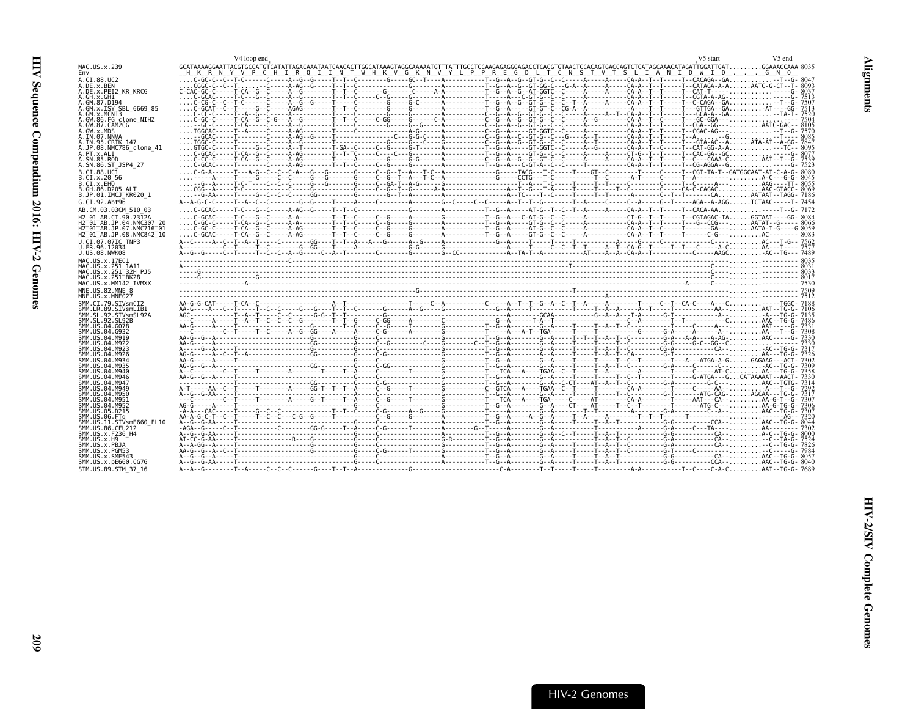<span id="page-54-0"></span>

|                                                        | V4 loop end                                                                                                                                                                                                                                                                                                                                                                                                                                                                                                                                                             | V5 start | V5 end |
|--------------------------------------------------------|-------------------------------------------------------------------------------------------------------------------------------------------------------------------------------------------------------------------------------------------------------------------------------------------------------------------------------------------------------------------------------------------------------------------------------------------------------------------------------------------------------------------------------------------------------------------------|----------|--------|
| MAC.US.x.239<br>Env                                    | GCATAAAAGGAATTACGTGCCATGTCATATTAGACAAATAATCAACACTTGGCATAAAGTAGGCAAAAATGTTTATTTGCCTCCAGAGGGGAACCCTCACTTAACGCAGCCCATAGGCATAGATTGGATTCATGGAAACCAAA 8035<br>__H__K__R__N__Y__V__P__C__H__I__R__Q__I__I__N__T__W__H__K__V__G__                                                                                                                                                                                                                                                                                                                                               |          |        |
| A.CI.88.UC2<br>A.DE.x.BEN                              |                                                                                                                                                                                                                                                                                                                                                                                                                                                                                                                                                                         |          |        |
| A.DE.X.PEI2 KR KRCG                                    |                                                                                                                                                                                                                                                                                                                                                                                                                                                                                                                                                                         |          |        |
| A.GH.x.GH1<br>A.GM.87.D194                             |                                                                                                                                                                                                                                                                                                                                                                                                                                                                                                                                                                         |          |        |
| A.GM.x.ISY SBL 6669 85                                 |                                                                                                                                                                                                                                                                                                                                                                                                                                                                                                                                                                         |          |        |
| A.GM.x.MCNI3                                           |                                                                                                                                                                                                                                                                                                                                                                                                                                                                                                                                                                         |          |        |
| A.GW.86.FG clone NIHZ<br>A.GW.87.CAM2CG                |                                                                                                                                                                                                                                                                                                                                                                                                                                                                                                                                                                         |          |        |
| A.GW.x.MDS                                             |                                                                                                                                                                                                                                                                                                                                                                                                                                                                                                                                                                         |          |        |
| A.IN.07.NNVA<br>A. IN. 95. CRIK 147                    |                                                                                                                                                                                                                                                                                                                                                                                                                                                                                                                                                                         |          |        |
| A.JP.08.NMC786 clone 41                                | C-6CAC------†-CA--6--C-----A-AG---------†-TC----C---C---G---------A-----------†-G--A----GT-6--C-----A-----A-----T-G-6-C--------T--CAC-6A--GC:::::::::::-----G-- 8077                                                                                                                                                                                                                                                                                                                                                                                                    |          |        |
| A.PT.x.ALI<br>A.SN.85.ROD                              |                                                                                                                                                                                                                                                                                                                                                                                                                                                                                                                                                                         |          |        |
| A.SN.86.ST JSP4 27                                     |                                                                                                                                                                                                                                                                                                                                                                                                                                                                                                                                                                         |          |        |
| B.CI.88.UC1<br>B.CI.X.20 56                            |                                                                                                                                                                                                                                                                                                                                                                                                                                                                                                                                                                         |          |        |
| B.CI.X.EHO                                             |                                                                                                                                                                                                                                                                                                                                                                                                                                                                                                                                                                         |          |        |
| B.GH.86.D205 ALT<br>B.JP.01.IMCJ KR020 1               |                                                                                                                                                                                                                                                                                                                                                                                                                                                                                                                                                                         |          |        |
| G.CI.92.Abt96                                          |                                                                                                                                                                                                                                                                                                                                                                                                                                                                                                                                                                         |          |        |
| AB.CM.03.03CM 510 03                                   |                                                                                                                                                                                                                                                                                                                                                                                                                                                                                                                                                                         |          |        |
| H2 01 AB.CI.90.7312A                                   | $\ldots C \cdot G \cdot C \cdot \ldots - \cdot C \cdot C \cdot \ldots - A \cdot C \cdot \ldots - A \cdot C \cdot \ldots - A \cdot C \cdot \ldots - A \cdot C \cdot \ldots - A \cdot C \cdot \ldots - A \cdot C \cdot \ldots - A \cdot C \cdot \ldots - A \cdot C \cdot \ldots - A \cdot C \cdot \ldots - A \cdot C \cdot \ldots - A \cdot C \cdot \ldots - A \cdot C \cdot \ldots - A \cdot C \cdot \ldots - A \cdot C \cdot \ldots - A \cdot C \cdot \ldots - A \cdot C \cdot \ldots - A \cdot C \cdot \ldots - A \cdot C \cdot \ldots - A \cdot C \cdot \ldots - A \$ |          |        |
| H2 01 AB JP 04 NMC307 26<br>H2 01 AB.JP.07.NMC716 01   |                                                                                                                                                                                                                                                                                                                                                                                                                                                                                                                                                                         |          |        |
| H2 01 AB.JP.08.NMC842 10                               |                                                                                                                                                                                                                                                                                                                                                                                                                                                                                                                                                                         |          |        |
| U.CI.07.07IC TNP3                                      |                                                                                                                                                                                                                                                                                                                                                                                                                                                                                                                                                                         |          |        |
| U.FR.96.12034<br>U.US.08.NWK08                         |                                                                                                                                                                                                                                                                                                                                                                                                                                                                                                                                                                         |          |        |
| MAC.US.x.17EC1                                         |                                                                                                                                                                                                                                                                                                                                                                                                                                                                                                                                                                         |          |        |
| MAC.US.x.251 1A11                                      |                                                                                                                                                                                                                                                                                                                                                                                                                                                                                                                                                                         |          |        |
| MAC.US.x.251 32H PJ5<br>MAC.US.x.251 <sup>-</sup> BK28 |                                                                                                                                                                                                                                                                                                                                                                                                                                                                                                                                                                         |          |        |
| MAC.US.x.MM142 IVMXX                                   |                                                                                                                                                                                                                                                                                                                                                                                                                                                                                                                                                                         |          |        |
| MNE.US.82.MNE 8<br>MNE.US.x.MNE027                     |                                                                                                                                                                                                                                                                                                                                                                                                                                                                                                                                                                         |          |        |
| SMM.CI.79.SIVsmCI2                                     |                                                                                                                                                                                                                                                                                                                                                                                                                                                                                                                                                                         |          |        |
| SMM.LR.89.SIVsmLIB1                                    |                                                                                                                                                                                                                                                                                                                                                                                                                                                                                                                                                                         |          |        |
| SMM.SL.92.SIVsmSL92A<br>SMM.SL.92.SL92B                |                                                                                                                                                                                                                                                                                                                                                                                                                                                                                                                                                                         |          |        |
| SMM.US.04.G078                                         |                                                                                                                                                                                                                                                                                                                                                                                                                                                                                                                                                                         |          |        |
| SMM.US.04.G932<br>SMM.US.04.M919                       |                                                                                                                                                                                                                                                                                                                                                                                                                                                                                                                                                                         |          |        |
| SMM.US.04.M922                                         |                                                                                                                                                                                                                                                                                                                                                                                                                                                                                                                                                                         |          |        |
| SMM.US.04.M923<br>SMM.US.04.M926                       |                                                                                                                                                                                                                                                                                                                                                                                                                                                                                                                                                                         |          |        |
| SMM. US. 04. M934<br>SMM. US. 04. M935                 |                                                                                                                                                                                                                                                                                                                                                                                                                                                                                                                                                                         |          |        |
| SMM.US.04.M940                                         |                                                                                                                                                                                                                                                                                                                                                                                                                                                                                                                                                                         |          |        |
| SMM.US.04.M946<br>SMM. US. 04. M947                    |                                                                                                                                                                                                                                                                                                                                                                                                                                                                                                                                                                         |          |        |
| SMM. US. 04. M949                                      |                                                                                                                                                                                                                                                                                                                                                                                                                                                                                                                                                                         |          |        |
| SMM.US.04.M950<br>SMM.US.04.M951                       |                                                                                                                                                                                                                                                                                                                                                                                                                                                                                                                                                                         |          |        |
| SMM.US.04.M952                                         |                                                                                                                                                                                                                                                                                                                                                                                                                                                                                                                                                                         |          |        |
| SMM.US.05.D215                                         |                                                                                                                                                                                                                                                                                                                                                                                                                                                                                                                                                                         |          |        |
| SMM.US.06.FTq<br>SMM.US.11.SIVsmE660 FL10              |                                                                                                                                                                                                                                                                                                                                                                                                                                                                                                                                                                         |          |        |
| SMM.US.86.CFU212                                       |                                                                                                                                                                                                                                                                                                                                                                                                                                                                                                                                                                         |          |        |
| SMM.US.x.F236 H4<br>SMM. US. x.H9                      |                                                                                                                                                                                                                                                                                                                                                                                                                                                                                                                                                                         |          |        |
| SMM.US.x.PBJA                                          |                                                                                                                                                                                                                                                                                                                                                                                                                                                                                                                                                                         |          |        |
| SMM.US.x.PGM53<br>SMM.US.x.SME543                      |                                                                                                                                                                                                                                                                                                                                                                                                                                                                                                                                                                         |          |        |
|                                                        |                                                                                                                                                                                                                                                                                                                                                                                                                                                                                                                                                                         |          |        |
| SMM. US. x. pE660. CG7G<br>STM.US.89.STM 37 16         |                                                                                                                                                                                                                                                                                                                                                                                                                                                                                                                                                                         |          |        |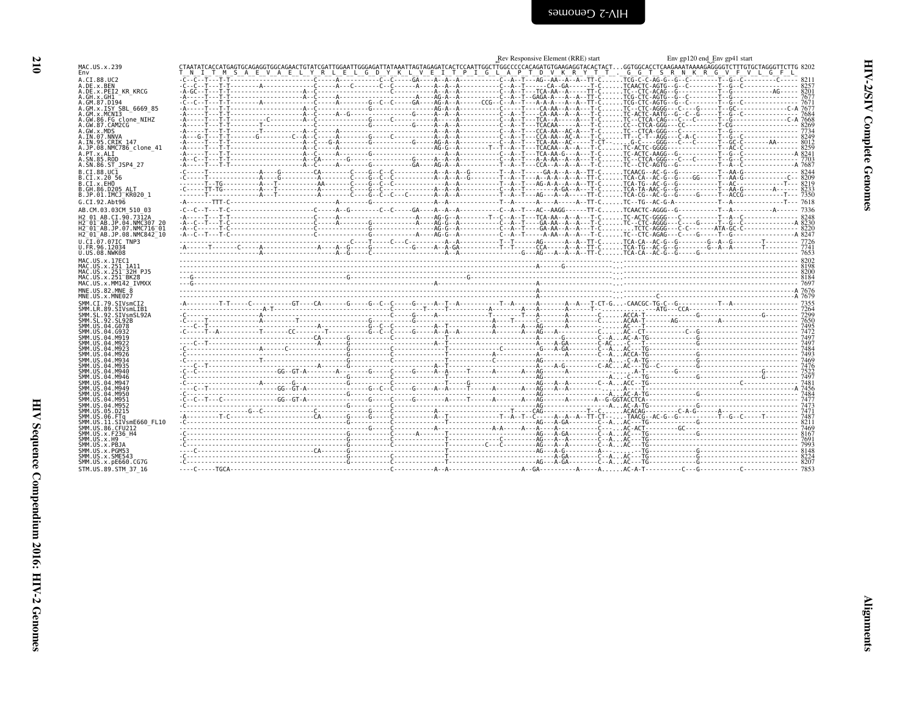| ۰. |
|----|

<span id="page-55-0"></span>

|                                                                             | Rev Responsive Element (RRE) start<br>Env gp120 end Env gp41 start                                                                                                                                                                                                            |  |
|-----------------------------------------------------------------------------|-------------------------------------------------------------------------------------------------------------------------------------------------------------------------------------------------------------------------------------------------------------------------------|--|
| MAC.US.x.239<br>Env                                                         | CTAATATCACCATGAGTGCAGAGGTGGCAGAACTGTATCGATTGGGAGATTATAAATTAGTAGAGATCACTCCATTGGCCCCCACAGATGTGAGAGGTACACTACTGGTGGCACCTCAAGAATAAAAGAGGGGTCTTTGTGCTAGGGTTCTTG 8202<br>T M S A E V A E L Y R L E L G D Y K L V E I T P I G L A P T D V K R Y T T . G G T S R N K R G V F V L G F L |  |
| A.CI.88.UC2<br>A.DE.x.BEN                                                   |                                                                                                                                                                                                                                                                               |  |
| A.DE.x.PEI2 KR KRCG                                                         |                                                                                                                                                                                                                                                                               |  |
| A.GH.x.GH1<br>A.GM.87.D194                                                  |                                                                                                                                                                                                                                                                               |  |
| A.GM.x.ISY SBL 6669 85                                                      |                                                                                                                                                                                                                                                                               |  |
| A.GM.x.MCNI3<br>A.GW.86.FG clone NIHZ                                       |                                                                                                                                                                                                                                                                               |  |
| A.GW.87.CAM2CG                                                              |                                                                                                                                                                                                                                                                               |  |
| A.GW.x.MDS<br>A.IN.07.NNVA                                                  |                                                                                                                                                                                                                                                                               |  |
| A.IN.95.CRIK 147                                                            |                                                                                                                                                                                                                                                                               |  |
| A.JP.08.NMC786 clone 41<br>A.PT.x.ALI                                       |                                                                                                                                                                                                                                                                               |  |
| A.SN.85.ROD                                                                 |                                                                                                                                                                                                                                                                               |  |
| A.SN.86.ST JSP4 27<br>B.CI.88.UC1                                           | $-8244$                                                                                                                                                                                                                                                                       |  |
| B.CI.X.20 56                                                                |                                                                                                                                                                                                                                                                               |  |
| B.CI.X.EHO<br>B.GH.86.D205 ALT                                              |                                                                                                                                                                                                                                                                               |  |
| B.JP.01.IMCJ KR020 1                                                        |                                                                                                                                                                                                                                                                               |  |
| G.CI.92.Abt96                                                               |                                                                                                                                                                                                                                                                               |  |
| AB.CM.03.03CM 510 03<br>H2 01 AB.CI.90.7312A                                |                                                                                                                                                                                                                                                                               |  |
| H2 <sup>-01-AB.JP.04.NMC307 20</sup>                                        |                                                                                                                                                                                                                                                                               |  |
| H2-01-AB.JP.07.NMC716-01<br>H2 <sup>-01-AB.JP.08.NMC842<sup>-10</sup></sup> |                                                                                                                                                                                                                                                                               |  |
| U.CI.07.07IC TNP3                                                           |                                                                                                                                                                                                                                                                               |  |
| U.FR.96.12034                                                               |                                                                                                                                                                                                                                                                               |  |
| U.US.08.NWK08<br>MAC.US.x.17EC1                                             |                                                                                                                                                                                                                                                                               |  |
| MAC.US.x.251 1A11                                                           |                                                                                                                                                                                                                                                                               |  |
| MAC.US.x.251 <sup>-32H</sup> PJ5<br>MAC.US.x.251 <sup>-</sup> BK28          |                                                                                                                                                                                                                                                                               |  |
| MAC.US.x.MM142 IVMXX                                                        |                                                                                                                                                                                                                                                                               |  |
| MNE.US.82.MNE 8<br>MNE.US.x.MNE027                                          |                                                                                                                                                                                                                                                                               |  |
| SMM.CI.79.SIVsmCI2                                                          |                                                                                                                                                                                                                                                                               |  |
| SMM.LR.89.SIVsmLIB1<br>SMM.SL.92.SIVsmSL92A                                 |                                                                                                                                                                                                                                                                               |  |
| SMM. SL. 92. SL92B                                                          |                                                                                                                                                                                                                                                                               |  |
| SMM. US.04.G078<br>SMM.US.04.G932                                           |                                                                                                                                                                                                                                                                               |  |
| SMM.US.04.M919                                                              |                                                                                                                                                                                                                                                                               |  |
| SMM.US.04.M922<br>SMM. US. 04. M923                                         |                                                                                                                                                                                                                                                                               |  |
| SMM. U.S. 04. M926<br>SMM.US.04.M934                                        |                                                                                                                                                                                                                                                                               |  |
| SMM.US.04.M935                                                              |                                                                                                                                                                                                                                                                               |  |
| SMM.US.04.M940<br>SMM.US.04.M946                                            |                                                                                                                                                                                                                                                                               |  |
| SMM.US.04.M947                                                              | $-10.1411 - 10.0111 - 10.0111 - 10.0111 - 10.0111 - 10.0111 - 10.0111 - 10.0111 - 10.0111 - 10.0111 - 10.0111 - 10.0111 - 10.0111 - 10.0111 - 10.0111 - 10.0111 - 10.0111 - 10.0111 - 10.0111 - 10.0111 - 10.0111 - 10.0111 - 10.0111 - 10.0111 - 10.$                        |  |
| SMM.US.04.M949<br>SMM.US.04.M950                                            |                                                                                                                                                                                                                                                                               |  |
| SMM.US.04.M951                                                              |                                                                                                                                                                                                                                                                               |  |
| SMM.US.04.M952<br>SMM.US.05.D215                                            |                                                                                                                                                                                                                                                                               |  |
| SMM.US.06.FTq                                                               |                                                                                                                                                                                                                                                                               |  |
| SMM.US.11.SIVsmE660 FL10<br>SMM.US.86.CFU212                                |                                                                                                                                                                                                                                                                               |  |
| SMM.US.x.F236 H4                                                            |                                                                                                                                                                                                                                                                               |  |
| SMM. US. x.H9<br>SMM.US.x.PBJA                                              |                                                                                                                                                                                                                                                                               |  |
| SMM.US.x.PGM53<br>SMM.US.x.SME543                                           |                                                                                                                                                                                                                                                                               |  |
| SMM.US.x.pE660.CG7G                                                         |                                                                                                                                                                                                                                                                               |  |
| STM.US.89.STM 37 16                                                         |                                                                                                                                                                                                                                                                               |  |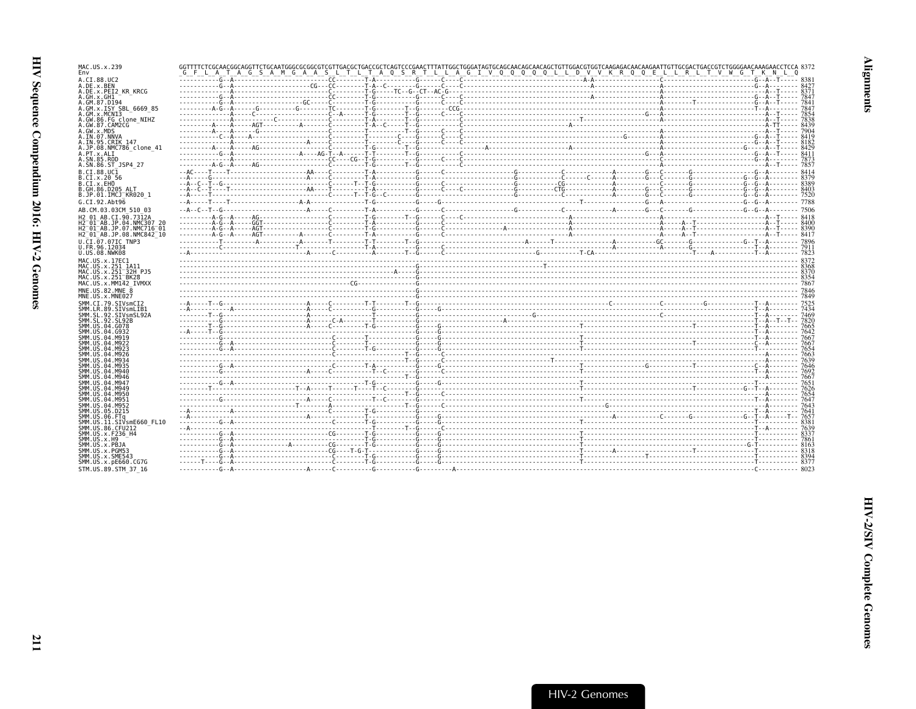| MAC.US.x.239<br>Env                                                                         |  |  | G F L A T A G S A M G A A S L T L T A O S R T L L A G I V O O O O O L L D V V K R O O E L L R L T V W G T K N L |  |      |
|---------------------------------------------------------------------------------------------|--|--|-----------------------------------------------------------------------------------------------------------------|--|------|
| A.CI.88.UC2                                                                                 |  |  |                                                                                                                 |  |      |
| A.DE.x.BEN<br>A.DE.x.PEI2 KR KRCG                                                           |  |  |                                                                                                                 |  |      |
| A.GH.x.GH1                                                                                  |  |  |                                                                                                                 |  |      |
| A.GM.87.D194<br>A.GM.x.ISY SBL 6669 85                                                      |  |  |                                                                                                                 |  |      |
| A.GM.x.MCN13                                                                                |  |  |                                                                                                                 |  |      |
| A.GW.86.FG clone NIHZ<br>A.GW.87.CAM2CG                                                     |  |  |                                                                                                                 |  |      |
| A.GW.x.MDS                                                                                  |  |  |                                                                                                                 |  |      |
| A.IN.07.NNVA<br>A.IN.95.CRIK 147                                                            |  |  |                                                                                                                 |  |      |
| A.JP.08.NMC786 clone 41                                                                     |  |  |                                                                                                                 |  |      |
| A.PT.x.ALI<br>A.SN.85.ROD                                                                   |  |  |                                                                                                                 |  |      |
| A.SN.86.ST JSP4 27                                                                          |  |  |                                                                                                                 |  |      |
| B.CI.88.UC1                                                                                 |  |  |                                                                                                                 |  |      |
| B.CI.x.20 56<br>B.CI.X.EHO                                                                  |  |  |                                                                                                                 |  |      |
| B.GH.86.D205 ALT                                                                            |  |  |                                                                                                                 |  |      |
| B.JP.01.IMCJ KR020 1<br>G.CI.92.Abt96                                                       |  |  |                                                                                                                 |  |      |
| AB.CM.03.03CM 510 03                                                                        |  |  |                                                                                                                 |  |      |
| H2 01 AB.CI.90.7312A                                                                        |  |  |                                                                                                                 |  |      |
| H2 01 AB JP 04 NMC307 26<br>H2 <sup>-</sup> 01 <sup>-</sup> AB.JP.07.NMC716 <sup>-</sup> 01 |  |  |                                                                                                                 |  |      |
| H2 <sup>-01-AB.JP.08.NMC842<sup>-10</sup></sup>                                             |  |  |                                                                                                                 |  |      |
| U.CI.07.07IC TNP3                                                                           |  |  |                                                                                                                 |  |      |
| U.FR.96.12034<br>U.US.08.NWK08                                                              |  |  |                                                                                                                 |  |      |
| MAC.US.x.17EC1                                                                              |  |  |                                                                                                                 |  |      |
| MAC.US.x.251 1A11                                                                           |  |  |                                                                                                                 |  |      |
| MAC.US.x.251 <sup>-32H</sup> PJ5<br>MAC. US. x. 251 <sup>-</sup> BK28                       |  |  |                                                                                                                 |  |      |
| MAC.US.x.MM142 IVMXX                                                                        |  |  |                                                                                                                 |  |      |
| MNE.US.82.MNE 8<br>MNE.US.x.MNE027                                                          |  |  |                                                                                                                 |  |      |
| SMM.CI.79.SIVsmCI2                                                                          |  |  |                                                                                                                 |  |      |
| SMM.LR.89.SIVsmLIB1                                                                         |  |  |                                                                                                                 |  |      |
| SMM.SL.92.SIVsmSL92A<br>SMM. SL. 92. SL92B                                                  |  |  |                                                                                                                 |  |      |
| SMM.US.04.G078                                                                              |  |  |                                                                                                                 |  |      |
| SMM.US.04.G932<br>SMM.US.04.M919                                                            |  |  |                                                                                                                 |  |      |
| SMM. US. 04. M922                                                                           |  |  |                                                                                                                 |  |      |
| SMM.US.04.M923<br>SMM. US. 04. M926                                                         |  |  |                                                                                                                 |  |      |
| SMM. US. 04. M934                                                                           |  |  |                                                                                                                 |  |      |
| SMM. US. 04. M935<br>SMM.US.04.M940                                                         |  |  |                                                                                                                 |  |      |
| SMM.US.04.M946                                                                              |  |  |                                                                                                                 |  |      |
| SMM.US.04.M947<br>SMM.US.04.M949                                                            |  |  |                                                                                                                 |  |      |
| SMM.US.04.M950<br>SMM.US.04.M951                                                            |  |  |                                                                                                                 |  |      |
| SMM.US.04.M952                                                                              |  |  |                                                                                                                 |  |      |
| SMM.US.05.D215<br>SMM.US.06.FTa                                                             |  |  |                                                                                                                 |  |      |
| SMM.US.11.SIVsmE660 FL10                                                                    |  |  |                                                                                                                 |  | 8381 |
| SMM.US.86.CFU212                                                                            |  |  |                                                                                                                 |  |      |
| SMM.US.x.F236 H4<br>SMM.US.x.H9                                                             |  |  |                                                                                                                 |  |      |
| SMM.US.x.PBJA                                                                               |  |  |                                                                                                                 |  |      |
| SMM.US.x.PGM53<br>SMM.US.x.SME543                                                           |  |  |                                                                                                                 |  |      |
| SMM. US. x. pE660. CG7G                                                                     |  |  |                                                                                                                 |  |      |
| STM.US.89.STM 37 16                                                                         |  |  |                                                                                                                 |  |      |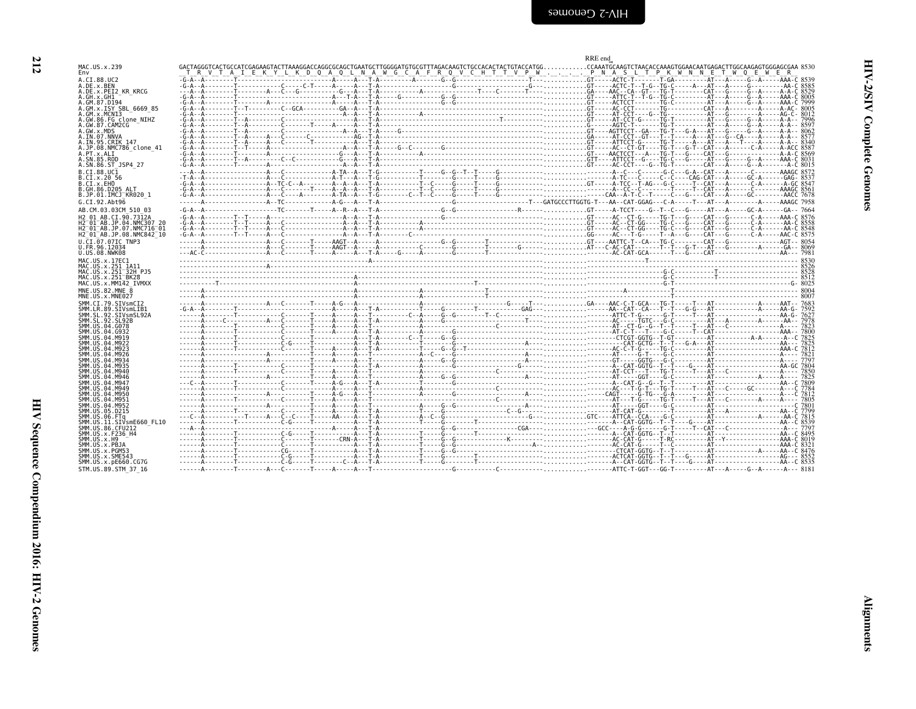| ٧ |
|---|
|   |

<span id="page-57-0"></span>

|                                                                              |                                                                                                                                                                                                                                                                                                                     | RRE end |
|------------------------------------------------------------------------------|---------------------------------------------------------------------------------------------------------------------------------------------------------------------------------------------------------------------------------------------------------------------------------------------------------------------|---------|
| MAC.US.x.239<br>Env                                                          |                                                                                                                                                                                                                                                                                                                     |         |
| A.CI.88.UC2                                                                  |                                                                                                                                                                                                                                                                                                                     |         |
| A.DE.x.BEN<br>A.DE.X.PEI2 KR KRCG                                            |                                                                                                                                                                                                                                                                                                                     |         |
| A.GH.x.GH1<br>A.GM.87.D194                                                   |                                                                                                                                                                                                                                                                                                                     |         |
| A.GM.x.ISY SBL 6669 85                                                       |                                                                                                                                                                                                                                                                                                                     |         |
| A.GM.x.MCN13<br>A.GW.86.FG clone NIHZ                                        |                                                                                                                                                                                                                                                                                                                     |         |
| A.GW.87.CAM2CG<br>A.GW.x.MDS                                                 |                                                                                                                                                                                                                                                                                                                     |         |
| A.IN.07.NNVA<br>A.IN.95.CRIK 147                                             |                                                                                                                                                                                                                                                                                                                     |         |
| A.JP.08.NMC786 clone 41                                                      |                                                                                                                                                                                                                                                                                                                     |         |
| A.PT.x.ALT<br>A.SN.85.ROD                                                    |                                                                                                                                                                                                                                                                                                                     |         |
| A.SN.86.ST JSP4 27<br>B.CI.88.UC1                                            |                                                                                                                                                                                                                                                                                                                     |         |
| B.CI.x.20 56                                                                 |                                                                                                                                                                                                                                                                                                                     |         |
| B.CI.X.EHO<br>B.GH.86.D205 ALT                                               |                                                                                                                                                                                                                                                                                                                     |         |
| B.JP.01.IMCJ <sup>-</sup> KR020 1                                            |                                                                                                                                                                                                                                                                                                                     |         |
| G.CI.92.Abt96<br>AB.CM.03.03CM 510 03                                        | $-6-4-4-1$                                                                                                                                                                                                                                                                                                          |         |
| H <sub>2</sub> 01 AB.CT.90.7312A                                             |                                                                                                                                                                                                                                                                                                                     |         |
| H2 <sup>-01-AB.JP.04.NMC307 20</sup><br>H2 <sup>-01-AB.JP.07.NMC716-01</sup> |                                                                                                                                                                                                                                                                                                                     |         |
| H2 <sup>-01-AB.JP.08.NMC842<sup>-10</sup></sup>                              |                                                                                                                                                                                                                                                                                                                     |         |
| U.CI.07.07IC TNP3<br>U.FR.96.12034                                           |                                                                                                                                                                                                                                                                                                                     |         |
| U.US.08.NWK08<br>MAC.US.x.17EC1                                              |                                                                                                                                                                                                                                                                                                                     |         |
| MAC. US. x. 251 1A11                                                         |                                                                                                                                                                                                                                                                                                                     |         |
| MAC.US.x.251 32H PJ5<br>MAC.US.x.251 <sup>-</sup> BK28                       | $\frac{1}{1}$ $\frac{1}{1}$ $\frac{1}{1}$ $\frac{1}{1}$ $\frac{1}{1}$ $\frac{1}{1}$ $\frac{1}{1}$ $\frac{1}{1}$ $\frac{1}{1}$ $\frac{1}{1}$ $\frac{1}{1}$ $\frac{1}{1}$ $\frac{1}{1}$ $\frac{1}{1}$ $\frac{1}{1}$ $\frac{1}{1}$ $\frac{1}{1}$ $\frac{1}{1}$ $\frac{1}{1}$ $\frac{1}{1}$ $\frac{1}{1}$ $\frac{1}{1}$ |         |
| MAC.US.x.MM142 IVMXX                                                         |                                                                                                                                                                                                                                                                                                                     |         |
| MNE.US.82.MNE 8<br>MNE.US.x.MNE027                                           |                                                                                                                                                                                                                                                                                                                     |         |
| SMM.CI.79.SIVsmCI2<br>SMM.LR.89.SIVsmLIB1                                    |                                                                                                                                                                                                                                                                                                                     |         |
| SMM.SL.92.SIVsmSL92A                                                         |                                                                                                                                                                                                                                                                                                                     |         |
| SMM.SL.92.SL92B<br>SMM.US.04.G078                                            |                                                                                                                                                                                                                                                                                                                     |         |
| SMM. U.S. 04. G932<br>SMM.US.04.M919                                         |                                                                                                                                                                                                                                                                                                                     |         |
| SMM. US. 04. M922<br>SMM. US. 04. M923                                       |                                                                                                                                                                                                                                                                                                                     |         |
| SMM.US.04.M926                                                               |                                                                                                                                                                                                                                                                                                                     |         |
| SMM. U.S. 04. M934<br>SMM. U.S. 04. M935                                     |                                                                                                                                                                                                                                                                                                                     |         |
| SMM. U.S. 04. M940<br>SMM. U.S. 04. M946                                     |                                                                                                                                                                                                                                                                                                                     |         |
| SMM. U.S. 04. M947<br>SMM. U.S. 04. M949                                     |                                                                                                                                                                                                                                                                                                                     |         |
| SMM. US. 04. M950                                                            |                                                                                                                                                                                                                                                                                                                     |         |
| SMM. U.S. 04. M951<br>SMM.US.04.M952                                         |                                                                                                                                                                                                                                                                                                                     |         |
| SMM.US.05.D215<br>SMM.US.06.FTq                                              |                                                                                                                                                                                                                                                                                                                     |         |
| SMM.US.11.SIVsmE660 FL10                                                     |                                                                                                                                                                                                                                                                                                                     |         |
| SMM.US.86.CFU212<br>SMM.US.x.F236 H4                                         |                                                                                                                                                                                                                                                                                                                     |         |
| $SMM. \, US. x. H9$<br>SMM.US.x.PBJA                                         |                                                                                                                                                                                                                                                                                                                     |         |
| SMM.US.x.PGM53<br>SMM.US.x.SME543                                            |                                                                                                                                                                                                                                                                                                                     |         |
| SMM.US.x.pE660.CG7G                                                          |                                                                                                                                                                                                                                                                                                                     |         |
| STM.US.89.STM 37 16                                                          |                                                                                                                                                                                                                                                                                                                     |         |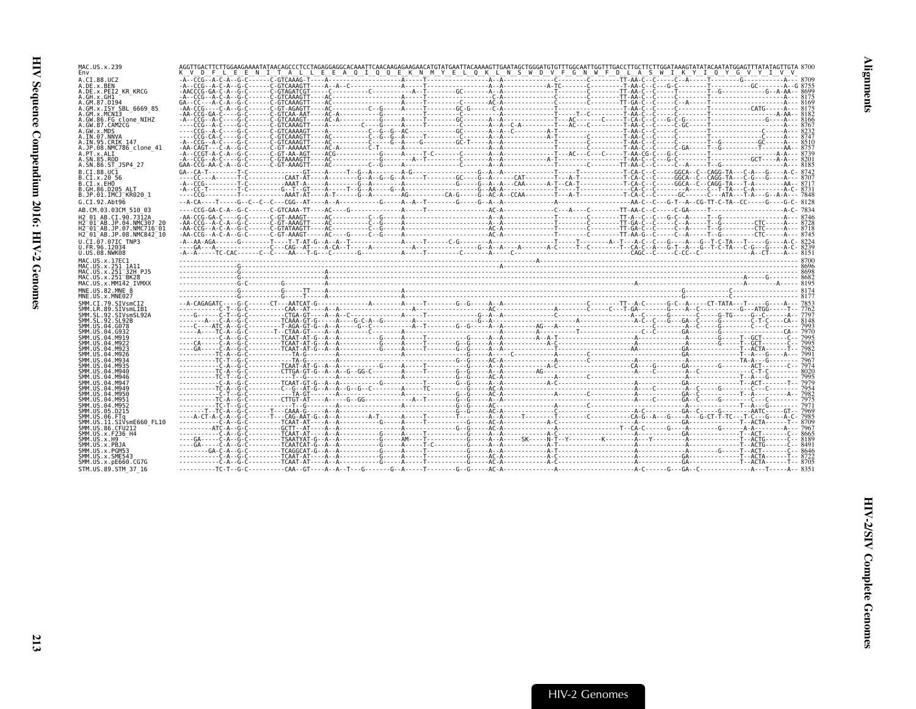| MAC.US.x.239                                                    |                                                                                                                                                                                                                                                                                                                                                                                                                                                                                                                                                                                                                                                            |  |  |  |  |
|-----------------------------------------------------------------|------------------------------------------------------------------------------------------------------------------------------------------------------------------------------------------------------------------------------------------------------------------------------------------------------------------------------------------------------------------------------------------------------------------------------------------------------------------------------------------------------------------------------------------------------------------------------------------------------------------------------------------------------------|--|--|--|--|
| Env                                                             | AGGTTGACTTCTTGGAAGAAAATATAACAGCCCTCCTAGAGGAGGGCACAAATTCAACAAGAAGAACATGTATGGAATAGCTGGGATGCTTTGGCATTGCTTTGGCATTCTTGGTATATACAATATGGATTATTAGTTGTA 8700<br>K_V_D_F_L_E_E_N_I_T_A_L_L_E_E_A_Q_I_Q_Q_E_K_N_M_Y_E_L_Q_K_L_N_S_W_D_V_F_G_N                                                                                                                                                                                                                                                                                                                                                                                                                          |  |  |  |  |
| A.CI.88.UC2                                                     |                                                                                                                                                                                                                                                                                                                                                                                                                                                                                                                                                                                                                                                            |  |  |  |  |
| A.DE.x.BEN<br>A.DE.x.PEI2 KR KRCG                               |                                                                                                                                                                                                                                                                                                                                                                                                                                                                                                                                                                                                                                                            |  |  |  |  |
| A.GH.x.GH1                                                      |                                                                                                                                                                                                                                                                                                                                                                                                                                                                                                                                                                                                                                                            |  |  |  |  |
| A.GM.87.D194<br>A.GM.x.ISY SBL 6669 85                          |                                                                                                                                                                                                                                                                                                                                                                                                                                                                                                                                                                                                                                                            |  |  |  |  |
| A.GM.x.MCN13                                                    |                                                                                                                                                                                                                                                                                                                                                                                                                                                                                                                                                                                                                                                            |  |  |  |  |
| A.GW.86.FG clone NIHZ<br>A.GW.87.CAM2CG                         |                                                                                                                                                                                                                                                                                                                                                                                                                                                                                                                                                                                                                                                            |  |  |  |  |
| A.GW.x.MDS                                                      |                                                                                                                                                                                                                                                                                                                                                                                                                                                                                                                                                                                                                                                            |  |  |  |  |
| A.IN.07.NNVA                                                    | $\begin{minipage}[t]{.05\textwidth} \begin{minipage}[t]{.05\textwidth} \centering \begin{minipage}[t]{.05\textwidth} \centering \color{red} \centering \color{red} \centering \color{red} \centering \color{red} \centering \color{green} \centering \color{green} \centering \color{green} \centering \color{red} \centering \color{green} \centering \color{green} \centering \color{green} \centering \color{green} \centering \color{green} \centering \color{green} \centering \color{green} \centering \color{green} \centering \color{green} \centering \color{green} \centering \color{green} \centering \color{green} \centering \color{green} \$ |  |  |  |  |
| A.IN.95.CRIK 147<br>A.JP.08.NMC786 clone 41                     |                                                                                                                                                                                                                                                                                                                                                                                                                                                                                                                                                                                                                                                            |  |  |  |  |
| A.PT.x.ALI                                                      |                                                                                                                                                                                                                                                                                                                                                                                                                                                                                                                                                                                                                                                            |  |  |  |  |
| A.SN.85.ROD<br>A.SN.86.ST JSP4 27                               |                                                                                                                                                                                                                                                                                                                                                                                                                                                                                                                                                                                                                                                            |  |  |  |  |
| B.CI.88.UC1                                                     |                                                                                                                                                                                                                                                                                                                                                                                                                                                                                                                                                                                                                                                            |  |  |  |  |
| B.CI.x.20 56                                                    |                                                                                                                                                                                                                                                                                                                                                                                                                                                                                                                                                                                                                                                            |  |  |  |  |
| B.CI.x.EHO<br>B.GH.86.D205 ALT                                  |                                                                                                                                                                                                                                                                                                                                                                                                                                                                                                                                                                                                                                                            |  |  |  |  |
| B.JP.01.IMCJ KR020 1                                            |                                                                                                                                                                                                                                                                                                                                                                                                                                                                                                                                                                                                                                                            |  |  |  |  |
| G.CI.92.Abt96                                                   |                                                                                                                                                                                                                                                                                                                                                                                                                                                                                                                                                                                                                                                            |  |  |  |  |
| AB.CM.03.03CM 510 03                                            |                                                                                                                                                                                                                                                                                                                                                                                                                                                                                                                                                                                                                                                            |  |  |  |  |
| H <sub>2</sub> 01 AB.CT.90.7312A<br>H2 01 AB.JP.04.NMC307 20    |                                                                                                                                                                                                                                                                                                                                                                                                                                                                                                                                                                                                                                                            |  |  |  |  |
| H2 <sup>-</sup> 01 <sup>-</sup> AB.JP.07.NMC716 <sup>-</sup> 01 |                                                                                                                                                                                                                                                                                                                                                                                                                                                                                                                                                                                                                                                            |  |  |  |  |
| H2 01 AB.JP.08.NMC842 10                                        |                                                                                                                                                                                                                                                                                                                                                                                                                                                                                                                                                                                                                                                            |  |  |  |  |
| U.CI.07.07IC TNP3<br>U.FR.96.12034                              |                                                                                                                                                                                                                                                                                                                                                                                                                                                                                                                                                                                                                                                            |  |  |  |  |
| U.US.08.NWK08                                                   |                                                                                                                                                                                                                                                                                                                                                                                                                                                                                                                                                                                                                                                            |  |  |  |  |
| MAC.US.x.17EC1                                                  |                                                                                                                                                                                                                                                                                                                                                                                                                                                                                                                                                                                                                                                            |  |  |  |  |
| MAC.US.x.251 1A11<br>MAC.US.x.251 <sup>-32H</sup> PJ5           |                                                                                                                                                                                                                                                                                                                                                                                                                                                                                                                                                                                                                                                            |  |  |  |  |
| MAC.US.x.251 <sup>-</sup> BK28                                  |                                                                                                                                                                                                                                                                                                                                                                                                                                                                                                                                                                                                                                                            |  |  |  |  |
| MAC.US.x.MM142 IVMXX                                            |                                                                                                                                                                                                                                                                                                                                                                                                                                                                                                                                                                                                                                                            |  |  |  |  |
| MNE.US.82.MNE 8<br>MNE.US.x.MNE027                              |                                                                                                                                                                                                                                                                                                                                                                                                                                                                                                                                                                                                                                                            |  |  |  |  |
| SMM.CI.79.SIVsmCI2                                              |                                                                                                                                                                                                                                                                                                                                                                                                                                                                                                                                                                                                                                                            |  |  |  |  |
| SMM.LR.89.SIVsmLIB1<br>SMM.SL.92.SIVsmSL92A                     |                                                                                                                                                                                                                                                                                                                                                                                                                                                                                                                                                                                                                                                            |  |  |  |  |
| SMM. SL. 92. SL92B                                              |                                                                                                                                                                                                                                                                                                                                                                                                                                                                                                                                                                                                                                                            |  |  |  |  |
| SMM.US.04.G078                                                  |                                                                                                                                                                                                                                                                                                                                                                                                                                                                                                                                                                                                                                                            |  |  |  |  |
| SMM US 04 G932<br>SMM. U.S. 04. M919                            |                                                                                                                                                                                                                                                                                                                                                                                                                                                                                                                                                                                                                                                            |  |  |  |  |
| SMM.US.04.M922                                                  |                                                                                                                                                                                                                                                                                                                                                                                                                                                                                                                                                                                                                                                            |  |  |  |  |
| SMM.US.04.M923<br>SMM.US.04.M926                                |                                                                                                                                                                                                                                                                                                                                                                                                                                                                                                                                                                                                                                                            |  |  |  |  |
| SMM. US. 04. M934                                               |                                                                                                                                                                                                                                                                                                                                                                                                                                                                                                                                                                                                                                                            |  |  |  |  |
| SMM. U.S. 04. M935<br>SMM.US.04.M940                            |                                                                                                                                                                                                                                                                                                                                                                                                                                                                                                                                                                                                                                                            |  |  |  |  |
| SMM. US. 04. M946                                               |                                                                                                                                                                                                                                                                                                                                                                                                                                                                                                                                                                                                                                                            |  |  |  |  |
| SMM IIS 04 M947                                                 |                                                                                                                                                                                                                                                                                                                                                                                                                                                                                                                                                                                                                                                            |  |  |  |  |
|                                                                 |                                                                                                                                                                                                                                                                                                                                                                                                                                                                                                                                                                                                                                                            |  |  |  |  |
| SMM. U.S. 04. M949<br>SMM.US.04.M950                            |                                                                                                                                                                                                                                                                                                                                                                                                                                                                                                                                                                                                                                                            |  |  |  |  |
| SMM.US.04.M951                                                  |                                                                                                                                                                                                                                                                                                                                                                                                                                                                                                                                                                                                                                                            |  |  |  |  |
| SMM. US. 04. M952                                               |                                                                                                                                                                                                                                                                                                                                                                                                                                                                                                                                                                                                                                                            |  |  |  |  |
| SMM.US.05.D215<br>SMM.US.06.FTq                                 |                                                                                                                                                                                                                                                                                                                                                                                                                                                                                                                                                                                                                                                            |  |  |  |  |
| SMM.US.11.SIVsmE660 FL10                                        |                                                                                                                                                                                                                                                                                                                                                                                                                                                                                                                                                                                                                                                            |  |  |  |  |
| SMM.US.86.CFU212<br>SMM. US. x. F236 H4                         |                                                                                                                                                                                                                                                                                                                                                                                                                                                                                                                                                                                                                                                            |  |  |  |  |
| SMM.US.x.H9                                                     |                                                                                                                                                                                                                                                                                                                                                                                                                                                                                                                                                                                                                                                            |  |  |  |  |
| SMM.US.x.PBJA                                                   |                                                                                                                                                                                                                                                                                                                                                                                                                                                                                                                                                                                                                                                            |  |  |  |  |
| SMM.US.x.PGM53<br>SMM.US.x.SME543                               |                                                                                                                                                                                                                                                                                                                                                                                                                                                                                                                                                                                                                                                            |  |  |  |  |
| SMM.US.x.pE660.CG7G<br>STM.US.89.STM 37 16                      |                                                                                                                                                                                                                                                                                                                                                                                                                                                                                                                                                                                                                                                            |  |  |  |  |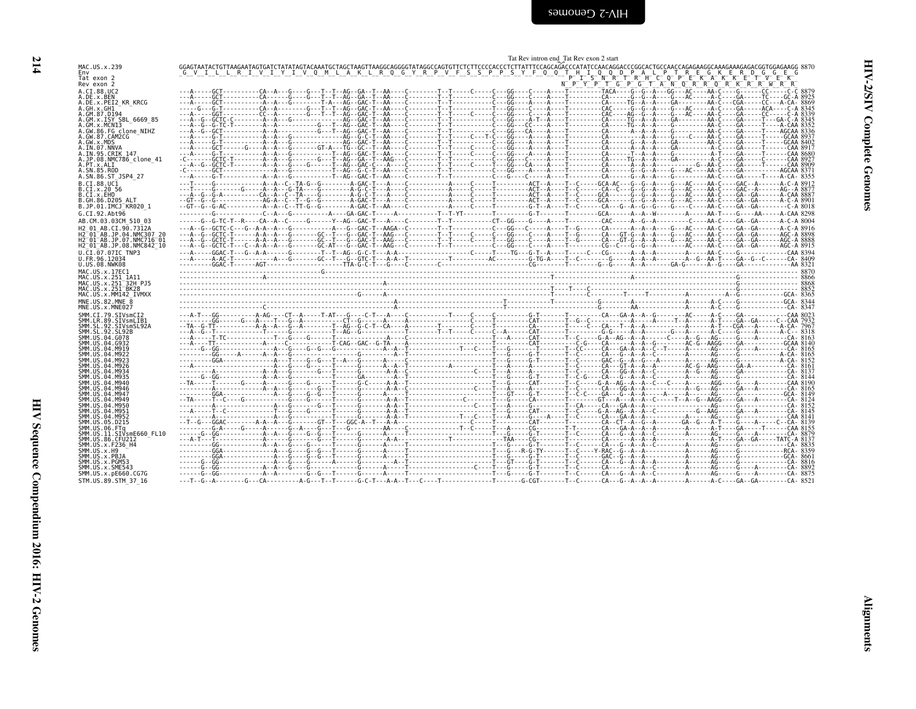| I |  |
|---|--|
|   |  |
|   |  |
|   |  |

<span id="page-59-0"></span>

| MAC.US.x.239<br>Env                                     |                                                                                                                                                                                                                                  |                                             |  |
|---------------------------------------------------------|----------------------------------------------------------------------------------------------------------------------------------------------------------------------------------------------------------------------------------|---------------------------------------------|--|
| Tat exon 2<br>Rev exon 2                                |                                                                                                                                                                                                                                  | N P Y P T G P G T A N Q R R Q R K R R W R R |  |
| A.CI.88.UC2                                             |                                                                                                                                                                                                                                  |                                             |  |
| A.DE.x.BEN<br>A.DE.x.PEI2 KR KRCG                       |                                                                                                                                                                                                                                  |                                             |  |
| A.GH.x.GH1<br>A.GM.87.D194                              |                                                                                                                                                                                                                                  |                                             |  |
| A.GM.x.ISY SBL 6669 85                                  |                                                                                                                                                                                                                                  |                                             |  |
| A.GM.x.MCNI3<br>A.GW.86.FG clone NIHZ                   |                                                                                                                                                                                                                                  |                                             |  |
| A.GW.87.CAM2CG                                          |                                                                                                                                                                                                                                  |                                             |  |
| A.GW.x.MDS<br>A.IN.07.NNVA                              |                                                                                                                                                                                                                                  |                                             |  |
| A.IN.95.CRIK 147                                        |                                                                                                                                                                                                                                  |                                             |  |
| A.JP.08.NMC786 clone 41<br>A.PT.x.ALI                   |                                                                                                                                                                                                                                  |                                             |  |
| A.SN.85.ROD<br>A.SN.86.ST JSP4 27                       |                                                                                                                                                                                                                                  |                                             |  |
| B.CI.88.UC1                                             |                                                                                                                                                                                                                                  |                                             |  |
| B.CI.X.20 56                                            |                                                                                                                                                                                                                                  |                                             |  |
| B.CI.X.EHO<br>B.GH.86.D205 ALT                          |                                                                                                                                                                                                                                  |                                             |  |
| B.JP.01.IMCJ KR020 1                                    |                                                                                                                                                                                                                                  |                                             |  |
| G.CI.92.Abt96<br>AB.CM.03.03CM 510 03                   |                                                                                                                                                                                                                                  |                                             |  |
| H <sub>2</sub> 01 AB.CT.90.7312A                        |                                                                                                                                                                                                                                  |                                             |  |
| H2 01 AB.JP.04.NMC307 20                                |                                                                                                                                                                                                                                  |                                             |  |
| H2 01 AB. JP. 07. NMC716 01<br>H2 01 AB.JP.08.NMC842 10 |                                                                                                                                                                                                                                  |                                             |  |
| U.CI.07.07IC TNP3                                       |                                                                                                                                                                                                                                  |                                             |  |
| U.FR.96.12034<br>U.US.08.NWK08                          | etter Allen - Allen - Allen - Allen - Allen - Allen - Allen - Allen - Allen - Allen - Allen - Allen - Allen - A<br>Allen - Allen - Allen - Allen - Allen - Allen - Allen - Allen - Allen - Allen - Allen - Allen - Allen - Allen |                                             |  |
| MAC.US.x.17EC1                                          |                                                                                                                                                                                                                                  |                                             |  |
| MAC.US.x.251 1A11<br>MAC.US.x.251 <sup>-32H</sup> PJ5   |                                                                                                                                                                                                                                  |                                             |  |
| MAC.US.x.251 <sup>-</sup> BK28                          |                                                                                                                                                                                                                                  |                                             |  |
| MAC.US.x.MM142 IVMXX<br>MNE.US.82.MNE 8                 |                                                                                                                                                                                                                                  |                                             |  |
| MNE.US.x.MNE027                                         |                                                                                                                                                                                                                                  |                                             |  |
| SMM.CI.79.SIVsmCI2                                      |                                                                                                                                                                                                                                  |                                             |  |
| SMM.LR.89.SIVsmLIB1<br>SMM.SL.92.SIVsmSL92A             |                                                                                                                                                                                                                                  |                                             |  |
| SMM.SL.92.SL92B<br>SMM.US.04.G078                       |                                                                                                                                                                                                                                  |                                             |  |
| SMM. U.S. 04. G932                                      |                                                                                                                                                                                                                                  |                                             |  |
| SMM. US. 04. M919<br>SMM. US. 04. M922                  |                                                                                                                                                                                                                                  |                                             |  |
| SMM. U.S. 04. M923                                      |                                                                                                                                                                                                                                  |                                             |  |
| SMM. US. 04. M926<br>SMM. U.S. 04. M934                 |                                                                                                                                                                                                                                  |                                             |  |
| SMM. US. 04. M935<br>SMM.US.04.M940                     |                                                                                                                                                                                                                                  |                                             |  |
| SMM.US.04.M946                                          |                                                                                                                                                                                                                                  |                                             |  |
| SMM. U.S. 04. M947<br>SMM. U.S. 04. M949                |                                                                                                                                                                                                                                  |                                             |  |
| SMM.US.04.M950                                          |                                                                                                                                                                                                                                  |                                             |  |
| SMM.US.04.M951<br>SMM.US.04.M952                        |                                                                                                                                                                                                                                  |                                             |  |
| SMM.US.05.D215                                          |                                                                                                                                                                                                                                  |                                             |  |
| SMM.US.06.FTa<br>SMM.US.11.SIVsmE660 FL10               |                                                                                                                                                                                                                                  |                                             |  |
| SMM.US.86.CFU212                                        |                                                                                                                                                                                                                                  |                                             |  |
| SMM. US. x. F236 H4<br>SMM.US.x.H9                      |                                                                                                                                                                                                                                  |                                             |  |
| SMM.US.x.PBJA<br>SMM.US.x.PGM53                         |                                                                                                                                                                                                                                  |                                             |  |
|                                                         |                                                                                                                                                                                                                                  |                                             |  |
| SMM.US.x.SME543                                         |                                                                                                                                                                                                                                  |                                             |  |
| SMM. US. x. pE660. CG7G<br>STM.US.89.STM 37 16          |                                                                                                                                                                                                                                  |                                             |  |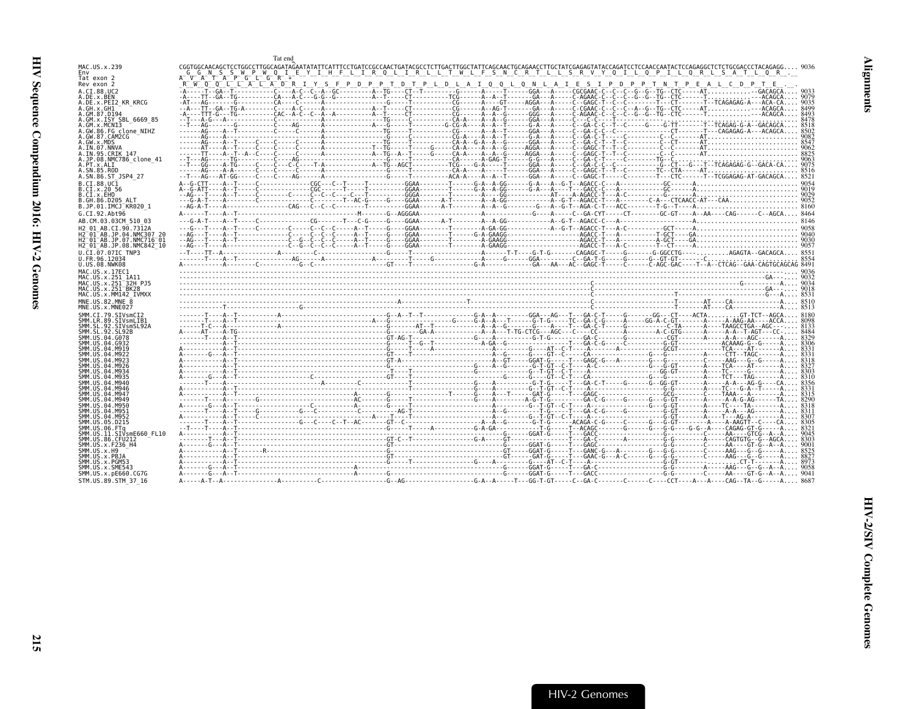<span id="page-60-0"></span>

|                                                                                             |                                                                                                               | Tat end                                                                                                                                  |                                                                                 |  |  |                                                                                                                                                                         |
|---------------------------------------------------------------------------------------------|---------------------------------------------------------------------------------------------------------------|------------------------------------------------------------------------------------------------------------------------------------------|---------------------------------------------------------------------------------|--|--|-------------------------------------------------------------------------------------------------------------------------------------------------------------------------|
| MAC.US.x.239<br>Env                                                                         |                                                                                                               |                                                                                                                                          | I R Q L I R L L T W L F S N C R T L L S R V Y Q I L Q P I L Q R L S A T L Q R . |  |  | ${\tt CGGTGGCAACAGCTCCTGGCCTTGGCAGGATAFAATATTCATTTTCCTGATTCGGGCAACTGGATTGGCTTTGCTTGTGCTTTGAGAATCTGCGAGAGATATGCGAGAGTATACAGAGGCTCTGCGAGGGCTCTCTGCGGACCCCTACAGAGG6. 9036$ |
| Tat exon 2                                                                                  | R W O O L L A L A D R I Y S F P D P P T D T P L D L A I Q O L O N L A I E S I P D P P T N T P E A L C D P T E | $\begin{array}{ccccc}\nG & G & N & S & S & W & P & W & Q & I & E & Y & I & H & F & L \\ V & A & T & A & P & G & L & G & R & \end{array}$ |                                                                                 |  |  |                                                                                                                                                                         |
| Rev exon 2<br>A.CI.88.UC2                                                                   |                                                                                                               |                                                                                                                                          |                                                                                 |  |  |                                                                                                                                                                         |
| A.DE.x.BEN<br>A.DE.x.PEI2 KR KRCG                                                           |                                                                                                               |                                                                                                                                          |                                                                                 |  |  |                                                                                                                                                                         |
| A.GH.x.GH1<br>A.GM.87.D194                                                                  |                                                                                                               |                                                                                                                                          |                                                                                 |  |  |                                                                                                                                                                         |
| A.GM.x.ISY SBL 6669 85                                                                      |                                                                                                               |                                                                                                                                          |                                                                                 |  |  |                                                                                                                                                                         |
| A.GM.x.MCNI3<br>A.GW.86.FG clone NIHZ                                                       |                                                                                                               |                                                                                                                                          |                                                                                 |  |  |                                                                                                                                                                         |
| A.GW.87.CAM2CG<br>A.GW.x.MDS                                                                |                                                                                                               |                                                                                                                                          |                                                                                 |  |  |                                                                                                                                                                         |
| A.IN.07.NNVA<br>A.IN.95.CRIK 147                                                            |                                                                                                               |                                                                                                                                          |                                                                                 |  |  |                                                                                                                                                                         |
| A.JP.08.NMC786 clone 41<br>A.PT.X.ALT                                                       |                                                                                                               |                                                                                                                                          |                                                                                 |  |  |                                                                                                                                                                         |
| A.SN.85.ROD<br>A.SN.86.ST JSP4 27                                                           |                                                                                                               |                                                                                                                                          |                                                                                 |  |  |                                                                                                                                                                         |
| B.CI.88.UC1                                                                                 |                                                                                                               |                                                                                                                                          |                                                                                 |  |  |                                                                                                                                                                         |
| B.CI.x.20 56<br>B.CI.x.EHO                                                                  |                                                                                                               |                                                                                                                                          |                                                                                 |  |  |                                                                                                                                                                         |
| B.GH.86.D205 ALT<br>B.JP.01.IMCJ KR020 1                                                    |                                                                                                               |                                                                                                                                          |                                                                                 |  |  |                                                                                                                                                                         |
| G.CI.92.Abt96                                                                               |                                                                                                               |                                                                                                                                          |                                                                                 |  |  |                                                                                                                                                                         |
| AB.CM.03.03CM 510 03<br>H2 01 AB.CI.90.7312A                                                |                                                                                                               |                                                                                                                                          |                                                                                 |  |  |                                                                                                                                                                         |
| H2 <sup>-</sup> 01 <sup>-</sup> AB.JP.04.NMC307  20                                         |                                                                                                               |                                                                                                                                          |                                                                                 |  |  |                                                                                                                                                                         |
| H2 <sup>-</sup> 01 <sup>-</sup> AB.JP.07.NMC716 <sup>-</sup> 01<br>H2 01 AB.JP.08.NMC842 10 |                                                                                                               |                                                                                                                                          |                                                                                 |  |  |                                                                                                                                                                         |
| U.CI.07.07IC TNP3<br>U.FR.96.12034                                                          |                                                                                                               |                                                                                                                                          |                                                                                 |  |  |                                                                                                                                                                         |
| U.US.08.NWK08                                                                               |                                                                                                               |                                                                                                                                          |                                                                                 |  |  |                                                                                                                                                                         |
| MAC.US.x.17EC1<br>MAC.US.x.251 1A11                                                         |                                                                                                               |                                                                                                                                          |                                                                                 |  |  |                                                                                                                                                                         |
| MAC.US.x.251 <sup>-</sup> 32H PJ5<br>MAC.US.x.251 <sup>-</sup> BK28                         |                                                                                                               |                                                                                                                                          |                                                                                 |  |  |                                                                                                                                                                         |
| MAC.US.x.MM142 IVMXX                                                                        |                                                                                                               |                                                                                                                                          |                                                                                 |  |  |                                                                                                                                                                         |
| MNE.US.82.MNE 8<br>MNE.US.x.MNE027                                                          |                                                                                                               |                                                                                                                                          |                                                                                 |  |  |                                                                                                                                                                         |
| SMM.CI.79.SIVsmCI2<br>SMM.LR.89.SIVsmLIB1                                                   |                                                                                                               |                                                                                                                                          |                                                                                 |  |  |                                                                                                                                                                         |
| SMM.SL.92.SIVsmSL92A<br>SMM.SL.92.SL92B                                                     |                                                                                                               |                                                                                                                                          |                                                                                 |  |  |                                                                                                                                                                         |
| SMM.US.04.G078                                                                              |                                                                                                               |                                                                                                                                          |                                                                                 |  |  |                                                                                                                                                                         |
| SMM US 04 G932                                                                              |                                                                                                               |                                                                                                                                          |                                                                                 |  |  |                                                                                                                                                                         |
|                                                                                             |                                                                                                               |                                                                                                                                          |                                                                                 |  |  |                                                                                                                                                                         |
|                                                                                             |                                                                                                               |                                                                                                                                          |                                                                                 |  |  |                                                                                                                                                                         |
| SMM IIS A4 MQ46                                                                             |                                                                                                               |                                                                                                                                          |                                                                                 |  |  |                                                                                                                                                                         |
| SMM.US.04.M946<br>SMM IIS A4 MQ47                                                           |                                                                                                               |                                                                                                                                          |                                                                                 |  |  |                                                                                                                                                                         |
| SMM IIS 04 M949                                                                             |                                                                                                               |                                                                                                                                          |                                                                                 |  |  |                                                                                                                                                                         |
| SMM IIS 04 M956<br>SMM.US.04.M951                                                           |                                                                                                               |                                                                                                                                          |                                                                                 |  |  |                                                                                                                                                                         |
| SMM.US.04.M952<br>SMM.US.05.D215                                                            |                                                                                                               |                                                                                                                                          |                                                                                 |  |  |                                                                                                                                                                         |
| SMM.US.06.FTa<br>.SIVsmE660 FL10                                                            |                                                                                                               |                                                                                                                                          |                                                                                 |  |  |                                                                                                                                                                         |
| SMM.US.86.CFU212<br>SMM.US.x.F236 H4                                                        |                                                                                                               |                                                                                                                                          |                                                                                 |  |  |                                                                                                                                                                         |
|                                                                                             |                                                                                                               |                                                                                                                                          |                                                                                 |  |  |                                                                                                                                                                         |
| SMM.US.x.PBJA<br>SMM.US.x.PGM53                                                             |                                                                                                               |                                                                                                                                          |                                                                                 |  |  |                                                                                                                                                                         |
| SMM.US.x.SME543<br>SMM.US.x.pE660.CG7G                                                      |                                                                                                               |                                                                                                                                          |                                                                                 |  |  |                                                                                                                                                                         |
| STM.US.89.STM 37 16                                                                         |                                                                                                               |                                                                                                                                          |                                                                                 |  |  |                                                                                                                                                                         |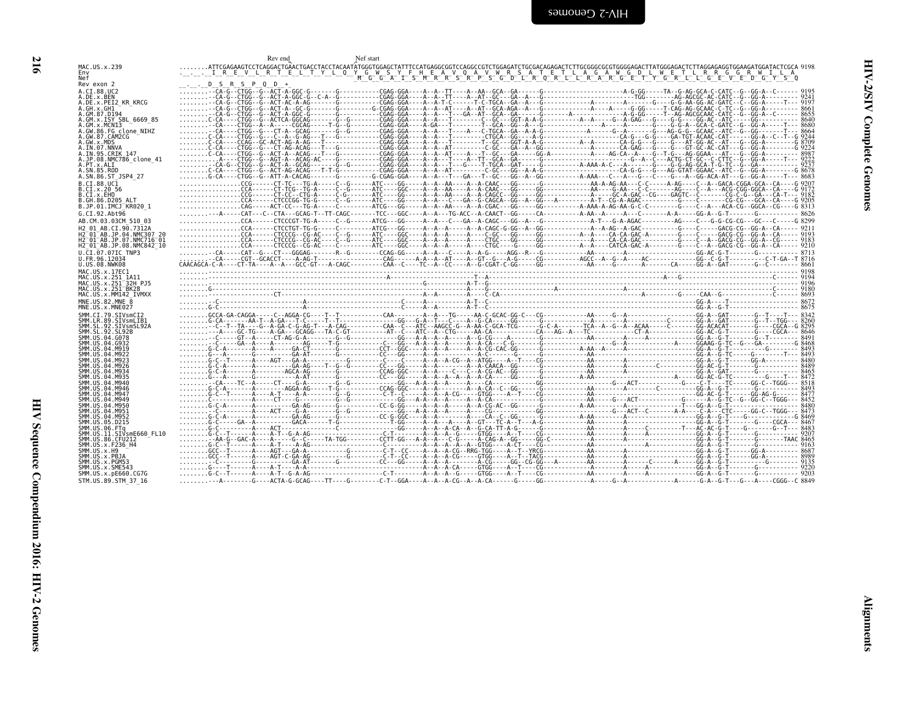<span id="page-61-0"></span>

|                                                                                     | Rev end                       | Nef start |  |
|-------------------------------------------------------------------------------------|-------------------------------|-----------|--|
| MAC.US.x.239<br>Nef                                                                 |                               |           |  |
| Rev exon 2<br>A.CI.88.UC2                                                           | $\ldots$ DSRSPQD <sup>*</sup> |           |  |
| A.DE.x.BEN<br>A.DE.x.PEI2_KR_KRCG                                                   |                               |           |  |
| A.GH.x.GH1 -<br>A.GM.87.D194<br>A.GM.x.ISY SBL 6669 85                              |                               |           |  |
| A.GM.x.MCN13                                                                        |                               |           |  |
| A.GW.86.FG clone_NIHZ<br>A.GW.87.CAM2CG<br>A.GW.x.MDS<br>A. IN. 07. NNVA            |                               |           |  |
| A.IN.95.CRIK 147<br>A.JP.08.NMC786_clone_41                                         |                               |           |  |
| A.PT.x.ALI<br>A.SN.85.ROD<br>A.SN.86.ST_JSP4_27                                     |                               |           |  |
| B.CI.88.UC1                                                                         |                               |           |  |
| B.CI.x.20<br>B.CI.x.20 56<br>B.CI.x.EHO<br>B.GH.86.D205_ALT<br>B.JP.01.IMCJ_KR020_1 |                               |           |  |
| G.CI.92.Abt96                                                                       |                               |           |  |
| AB.CM.03.03CM 510 03<br>H2 01 AB.CI.90.7312A                                        |                               |           |  |
| H2-01-AB.JP.04.NMC307 20<br>H2-01-AB.JP.07.NMC716-01                                |                               |           |  |
| H2 <sup>-01-AB.JP.08.NMC842<sup>-10</sup></sup>                                     |                               |           |  |
| U.CI.07.07IC TNP3<br>U.FR.96.12034<br>U.US.08.NWK08                                 |                               |           |  |
| MAC.US.x.17EC1<br>MAC.US.x.251 1A11<br>MAC.US.x.251 32H PJ5                         |                               |           |  |
| MAC.US.x.251-BK28<br>MAC.US.x.MM142_IVMXX                                           |                               |           |  |
| MNE.US.82.MNE 8<br>MNE.US.x.MNE027                                                  |                               |           |  |
| SMM.CI.79.SIVsmCI2<br>SMM.LR.89.SIVsmLIB1<br>SMM.SL.92.SIVsmSL92A                   |                               |           |  |
| SMM. SL. 92. SL92B                                                                  |                               |           |  |
| SMM. US. 04. G078<br>SMM. US. 04. G932<br>SMM. US. 04. M919<br>SMM. US. 04. M922    |                               |           |  |
| SMM. US. 04. M923                                                                   |                               |           |  |
| SMM. US. 04. M926<br>SMM. US. 04. M934<br>SMM. US. 04. M935<br>SMM. US. 04. M940    |                               |           |  |
| SMM. US. 04. M946<br>SMM. US. 04. M947                                              |                               |           |  |
| SMM. US.04.M949<br>SMM. US. 04. M950<br>SMM. US. 04. M951                           |                               |           |  |
| SMM. US. 04. M952<br>SMM. US. 05. D215                                              |                               |           |  |
| SMM. US. 06. FTq                                                                    |                               |           |  |
| SMM.US.11.SIVsmE660_FL10<br>SMM.US.86.CFU212<br>SMM. US. x. F236_H4                 |                               |           |  |
| SMM.US.x.H9<br>SMM.US.x.PBJA<br>SMM.US.x.PGM53                                      |                               |           |  |
| SMM. US. x. SME543                                                                  |                               |           |  |
| SMM. US. x. pE660. CG7G                                                             |                               |           |  |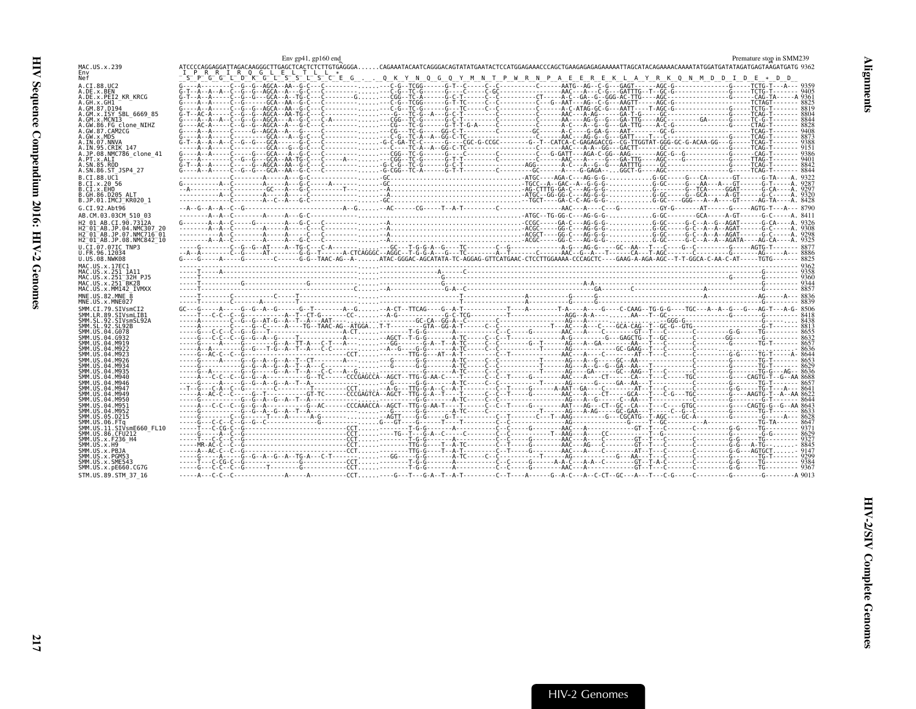<span id="page-62-0"></span>

|                                                                    | Env $gp41$ , $gp160$ end                                                                                                                                                                                                          |                                                                                                                     | Premature stop in SMM239 |
|--------------------------------------------------------------------|-----------------------------------------------------------------------------------------------------------------------------------------------------------------------------------------------------------------------------------|---------------------------------------------------------------------------------------------------------------------|--------------------------|
| MAC.US.x.239                                                       |                                                                                                                                                                                                                                   |                                                                                                                     |                          |
| Env<br>Nef                                                         | PRRIROGLELTLL *                                                                                                                                                                                                                   | <u>sipigigilidikigilisisilisicie g. 0 k y n 0 g 0 y m n t p w r n p a e e r e k l a y r k 0 n m d d i d e * d d</u> |                          |
| A.CI.88.UC2                                                        |                                                                                                                                                                                                                                   |                                                                                                                     |                          |
| A.DE.x.BEN                                                         |                                                                                                                                                                                                                                   |                                                                                                                     |                          |
| A.DE.x.PEI2 KR KRCG<br>A.GH.x.GH1                                  |                                                                                                                                                                                                                                   |                                                                                                                     |                          |
| A.GM.87.D194                                                       |                                                                                                                                                                                                                                   |                                                                                                                     |                          |
| A.GM.X.ISY SBL 6669 85<br>A.GM.x.MCN13                             |                                                                                                                                                                                                                                   |                                                                                                                     |                          |
| A.GW.86.FG clone NIHZ                                              |                                                                                                                                                                                                                                   |                                                                                                                     |                          |
| A.GW.87.CAM2CG<br>A.GW.x.MDS                                       |                                                                                                                                                                                                                                   |                                                                                                                     |                          |
| A.IN.07.NNVA                                                       |                                                                                                                                                                                                                                   |                                                                                                                     |                          |
| A.IN.95.CRIK 147                                                   |                                                                                                                                                                                                                                   |                                                                                                                     |                          |
| A.JP.08.NMC786 clone 41<br>A.PT.x.ALI                              |                                                                                                                                                                                                                                   |                                                                                                                     |                          |
| A.SN.85.ROD                                                        |                                                                                                                                                                                                                                   |                                                                                                                     |                          |
| A.SN.86.ST JSP4 27<br>B.CI.88.UC1                                  |                                                                                                                                                                                                                                   |                                                                                                                     |                          |
| B.CI.X.20 56                                                       |                                                                                                                                                                                                                                   |                                                                                                                     |                          |
| B.CI.X.EHO                                                         |                                                                                                                                                                                                                                   |                                                                                                                     |                          |
| B.GH.86.D205 ALT<br>B.JP.01.IMCJ KR020 1                           |                                                                                                                                                                                                                                   |                                                                                                                     |                          |
| G.CI.92.Abt96                                                      |                                                                                                                                                                                                                                   |                                                                                                                     |                          |
| AB.CM.03.03CM 510 03                                               |                                                                                                                                                                                                                                   |                                                                                                                     |                          |
| H2 01 AB.CI.90.7312A                                               |                                                                                                                                                                                                                                   |                                                                                                                     |                          |
| H2 01 AB.JP.04.NMC307 20<br>H2 <sup>-01-AB.JP.07.NMC716-01</sup>   |                                                                                                                                                                                                                                   |                                                                                                                     |                          |
| H2 01 AB.JP.08.NMC842 10                                           |                                                                                                                                                                                                                                   |                                                                                                                     |                          |
| U.CI.07.07IC TNP3                                                  |                                                                                                                                                                                                                                   |                                                                                                                     |                          |
| U.FR.96.12034<br>U.US.08.NWK08                                     |                                                                                                                                                                                                                                   |                                                                                                                     |                          |
| MAC.US.x.17EC1                                                     |                                                                                                                                                                                                                                   |                                                                                                                     |                          |
| MAC.US.x.251 1A11                                                  |                                                                                                                                                                                                                                   |                                                                                                                     |                          |
| MAC.US.x.251 <sup>-32H</sup> PJ5<br>MAC.US.x.251 <sup>-</sup> BK28 |                                                                                                                                                                                                                                   |                                                                                                                     |                          |
| MAC.US.x.MM142 IVMXX                                               |                                                                                                                                                                                                                                   |                                                                                                                     |                          |
| MNE.US.82.MNE<br>MNE.US.x.MNE027                                   |                                                                                                                                                                                                                                   |                                                                                                                     |                          |
| SMM.CI.79.SIVsmCI2                                                 |                                                                                                                                                                                                                                   |                                                                                                                     |                          |
| SMM.LR.89.SIVsmLIB1                                                | 8838<br>- Allen Contract Contract Contract Contract Contract Contract Contract Contract Contract Contract Contract Contract Contract Contract Contract Contract Contract Contract Contract Contract Contract Contract Contract Co |                                                                                                                     |                          |
| SMM.SL.92.SIVsmSL92A<br>SMM.SL.92.SL92B                            |                                                                                                                                                                                                                                   |                                                                                                                     |                          |
| SMM. US.04.G078                                                    |                                                                                                                                                                                                                                   |                                                                                                                     |                          |
| SMM.US.04.G932<br>SMM.US.04.M919                                   |                                                                                                                                                                                                                                   |                                                                                                                     |                          |
| SMM.US.04.M922                                                     |                                                                                                                                                                                                                                   |                                                                                                                     |                          |
| SMM.US.04.M923<br>SMM.US.04.M926                                   |                                                                                                                                                                                                                                   |                                                                                                                     |                          |
| SMM, US.04.M934                                                    |                                                                                                                                                                                                                                   |                                                                                                                     |                          |
| SMM. US. 04. M935<br>SMM. US. 04. M940                             |                                                                                                                                                                                                                                   |                                                                                                                     |                          |
| SMM.US.04.M946                                                     |                                                                                                                                                                                                                                   |                                                                                                                     |                          |
| SMM.US.04.M947<br>SMM. US. 04. M949                                |                                                                                                                                                                                                                                   |                                                                                                                     |                          |
| SMM.US.04.M950                                                     |                                                                                                                                                                                                                                   |                                                                                                                     |                          |
| SMM. US.04.M951                                                    |                                                                                                                                                                                                                                   |                                                                                                                     |                          |
| SMM.US.04.M952<br>SMM.US.05.D215                                   |                                                                                                                                                                                                                                   |                                                                                                                     |                          |
| SMM.US.06.FTq                                                      |                                                                                                                                                                                                                                   |                                                                                                                     |                          |
| SMM.US.11.SIVsmE660 FL10<br>SMM.US.86.CFU212                       |                                                                                                                                                                                                                                   |                                                                                                                     |                          |
| SMM. US. x. F236 H4                                                |                                                                                                                                                                                                                                   |                                                                                                                     |                          |
| $SMM. US. \times . H9SMM.US.x.PBJA$                                |                                                                                                                                                                                                                                   |                                                                                                                     |                          |
| SMM.US.x.PGM53                                                     |                                                                                                                                                                                                                                   |                                                                                                                     |                          |
| SMM. U.S. x. SME543<br>SMM.US.x.pE660.CG7G                         |                                                                                                                                                                                                                                   |                                                                                                                     |                          |
| STM.US.89.STM 37 16                                                |                                                                                                                                                                                                                                   |                                                                                                                     |                          |
|                                                                    |                                                                                                                                                                                                                                   |                                                                                                                     |                          |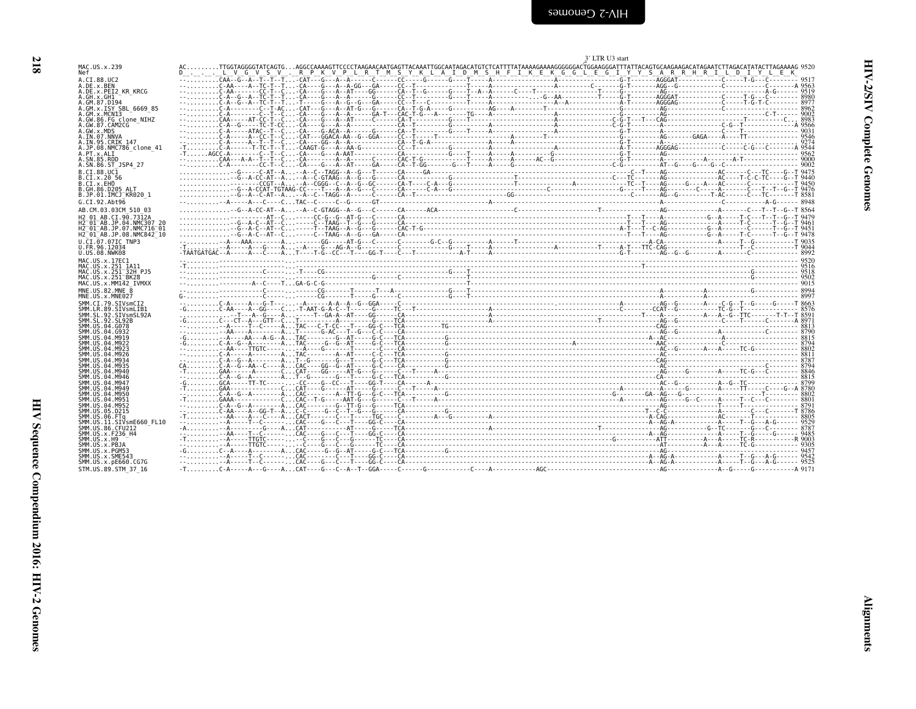<span id="page-63-0"></span>

| <b>Example Cenomes</b> |  |  |
|------------------------|--|--|
|                        |  |  |

|                                                                     |                                                                                                                                                                                                                                                                                         | 3' LTR U3 start |  |
|---------------------------------------------------------------------|-----------------------------------------------------------------------------------------------------------------------------------------------------------------------------------------------------------------------------------------------------------------------------------------|-----------------|--|
| MAC.US.x.239<br>Nef                                                 | .AGGCCAAAAGTTCCCCTAAGAACATTGCGATAGTATAACATTGAATTGGCAATAGACATGGAATAGACATGTTTATAAAGGAAAGGGGGACTGGAAGGGATTTATTACAGTGCAAGAAGAAGATCTTAGACATATACTTTAGAAAAG 9520 كالمرات بالمرات بالمرات بالمرات بالمرات بالمرات بالمراتين بالمراتين<br>LVGVSV.RPKVPLRTMSYKLAIDMSHFIKEKGGLEGIYYSARRHRILDIYYLEK |                 |  |
| A.CI.88.UC2                                                         |                                                                                                                                                                                                                                                                                         |                 |  |
| A.DE.x.BEN<br>A.DE.x.PEI2 KR KRCG                                   |                                                                                                                                                                                                                                                                                         |                 |  |
| A.GH.x.GH1<br>A.GM.87.D194                                          |                                                                                                                                                                                                                                                                                         |                 |  |
| A.GM.x.ISY SBL 6669 85<br>A.GM.x.MCNI3                              |                                                                                                                                                                                                                                                                                         |                 |  |
| A.GW.86.FG clone NIHZ                                               |                                                                                                                                                                                                                                                                                         |                 |  |
| A.GW.87.CAM2CG<br>A.GW.x.MDS                                        |                                                                                                                                                                                                                                                                                         |                 |  |
| A.IN.07.NNVA<br>A. IN. 95. CRIK 147                                 |                                                                                                                                                                                                                                                                                         |                 |  |
| A.JP.08.NMC786 clone 41                                             |                                                                                                                                                                                                                                                                                         |                 |  |
| A.PT.x.ALI<br>A.SN.85.ROD                                           |                                                                                                                                                                                                                                                                                         |                 |  |
| A.SN.86.ST JSP4 27<br>B.CI.88.UC1                                   |                                                                                                                                                                                                                                                                                         |                 |  |
| B.CI.X.20 56                                                        |                                                                                                                                                                                                                                                                                         |                 |  |
| B.CI.X.EHO<br>B.GH.86.D205 ALT                                      |                                                                                                                                                                                                                                                                                         |                 |  |
| B.JP.01.IMCJ KR020 1                                                |                                                                                                                                                                                                                                                                                         |                 |  |
| G.CI.92.Abt96<br>AB.CM.03.03CM 510 03                               |                                                                                                                                                                                                                                                                                         |                 |  |
| H2 01 AB.CI.90.7312A                                                |                                                                                                                                                                                                                                                                                         |                 |  |
| H2 01 AB. JP. 04. NMC307 20<br>H2 <sup>-01-AB.JP.07.NMC716-01</sup> |                                                                                                                                                                                                                                                                                         |                 |  |
| H2 01 AB. JP. 08. NMC842 10                                         |                                                                                                                                                                                                                                                                                         |                 |  |
| U.CI.07.07IC TNP3<br>U.FR.96.12034                                  |                                                                                                                                                                                                                                                                                         |                 |  |
| U.US.08.NWK08<br>MAC.US.x.17EC1                                     |                                                                                                                                                                                                                                                                                         |                 |  |
| MAC.US.x.251 1A11                                                   |                                                                                                                                                                                                                                                                                         |                 |  |
| MAC.US.x.251 32H PJ5<br>MAC.US.x.251 <sup>-BK28</sup>               |                                                                                                                                                                                                                                                                                         |                 |  |
| MAC.US.x.MM142 IVMXX<br>MNE.US.82.MNE 8                             |                                                                                                                                                                                                                                                                                         |                 |  |
| MNE.US.x.MNE027                                                     |                                                                                                                                                                                                                                                                                         |                 |  |
| SMM.CI.79.SIVsmCI2<br>SMM.LR.89.SIVsmLIB1                           |                                                                                                                                                                                                                                                                                         |                 |  |
| SMM.SL.92.SIVsmSL92A                                                |                                                                                                                                                                                                                                                                                         |                 |  |
| SMM. SL. 92. SL92B<br>SMM.US.04.G078                                |                                                                                                                                                                                                                                                                                         |                 |  |
| SMM. US. 04. G932<br>SMM. U.S. 04. M919                             |                                                                                                                                                                                                                                                                                         |                 |  |
| SMM. U.S. 04. M922<br>SMM. U.S. 04. M923                            |                                                                                                                                                                                                                                                                                         |                 |  |
| SMM. US. 04. M926                                                   |                                                                                                                                                                                                                                                                                         |                 |  |
| SMM. U.S. 04. M934<br>SMM. U.S. 04. M935                            |                                                                                                                                                                                                                                                                                         |                 |  |
| SMM. U.S. 04. M940<br>SMM. US. 04. M946                             |                                                                                                                                                                                                                                                                                         |                 |  |
| SMM. U.S. 04. M947<br>SMM. U.S. 04. M949                            |                                                                                                                                                                                                                                                                                         |                 |  |
| SMM.US.04.M950                                                      |                                                                                                                                                                                                                                                                                         |                 |  |
| SMM.US.04.M951<br>SMM.US.04.M952                                    |                                                                                                                                                                                                                                                                                         |                 |  |
| SMM.US.05.D215<br>SMM.US.06.FTa                                     |                                                                                                                                                                                                                                                                                         |                 |  |
| SMM.US.11.SIVsmE660 FL10                                            |                                                                                                                                                                                                                                                                                         |                 |  |
| SMM.US.86.CFU212<br>SMM.US.x.F236 H4                                |                                                                                                                                                                                                                                                                                         |                 |  |
| $SMM. US. x. H9SMM.US.x.PBJA$                                       |                                                                                                                                                                                                                                                                                         |                 |  |
| SMM.US.x.PGM53<br>SMM.US.x.SME543                                   | $\frac{1}{1}$                                                                                                                                                                                                                                                                           |                 |  |
| SMM. US. x. pE660. CG7G                                             |                                                                                                                                                                                                                                                                                         |                 |  |
| STM.US.89.STM 37 16                                                 |                                                                                                                                                                                                                                                                                         |                 |  |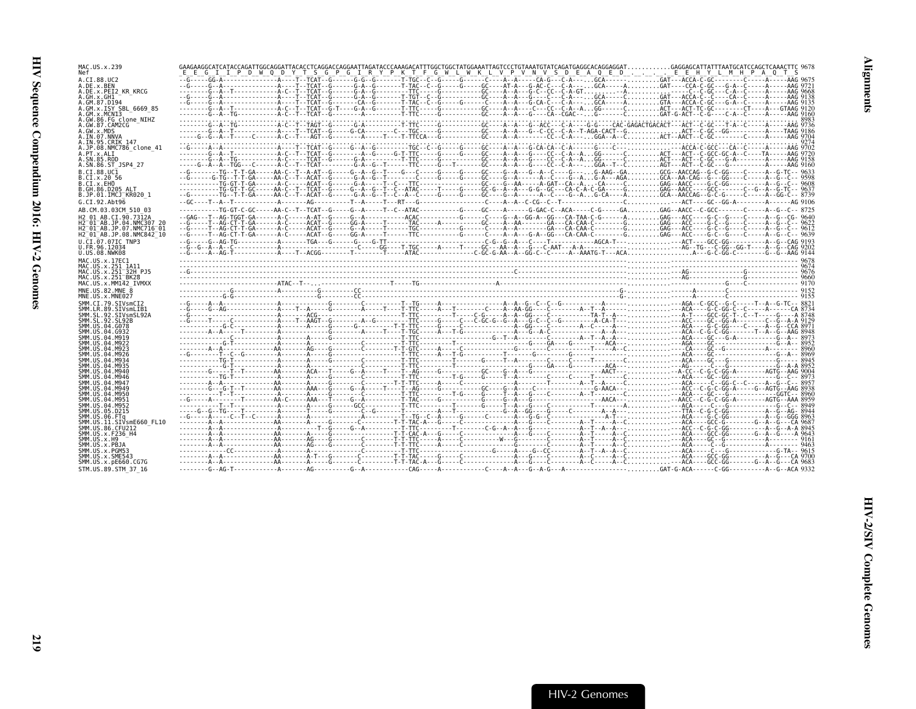| MAC.US.x.239<br>Nef                                          |  |  | E E G I I P D W Q D Y T S G P G I R Y P K T F G W L W K L V P V N V S D E A Q E D E E H Y L M H P A Q T S                                                                                                                                                                                                                              |  |
|--------------------------------------------------------------|--|--|----------------------------------------------------------------------------------------------------------------------------------------------------------------------------------------------------------------------------------------------------------------------------------------------------------------------------------------|--|
| A.CI.88.UC2<br>A.DE.x.BEN                                    |  |  |                                                                                                                                                                                                                                                                                                                                        |  |
| A.DE.x.PEI2 KR KRCG<br>A.GH.x.GH1                            |  |  |                                                                                                                                                                                                                                                                                                                                        |  |
| A.GM.87.D194<br>A.GM.x.ISY SBL 6669 85                       |  |  | -------G--A--T------------A-C--T--TCAT--G-T----G-A--G--------T-TTC-----G---------GC----A--A---CC--C-A--AGG------CACT---ACT-TC-GC---------CT----A---GTAAG 912(                                                                                                                                                                          |  |
| A.GM.x.MCNI3<br>A.GW.86.FG clone NIHZ                        |  |  |                                                                                                                                                                                                                                                                                                                                        |  |
| A.GW.87.CAM2CG<br>A.GW.x.MDS                                 |  |  | -------G--A--TG-----------A-C--T--TAGT--G------G-A---------T-TTC-----G---------GC----A--A---G--AC-C---C-A---C-GC---CAC-GAGACTGACACT---ACT--C-GC---T-A--C------A------AAG 9736<br>-------G-A-T-----------A--T-TCAT--G----G-CA--------C--TGC----G--------GC----A--A--G--C-CC--C-A-T-AGA-CACT--GACT--C-GC--GG---GC---------A----TAAG 9186 |  |
| A.IN.07.NNVA<br>A.IN.95.CRIK 147                             |  |  |                                                                                                                                                                                                                                                                                                                                        |  |
| A.JP.08.NMC786 clone 41<br>A.PT.x.ALI                        |  |  |                                                                                                                                                                                                                                                                                                                                        |  |
| A.SN.85.ROD                                                  |  |  | ----G--Ā--Ā--TGG---C------A-C--T--TCAT---------G-A--G--T------TTC-----G---T-------GC---A---G----C---C---C-A----GGA--T--CAGT---ACT--C-GC---G----------A-----AG 9160                                                                                                                                                                     |  |
| A.SN.86.ST JSP4 27<br>B.CI.88.UC1                            |  |  |                                                                                                                                                                                                                                                                                                                                        |  |
| B.CI.X.20 56<br>B.CI.X.EHO                                   |  |  |                                                                                                                                                                                                                                                                                                                                        |  |
| B.GH.86.D205 ALT<br>B.JP.01.IMCJ KR020 1                     |  |  |                                                                                                                                                                                                                                                                                                                                        |  |
| G.CI.92.Abt96                                                |  |  |                                                                                                                                                                                                                                                                                                                                        |  |
| AB.CM.03.03CM 510 03<br>H2 01 AB.CI.90.7312A                 |  |  |                                                                                                                                                                                                                                                                                                                                        |  |
| H2 01 AB.JP.04.NMC307 20<br>H2 01 AB.JP.07.NMC716 01         |  |  |                                                                                                                                                                                                                                                                                                                                        |  |
| H2 01 AB.JP.08.NMC842 10<br>U.CI.07.07IC TNP3                |  |  |                                                                                                                                                                                                                                                                                                                                        |  |
| U.FR.96.12034                                                |  |  |                                                                                                                                                                                                                                                                                                                                        |  |
| U.US.08.NWK08<br>MAC.US.x.17EC1                              |  |  |                                                                                                                                                                                                                                                                                                                                        |  |
| MAC.US.x.251 1A11<br>MAC.US.x.251 32H PJ5                    |  |  |                                                                                                                                                                                                                                                                                                                                        |  |
| MAC.US.x.251 BK28<br>MAC.US.x.MM142 IVMXX                    |  |  |                                                                                                                                                                                                                                                                                                                                        |  |
| MNE.US.82.MNE 8<br>MNE.US.x.MNE027                           |  |  |                                                                                                                                                                                                                                                                                                                                        |  |
| SMM.CI.79.SIVsmCI2<br>SMM.LR.89.SIVsmLIB1                    |  |  |                                                                                                                                                                                                                                                                                                                                        |  |
| SMM.SL.92.SIVsmSL92A<br>SMM. SL. 92. SL92B                   |  |  |                                                                                                                                                                                                                                                                                                                                        |  |
| SMM.US.04.G078<br>SMM IIS 04 G932                            |  |  |                                                                                                                                                                                                                                                                                                                                        |  |
| SMM.US.04.M919<br>SMM.US.04.M922                             |  |  |                                                                                                                                                                                                                                                                                                                                        |  |
| SMM IIS 04 M923                                              |  |  |                                                                                                                                                                                                                                                                                                                                        |  |
| SMM.US.04.M926<br>SMM.US.04.M934                             |  |  |                                                                                                                                                                                                                                                                                                                                        |  |
| SMM.US.04.M935<br>SMM.US.04.M940                             |  |  |                                                                                                                                                                                                                                                                                                                                        |  |
| SMM.US.04.M946<br>SMM.US.04.M947                             |  |  |                                                                                                                                                                                                                                                                                                                                        |  |
| SMM.US.04.M949<br>SMM.US.04.M950                             |  |  |                                                                                                                                                                                                                                                                                                                                        |  |
| SMM.US.04.M951<br>SMM. U.S. 04. M952                         |  |  |                                                                                                                                                                                                                                                                                                                                        |  |
| SMM. U.S. 05. D215                                           |  |  |                                                                                                                                                                                                                                                                                                                                        |  |
| SMM.US.06.FTq<br>SMM.US.11.SIVsmE660 FL10                    |  |  |                                                                                                                                                                                                                                                                                                                                        |  |
| SMM.US.86.CFU212                                             |  |  |                                                                                                                                                                                                                                                                                                                                        |  |
| SMM. US. x. F236 H4<br>SMM. US. x. H9                        |  |  |                                                                                                                                                                                                                                                                                                                                        |  |
|                                                              |  |  |                                                                                                                                                                                                                                                                                                                                        |  |
| SMM.US.x.PBJA                                                |  |  |                                                                                                                                                                                                                                                                                                                                        |  |
| SMM.US.x.PGM53<br>SMM.US.x.SME543<br>SMM. US. x. pE660. CG7G |  |  |                                                                                                                                                                                                                                                                                                                                        |  |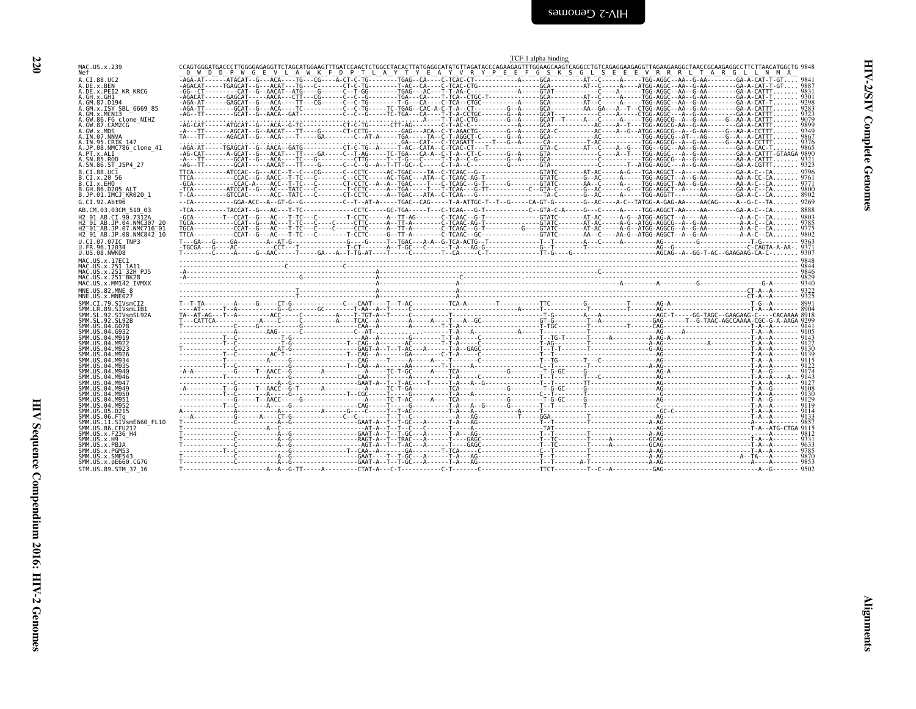| I            |
|--------------|
| ۰.<br>×<br>v |

<span id="page-65-0"></span>

| MAC.US.x.239                                                                                                                   |  |  |  |
|--------------------------------------------------------------------------------------------------------------------------------|--|--|--|
| A.CI.88.UC2<br>A.DE.x.BEN<br>A.DE.x.PEI2_KR_KRCG                                                                               |  |  |  |
|                                                                                                                                |  |  |  |
| GW.86.FG_clone_NIHZ<br>GW.87.CAM2CG                                                                                            |  |  |  |
| A.GW.x.MDS<br>A.IN.07.NNVA<br>A.IN.95.CRIK 147                                                                                 |  |  |  |
| .JP.08.NMC786 clone 41<br>.PT.x.ALI                                                                                            |  |  |  |
| .SN.85.ROD<br>$.SN.86.ST_JSP4_27$<br>B.CI.88.UC1                                                                               |  |  |  |
| .CI.x.20 56<br>.CI.x.EHO<br>B.ĞĤ.86.DŽ05 ALT<br>B.JP.01.IMCJ_KR020 1                                                           |  |  |  |
| G.CI.92.Abt96                                                                                                                  |  |  |  |
| AB.CM.03.03CM 510 03<br>H2_01_AB.CI.90.7312A<br>H2 <sup>_</sup> 01 <sup>_</sup> AB.JP.04.NMC307_20<br>H2_01_AB.JP.07.NMC716_01 |  |  |  |
| H2 01 AB.JP.08.NMC842 10                                                                                                       |  |  |  |
| U.CI.07.07IC TNP3<br>U.FR.96.12034<br>U.US.08.NWK08                                                                            |  |  |  |
| MAC.US.x.17EC1<br>MAC.US.x.251 1A11<br>MAC.US.x.251-32H PJ5<br>MAC.US.x.251-32H PJ5                                            |  |  |  |
| MAC.US.x.MM142 IVMXX<br>MNE.US.82.MNE 8                                                                                        |  |  |  |
| MNE.US.x.MNE027<br>SMM.CI.79.SIVsmCI2                                                                                          |  |  |  |
| SMM. LR. 89. SIVSMLIB1<br>SMM. SL. 92. SIVSMLIB1<br>SMM. SL. 92. SIVSMSL92A<br>SMM. US. 04. G078                               |  |  |  |
| SMM.US.04.G932                                                                                                                 |  |  |  |
| SMM.US.04.M919<br>SMM.US.04.M922<br>SMM.US.04.M923<br>SMM.US.04.M926                                                           |  |  |  |
| SMM. US.04.M934<br>SMM.US.04.M935                                                                                              |  |  |  |
| SMM. US. 04. M940<br>SMM. US. 04. M940<br>SMM. US. 04. M947<br>SMM. US. 04. M949                                               |  |  |  |
| SMM.US.04.M950<br>SMM.US.04.M951<br>SMM.US.04.M952                                                                             |  |  |  |
| SMM.US.05.D215<br>SMM.US.06.FTa<br>ŠMM.UŠ.II.SIVsmE660 FL10                                                                    |  |  |  |
| SMM.US.86.CFU212<br>SMM.US.x.F236_H4<br>SMM.US.x.H9                                                                            |  |  |  |
| SMM.US.x.PBJA<br>SMM.US.x.PGM53<br>SMM.US.x.:SME543<br>SMM.US.x.SME543<br>SMM.US.x.pE660.CG7G                                  |  |  |  |
|                                                                                                                                |  |  |  |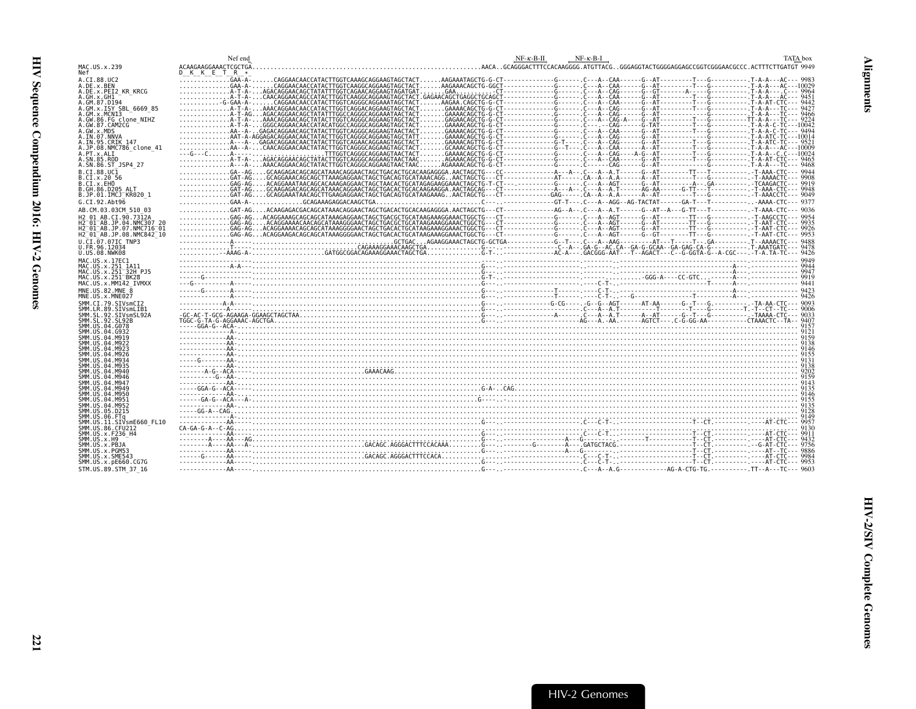<span id="page-66-0"></span>

|                                                                 | Nef end       | $NF - K - B - H$<br>$NF-K-B-I$<br>TATA box |
|-----------------------------------------------------------------|---------------|--------------------------------------------|
| MAC.US.x.239<br>Nef                                             | D K K E T R * |                                            |
| A.CI.88.UC2                                                     |               |                                            |
| A.DE.x.BEN<br>A.DE.x.PEI2 KR KRCG                               |               |                                            |
| A.GH.x.GH1                                                      |               |                                            |
| A.GM.87.D194                                                    |               |                                            |
| A.GM.x.ISY SBL 6669 85<br>A.GM.x.MCN13                          |               |                                            |
| A.GW.86.FG clone NIHZ                                           |               |                                            |
| A.GW.87.CAM2CG                                                  |               |                                            |
| A.GW.x.MDS<br>A.IN.07.NNVA                                      |               |                                            |
| A.IN.95.CRIK 147                                                |               |                                            |
| A.JP.08.NMC786 clone 41<br>A.PT.x.ALI                           |               |                                            |
| A.SN.85.ROD                                                     |               |                                            |
| A.SN.86.ST JSP4 27                                              |               |                                            |
| B.CI.88.UC1<br>B.CI.x.20 56                                     |               |                                            |
| B.CI.X.EHO                                                      |               |                                            |
| B.GH.86.D205 ALT                                                |               |                                            |
| B.JP.01.IMCJ KR020 1                                            |               |                                            |
| G.CI.92.Abt96                                                   |               |                                            |
| AB.CM.03.03CM 510 03<br>H2 01 AB.CI.90.7312A                    |               |                                            |
| H2 <sup>-01-AB.JP.04.NMC307 20</sup>                            |               |                                            |
| H2 <sup>-</sup> 01 <sup>-</sup> AB.JP.07.NMC716 <sup>-</sup> 01 |               |                                            |
| H2 <sup>-</sup> 01 <sup>-</sup> AB.JP.08.NMC842 <sup>-10</sup>  |               |                                            |
| U.CI.07.07IC TNP3<br>U.FR.96.12034                              |               |                                            |
| U.US.08.NWK08                                                   |               |                                            |
| MAC.US.x.17EC1                                                  |               |                                            |
| MAC.US.x.251 1A11<br>MAC.US.x.251 32H PJ5                       |               |                                            |
| MAC.US.x.251 BK28                                               |               |                                            |
| MAC.US.x.MM142 IVMXX                                            |               |                                            |
| MNE.US.82.MNE 8                                                 |               |                                            |
| MNE.US.x.MNE027<br>SMM.CI.79.SIVsmCI2                           |               |                                            |
| SMM.LR.89.SIVsmLIB1                                             |               |                                            |
| SMM.SL.92.SIVsmSL92A                                            |               |                                            |
| SMM.SL.92.SL92B<br>SMM.US.04.G078                               |               |                                            |
| SMM.US.04.G932                                                  |               | $\frac{1}{2}$                              |
| SMM.US.04.M919<br>SMM.US.04.M922                                |               |                                            |
| SMM.US.04.M923                                                  |               |                                            |
| SMM. US. 04. M926                                               |               |                                            |
| SMM.US.04.M934<br>SMM.US.04.M935                                |               |                                            |
| SMM.US.04.M940                                                  |               |                                            |
| SMM. U.S. 04. M946<br>SMM. US. 04. M947                         |               |                                            |
| SMM.US.04.M949                                                  |               |                                            |
| SMM.US.04.M950                                                  |               |                                            |
| SMM. U.S. 04. M951<br>SMM.US.04.M952                            |               |                                            |
| SMM.US.05.D215                                                  |               |                                            |
| SMM.US.06.FTa<br>SMM.US.11.SIVsmE660 FL10                       |               |                                            |
| SMM. US.86. CFU212                                              |               |                                            |
| SMM. US. x. F236 H4                                             |               |                                            |
| SMM. US. x.H9<br>SMM.US.x.PBJA                                  |               |                                            |
| SMM.US.x.PGM53                                                  |               |                                            |
| SMM.US.x.SME543                                                 |               |                                            |
| SMM.US.x.pE660.CG7G<br>STM.US.89.STM 37 16                      |               |                                            |
|                                                                 |               |                                            |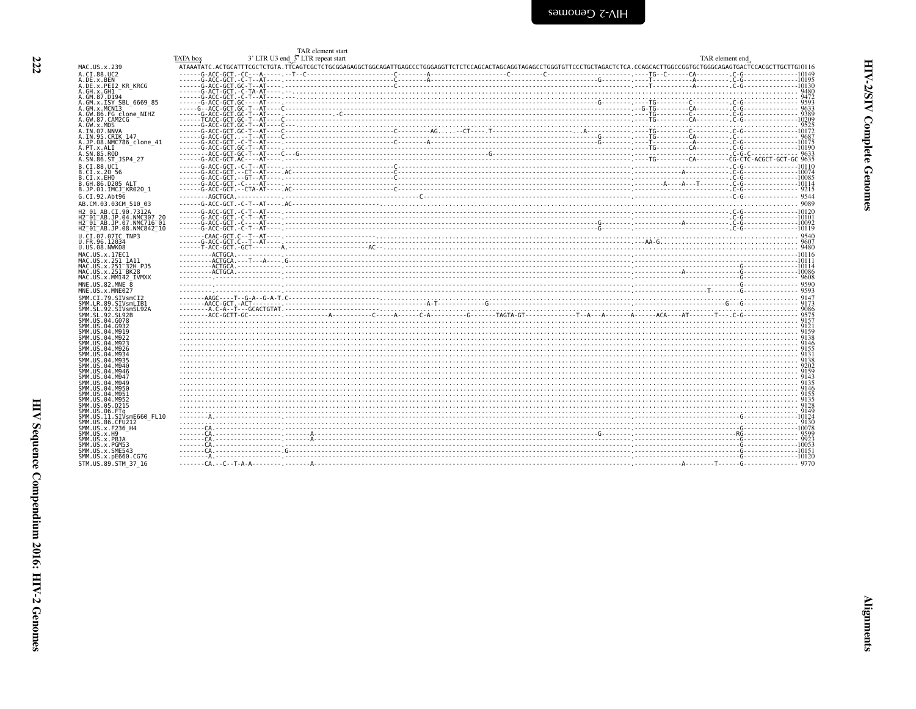<span id="page-67-0"></span>

|                                                                                                | TATA box | TAR element start |  |  |  |  |
|------------------------------------------------------------------------------------------------|----------|-------------------|--|--|--|--|
| MAC.US.x.239                                                                                   |          |                   |  |  |  |  |
| A.CI.88.UC2                                                                                    |          |                   |  |  |  |  |
| A.DE.x.BEN<br>A.DE.x.PEI2 KR KRCG                                                              |          |                   |  |  |  |  |
| A.GH.x.GH1                                                                                     |          |                   |  |  |  |  |
| A.GM.87.D194                                                                                   |          |                   |  |  |  |  |
| A.GM.x.ISY SBL 6669 85<br>A.GM.x.MCNI3                                                         |          |                   |  |  |  |  |
| A.GW.86.FG clone NIHZ                                                                          |          |                   |  |  |  |  |
| A.GW.87.CAM2CG<br>A.GW.x.MDS                                                                   |          |                   |  |  |  |  |
| A.IN.07.NNVA                                                                                   |          |                   |  |  |  |  |
| A. IN. 95. CRIK 147                                                                            |          |                   |  |  |  |  |
| A.JP.08.NMC786 clone 41<br>A.PT.x.ALI                                                          |          |                   |  |  |  |  |
| A.SN.85.ROD                                                                                    |          |                   |  |  |  |  |
| A.SN.86.ST JSP4 27                                                                             |          |                   |  |  |  |  |
| B.CT.88.UC1<br>B.CI.x.20 56                                                                    |          |                   |  |  |  |  |
| B.CI.X.EHO                                                                                     |          |                   |  |  |  |  |
| B.GH.86.D205 ALT<br>B.JP.01.IMCJ KR020 1                                                       |          |                   |  |  |  |  |
| G.CI.92.Abt96                                                                                  |          |                   |  |  |  |  |
| AB.CM.03.03CM 510 03                                                                           |          |                   |  |  |  |  |
| H2 01 AB.CI.90.7312A                                                                           |          |                   |  |  |  |  |
| H2 <sup>-01-AB.JP.04.NMC307 20</sup>                                                           |          |                   |  |  |  |  |
| H2 <sup>-</sup> 01 <sup>-</sup> AB.JP.07.NMC716 <sup>-</sup> 01<br>H2 01 AB. JP. 08. NMC842 10 |          |                   |  |  |  |  |
| U.CI.07.07IC TNP3                                                                              |          |                   |  |  |  |  |
| U.FR.96.12034                                                                                  |          |                   |  |  |  |  |
| U.US.08.NWK08                                                                                  |          |                   |  |  |  |  |
| MAC.US.x.17EC1<br>MAC.US.x.251 1A11                                                            |          |                   |  |  |  |  |
| MAC.US.x.251 32H PJ5                                                                           |          |                   |  |  |  |  |
| MAC. US. x. 251 BK28                                                                           |          |                   |  |  |  |  |
| MAC.US.x.MM142 IVMXX<br>$MNE$ . U.S., 82. MNE $\overline{8}$                                   |          |                   |  |  |  |  |
| MNE.US.x.MNE027                                                                                |          |                   |  |  |  |  |
| SMM.CI.79.SIVsmCI2                                                                             |          |                   |  |  |  |  |
| SMM.LR.89.SIVsmLIB1                                                                            |          |                   |  |  |  |  |
| SMM.SL.92.SIVsmSL92A<br>SMM. SL. 92. SL92B                                                     |          |                   |  |  |  |  |
| SMM.US.04.G078                                                                                 |          |                   |  |  |  |  |
| SMM.US.04.G932<br>SMM.US.04.M919                                                               |          |                   |  |  |  |  |
| SMM.US.04.M922                                                                                 |          |                   |  |  |  |  |
| SMM.US.04.M923                                                                                 |          |                   |  |  |  |  |
| SMM.US.04.M926<br>SMM. US. 04. M934                                                            |          |                   |  |  |  |  |
| SMM. US. 04. M935                                                                              |          |                   |  |  |  |  |
| SMM. US. 04. M940                                                                              |          |                   |  |  |  |  |
| SMM. US. 04. M946<br>SMM. US. 04. M947                                                         |          |                   |  |  |  |  |
| SMM.US.04.M949                                                                                 |          |                   |  |  |  |  |
| SMM. US.04.M950                                                                                |          |                   |  |  |  |  |
| SMM.US.04.M951<br>SMM.US.04.M952                                                               |          |                   |  |  |  |  |
| SMM. US. 05. D215                                                                              |          |                   |  |  |  |  |
| SMM.US.06.FTq<br>SMM.US.11.SIVsmE660 FL10                                                      |          |                   |  |  |  |  |
| SMM. US.86. CFU212                                                                             |          |                   |  |  |  |  |
| SMM. US. x. F236_H4                                                                            |          |                   |  |  |  |  |
| SMM.US.x.H9                                                                                    |          |                   |  |  |  |  |
| SMM.US.x.PBJA<br>SMM.US.x.PGM53                                                                |          |                   |  |  |  |  |
| SMM.US.x.SME543                                                                                |          |                   |  |  |  |  |
| SMM.US.x.pE660.CG7G                                                                            |          |                   |  |  |  |  |
| STM.US.89.STM 37 16                                                                            |          |                   |  |  |  |  |